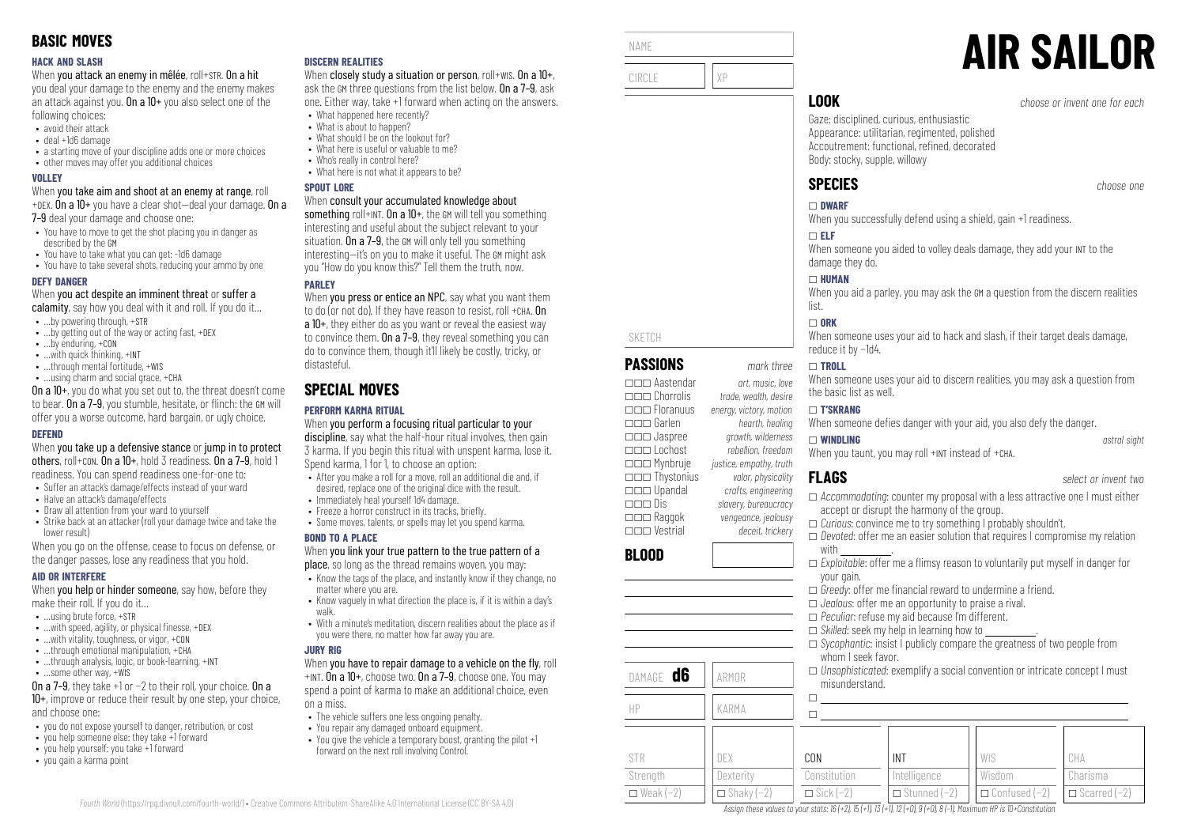#### **HACK AND SLASH**

When you attack an enemy in mêlée, roll+STR. On a hit

you deal your damage to the enemy and the enemy makes an attack against you. On a  $10+$  you also select one of the following choices:

- avoid their attack
- deal +1d6 damage
- a starting move of your discipline adds one or more choices
- other moves may offer you additional choices

#### **VOLLEY**

When you take aim and shoot at an enemy at range, roll +DEX. On a  $10+$  you have a clear shot-deal your damage. On a

7–9 deal your damage and choose one:

- You have to move to get the shot placing you in danger as described by the GM
- You have to take what you can get: -1d6 damage
- You have to take several shots, reducing your ammo by one

#### **DEFY DANGER**

When you act despite an imminent threat or suffer a

- calamity, say how you deal with it and roll. If you do it...
- …by powering through, +STR
- ...by getting out of the way or acting fast, +DEX
- …by enduring, +CON
- …with quick thinking, +INT
- ...through mental fortitude, +WIS
- …using charm and social grace, +CHA

On a 10+, you do what you set out to, the threat doesn't come to bear. On a 7–9, you stumble, hesitate, or flinch: the GM will offer you a worse outcome, hard bargain, or ugly choice.

#### **DEFEND**

When you take up a defensive stance or jump in to protect others, roll+CON. On a 10+, hold 3 readiness. On a 7–9, hold 1 readiness. You can spend readiness one-for-one to:

- Suffer an attack's damage/effects instead of your ward
- Halve an attack's damage/effects
- Draw all attention from your ward to yourself
- Strike back at an attacker (roll your damage twice and take the lower result)

When you go on the offense, cease to focus on defense, or the danger passes, lose any readiness that you hold.

#### **AID OR INTERFERE**

When **you help or hinder someone**, say how, before they make their roll. If you do it…

- $\bullet$  **using brute force,**  $\text{+STR}$
- $\bullet$  ... with speed, agility, or physical finesse,  $+$ DEX
- …with vitality, toughness, or vigor, +CON
- $\bullet$  through emotional manipulation,  $+CHA$
- …through analysis, logic, or book-learning, +INT
- …some other way, +WIS

On a 7–9, they take +1 or −2 to their roll, your choice. On a 10+, improve or reduce their result by one step, your choice, and choose one:

- you do not expose yourself to danger, retribution, or cost
- you help someone else: they take +1 forward
- you help yourself: you take +1 forward
- you gain a karma point

#### **DISCERN REALITIES**

When closely study a situation or person, roll+wis. On a 10+, ask the GM three questions from the list below. On a 7–9, ask one. Either way, take +1 forward when acting on the answers.

- What happened here recently? • What is about to hannen?
- What should I be on the lookout for?
- What here is useful or valuable to me?
- Who's really in control here?
- What here is not what it annears to be?

#### **SPOUT LORE**

#### When consult your accumulated knowledge about

something roll+INT. On a  $10+$ , the GM will tell you something interesting and useful about the subject relevant to your situation. On a 7–9, the GM will only tell you something interesting—it's on you to make it useful. The GM might ask you "How do you know this?" Tell them the truth, now.

## **PARLEY**

When you press or entice an NPC, say what you want them to do (or not do). If they have reason to resist, roll +CHA. On a 10+, they either do as you want or reveal the easiest way to convince them. On a 7–9, they reveal something you can do to convince them, though it'll likely be costly, tricky, or distasteful.

# **SPECIAL MOVES**

## **PERFORM KARMA RITUAL**

When you perform a focusing ritual particular to your discipline, say what the half-hour ritual involves, then gain 3 karma. If you begin this ritual with unspent karma, lose it. Spend karma, 1 for 1, to choose an option:

- After you make a roll for a move, roll an additional die and, if desired, replace one of the original dice with the result.
- Immediately heal yourself 1d4 damage.
- Freeze a horror construct in its tracks, briefly.
- Some moves, talents, or spells may let you spend karma.

#### **BOND TO A PLACE**

#### When you link your true pattern to the true pattern of a place, so long as the thread remains woven, you may:

- Know the tags of the place, and instantly know if they change, no matter where you are.
- Know vaguely in what direction the place is, if it is within a day's walk.
- With a minute's meditation, discern realities about the place as if you were there, no matter how far away you are.

#### **JURY RIG**

#### When you have to repair damage to a vehicle on the fly, roll +INT. On a 10+, choose two. On a 7–9, choose one. You may

spend a point of karma to make an additional choice, even on a miss.

- The vehicle suffers one less ongoing penalty.
- You repair any damaged onboard equipment.
- You give the vehicle a temporary boost, granting the pilot +1 forward on the next roll involving Control.



NAME

SKETCH

**BLOOD**

STR Strength  $\Box$  Weak (−2)

**PASSIONS** *mark three* \_\_\_ Aastendar *art, music, love* \_\_\_ Chorrolis *trade, wealth, desire*

\_\_\_ Garlen *hearth, healing* \_\_\_ Jaspree *growth, wilderness*

\_\_\_ Mynbruje *justice, empathy, truth* \_\_\_ Thystonius *valor, physicality*

\_\_\_ Dis *slavery, bureaucracy* \_\_\_ Raggok *vengeance, jealousy* \_\_\_ Vestrial *deceit, trickery*

DAMAGE **d6** ARMOR

HP KARMA

DEX **Dexterity** 

\_\_\_ Floranuus *energy, victory, motion*

\_\_\_ Lochost *rebellion, freedom*

\_\_\_ Upandal *crafts, engineering*

When someone uses your aid to hack and slash, if their target deals damage, reduce it by −1d4.

#### \_ **TROLL**

When someone uses your aid to discern realities, you may ask a question from the basic list as well.

#### \_ **T'SKRANG**

When someone defies danger with your aid, you also defy the danger.

#### \_ **WINDLING** *astral sight* When you taunt, you may roll +INT instead of +CHA.

- **FLAGS** *select or invent two* \_ *Accommodating*: counter my proposal with a less attractive one I must either
- accept or disrupt the harmony of the group. \_ *Curious*: convince me to try something I probably shouldn't.
- \_ *Devoted*: offer me an easier solution that requires I compromise my relation with \_\_\_\_\_\_\_\_\_\_\_\_\_.
- $\Box$  *Exploitable:* offer me a flimsy reason to voluntarily put myself in danger for your gain.
- $\Box$  *Greedy*: offer me financial reward to undermine a friend.
- \_ *Jealous*: offer me an opportunity to praise a rival.
- \_ *Peculiar*: refuse my aid because I'm different.
- $\Box$  *Skilled*: seek my help in learning how to
- \_ *Sycophantic*: insist I publicly compare the greatness of two people from whom I seek favor.
- \_ *Unsophisticated*: exemplify a social convention or intricate concept I must misunderstand.

| CON              | INT                   | WIS                                      | CHA      |
|------------------|-----------------------|------------------------------------------|----------|
| Constitution     | Intelligence          | Wisdom                                   | Charisma |
| $\Box$ Sick (-2) | $\Box$ Stunned $(-2)$ | $\Box$ Confused (-2) $\Box$ Scarred (-2) |          |

 $\Box$  Shaky (−2) Assign these values to your stats:  $16 (+2)$ ,  $15 (+1)$ ,  $13 (+1)$ ,  $12 (+0)$ ,  $9 (+0)$ ,  $8 (-1)$ . Maximum HP is 10+Constitution

**AIR SAILOR**

Gaze: disciplined, curious, enthusiastic Appearance: utilitarian, regimented, polished Accoutrement: functional, refined, decorated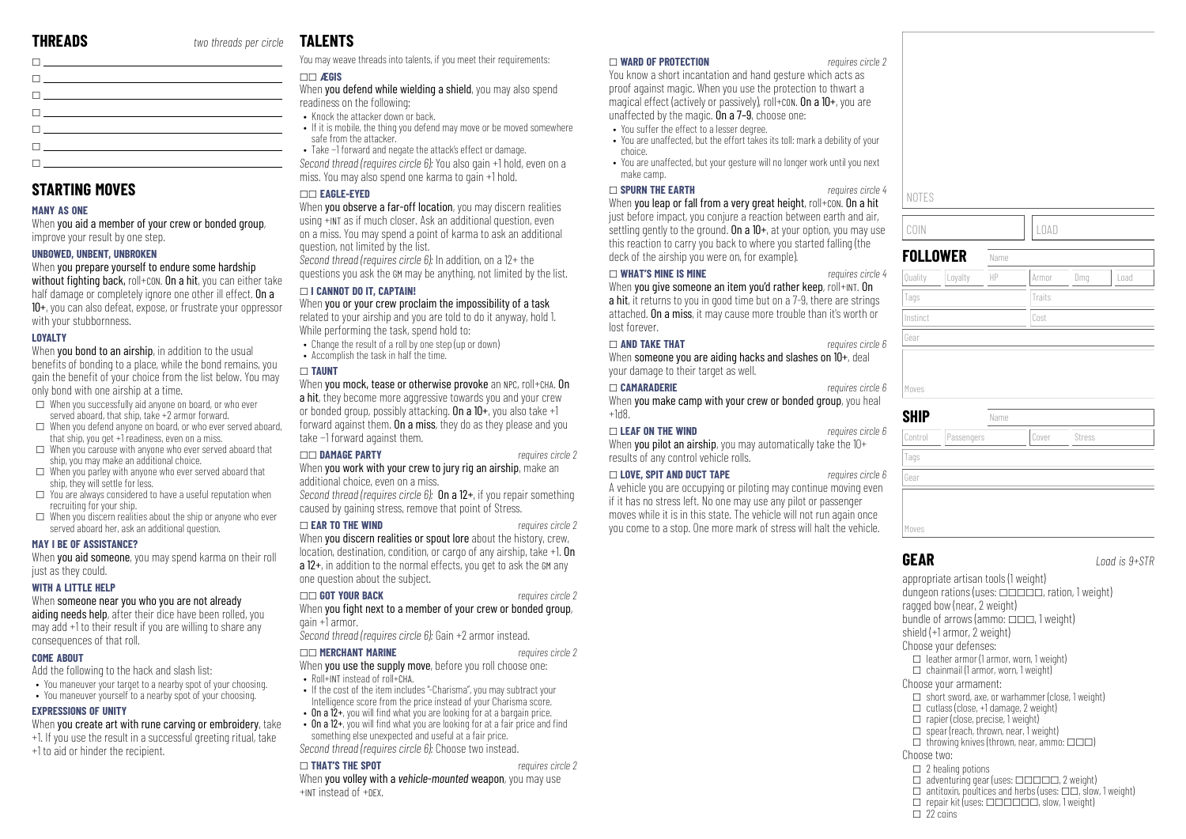| The contract of the contract of the contract of                                                                                                                                                                                  |  |
|----------------------------------------------------------------------------------------------------------------------------------------------------------------------------------------------------------------------------------|--|
| the contract of the contract of the contract of the contract of the contract of the contract of the contract of                                                                                                                  |  |
| $\mathbf{I}$ , and the set of the set of the set of the set of the set of the set of the set of the set of the set of the set of the set of the set of the set of the set of the set of the set of the set of the set of the set |  |
| the contract of the contract of the contract of the                                                                                                                                                                              |  |
|                                                                                                                                                                                                                                  |  |
| <u> 1 januari - Januari Saraja, sebagai sebagai sebagai sebagai sebagai sebagai sebagai sebagai sebagai sebagai s</u>                                                                                                            |  |

# **STARTING MOVES**

#### **MANY AS ONE**

When you aid a member of your crew or bonded group, improve your result by one step.

#### **UNBOWED, UNBENT, UNBROKEN**

When you prepare yourself to endure some hardship without fighting back, roll+con. On a hit, you can either take half damage or completely ignore one other ill effect. On a 10+, you can also defeat, expose, or frustrate your oppressor with your stubbornness.

#### **LOYALTY**

When **you bond to an airship**, in addition to the usual benefits of bonding to a place, while the bond remains, you gain the benefit of your choice from the list below. You may only bond with one airship at a time.

- $\Box$  When you successfully aid anyone on board, or who ever served aboard, that ship, take +2 armor forward.
- $\square$  When you defend anyone on board, or who ever served aboard, that ship, you get +1 readiness, even on a miss.
- $\Box$  When you carouse with anyone who ever served aboard that ship, you may make an additional choice.
- $\Box$  When you parley with anyone who ever served aboard that ship, they will settle for less.
- $\Box$  You are always considered to have a useful reputation when recruiting for your ship.
- $\Box$  When you discern realities about the ship or anyone who ever served aboard her, ask an additional question.

#### **MAY I BE OF ASSISTANCE?**

When you aid someone, you may spend karma on their roll just as they could.

#### **WITH A LITTLE HELP**

#### When someone near you who you are not already

aiding needs help, after their dice have been rolled, you may add +1 to their result if you are willing to share any consequences of that roll.

#### **COME ABOUT**

Add the following to the hack and slash list:

- You maneuver your target to a nearby spot of your choosing.
- You maneuver yourself to a nearby spot of your choosing.

#### **EXPRESSIONS OF UNITY**

When you create art with rune carving or embroidery, take

- +1. If you use the result in a successful greeting ritual, take
- +1 to aid or hinder the recipient.

# **TALENTS**

You may weave threads into talents, if you meet their requirements:

## \_\_ **ÆGIS**

When you defend while wielding a shield, you may also spend readiness on the following:

- Knock the attacker down or back.
- If it is mobile, the thing you defend may move or be moved somewhere safe from the attacker.
- Take −1 forward and negate the attack's effect or damage.

*Second thread (requires circle 6):* You also gain +1 hold, even on a miss. You may also spend one karma to gain +1 hold.

#### \_\_ **EAGLE-EYED**

When you observe a far-off location, you may discern realities using +INT as if much closer. Ask an additional question, even on a miss. You may spend a point of karma to ask an additional question, not limited by the list.

*Second thread (requires circle 6):* In addition, on a 12+ the questions you ask the GM may be anything, not limited by the list.

#### \_ **I CANNOT DO IT, CAPTAIN!**

When you or your crew proclaim the impossibility of a task

related to your airship and you are told to do it anyway, hold 1. While performing the task, spend hold to:

- Change the result of a roll by one step (up or down)
- Accomplish the task in half the time.

#### \_ **TAUNT**

When you mock, tease or otherwise provoke an NPC, roll+CHA. On a hit, they become more aggressive towards you and your crew or bonded group, possibly attacking. On a  $10+$ , you also take  $+1$ forward against them. On a miss, they do as they please and you take −1 forward against them.

#### \_\_ **DAMAGE PARTY** *requires circle 2*

When you work with your crew to jury rig an airship, make an additional choice, even on a miss.

*Second thread (requires circle 6):* On a 12+, if you repair something caused by gaining stress, remove that point of Stress.

#### \_ **EAR TO THE WIND** *requires circle 2*

When you discern realities or spout lore about the history, crew, location, destination, condition, or cargo of any airship, take +1. On a 12+, in addition to the normal effects, you get to ask the GM any one question about the subject.

#### \_\_ **GOT YOUR BACK** *requires circle 2*

When you fight next to a member of your crew or bonded group. gain +1 armor.

#### *Second thread (requires circle 6):* Gain +2 armor instead.

\_\_ **MERCHANT MARINE** *requires circle 2* When **you use the supply move**, before you roll choose one:

- Roll+INT instead of roll+CHA.
- If the cost of the item includes "-Charisma", you may subtract your Intelligence score from the price instead of your Charisma score.
- On a  $12+$ , you will find what you are looking for at a bargain price.
- On a  $12+$ , you will find what you are looking for at a fair price and find something else unexpected and useful at a fair price.

*Second thread (requires circle 6):* Choose two instead.

#### \_ **THAT'S THE SPOT** *requires circle 2*

When you volley with a *vehicle-mounted* weapon, you may use +INT instead of +DEX.

#### \_ **WARD OF PROTECTION** *requires circle 2*

You know a short incantation and hand gesture which acts as proof against magic. When you use the protection to thwart a magical effect (actively or passively), roll+con. On a 10+, you are unaffected by the magic. On a 7–9, choose one:

- You suffer the effect to a lesser degree.
- You are unaffected, but the effort takes its toll: mark a debility of your choice.
- You are unaffected, but your gesture will no longer work until you next make camp.

#### \_ **SPURN THE EARTH** *requires circle 4*

When you leap or fall from a very great height, roll+con. On a hit just before impact, you conjure a reaction between earth and air, settling gently to the ground. On a  $10+$ , at your option, you may use this reaction to carry you back to where you started falling (the deck of the airship you were on, for example).

#### \_ **WHAT'S MINE IS MINE** *requires circle 4*

When you give someone an item you'd rather keep, roll+INT. On a hit, it returns to you in good time but on a 7-9, there are strings attached. On a miss, it may cause more trouble than it's worth or lost forever.

#### \_ **AND TAKE THAT** *requires circle 6*

When someone you are aiding hacks and slashes on 10+, deal your damage to their target as well.

#### \_ **CAMARADERIE** *requires circle 6*

When you make camp with your crew or bonded group, you heal +1d8.

### \_ **LEAF ON THE WIND** *requires circle 6*

When you pilot an airship, you may automatically take the 10+ results of any control vehicle rolls.

#### \_ **LOVE, SPIT AND DUCT TAPE** *requires circle 6*

A vehicle you are occupying or piloting may continue moving even if it has no stress left. No one may use any pilot or passenger moves while it is in this state. The vehicle will not run again once you come to a stop. One more mark of stress will halt the vehicle.



# Moves

Tags Gear

**GEAR** *Load is 9+STR*

appropriate artisan tools (1 weight) dungeon rations (uses:  $\Box$  $\Box$  $\Box$ , ration, 1 weight) ragged bow (near, 2 weight) bundle of arrows (ammo:  $\Box \Box \Box$  1 weight) shield (+1 armor, 2 weight) Choose your defenses:  $\Box$  leather armor (1 armor, worn, 1 weight)

Control Passengers ||Cover ||Stress

 $\Box$  chainmail (1 armor, worn, 1 weight)

#### Choose your armament:

**SHIP** Name

- $\Box$  short sword, axe, or warhammer (close, 1 weight)
- $\Box$  cutlass (close, +1 damage, 2 weight)
- $\Box$  rapier (close, precise, 1 weight)
- $\Box$  spear (reach, thrown, near, 1 weight)
- $\Box$  throwing knives (thrown, near, ammo:  $\Box \Box \Box$ )

#### Choose two:

- $\square$  2 healing potions
- $\Box$  adventuring gear (uses:  $\Box$  $\Box$  $\Box$  $\Box$ , 2 weight)
- $\Box$  antitoxin, poultices and herbs (uses:  $\Box \Box$ , slow, 1 weight)  $\Box$  repair kit (uses:  $\Box$  $\Box$  $\Box$  $\Box$  $\Box$ , slow, 1 weight)
- 
- $\Box$  22 coins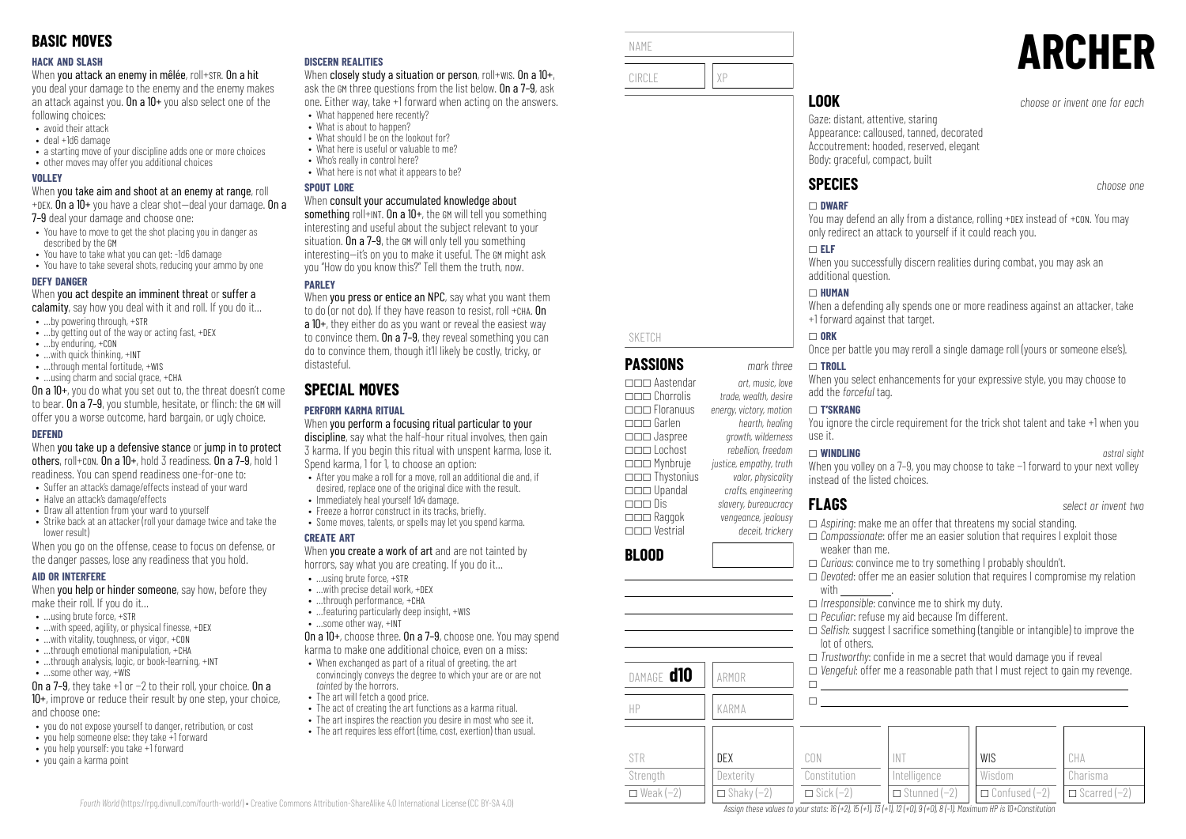#### **HACK AND SLASH**

When you attack an enemy in mêlée, roll+STR. On a hit

you deal your damage to the enemy and the enemy makes an attack against you. On a  $10+$  you also select one of the following choices:

- avoid their attack
- deal +1d6 damage
- a starting move of your discipline adds one or more choices
- other moves may offer you additional choices

#### **VOLLEY**

When you take aim and shoot at an enemy at range, roll +DEX. On a 10+ you have a clear shot—deal your damage. On a

7–9 deal your damage and choose one:

- You have to move to get the shot placing you in danger as described by the GM
- You have to take what you can get: -1d6 damage
- You have to take several shots, reducing your ammo by one

#### **DEFY DANGER**

When you act despite an imminent threat or suffer a

- calamity, say how you deal with it and roll. If you do it...
- …by powering through, +STR
- ...by getting out of the way or acting fast, +DEX
- …by enduring, +CON
- …with quick thinking, +INT
- ...through mental fortitude, +WIS • …using charm and social grace, +CHA

On a 10+, you do what you set out to, the threat doesn't come to bear. On a 7–9, you stumble, hesitate, or flinch: the GM will offer you a worse outcome, hard bargain, or ugly choice.

#### **DEFEND**

When you take up a defensive stance or jump in to protect others, roll+CON. On a 10+, hold 3 readiness. On a 7–9, hold 1 readiness. You can spend readiness one-for-one to:

- Suffer an attack's damage/effects instead of your ward
- Halve an attack's damage/effects
- Draw all attention from your ward to yourself • Strike back at an attacker (roll your damage twice and take the
- lower result)

When you go on the offense, cease to focus on defense, or the danger passes, lose any readiness that you hold.

#### **AID OR INTERFERE**

When **you help or hinder someone**, say how, before they make their roll. If you do it…

- $\bullet$  **using brute force,**  $\text{+STR}$
- $\bullet$  ... with speed, agility, or physical finesse,  $+$ DEX
- …with vitality, toughness, or vigor, +CON
- $\bullet$  through emotional manipulation,  $+CH\Delta$
- …through analysis, logic, or book-learning, +INT
- …some other way, +WIS

On a 7–9, they take +1 or −2 to their roll, your choice. On a 10+, improve or reduce their result by one step, your choice, and choose one:

- you do not expose yourself to danger, retribution, or cost
- you help someone else: they take +1 forward
- you help yourself: you take +1 forward
- you gain a karma point

#### **DISCERN REALITIES**

When closely study a situation or person, roll+wis. On a 10+, ask the GM three questions from the list below. On a 7–9, ask one. Either way, take +1 forward when acting on the answers.

- What happened here recently? • What is about to happen?
- What should I be on the lookout for?
- What here is useful or valuable to me?
- Who's really in control here?
- What here is not what it annears to be?

#### **SPOUT LORE**

#### When consult your accumulated knowledge about

something roll+INT. On a  $10+$ , the GM will tell you something interesting and useful about the subject relevant to your situation. On a 7–9, the GM will only tell you something interesting—it's on you to make it useful. The GM might ask you "How do you know this?" Tell them the truth, now.

## **PARLEY**

When you press or entice an NPC, say what you want them to do (or not do). If they have reason to resist, roll +CHA. On a 10+, they either do as you want or reveal the easiest way to convince them. On a 7–9, they reveal something you can do to convince them, though it'll likely be costly, tricky, or distasteful.

# **SPECIAL MOVES**

## **PERFORM KARMA RITUAL**

When you perform a focusing ritual particular to your discipline, say what the half-hour ritual involves, then gain 3 karma. If you begin this ritual with unspent karma, lose it. Spend karma, 1 for 1, to choose an option:

- After you make a roll for a move, roll an additional die and, if desired, replace one of the original dice with the result.
- Immediately heal yourself 1d4 damage.
- Freeze a horror construct in its tracks, briefly.
- Some moves, talents, or spells may let you spend karma.

#### **CREATE ART**

When you create a work of art and are not tainted by horrors, say what you are creating. If you do it…

- …using brute force, +STR
- …with precise detail work, +DEX
- …through performance, +CHA • …featuring particularly deep insight, +WIS
- …some other way, +INT

On a 10+, choose three. On a 7–9, choose one. You may spend karma to make one additional choice, even on a miss:

- When exchanged as part of a ritual of greeting, the art convincingly conveys the degree to which your are or are not *tainted* by the horrors.
- The art will fetch a good price.

*Fourth World* [\(https://rpg.divnull.com/fourth-world/\)](https://rpg.divnull.com/fourth-world/) • Creative Commons Attribution-ShareAlike 4.0 International License (CC [BY-SA](https://creativecommons.org/licenses/by-sa/4.0/) 4.0)

- The act of creating the art functions as a karma ritual.
- The art inspires the reaction you desire in most who see it.
- The art requires less effort (time, cost, exertion) than usual.

| NAME   |    |
|--------|----|
| CIRCLE | ΧP |

SKETCH

**BLOOD**

STR Strength  $\Box$  Weak (−2)

\_\_\_ Aastendar *art, music, love* \_\_\_ Chorrolis *trade, wealth, desire*

\_\_\_ Garlen *hearth, healing* \_\_\_ Jaspree *growth, wilderness*

\_\_\_ Mynbruje *justice, empathy, truth* \_\_\_ Thystonius *valor, physicality* \_\_\_ Upandal *crafts, engineering*

\_\_\_ Raggok *vengeance, jealousy* \_\_\_ Vestrial *deceit, trickery*

DAMAGE **d10** ARMOR

HP KARMA

DEX **Dexterity**  $\Box$  Shaky (−2)

\_\_\_ Floranuus *energy, victory, motion*

\_\_\_ Lochost *rebellion, freedom*

\_\_\_ Dis *slavery, bureaucracy*

**LOOK** *choose or invent one for each*

Gaze: distant, attentive, staring Appearance: calloused, tanned, decorated Accoutrement: hooded, reserved, elegant Body: graceful, compact, built

# **SPECIES** *choose one*

#### \_ **DWARF**

You may defend an ally from a distance, rolling +DEX instead of +CON. You may only redirect an attack to yourself if it could reach you.

#### \_ **ELF**

When you successfully discern realities during combat, you may ask an additional question.

#### \_ **HUMAN**

When a defending ally spends one or more readiness against an attacker, take +1 forward against that target.

#### $\Box$  ORK

Once per battle you may reroll a single damage roll (yours or someone else's).

#### **PASSIONS** *mark three* \_ **TROLL**

When you select enhancements for your expressive style, you may choose to add the *forceful* tag.

#### \_ **T'SKRANG**

You ignore the circle requirement for the trick shot talent and take +1 when you use it.

#### \_ **WINDLING** *astral sight*

When you volley on a 7–9, you may choose to take −1 forward to your next volley instead of the listed choices.

\_ *Devoted*: offer me an easier solution that requires I compromise my relation

□ *Selfish:* suggest I sacrifice something (tangible or intangible) to improve the

WIS Wisdom \_ Confused (−2)

 $\Box$  *Trustworthy:* confide in me a secret that would damage you if reveal  $\Box$  *Vengeful:* offer me a reasonable path that I must reject to gain my revenge.

weaker than me.

with \_\_\_\_\_\_\_\_\_\_\_\_\_.

lot of others.

 $\Box$  $\Box$ 

CON Constitution  $\Box$  Sick (−2)

**FLAGS** *select or invent two*

CHA Charisma \_ Scarred (−2)

**ARCHER**

\_ *Aspiring*: make me an offer that threatens my social standing. \_ *Compassionate*: offer me an easier solution that requires I exploit those

\_ *Curious*: convince me to try something I probably shouldn't.

\_ *Irresponsible*: convince me to shirk my duty. \_ *Peculiar*: refuse my aid because I'm different.

> INT Intelligence \_ Stunned (−2)

Assign these values to your stats:  $16 (+2)$ ,  $15 (+1)$ ,  $13 (+1)$ ,  $12 (+0)$ ,  $9 (+0)$ ,  $8 (-1)$ . Maximum HP is 10+Constitution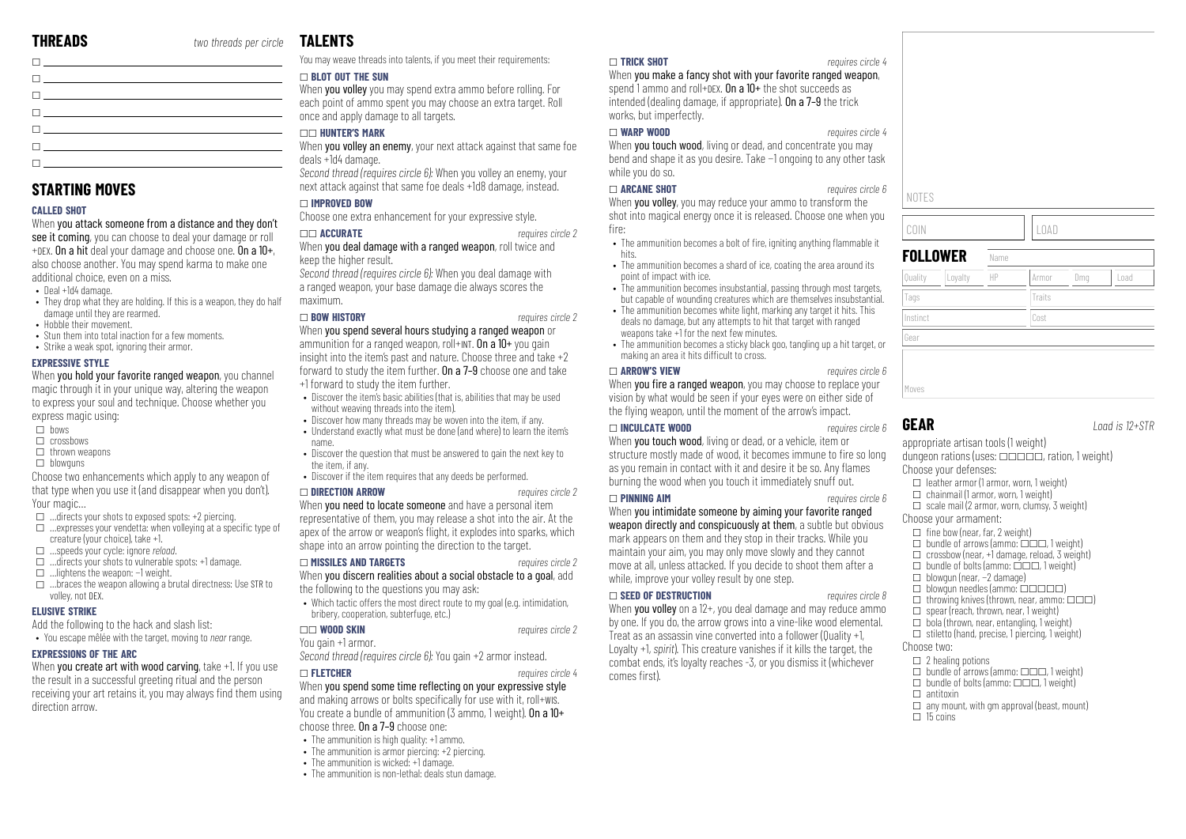| <u>The contract of the contract of the contract of the contract of the contract of the contract of the contract of the contract of the contract of the contract of the contract of the contract of the contract of the contract </u> |  |
|--------------------------------------------------------------------------------------------------------------------------------------------------------------------------------------------------------------------------------------|--|
| $\Box$ and the contract of the contract of the contract of the contract of the contract of the contract of the contract of the contract of the contract of the contract of the contract of the contract of the contract of the       |  |
| the contract of the contract of the contract of the contract of the contract of the contract of the contract of                                                                                                                      |  |
| $\blacksquare$ . The contract of the contract of the contract of the contract of the contract of the contract of the contract of the contract of the contract of the contract of the contract of the contract of the contract of the |  |
| $\Box$ and the state of the state $\Box$                                                                                                                                                                                             |  |
| The contract of the contract of the contract of                                                                                                                                                                                      |  |
| <u> El provincia de la característica de la característica de la característica de la característica de la característica de la característica de la característica de la característica de la característica de la característi</u> |  |

# **STARTING MOVES**

#### **CALLED SHOT**

When you attack someone from a distance and they don't see it coming, you can choose to deal your damage or roll +DEX. On a hit deal your damage and choose one. On a 10+, also choose another. You may spend karma to make one additional choice, even on a miss.

- Deal +1d4 damage.
- They drop what they are holding. If this is a weapon, they do half damage until they are rearmed.
- Hobble their movement
- Stun them into total inaction for a few moments. • Strike a weak spot, ignoring their armor.

#### **EXPRESSIVE STYLE**

When you hold your favorite ranged weapon, you channel magic through it in your unique way, altering the weapon to express your soul and technique. Choose whether you express magic using:

- $\overline{\Pi}$  bows
- $\Box$  crossbows
- $\Box$  thrown weapons
- $\Box$  blowguns
- Choose two enhancements which apply to any weapon of that type when you use it (and disappear when you don't). Your magic…
- $\Box$  …directs your shots to exposed spots: +2 piercing.
- $\square$  …expresses your vendetta: when volleying at a specific type of creature (your choice), take +1.
- \_ …speeds your cycle: ignore *reload*.
- $\Box$  …directs your shots to vulnerable spots: +1 damage.
- \_ …lightens the weapon: −1 weight.
- $\Box$  …braces the weapon allowing a brutal directness: Use STR to volley, not DEX.

#### **ELUSIVE STRIKE**

Add the following to the hack and slash list:

• You escape mêlée with the target, moving to *near* range.

#### **EXPRESSIONS OF THE ARC**

When you create art with wood carving, take +1. If you use the result in a successful greeting ritual and the person receiving your art retains it, you may always find them using direction arrow.

# **TAL FNTS**

You may weave threads into talents, if you meet their requirements:

#### \_ **BLOT OUT THE SUN**

When you volley you may spend extra ammo before rolling. For each point of ammo spent you may choose an extra target. Roll once and apply damage to all targets.

#### \_\_ **HUNTER'S MARK**

When you volley an enemy, your next attack against that same foe deals +1d4 damage.

*Second thread (requires circle 6):* When you volley an enemy, your next attack against that same foe deals +1d8 damage, instead.

### \_ **IMPROVED BOW**

Choose one extra enhancement for your expressive style.

#### \_\_ **ACCURATE** *requires circle 2*

When you deal damage with a ranged weapon, roll twice and keep the higher result.

*Second thread (requires circle 6):* When you deal damage with a ranged weapon, your base damage die always scores the maximum.

#### \_ **BOW HISTORY** *requires circle 2*

When you spend several hours studying a ranged weapon or ammunition for a ranged weapon, roll+INT. On a  $10+$  you gain insight into the item's past and nature. Choose three and take +2 forward to study the item further. On a 7–9 choose one and take +1 forward to study the item further.

- Discover the item's basic abilities (that is, abilities that may be used without weaving threads into the item).
- Discover how many threads may be woven into the item, if any.
- Understand exactly what must be done (and where) to learn the item's name.
- Discover the question that must be answered to gain the next key to the item, if any.
- Discover if the item requires that any deeds be performed.

#### \_ **DIRECTION ARROW** *requires circle 2*

When **you need to locate someone** and have a personal item

representative of them, you may release a shot into the air. At the apex of the arrow or weapon's flight, it explodes into sparks, which shape into an arrow pointing the direction to the target.

#### \_ **MISSILES AND TARGETS** *requires circle 2* When you discern realities about a social obstacle to a goal, add the following to the questions you may ask:

- Which tactic offers the most direct route to my goal (e.g. intimidation, bribery, cooperation, subterfuge, etc.)
- \_\_ **WOOD SKIN** *requires circle 2*

#### You gain +1 armor.

*Second thread (requires circle 6):* You gain +2 armor instead.

#### \_ **FLETCHER** *requires circle 4*

When you spend some time reflecting on your expressive style and making arrows or bolts specifically for use with it, roll+wis. You create a bundle of ammunition (3 ammo, 1 weight). On a 10+ choose three. On a 7–9 choose one:

- The ammunition is high quality: +1 ammo.
- The ammunition is armor piercing: +2 piercing.
- The ammunition is wicked: +1 damage.
- The ammunition is non-lethal: deals stun damage.

#### \_ **TRICK SHOT** *requires circle 4*

When you make a fancy shot with your favorite ranged weapon, spend 1 ammo and roll+DEX. On a  $10+$  the shot succeeds as intended (dealing damage, if appropriate). On a 7–9 the trick works, but imperfectly.

#### \_ **WARP WOOD** *requires circle 4*

When **you touch wood**, living or dead, and concentrate you may bend and shape it as you desire. Take −1 ongoing to any other task while you do so.

#### \_ **ARCANE SHOT** *requires circle 6*

When you volley, you may reduce your ammo to transform the shot into magical energy once it is released. Choose one when you fire:

- The ammunition becomes a bolt of fire, igniting anything flammable it hits.
- The ammunition becomes a shard of ice, coating the area around its point of impact with ice.
- The ammunition becomes insubstantial, passing through most targets, but capable of wounding creatures which are themselves insubstantial.
- The ammunition becomes white light, marking any target it hits. This deals no damage, but any attempts to hit that target with ranged weapons take  $+1$  for the next few minutes.
- The ammunition becomes a sticky black goo, tangling up a hit target, or making an area it hits difficult to cross.

#### \_ **ARROW'S VIEW** *requires circle 6*

When you fire a ranged weapon, you may choose to replace your vision by what would be seen if your eyes were on either side of the flying weapon, until the moment of the arrow's impact.

## \_ **INCULCATE WOOD** *requires circle 6*

When **you touch wood**, living or dead, or a vehicle, item or structure mostly made of wood, it becomes immune to fire so long as you remain in contact with it and desire it be so. Any flames burning the wood when you touch it immediately snuff out.

#### \_ **PINNING AIM** *requires circle 6*

When you intimidate someone by aiming your favorite ranged weapon directly and conspicuously at them, a subtle but obvious mark appears on them and they stop in their tracks. While you maintain your aim, you may only move slowly and they cannot move at all, unless attacked. If you decide to shoot them after a while, improve your volley result by one step.

#### \_ **SEED OF DESTRUCTION** *requires circle 8*

When **vou volley** on a  $12+$ , you deal damage and may reduce ammo by one. If you do, the arrow grows into a vine-like wood elemental. Treat as an assassin vine converted into a follower (Quality +1, Loyalty +1, *spirit*). This creature vanishes if it kills the target, the combat ends, it's loyalty reaches -3, or you dismiss it (whichever comes first).

|             | LOAD      |
|-------------|-----------|
|             |           |
|             |           |
|             |           |
| <b>OWER</b> | Name      |
|             |           |
| ור          | ח ר<br>ıг |
|             |           |

**FOLLO** Quality Loyalty HP | Armor | Dmg | Load Tags Tags Traits Traits Instinct Cost Gear Moves

## **GEAR** *Load is 12+STR*

NOTES

COIN LOAD

appropriate artisan tools (1 weight) dungeon rations (uses:  $\Box \Box \Box \Box \Box$  ration, 1 weight) Choose your defenses:

- $\Box$  leather armor (1 armor, worn, 1 weight)
- $\Box$  chainmail (1 armor, worn, 1 weight)  $\Box$  scale mail (2 armor, worn, clumsy, 3 weight)
- Choose your armament:
- $\Box$  fine bow (near, far, 2 weight)
- $\Box$  bundle of arrows (ammo:  $\Box$  $\Box$ . 1 weight)
- $\Box$  crossbow (near, +1 damage, reload, 3 weight)
- $\Box$  bundle of bolts (ammo:  $\Box$  $\Box$ , 1 weight)
- \_ blowgun (near, −2 damage)
- $\Box$  blowgun needles (ammo:  $\Box$  $\Box$  $\Box$  $\Box$ )  $\Box$  throwing knives (thrown, near, ammo:  $\Box \Box \Box$ )
- $\square$  spear (reach, thrown, near, 1 weight)
- $\Box$  bola (thrown, near, entangling, 1 weight)
- $\Box$  stiletto (hand, precise, 1 piercing, 1 weight) Choose two:
- $\square$  2 healing potions

 $\Box$  antitoxin

 $\Box$  15 coins

 $\Box$  bundle of arrows (ammo:  $\Box \Box \Box$ , 1 weight)  $\Box$  bundle of bolts (ammo:  $\Box \Box \Box$ , 1 weight)

 $\Box$  any mount, with am approval (beast, mount)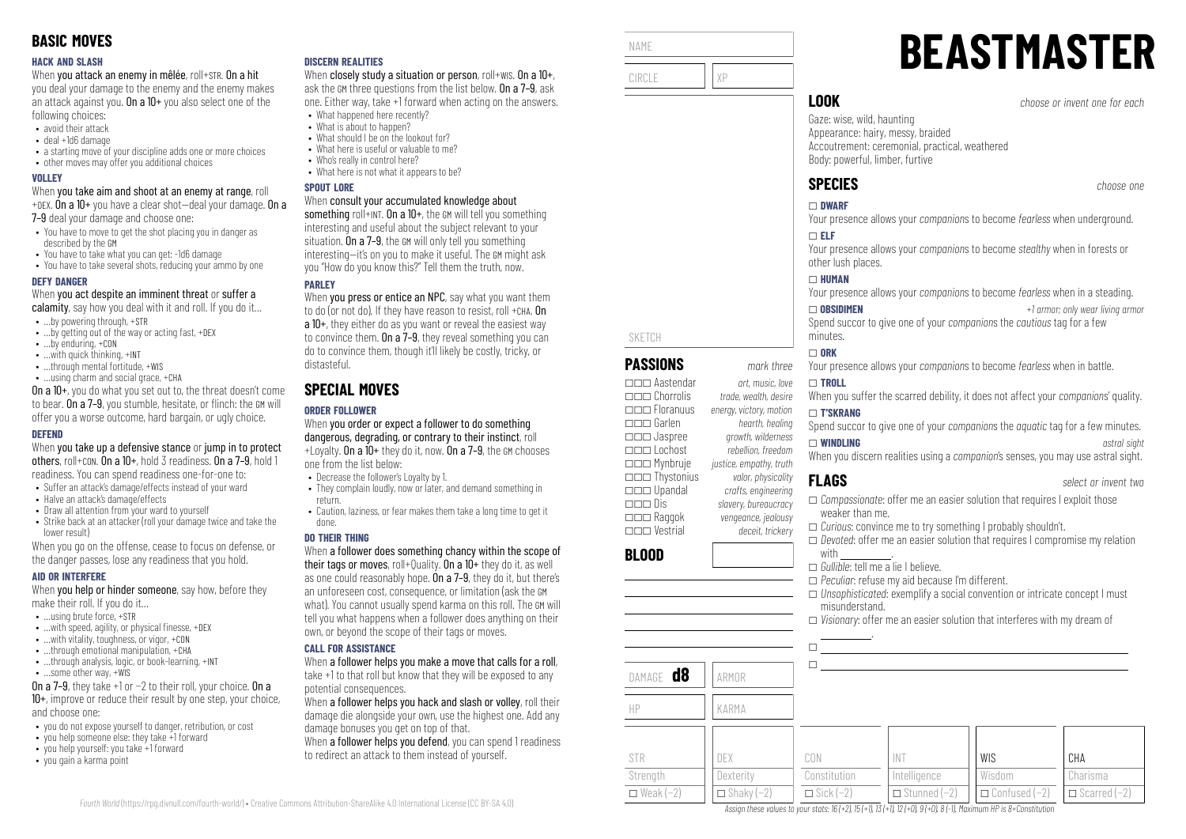#### **HACK AND SLASH**

When you attack an enemy in mêlée, roll+STR. On a hit

you deal your damage to the enemy and the enemy makes an attack against you. On a  $10+$  you also select one of the following choices:

- avoid their attack
- deal +1d6 damage
- a starting move of your discipline adds one or more choices
- other moves may offer you additional choices

#### **VOLLEY**

When you take aim and shoot at an enemy at range, roll +DEX. On a 10+ you have a clear shot—deal your damage. On a

7–9 deal your damage and choose one:

- You have to move to get the shot placing you in danger as described by the GM
- You have to take what you can get: -1d6 damage
- You have to take several shots, reducing your ammo by one

#### **DEFY DANGER**

When you act despite an imminent threat or suffer a

- calamity, say how you deal with it and roll. If you do it...
- …by powering through, +STR
- ...by getting out of the way or acting fast, +DEX
- …by enduring, +CON • …with quick thinking, +INT
- …through mental fortitude, +WIS
- …using charm and social grace, +CHA

On a 10+, you do what you set out to, the threat doesn't come to bear. On a 7–9, you stumble, hesitate, or flinch: the GM will offer you a worse outcome, hard bargain, or ugly choice.

#### **DEFEND**

When you take up a defensive stance or jump in to protect others, roll+CON. On a 10+, hold 3 readiness. On a 7–9, hold 1 readiness. You can spend readiness one-for-one to:

- Suffer an attack's damage/effects instead of your ward
- Halve an attack's damage/effects
- Draw all attention from your ward to yourself • Strike back at an attacker (roll your damage twice and take the lower result)

When you go on the offense, cease to focus on defense, or the danger passes, lose any readiness that you hold.

#### **AID OR INTERFERE**

When **you help or hinder someone**, say how, before they make their roll. If you do it…

- $\bullet$  **using brute force,**  $\text{+STR}$
- $\bullet$  ... with speed, agility, or physical finesse,  $+$ DEX
- …with vitality, toughness, or vigor, +CON
- $\bullet$  through emotional manipulation,  $+CHA$ • ...through analysis, logic, or book-learning, +INT
- …some other way, +WIS
- On a 7–9, they take +1 or −2 to their roll, your choice. On a 10+, improve or reduce their result by one step, your choice, and choose one:
- you do not expose yourself to danger, retribution, or cost
- you help someone else: they take +1 forward
- you help yourself: you take +1 forward
- you gain a karma point

### **DISCERN REALITIES**

When closely study a situation or person, roll+WIS. On a  $10+$ , ask the GM three questions from the list below. On a 7–9, ask one. Either way, take +1 forward when acting on the answers.

- What happened here recently? • What is about to hannen?
- What should I be on the lookout for?
- What here is useful or valuable to me?
- Who's really in control here?
- What here is not what it annears to be?

#### **SPOUT LORE**

#### When consult your accumulated knowledge about

something roll+INT. On a 10+, the GM will tell you something interesting and useful about the subject relevant to your situation. On a 7–9, the GM will only tell you something interesting—it's on you to make it useful. The GM might ask you "How do you know this?" Tell them the truth, now.

## **PAPLEY**

When you press or entice an NPC, say what you want them to do (or not do). If they have reason to resist, roll +CHA. On a 10+, they either do as you want or reveal the easiest way to convince them. On a 7–9, they reveal something you can do to convince them, though it'll likely be costly, tricky, or distasteful.

# **SPECIAL MOVES**

# **ORDER FOLLOWER**

When you order or expect a follower to do something dangerous, degrading, or contrary to their instinct, roll +Loyalty. On a 10+ they do it, now. On a 7–9, the GM chooses one from the list below:

- Decrease the follower's Loyalty by 1.
- They complain loudly, now or later, and demand something in return.
- Caution, laziness, or fear makes them take a long time to get it done.

#### **DO THEIR THING**

When a follower does something chancy within the scope of their tags or moves, roll+Quality. On a  $10+$  they do it, as well as one could reasonably hope. On a 7–9, they do it, but there's an unforeseen cost, consequence, or limitation (ask the GM what). You cannot usually spend karma on this roll. The GM will tell you what happens when a follower does anything on their own, or beyond the scope of their tags or moves.

#### **CALL FOR ASSISTANCE**

When a follower helps you make a move that calls for a roll. take +1 to that roll but know that they will be exposed to any potential consequences.

When a follower helps you hack and slash or volley, roll their damage die alongside your own, use the highest one. Add any damage bonuses you get on top of that.

When a **follower helps you defend**, you can spend 1 readiness to redirect an attack to them instead of yourself.



\_\_\_ Lochost *rebellion, freedom*

\_\_\_ Dis *slavery, bureaucracy*

\_\_\_ Jaspree *growth, wilderness*

\_\_\_ Mynbruje *justice, empathy, truth* \_\_\_ Thystonius *valor, physicality* \_\_\_ Upandal *crafts, engineering*

\_\_\_ Raggok *vengeance, jealousy* \_\_\_ Vestrial *deceit, trickery*

**BLOOD**

NAME

# **BEASTMASTER**

**LOOK** *choose or invent one for each*

Gaze: wise, wild, haunting Appearance: hairy, messy, braided Accoutrement: ceremonial, practical, weathered Body: powerful, limber, furtive

# **SPECIES** *choose one*

# Your presence allows your *companion*s to become *fearless* when underground.

Your presence allows your *companion*s to become *stealthy* when in forests or other lush places.

Your presence allows your *companion*s to become *fearless* when in a steading.

\_ **OBSIDIMEN** *+1 armor; only wear living armor* Spend succor to give one of your *companion*s the *cautious* tag for a few

Your presence allows your *companion*s to become *fearless* when in battle.

# When you suffer the scarred debility, it does not affect your *companion*s' quality.

\_ **T'SKRANG** Spend succor to give one of your *companion*s the *aquatic* tag for a few minutes.

\_ **WINDLING** *astral sight*

When you discern realities using a *companion*'s senses, you may use astral sight.

- \_ *Compassionate*: offer me an easier solution that requires I exploit those weaker than me.
- \_ *Curious*: convince me to try something I probably shouldn't.
- \_ *Devoted*: offer me an easier solution that requires I compromise my relation with
- \_ *Gullible*: tell me a lie I believe.
- \_ *Peculiar*: refuse my aid because I'm different.
- \_ *Unsophisticated*: exemplify a social convention or intricate concept I must misunderstand.

WIS Wisdom \_ Confused (−2)

\_ *Visionary*: offer me an easier solution that interferes with my dream of .

| DAMAGE <b>d8</b> | ARMOR               |                    |                     |
|------------------|---------------------|--------------------|---------------------|
| HP               | KARMA               |                    |                     |
| <b>STR</b>       | <b>DEX</b>          | CON                | <b>INT</b>          |
| Strength         | Dexterity           | Constitution       | Intelligence        |
| $\Box$ Weak (-2) | $\Box$ Shaky $(-2)$ | $\Box$ Sick $(-2)$ | $\Box$ Stunned (-2) |

Assign these values to your stats:  $16 (+2)$ ,  $15 (+1)$ ,  $13 (+1)$ ,  $12 (+0)$ ,  $9 (+0)$ ,  $8 (-1)$ . Maximum HP is 8+Constitution

*Fourth World* [\(https://rpg.divnull.com/fourth-world/\)](https://rpg.divnull.com/fourth-world/) • Creative Commons Attribution-ShareAlike 4.0 International License (CC [BY-SA](https://creativecommons.org/licenses/by-sa/4.0/) 4.0)

**FLAGS** *select or invent two*

**CHA** Charisma  $\Box$  Scarred (−2)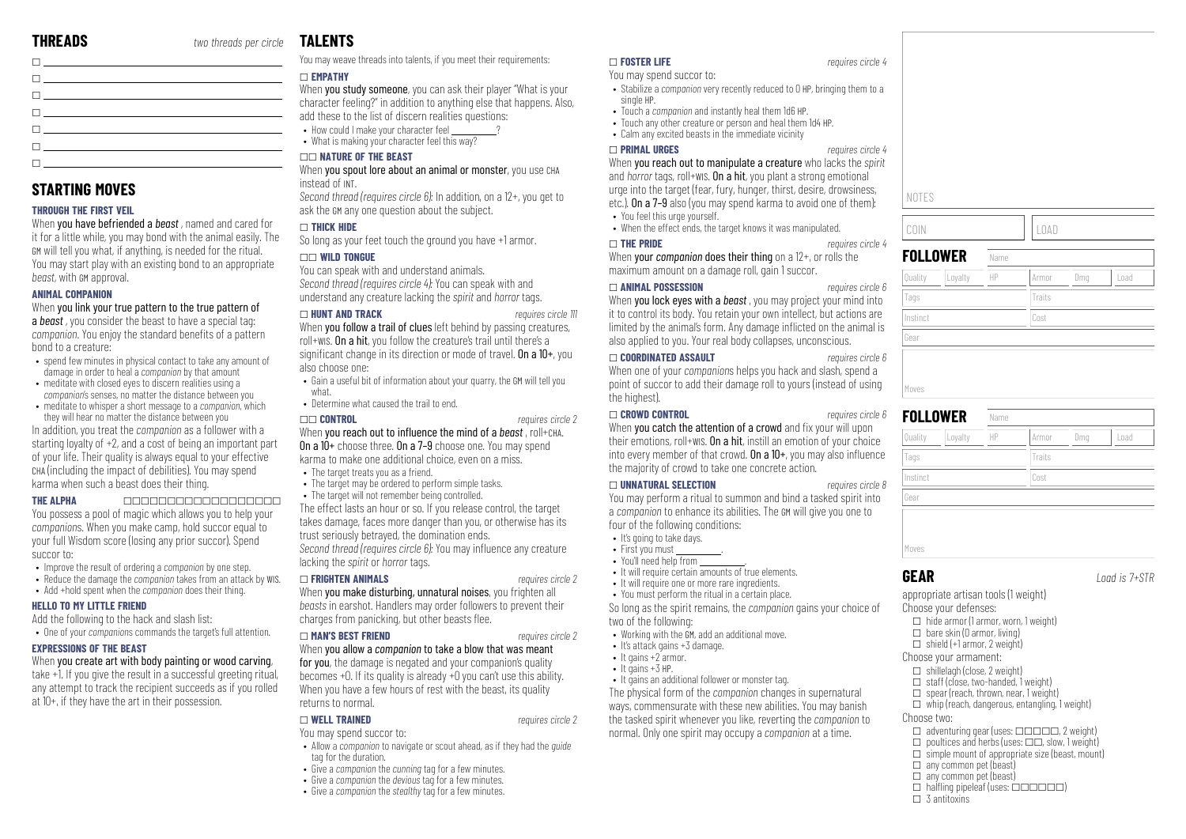| <u>n en de la companya de la compa</u>                                                                                |  |
|-----------------------------------------------------------------------------------------------------------------------|--|
|                                                                                                                       |  |
| the contract of the contract of the contract of the contract of the contract of the contract of the contract of       |  |
| The contract of the contract of the contract of the contract of the contract of the contract of the contract of       |  |
| the contract of the contract of the contract of the contract of the contract of the contract of the contract of       |  |
| <u> 1 marca - Antonio Alemania, amerikana amerikana amerikana amerikana amerikana amerikana amerikana amerikana a</u> |  |

# **STARTING MOVES**

#### **THROUGH THE FIRST VEIL**

When you have befriended a *beast* , named and cared for it for a little while, you may bond with the animal easily. The GM will tell you what, if anything, is needed for the ritual. You may start play with an existing bond to an appropriate *beast*, with GM approval.

#### **ANIMAL COMPANION**

When you link your true pattern to the true pattern of

a *beast* , you consider the beast to have a special tag: *companion*. You enjoy the standard benefits of a pattern bond to a creature:

- spend few minutes in physical contact to take any amount of damage in order to heal a *companion* by that amount
- meditate with closed eyes to discern realities using a *companion*'s senses, no matter the distance between you
- meditate to whisper a short message to a *companion*, which they will hear no matter the distance between you

In addition, you treat the *companion* as a follower with a starting loyalty of +2, and a cost of being an important part of your life. Their quality is always equal to your effective CHA (including the impact of debilities). You may spend karma when such a beast does their thing.

**THE ALPHA** \_\_\_\_\_\_\_\_\_\_\_\_\_\_\_\_\_\_ You possess a pool of magic which allows you to help your *companion*s. When you make camp, hold succor equal to your full Wisdom score (losing any prior succor). Spend succor to:

- Improve the result of ordering a *companion* by one step.
- Reduce the damage the *companion* takes from an attack by WIS.
- Add +hold spent when the *companion* does their thing.

#### **HELLO TO MY LITTLE FRIEND**

Add the following to the hack and slash list:

• One of your *companion*s commands the target's full attention.

#### **EXPRESSIONS OF THE BEAST**

When you create art with body painting or wood carving,

take +1. If you give the result in a successful greeting ritual, any attempt to track the recipient succeeds as if you rolled at 10+, if they have the art in their possession.

# **TAL FNTS**

You may weave threads into talents, if you meet their requirements:

## \_ **EMPATHY**

When you study someone, you can ask their player "What is your character feeling?" in addition to anything else that happens. Also, add these to the list of discern realities questions:

• How could I make your character feel • What is making your character feel this way?

#### \_\_ **NATURE OF THE BEAST**

When you spout lore about an animal or monster, you use CHA instead of INT.

*Second thread (requires circle 6):* In addition, on a 12+, you get to ask the GM any one question about the subject.

#### \_ **THICK HIDE**

So long as your feet touch the ground you have +1 armor. \_\_ **WILD TONGUE**

You can speak with and understand animals. *Second thread (requires circle 4):* You can speak with and understand any creature lacking the *spirit* and *horror* tags.

#### \_ **HUNT AND TRACK** *requires circle 111*

When you follow a trail of clues left behind by passing creatures. roll+WIS. On a hit, you follow the creature's trail until there's a significant change in its direction or mode of travel. On a  $10+$ , you also choose one:

- Gain a useful bit of information about your quarry, the GM will tell you what.
- Determine what caused the trail to end.

#### \_\_ **CONTROL** *requires circle 2*

When you reach out to influence the mind of a *beast* , roll+CHA. On a 10+ choose three. On a 7–9 choose one. You may spend karma to make one additional choice, even on a miss.

- The target treats you as a friend.
	- The target may be ordered to perform simple tasks.

• The target will not remember being controlled. The effect lasts an hour or so. If you release control, the target takes damage, faces more danger than you, or otherwise has its

trust seriously betrayed, the domination ends. *Second thread (requires circle 6):* You may influence any creature lacking the *spirit* or *horror* tags.

#### \_ **FRIGHTEN ANIMALS** *requires circle 2*

When you make disturbing, unnatural noises, you frighten all *beasts* in earshot. Handlers may order followers to prevent their charges from panicking, but other beasts flee.

#### \_ **MAN'S BEST FRIEND** *requires circle 2*

When you allow a *companion* to take a blow that was meant for you, the damage is negated and your companion's quality becomes +0. If its quality is already +0 you can't use this ability. When you have a few hours of rest with the beast, its quality returns to normal.

#### \_ **WELL TRAINED** *requires circle 2*

- You may spend succor to:
- Allow a *companion* to navigate or scout ahead, as if they had the *guide* tag for the duration.
- Give a *companion* the *cunning* tag for a few minutes.
- Give a *companion* the *devious* tag for a few minutes.
- Give a *companion* the *stealthy* tag for a few minutes.

#### \_ **FOSTER LIFE** *requires circle 4*

You may spend succor to:

- Stabilize a *companion* very recently reduced to 0 HP, bringing them to a single HP.
- Touch a *companion* and instantly heal them 1d6 HP.
- Touch any other creature or person and heal them 1d4 HP. • Calm any excited beasts in the immediate vicinity

\_ **PRIMAL URGES** *requires circle 4* When you reach out to manipulate a creature who lacks the *spirit* and *horror* tags, roll+wis. On a hit, you plant a strong emotional urge into the target (fear, fury, hunger, thirst, desire, drowsiness, etc.). On a 7–9 also (you may spend karma to avoid one of them):

- You feel this urge yourself.
- When the effect ends, the target knows it was manipulated.

#### \_ **THE PRIDE** *requires circle 4*

When your *companion* does their thing on a 12+, or rolls the maximum amount on a damage roll, gain 1 succor.

#### \_ **ANIMAL POSSESSION** *requires circle 6*

When you lock eyes with a *beast* , you may project your mind into it to control its body. You retain your own intellect, but actions are limited by the animal's form. Any damage inflicted on the animal is also applied to you. Your real body collapses, unconscious.

#### \_ **COORDINATED ASSAULT** *requires circle 6*

When one of your *companion*s helps you hack and slash, spend a point of succor to add their damage roll to yours (instead of using the highest).

#### \_ **CROWD CONTROL** *requires circle 6*

When you catch the attention of a crowd and fix your will upon their emotions, roll+wis. On a hit, instill an emotion of your choice into every member of that crowd. On a  $10+$ , you may also influence the majority of crowd to take one concrete action.

#### \_ **UNNATURAL SELECTION** *requires circle 8*

You may perform a ritual to summon and bind a tasked spirit into a *companion* to enhance its abilities. The GM will give you one to four of the following conditions:

- It's going to take days.
- First you must
- You'll need help from
- It will require certain amounts of true elements.
- It will require one or more rare ingredients.
- You must perform the ritual in a certain place.

So long as the spirit remains, the *companion* gains your choice of two of the following:

- Working with the GM, add an additional move.
- It's attack gains +3 damage.
- $\bullet$  It gains  $+2$  armor.  $\bullet$  It gains  $+3$  HP.
- It gains an additional follower or monster tag.

The physical form of the *companion* changes in supernatural ways, commensurate with these new abilities. You may banish the tasked spirit whenever you like, reverting the *companion* to normal. Only one spirit may occupy a *companion* at a time.

# NOTES

## **FOLLOWER** Name

COIN LOAD

| Quality<br>Loyalty | HP   | Armor  | Dmg | Load |
|--------------------|------|--------|-----|------|
| Tags               |      | Traits |     |      |
| Instinct           | Cost |        |     |      |
| Gear               |      |        |     |      |
|                    |      |        |     |      |
| Moves              |      |        |     |      |
|                    |      |        |     |      |

|          | <b>FOLLOWER</b> | Name |              |      |
|----------|-----------------|------|--------------|------|
| Quality  | Loyalty         | HP   | Armor<br>Dmg | Load |
| Tags     |                 |      | Traits       |      |
| Instinct |                 |      | Cost         |      |
| Gear     |                 |      |              |      |

# **GEAR** *Load is 7+STR*

Choose two:

 $\Box$  3 antitoxins

appropriate artisan tools (1 weight)

- Choose your defenses:  $\Box$  hide armor (1 armor, worn, 1 weight)
- $\Box$  bare skin (0 armor, living)
- $\Box$  shield  $(+1$  armor, 2 weight)
- Choose your armament:
- $\Box$  shillelagh (close, 2 weight)

 $\Box$  any common pet (beast)  $\Box$  any common pet (beast)

- $\Box$  staff (close, two-handed, 1 weight)
- $\Box$  spear (reach, thrown, near, 1 weight)

 $\Box$  halfling pipeleaf (uses:  $\Box$  $\Box$  $\Box$  $\Box$  $\Box$ )

 $\Box$  whip (reach, dangerous, entangling, 1 weight)  $\Box$  adventuring gear (uses:  $\Box$  $\Box$  $\Box$  $\Box$  $\Box$ , 2 weight)

 $\Box$  poultices and herbs (uses:  $\Box \Box$ , slow, 1 weight)  $\square$  simple mount of appropriate size (beast, mount)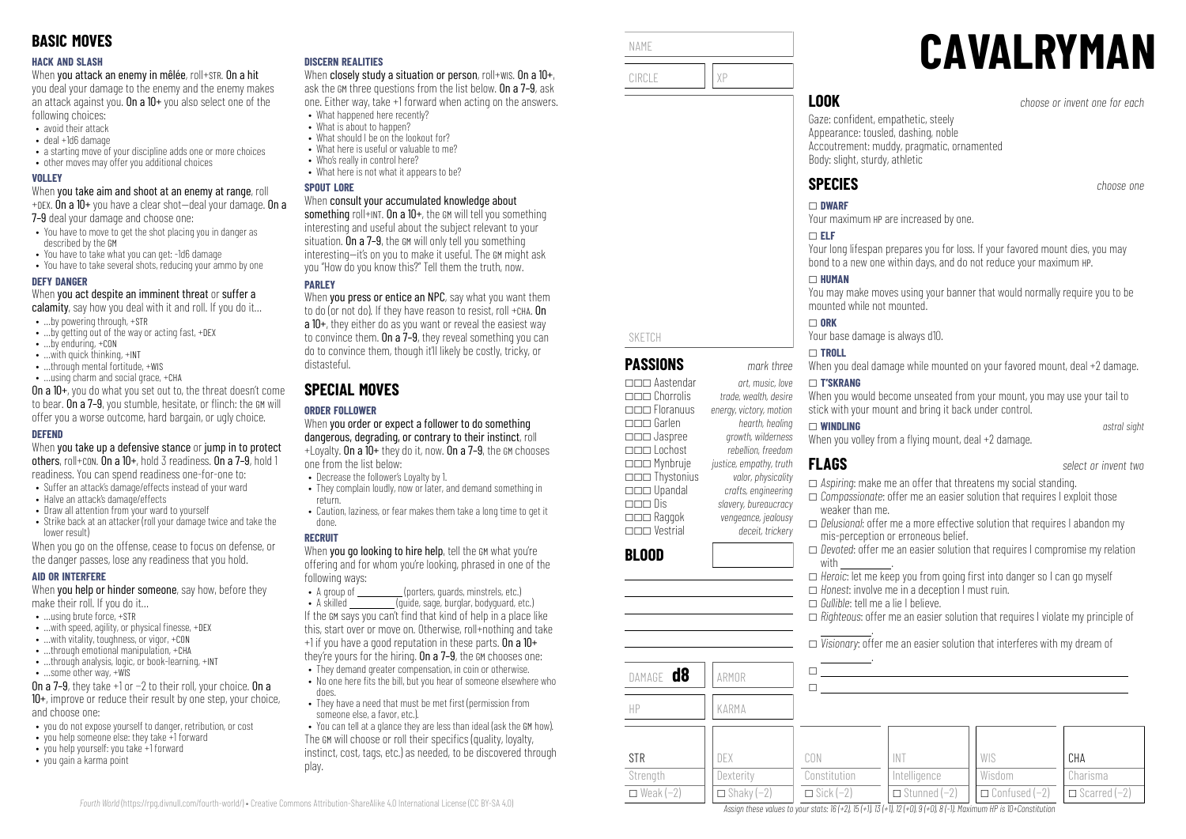#### **HACK AND SLASH**

When you attack an enemy in mêlée, roll+STR. On a hit

you deal your damage to the enemy and the enemy makes an attack against you. On a  $10+$  you also select one of the following choices:

- avoid their attack
- deal +1d6 damage
- a starting move of your discipline adds one or more choices
- other moves may offer you additional choices

#### **VOLLEY**

When you take aim and shoot at an enemy at range, roll +DEX. On a 10+ you have a clear shot—deal your damage. On a

7–9 deal your damage and choose one:

- You have to move to get the shot placing you in danger as described by the GM
- You have to take what you can get: -1d6 damage
- You have to take several shots, reducing your ammo by one

#### **DEFY DANGER**

When you act despite an imminent threat or suffer a

- calamity, say how you deal with it and roll. If you do it...
- …by powering through, +STR
- ...by getting out of the way or acting fast, +DEX
- …by enduring, +CON
- …with quick thinking, +INT
- …through mental fortitude, +WIS • …using charm and social grace, +CHA

On a 10+, you do what you set out to, the threat doesn't come to bear. On a 7–9, you stumble, hesitate, or flinch: the GM will offer you a worse outcome, hard bargain, or ugly choice.

#### **DEFEND**

When you take up a defensive stance or jump in to protect others, roll+CON. On a 10+, hold 3 readiness. On a 7–9, hold 1 readiness. You can spend readiness one-for-one to:

- Suffer an attack's damage/effects instead of your ward
- Halve an attack's damage/effects
- Draw all attention from your ward to yourself • Strike back at an attacker (roll your damage twice and take the lower result)

When you go on the offense, cease to focus on defense, or the danger passes, lose any readiness that you hold.

#### **AID OR INTERFERE**

When **you help or hinder someone**, say how, before they make their roll. If you do it…

- $\bullet$  **using brute force,**  $\text{+STR}$
- $\bullet$  ...with speed, agility, or physical finesse, +DEX
- ... with vitality, toughness, or vigor, +CON
- $\cdot$  through emotional manipulation,  $+CHA$
- …through analysis, logic, or book-learning, +INT
- …some other way, +WIS

On a 7–9, they take +1 or −2 to their roll, your choice. On a 10+, improve or reduce their result by one step, your choice, and choose one:

- you do not expose yourself to danger, retribution, or cost
- you help someone else: they take +1 forward
- you help yourself: you take +1 forward
- you gain a karma point

#### **DISCERN REALITIES**

When closely study a situation or person, roll+wis. On a 10+, ask the GM three questions from the list below. On a 7–9, ask one. Either way, take +1 forward when acting on the answers.

- What happened here recently? • What is about to happen?
- What should I be on the lookout for?
- What here is useful or valuable to me?
- Who's really in control here?
- What here is not what it annears to be?

#### **SPOUT LORE**

#### When consult your accumulated knowledge about

something roll+INT. On a 10+, the GM will tell you something interesting and useful about the subject relevant to your situation. On a 7–9, the GM will only tell you something interesting—it's on you to make it useful. The GM might ask you "How do you know this?" Tell them the truth, now.

## **PAPLEY**

When you press or entice an NPC, say what you want them to do (or not do). If they have reason to resist, roll +CHA. On a 10+, they either do as you want or reveal the easiest way to convince them. On a  $7-9$ , they reveal something you can do to convince them, though it'll likely be costly, tricky, or distasteful.

# **SPECIAL MOVES**

# **ORDER FOLLOWER**

When you order or expect a follower to do something dangerous, degrading, or contrary to their instinct, roll  $+$ Loyalty. On a  $10+$  they do it, now. On a 7-9, the GM chooses one from the list below:

- Decrease the follower's Loyalty by 1.
- They complain loudly, now or later, and demand something in return.
- Caution, laziness, or fear makes them take a long time to get it done.

#### **RECRUIT**

When you go looking to hire help, tell the GM what you're offering and for whom you're looking, phrased in one of the following ways:<br>• A group of

(porters, quards, minstrels, etc.)

• A skilled  $\overline{a}$  finite, sage, burglar, bodyguard, etc.) If the GM says you can't find that kind of help in a place like this, start over or move on. Otherwise, roll+nothing and take +1 if you have a good reputation in these parts. On a 10+ they're yours for the hiring. On a 7–9, the GM chooses one:

- They demand greater compensation, in coin or otherwise.
- No one here fits the bill, but you hear of someone elsewhere who does.
- They have a need that must be met first (permission from someone else, a favor, etc.).
- You can tell at a glance they are less than ideal (ask the GM how). The GM will choose or roll their specifics (quality, loyalty, instinct, cost, tags, etc.) as needed, to be discovered through play.



\_\_\_ Upandal *crafts, engineering*

\_\_\_ Raggok *vengeance, jealousy* \_\_\_ Vestrial *deceit, trickery*

**BLOOD**

\_\_\_ Dis *slavery, bureaucracy*

# **CAVALRYMAN**

**LOOK** *choose or invent one for each*

Gaze: confident, empathetic, steely Appearance: tousled, dashing, noble Accoutrement: muddy, pragmatic, ornamented Body: slight, sturdy, athletic

Your maximum HP are increased by one.

Your long lifespan prepares you for loss. If your favored mount dies, you may bond to a new one within days, and do not reduce your maximum HP.

You may make moves using your banner that would normally require you to be mounted while not mounted.

Your base damage is always d10.

When you deal damage while mounted on your favored mount, deal +2 damage.

When you would become unseated from your mount, you may use your tail to stick with your mount and bring it back under control.

\_ **WINDLING** *astral sight* When you volley from a flying mount, deal  $+2$  damage.

- \_ *Aspiring*: make me an offer that threatens my social standing. \_ *Compassionate*: offer me an easier solution that requires I exploit those
- weaker than me.
- \_ *Delusional*: offer me a more effective solution that requires I abandon my mis-perception or erroneous belief.
- □ *Devoted*: offer me an easier solution that requires I compromise my relation with
- $\Box$  *Heroic*: let me keep you from going first into danger so I can go myself
- \_ *Honest*: involve me in a deception I must ruin.
- \_ *Gullible*: tell me a lie I believe.
- \_ *Righteous*: offer me an easier solution that requires I violate my principle of

 . \_ *Visionary*: offer me an easier solution that interferes with my dream of

| DAMAGE <b>d8</b><br>HP | ARMOR<br>KARMA    |                  |                     |                      |                     |
|------------------------|-------------------|------------------|---------------------|----------------------|---------------------|
| <b>STR</b>             | DEX               | CON              | <b>INT</b>          | WIS                  | CHA                 |
| Strength               | Dexterity         | Constitution     | Intelligence        | Wisdom               | Charisma            |
| $\Box$ Weak (-2)       | $\Box$ Shaky (-2) | $\Box$ Sick (-2) | $\Box$ Stunned (-2) | $\Box$ Confused (-2) | $\Box$ Scarred (-2) |

Assign these values to your stats:  $16 (+2)$ ,  $15 (+1)$ ,  $13 (+1)$ ,  $12 (+0)$ ,  $9 (+0)$ ,  $8 (-1)$ . Maximum HP is 10+Constitution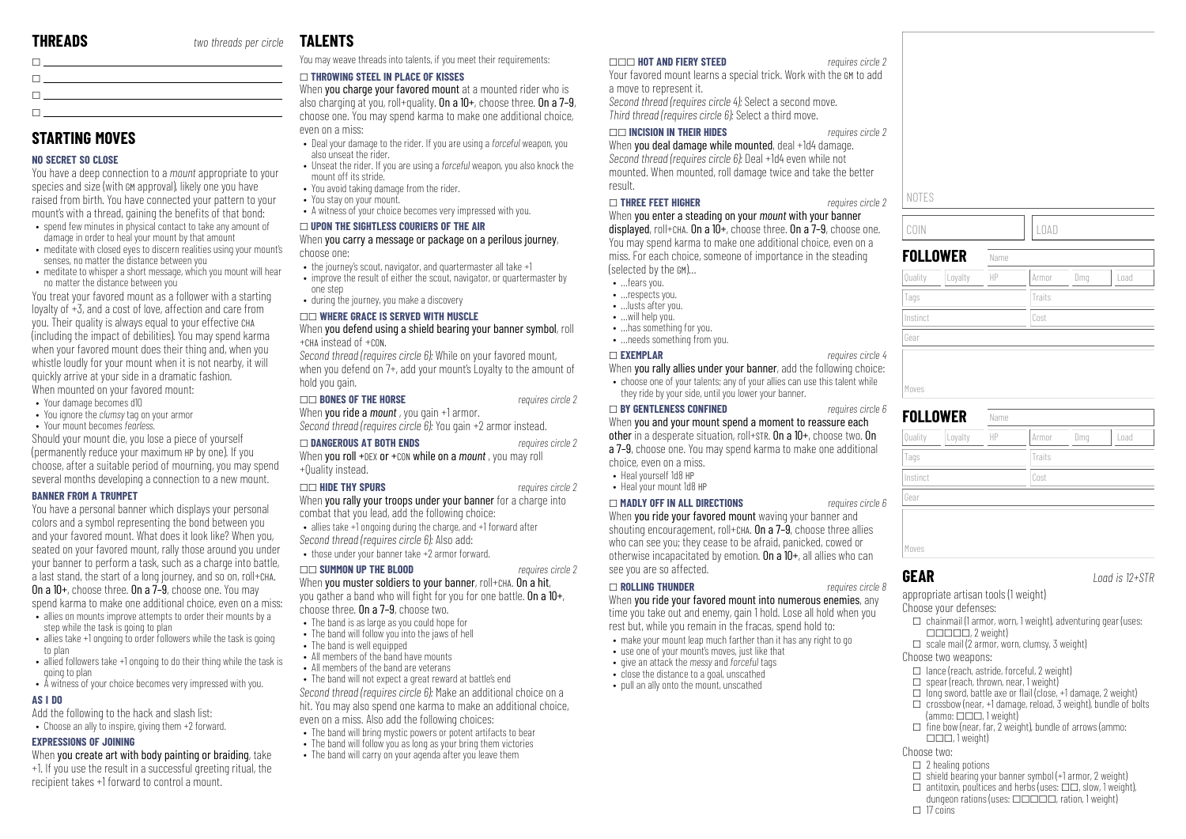# **STARTING MOVES**

#### **NO SECRET SO CLOSE**

You have a deep connection to a *mount* appropriate to your species and size (with GM approval), likely one you have raised from birth. You have connected your pattern to your mount's with a thread, gaining the benefits of that bond:

- spend few minutes in physical contact to take any amount of damage in order to heal your mount by that amount
- meditate with closed eves to discern realities using your mount's senses, no matter the distance between you
- meditate to whisper a short message, which you mount will hear no matter the distance between you

You treat your favored mount as a follower with a starting loyalty of +3, and a cost of love, affection and care from you. Their quality is always equal to your effective CHA (including the impact of debilities). You may spend karma when your favored mount does their thing and, when you whistle loudly for your mount when it is not nearby, it will quickly arrive at your side in a dramatic fashion. When mounted on your favored mount:

- Your damage becomes d10
- You ignore the *clumsy* tag on your armor
- Your mount becomes *fearless*.

Should your mount die, you lose a piece of yourself (permanently reduce your maximum HP by one). If you choose, after a suitable period of mourning, you may spend several months developing a connection to a new mount.

#### **BANNER FROM A TRUMPET**

You have a personal banner which displays your personal colors and a symbol representing the bond between you and your favored mount. What does it look like? When you, seated on your favored mount, rally those around you under your banner to perform a task, such as a charge into battle, a last stand, the start of a long journey, and so on, roll+CHA. On a 10+, choose three. On a 7–9, choose one. You may spend karma to make one additional choice, even on a miss:

- allies on mounts improve attempts to order their mounts by a step while the task is going to plan
- allies take +1 ongoing to order followers while the task is going to plan
- allied followers take +1 ongoing to do their thing while the task is going to plan
- A witness of your choice becomes very impressed with you.

#### **AS I DO**

- Add the following to the hack and slash list:
- Choose an ally to inspire, giving them +2 forward.

#### **EXPRESSIONS OF JOINING**

When you create art with body painting or braiding, take +1. If you use the result in a successful greeting ritual, the recipient takes +1 forward to control a mount.

# **TALENTS**

You may weave threads into talents, if you meet their requirements:

#### \_ **THROWING STEEL IN PLACE OF KISSES**

When you charge your favored mount at a mounted rider who is also charging at you, roll+quality. On a  $10+$ , choose three. On a  $7-9$ , choose one. You may spend karma to make one additional choice, even on a miss:

- Deal your damage to the rider. If you are using a *forceful* weapon, you also unseat the rider.
- Unseat the rider. If you are using a *forceful* weapon, you also knock the mount off its stride.
- You avoid taking damage from the rider. • You stay on your mount.
- A witness of your choice becomes very impressed with you.

#### \_ **UPON THE SIGHTLESS COURIERS OF THE AIR**

When you carry a message or package on a perilous journey, choose one:

- the journey's scout, navigator, and quartermaster all take +1
- improve the result of either the scout, navigator, or quartermaster by one step
- during the journey, you make a discovery

#### \_\_ **WHERE GRACE IS SERVED WITH MUSCLE**

#### When you defend using a shield bearing your banner symbol, roll +CHA instead of +CON.

*Second thread (requires circle 6):* While on your favored mount, when you defend on 7+, add your mount's Loyalty to the amount of hold you gain.

\_\_ **BONES OF THE HORSE** *requires circle 2*

When **you ride a** *mount* , you gain +1 armor.

# *Second thread (requires circle 6):* You gain +2 armor instead.

\_ **DANGEROUS AT BOTH ENDS** *requires circle 2* When you roll +DEX or +CON while on a *mount* , you may roll +Quality instead.

#### \_\_ **HIDE THY SPURS** *requires circle 2*

When you rally your troops under your banner for a charge into combat that you lead, add the following choice:

• allies take +1 ongoing during the charge, and +1 forward after *Second thread (requires circle 6):* Also add:

• those under your banner take +2 armor forward.

#### \_\_ **SUMMON UP THE BLOOD** *requires circle 2*

When you muster soldiers to your banner, roll+CHA. On a hit, you gather a band who will fight for you for one battle. On a 10+, choose three. On a 7-9, choose two.

- The band is as large as you could hope for
- The band will follow you into the jaws of hell
- The band is well equipped
- All members of the band have mounts • All members of the band are veterans
- 

• The band will not expect a great reward at battle's end *Second thread (requires circle 6):* Make an additional choice on a hit. You may also spend one karma to make an additional choice,

- even on a miss. Also add the following choices:
- The band will bring mystic nowers or potent artifacts to bear
- The band will follow you as long as your bring them victories
- The band will carry on your agenda after you leave them

#### \_\_\_ **HOT AND FIERY STEED** *requires circle 2*

Your favored mount learns a special trick. Work with the GM to add a move to represent it.

*Second thread (requires circle 4):* Select a second move. *Third thread (requires circle 6):* Select a third move.

#### \_\_ **INCISION IN THEIR HIDES** *requires circle 2*

When you deal damage while mounted, deal +1d4 damage. *Second thread (requires circle 6):* Deal +1d4 even while not mounted. When mounted, roll damage twice and take the better result.

#### \_ **THREE FEET HIGHER** *requires circle 2*

When you enter a steading on your *mount* with your banner displayed, roll+CHA. On a  $10+$ , choose three. On a  $7-9$ , choose one. You may spend karma to make one additional choice, even on a miss. For each choice, someone of importance in the steading (selected by the GM)…

- fears you.
- respects you.
- …lusts after you
- …will help you.
- …has something for you.
- …needs something from you.

# \_ **EXEMPLAR** *requires circle 4*

When you rally allies under your banner, add the following choice:

• choose one of your talents; any of your allies can use this talent while they ride by your side, until you lower your banner.

#### \_ **BY GENTLENESS CONFINED** *requires circle 6*

When you and your mount spend a moment to reassure each other in a desperate situation, roll+STR. On a 10+, choose two. On a 7–9, choose one. You may spend karma to make one additional choice, even on a miss.

- Heal yourself 1d8 HP
- Heal your mount 1d8 HP

#### \_ **MADLY OFF IN ALL DIRECTIONS** *requires circle 6*

When **you ride your favored mount** waving your banner and shouting encouragement, roll+CHA. On a 7-9, choose three allies who can see you; they cease to be afraid, panicked, cowed or otherwise incapacitated by emotion. On a  $10+$ , all allies who can see you are so affected.

#### \_ **ROLLING THUNDER** *requires circle 8*

When you ride your favored mount into numerous enemies, any time you take out and enemy, gain 1 hold. Lose all hold when you rest but, while you remain in the fracas, spend hold to:

- make your mount leap much farther than it has any right to go
- use one of your mount's moves, just like that
- give an attack the *messy* and *forceful* tags • close the distance to a goal, unscathed
	- pull an ally onto the mount, unscathed

NOTES COIN LIOAD **FOLLOWER** Name Quality ||Loyalty ||HP ||Armor ||Dmg ||Load Tags Tags Traits Traits Instinct Cost

| <b>FOLLOWER</b><br>Loyalty<br>Quality | HP | Dmg<br>Armor<br>Load |
|---------------------------------------|----|----------------------|
| Tags                                  |    | Traits               |
| Instinct                              |    | Cost                 |
| Gear                                  |    |                      |

Gear

Moves

**GEAR** *Load is 12+STR*

appropriate artisan tools (1 weight)

- Choose your defenses:
- $\Box$  chainmail (1 armor, worn, 1 weight), adventuring gear (uses:  $\Box \Box \Box \Box \Box$  2 weight)
- $\Box$  scale mail (2 armor, worn, clumsy, 3 weight)

#### Choose two weapons:

- $\Box$  lance (reach, astride, forceful, 2 weight)
- $\Box$  spear (reach, thrown, near, 1 weight)

 ${\sf (ammo: \Box \Box \Box \ 1}$  weight)

 $\Box$  $\Box$ , 1 weight)

Choose two:  $\Box$  2 healing potions

 $\Box$  17 coins

 $\Box$  long sword, battle axe or flail (close, +1 damage, 2 weight)  $\square$  crossbow (near, +1 damage, reload, 3 weight), bundle of bolts

 $\Box$  fine bow (near, far, 2 weight), bundle of arrows (ammo:

 $\Box$  shield bearing your banner symbol (+1 armor, 2 weight)  $\Box$  antitoxin, poultices and herbs (uses:  $\Box \Box$ , slow, 1 weight),  $d$ ungeon rations (uses:  $\Box$  $\Box$  $\Box$  $\Box$ , ration, 1 weight)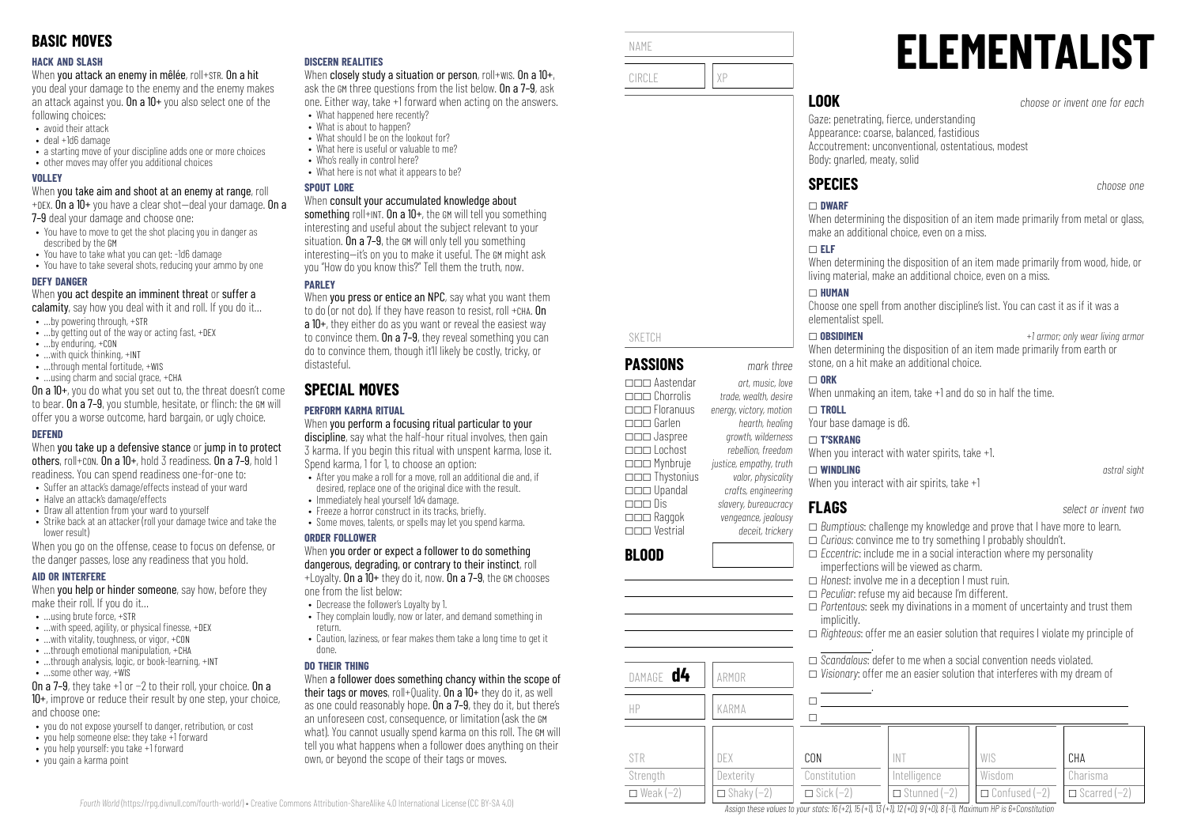#### **HACK AND SLASH**

When you attack an enemy in mêlée, roll+STR. On a hit

you deal your damage to the enemy and the enemy makes an attack against you. On a  $10+$  you also select one of the following choices:

- avoid their attack
- deal +1d6 damage
- a starting move of your discipline adds one or more choices
- other moves may offer you additional choices

#### **VOLLEY**

When you take aim and shoot at an enemy at range, roll +DEX. On a 10+ you have a clear shot—deal your damage. On a

7-9 deal your damage and choose one:

- You have to move to get the shot placing you in danger as described by the GM
- You have to take what you can get: -1d6 damage
- You have to take several shots, reducing your ammo by one

#### **DEFY DANGER**

When you act despite an imminent threat or suffer a

- calamity, say how you deal with it and roll. If you do it...
- …by powering through, +STR
- …by getting out of the way or acting fast, +DEX
- …by enduring, +CON
- …with quick thinking, +INT
- …through mental fortitude, +WIS • …using charm and social grace, +CHA

On a 10+, you do what you set out to, the threat doesn't come to bear. On a 7–9, you stumble, hesitate, or flinch: the GM will offer you a worse outcome, hard bargain, or ugly choice.

#### **DEFEND**

When you take up a defensive stance or jump in to protect others, roll+CON. On a 10+, hold 3 readiness. On a 7–9, hold 1 readiness. You can spend readiness one-for-one to:

- Suffer an attack's damage/effects instead of your ward
- Halve an attack's damage/effects
- Draw all attention from your ward to yourself
- Strike back at an attacker (roll your damage twice and take the lower result)

When you go on the offense, cease to focus on defense, or the danger passes, lose any readiness that you hold.

#### **AID OR INTERFERE**

When **you help or hinder someone**, say how, before they make their roll. If you do it…

- $\bullet$  **using brute force,**  $\text{+STR}$
- $\bullet$  ...with speed, agility, or physical finesse, +DEX
- …with vitality, toughness, or vigor, +CON
- $\cdot$  through emotional manipulation,  $+CHA$
- ...through analysis, logic, or book-learning, +INT
- …some other way, +WIS

On a 7–9, they take +1 or −2 to their roll, your choice. On a 10+, improve or reduce their result by one step, your choice, and choose one:

- you do not expose yourself to danger, retribution, or cost
- you help someone else: they take +1 forward
- you help yourself: you take +1 forward
- you gain a karma point

#### **DISCERN REALITIES**

When closely study a situation or person, roll+WIS. On a  $10+$ , ask the GM three questions from the list below. On a 7–9, ask one. Either way, take +1 forward when acting on the answers.

- What happened here recently? • What is about to happen?
- What should I be on the lookout for?
- What here is useful or valuable to me?
- Who's really in control here?
- What here is not what it annears to be?

#### **SPOUT LORE**

#### When consult your accumulated knowledge about

something roll+INT. On a 10+, the GM will tell you something interesting and useful about the subject relevant to your situation. On  $a 7-9$ , the GM will only tell you something interesting—it's on you to make it useful. The GM might ask you "How do you know this?" Tell them the truth, now.

## **PAPLEY**

When you press or entice an NPC, say what you want them to do (or not do). If they have reason to resist, roll +CHA. On a 10+, they either do as you want or reveal the easiest way to convince them. On a  $7-9$ , they reveal something you can do to convince them, though it'll likely be costly, tricky, or distasteful.

# **SPECIAL MOVES**

## **PERFORM KARMA RITUAL**

When you perform a focusing ritual particular to your discipline, say what the half-hour ritual involves, then gain 3 karma. If you begin this ritual with unspent karma, lose it. Spend karma, 1 for 1, to choose an option:

- After you make a roll for a move, roll an additional die and, if desired, replace one of the original dice with the result.
- Immediately heal yourself 1d4 damage.
- Freeze a horror construct in its tracks, briefly.
- Some moves, talents, or spells may let you spend karma.

#### **ORDER FOLLOWER**

#### When you order or expect a follower to do something dangerous, degrading, or contrary to their instinct, roll  $+1$  ovalty. On a  $10+$  they do it, now. On a 7-9, the GM chooses

one from the list below:

- Decrease the follower's Loyalty by 1.
- They complain loudly, now or later, and demand something in return.
- Caution, laziness, or fear makes them take a long time to get it done.

#### **DO THEIR THING**

*Fourth World* [\(https://rpg.divnull.com/fourth-world/\)](https://rpg.divnull.com/fourth-world/) • Creative Commons Attribution-ShareAlike 4.0 International License (CC [BY-SA](https://creativecommons.org/licenses/by-sa/4.0/) 4.0)

When a follower does something chancy within the scope of their tags or moves, roll+Quality. On a 10+ they do it, as well as one could reasonably hope. On a 7-9, they do it, but there's an unforeseen cost, consequence, or limitation (ask the GM what). You cannot usually spend karma on this roll. The GM will tell you what happens when a follower does anything on their own, or beyond the scope of their tags or moves.



**BLOOD**

STR Strength  $\Box$  Weak (−2)

DAMAGE **d4** ARMOR

HP KARMA

DEX **Dexterity**  $\Box$  Shaky (-2)

# **ELEMENTALIST**

**LOOK** *choose or invent one for each*

Gaze: penetrating, fierce, understanding Appearance: coarse, balanced, fastidious Accoutrement: unconventional, ostentatious, modest Body: gnarled, meaty, solid

# **SPECIES** *choose one*

#### \_ **DWARF**

When determining the disposition of an item made primarily from metal or glass. make an additional choice, even on a miss.

When determining the disposition of an item made primarily from wood, hide, or living material, make an additional choice, even on a miss.

Choose one spell from another discipline's list. You can cast it as if it was a elementalist spell.

\_ **OBSIDIMEN** *+1 armor; only wear living armor* When determining the disposition of an item made primarily from earth or stone, on a hit make an additional choice.

When unmaking an item, take +1 and do so in half the time.

.

.

 $\Box$  $\Box$ 

CON Constitution  $\Box$  Sick (−2)

Your base damage is d6.

## \_ **T'SKRANG**

When you interact with water spirits, take +1.

#### \_ **WINDLING** *astral sight*

When you interact with air spirits, take +1

- \_ *Bumptious*: challenge my knowledge and prove that I have more to learn.
- \_ *Curious*: convince me to try something I probably shouldn't.
- $\Box$  *Eccentric*: include me in a social interaction where my personality imperfections will be viewed as charm.

\_ *Scandalous*: defer to me when a social convention needs violated. \_ *Visionary*: offer me an easier solution that interferes with my dream of

- \_ *Honest*: involve me in a deception I must ruin.
- \_ *Peculiar*: refuse my aid because I'm different.

INT Intelligence \_ Stunned (−2)

Assign these values to your stats:  $16 (+2)$ ,  $15 (+1)$ ,  $13 (+1)$ ,  $12 (+0)$ ,  $9 (+0)$ ,  $8 (-1)$ . Maximum HP is 6+Constitution

- \_ *Portentous*: seek my divinations in a moment of uncertainty and trust them implicitly.
- \_ *Righteous*: offer me an easier solution that requires I violate my principle of

WIS Wisdom \_ Confused (−2)

**CHA** Charisma  $\Box$  Scarred (−2)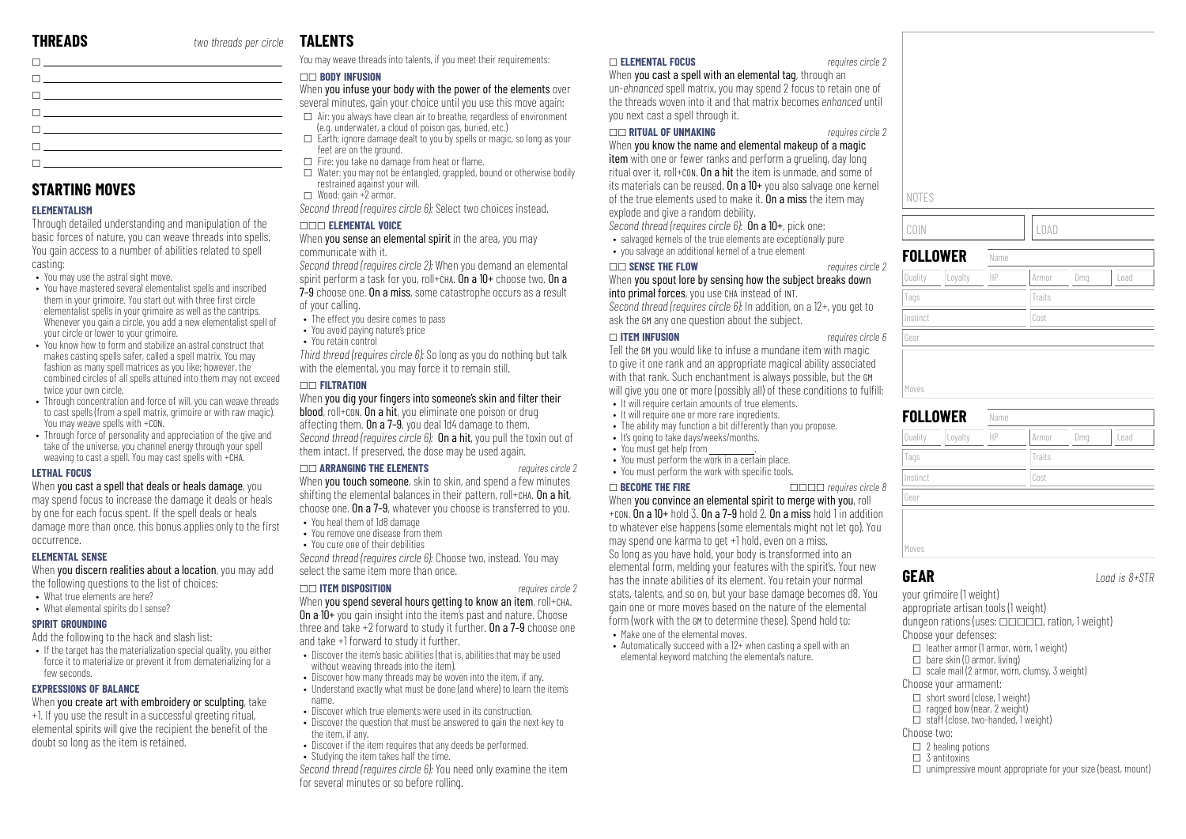| the contract of the contract of the contract of the contract of the contract of the contract of the contract of |  |
|-----------------------------------------------------------------------------------------------------------------|--|
| the contract of the contract of the contract of                                                                 |  |
| The contract of the contract of the contract of the                                                             |  |
| $\mathbf{L}$ and $\mathbf{L}$ are the set of $\mathbf{L}$ and $\mathbf{L}$                                      |  |
| the company of the company of the company of                                                                    |  |

# **STARTING MOVES**

#### **ELEMENTALISM**

Through detailed understanding and manipulation of the basic forces of nature, you can weave threads into spells. You gain access to a number of abilities related to spell casting:

- You may use the astral sight move.
- You have mastered several elementalist spells and inscribed them in your grimoire. You start out with three first circle elementalist spells in your grimoire as well as the cantrips. Whenever you gain a circle, you add a new elementalist spell of your circle or lower to your grimoire.
- You know how to form and stabilize an astral construct that makes casting spells safer, called a spell matrix. You may fashion as many spell matrices as you like; however, the combined circles of all spells attuned into them may not exceed twice your own circle.
- Through concentration and force of will, you can weave threads to cast spells (from a spell matrix, grimoire or with raw magic). You may weave spells with +CON.
- Through force of personality and appreciation of the give and take of the universe, you channel energy through your spell weaving to cast a spell. You may cast spells with +CHA.

#### **LETHAL FOCUS**

When you cast a spell that deals or heals damage, you may spend focus to increase the damage it deals or heals by one for each focus spent. If the spell deals or heals damage more than once, this bonus applies only to the first occurrence.

#### **ELEMENTAL SENSE**

When you discern realities about a location, you may add the following questions to the list of choices:

- What true elements are here?
- What elemental spirits do I sense?

#### **SPIRIT GROUNDING**

Add the following to the hack and slash list:

• If the target has the materialization special quality, you either force it to materialize or prevent it from dematerializing for a few seconds.

#### **EXPRESSIONS OF BALANCE**

When you create art with embroidery or sculpting, take +1. If you use the result in a successful greeting ritual, elemental spirits will give the recipient the benefit of the doubt so long as the item is retained.

# **TAL FNTS**

You may weave threads into talents, if you meet their requirements:

#### \_\_ **BODY INFUSION**

When you infuse your body with the power of the elements over

- several minutes, gain your choice until you use this move again:  $\Box$  Air: you always have clean air to breathe, regardless of environment
- (e.g. underwater, a cloud of poison gas, buried, etc.)  $\Box$  Earth: ignore damage dealt to you by spells or magic, so long as your feet are on the ground.
- $\Box$  Fire: you take no damage from heat or flame.
- $\Box$  Water: you may not be entangled, grappled, bound or otherwise bodily restrained against your will.

 $\Box$  Wood: gain +2 armor. *Second thread (requires circle 6):* Select two choices instead.

#### \_\_\_ **ELEMENTAL VOICE**

When you sense an elemental spirit in the area, you may communicate with it.

*Second thread (requires circle 2):* When you demand an elemental spirit perform a task for you, roll+CHA. On a 10+ choose two. On a 7–9 choose one. On a miss, some catastrophe occurs as a result of your calling.

- The effect you desire comes to pass
- You avoid paying nature's price
- You retain control

*Third thread (requires circle 6):* So long as you do nothing but talk with the elemental, you may force it to remain still.

#### \_\_ **FILTRATION**

#### When you dig your fingers into someone's skin and filter their

blood, roll+con. On a hit, you eliminate one poison or drug affecting them. On a  $7-9$ , you deal 1d4 damage to them. *Second thread (requires circle 6):* On a hit, you pull the toxin out of them intact. If preserved, the dose may be used again.

#### \_\_ **ARRANGING THE ELEMENTS** *requires circle 2*

When **vou touch someone**, skin to skin, and spend a few minutes shifting the elemental balances in their pattern, roll+cHA. On a hit, choose one. On a 7–9, whatever you choose is transferred to you. • You heal them of 1d8 damage

- You remove one disease from them
- You cure one of their debilities

*Second thread (requires circle 6):* Choose two, instead. You may select the same item more than once.

#### \_\_ **ITEM DISPOSITION** *requires circle 2*

When you spend several hours getting to know an item, roll+CHA. On a 10+ you gain insight into the item's past and nature. Choose three and take +2 forward to study it further. On a 7–9 choose one and take +1 forward to study it further.

- Discover the item's basic abilities (that is, abilities that may be used without weaving threads into the item).
- Discover how many threads may be woven into the item, if any.
- Understand exactly what must be done (and where) to learn the item's name.
- Discover which true elements were used in its construction.
- Discover the question that must be answered to gain the next key to the item, if any.
- Discover if the item requires that any deeds be performed.
- Studying the item takes half the time.

*Second thread (requires circle 6):* You need only examine the item for several minutes or so before rolling.

#### \_ **ELEMENTAL FOCUS** *requires circle 2*

When you cast a spell with an elemental tag, through an un-*ehnanced* spell matrix, you may spend 2 focus to retain one of the threads woven into it and that matrix becomes *enhanced* until you next cast a spell through it.

## \_\_ **RITUAL OF UNMAKING** *requires circle 2*

When you know the name and elemental makeup of a magic

item with one or fewer ranks and perform a grueling, day long ritual over it, roll+CON. On a hit the item is unmade, and some of its materials can be reused. On a 10+ you also salvage one kernel of the true elements used to make it. On a miss the item may explode and give a random debility.

*Second thread (requires circle 6):* On a 10+, pick one:

- salvaged kernels of the true elements are exceptionally pure
- you salvage an additional kernel of a true element

#### \_\_ **SENSE THE FLOW** *requires circle 2* When you spout lore by sensing how the subject breaks down into primal forces, you use CHA instead of INT.

*Second thread (requires circle 6):* In addition, on a 12+, you get to ask the GM any one question about the subject.

#### \_ **ITEM INFUSION** *requires circle 6*

Tell the GM you would like to infuse a mundane item with magic to give it one rank and an appropriate magical ability associated with that rank. Such enchantment is always possible, but the GM will give you one or more (possibly all) of these conditions to fulfill:

- It will require certain amounts of true elements
- It will require one or more rare ingredients.
- The ability may function a bit differently than you propose.
- It's going to take days/weeks/months.
- You must get help from
- You must perform the work in a certain place. • You must perform the work with specific tools.
- 

\_ **BECOME THE FIRE** \_\_\_\_ *requires circle 8* When you convince an elemental spirit to merge with you, roll  $+$ con. On a 10+ hold 3, On a 7–9 hold 2. On a miss hold 1 in addition to whatever else happens (some elementals might not let go). You may spend one karma to get +1 hold, even on a miss. So long as you have hold, your body is transformed into an elemental form, melding your features with the spirit's. Your new has the innate abilities of its element. You retain your normal stats, talents, and so on, but your base damage becomes d8. You gain one or more moves based on the nature of the elemental form (work with the GM to determine these). Spend hold to:

- 
- elemental keyword matching the elemental's nature.

| NOTES                    |                      |
|--------------------------|----------------------|
| COIN                     | LOAD                 |
| <b>FOLLOWER</b><br>Name  |                      |
| Loyalty<br>HP<br>Quality | Load<br>Armor<br>Dmg |
|                          |                      |
| Tags                     | Traits               |
| Instinct                 | Cost                 |
| Gear                     |                      |
|                          |                      |
| Moves                    |                      |

| Tags     | Traits |  |
|----------|--------|--|
| Instinct | Cost   |  |
| Gear     |        |  |

**GEAR** *Load is 8+STR*

your grimoire (1 weight) appropriate artisan tools (1 weight) dungeon rations (uses:  $\square\square\square\square\square$ , ration, 1 weight)

Choose your defenses:  $\Box$  leather armor (1 armor, worn, 1 weight)

- $\Box$  bare skin (0 armor, living)
- $\Box$  scale mail (2 armor, worn, clumsy, 3 weight)
- Choose your armament:
- $\Box$  short sword (close, 1 weight)
- $\Box$  ragged bow (near, 2 weight)
- $\Box$  staff (close, two-handed, 1 weight)
- Choose two:
- $\square$  2 healing potions
- $\Box$  3 antitoxins
- $\square$  unimpressive mount appropriate for your size (beast, mount)
- Make one of the elemental moves.
- Automatically succeed with a 12+ when casting a spell with an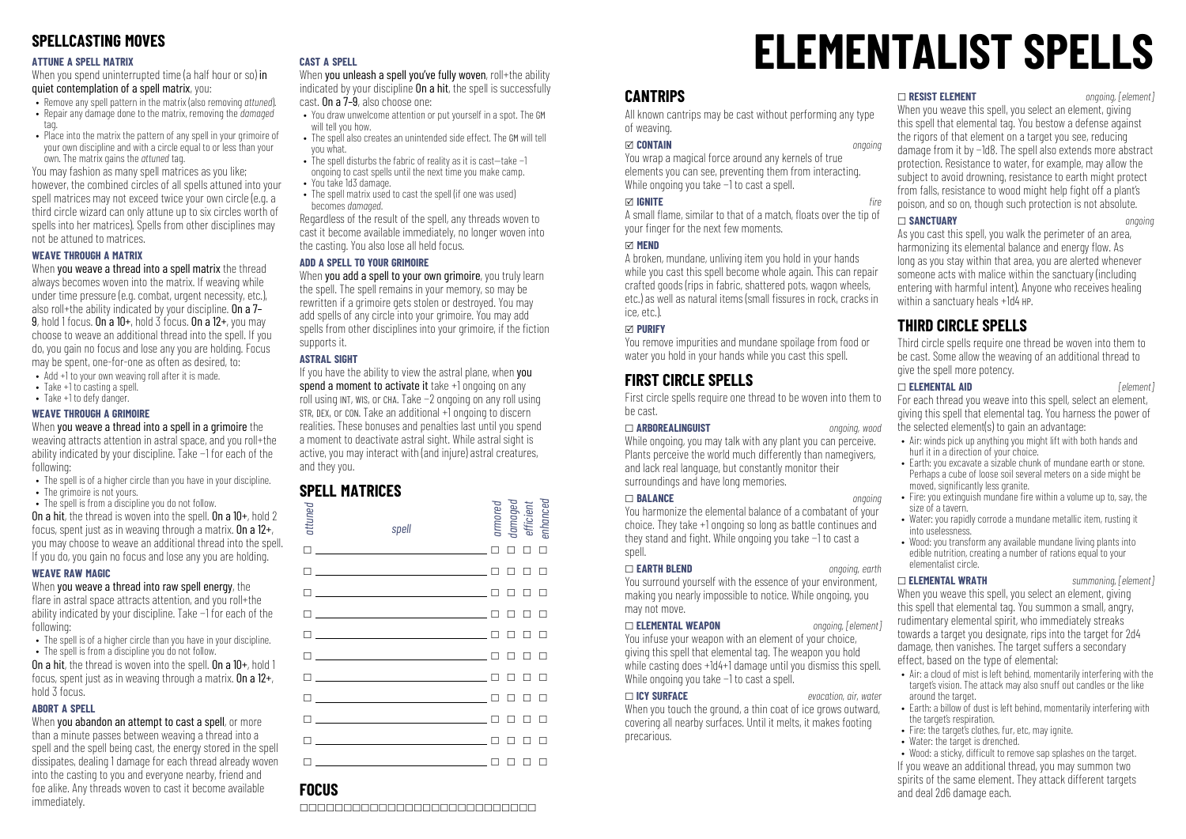# **SPELLCASTING MOVES**

#### **ATTUNE A SPELL MATRIX**

When you spend uninterrupted time (a half hour or so) in quiet contemplation of a spell matrix, you:

- Remove any spell pattern in the matrix (also removing *attuned*).
- Repair any damage done to the matrix, removing the *damaged*
- tag. • Place into the matrix the nattern of any spell in your grimoire of your own discipline and with a circle equal to or less than your
- own. The matrix gains the *attuned* tag. You may fashion as many spell matrices as you like;

however, the combined circles of all spells attuned into your spell matrices may not exceed twice your own circle (e.g. a third circle wizard can only attune up to six circles worth of spells into her matrices). Spells from other disciplines may not be attuned to matrices.

#### **WEAVE THROUGH A MATRIX**

When you weave a thread into a spell matrix the thread always becomes woven into the matrix. If weaving while under time pressure (e.g. combat, urgent necessity, etc.), also roll+the ability indicated by your discipline. On a 7– 9, hold 1 focus. On a 10+, hold 3 focus. On a 12+, you may choose to weave an additional thread into the spell. If you do, you gain no focus and lose any you are holding. Focus may be spent, one-for-one as often as desired, to:

- Add +1 to your own weaving roll after it is made.
- Take +1 to casting a spell.
- Take +1 to defy danger.

#### **WEAVE THROUGH A GRIMOIRE**

When you weave a thread into a spell in a grimoire the weaving attracts attention in astral space, and you roll+the ability indicated by your discipline. Take −1 for each of the following:

- The spell is of a higher circle than you have in your discipline.
- The grimoire is not yours.
- The spell is from a discipline you do not follow. On a hit, the thread is woven into the spell. On a 10+, hold 2

focus, spent just as in weaving through a matrix. On a  $12+$ , you may choose to weave an additional thread into the spell. If you do, you gain no focus and lose any you are holding.

#### **WEAVE RAW MAGIC**

When you weave a thread into raw spell energy, the flare in astral space attracts attention, and you roll+the ability indicated by your discipline. Take −1 for each of the following:

- The spell is of a higher circle than you have in your discipline.
- The spell is from a discipline you do not follow.

On a hit, the thread is woven into the spell. On a 10+, hold 1 focus, spent just as in weaving through a matrix. On a 12+, hold 3 focus.

#### **ABORT A SPELL**

When you abandon an attempt to cast a spell, or more than a minute passes between weaving a thread into a spell and the spell being cast, the energy stored in the spell dissipates, dealing 1 damage for each thread already woven into the casting to you and everyone nearby, friend and foe alike. Any threads woven to cast it become available **immediately** 

#### **CAST A SPELL**

When you unleash a spell you've fully woven, roll+the ability indicated by your discipline **On a hit**, the spell is successfully cast. On a 7–9, also choose one:

- You draw unwelcome attention or put yourself in a spot. The GM will tell you how.
- The spell also creates an unintended side effect. The GM will tell you what.
- The spell disturbs the fabric of reality as it is cast—take −1 ongoing to cast spells until the next time you make camp.
- You take 1d3 damage.
- The spell matrix used to cast the spell (if one was used) becomes *damaged*.

Regardless of the result of the spell, any threads woven to cast it become available immediately, no longer woven into the casting. You also lose all held focus.

#### **ADD A SPELL TO YOUR GRIMOIRE**

When you add a spell to your own grimoire, you truly learn the spell. The spell remains in your memory, so may be rewritten if a grimoire gets stolen or destroyed. You may add spells of any circle into your grimoire. You may add spells from other disciplines into your grimoire, if the fiction supports it.

#### **ASTRAL SIGHT**

If you have the ability to view the astral plane, when you spend a moment to activate it take +1 ongoing on any roll using INT, WIS, or CHA. Take −2 ongoing on any roll using STR, DEX, or CON. Take an additional +1 ongoing to discern realities. These bonuses and penalties last until you spend a moment to deactivate astral sight. While astral sight is active, you may interact with (and injure) astral creatures, and they you.

# **SPELL MATRICES**

| attuned | spell                                                                                                                                                                                                                                                                          |        | armored<br>damaged<br>efficient<br>enhanced |               |        |  |
|---------|--------------------------------------------------------------------------------------------------------------------------------------------------------------------------------------------------------------------------------------------------------------------------------|--------|---------------------------------------------|---------------|--------|--|
|         | $\Box$                                                                                                                                                                                                                                                                         |        | $\Box$                                      | $\Box$        | $\Box$ |  |
|         | $\Box$ and $\Box$ and $\Box$ and $\Box$ and $\Box$ and $\Box$ and $\Box$ and $\Box$ and $\Box$ and $\Box$ and $\Box$ and $\Box$ and $\Box$ and $\Box$ and $\Box$ and $\Box$ and $\Box$ and $\Box$ and $\Box$ and $\Box$ and $\Box$ and $\Box$ and $\Box$ and $\Box$ and $\Box$ |        | п                                           | П.            | $\Box$ |  |
|         | $\Box$ and $\Box$ and $\Box$ and $\Box$ and $\Box$ and $\Box$ and $\Box$ and $\Box$ and $\Box$ and $\Box$ and $\Box$ and $\Box$ and $\Box$ and $\Box$ and $\Box$ and $\Box$ and $\Box$ and $\Box$ and $\Box$ and $\Box$ and $\Box$ and $\Box$ and $\Box$ and $\Box$ and $\Box$ |        | п                                           | п п           |        |  |
|         | $\Box$ and $\Box$ and $\Box$ and $\Box$ and $\Box$ and $\Box$ and $\Box$ and $\Box$ and $\Box$ and $\Box$ and $\Box$ and $\Box$ and $\Box$ and $\Box$ and $\Box$ and $\Box$ and $\Box$ and $\Box$ and $\Box$ and $\Box$ and $\Box$ and $\Box$ and $\Box$ and $\Box$ and $\Box$ |        | п                                           | ПП            |        |  |
|         | $\Box$ and $\Box$ and $\Box$ and $\Box$ and $\Box$ and $\Box$ and $\Box$ and $\Box$ and $\Box$ and $\Box$ and $\Box$ and $\Box$ and $\Box$ and $\Box$ and $\Box$ and $\Box$ and $\Box$ and $\Box$ and $\Box$ and $\Box$ and $\Box$ and $\Box$ and $\Box$ and $\Box$ and $\Box$ |        | п                                           | п             | $\Box$ |  |
|         | $\Box$                                                                                                                                                                                                                                                                         |        | п                                           | п             | $\Box$ |  |
| $\Box$  | <u> 1986 - Johann Barbara, martin a</u> fil                                                                                                                                                                                                                                    |        | п                                           | П             | $\Box$ |  |
| $\Box$  | <u> 1986 - Johann Barbara, martin a bh</u>                                                                                                                                                                                                                                     |        | п                                           | П             |        |  |
|         | $\mathsf{\Pi}$ , and the contract of the contract of $\mathsf{\Pi}$                                                                                                                                                                                                            |        | п                                           | п             | $\Box$ |  |
|         | $\Box$                                                                                                                                                                                                                                                                         |        | п                                           | п             | п      |  |
|         |                                                                                                                                                                                                                                                                                | $\Box$ | □                                           | $\Box$ $\Box$ |        |  |

# **ELEMENTALIST SPELLS**

# **CANTRIPS**

All known cantrips may be cast without performing any type of weaving.

#### x **CONTAIN** *ongoing*

You wrap a magical force around any kernels of true elements you can see, preventing them from interacting. While ongoing you take −1 to cast a spell.

#### **∞ IGNITE** *fire*

A small flame, similar to that of a match, floats over the tip of your finger for the next few moments.

#### x **MEND**

A broken, mundane, unliving item you hold in your hands while you cast this spell become whole again. This can repair crafted goods (rips in fabric, shattered pots, wagon wheels, etc.) as well as natural items (small fissures in rock, cracks in ice, etc.).

#### x **PURIFY**

You remove impurities and mundane spoilage from food or water you hold in your hands while you cast this spell.

# **FIRST CIRCLE SPELLS**

First circle spells require one thread to be woven into them to be cast.

#### \_ **ARBOREALINGUIST** *ongoing, wood*

While ongoing, you may talk with any plant you can perceive. Plants perceive the world much differently than namegivers, and lack real language, but constantly monitor their surroundings and have long memories.

#### \_ **BALANCE** *ongoing*

You harmonize the elemental balance of a combatant of your choice. They take +1 ongoing so long as battle continues and they stand and fight. While ongoing you take −1 to cast a spell.

#### \_ **EARTH BLEND** *ongoing, earth*

You surround yourself with the essence of your environment, making you nearly impossible to notice. While ongoing, you may not move.

#### \_ **ELEMENTAL WEAPON** *ongoing, [element]*

You infuse your weapon with an element of your choice, giving this spell that elemental tag. The weapon you hold while casting does +1d4+1 damage until you dismiss this spell. While ongoing you take −1 to cast a spell.

#### \_ **ICY SURFACE** *evocation, air, water*

When you touch the ground, a thin coat of ice grows outward, covering all nearby surfaces. Until it melts, it makes footing precarious.

\_ **RESIST ELEMENT** *ongoing, [element]*

When you weave this spell, you select an element, giving this spell that elemental tag. You bestow a defense against the rigors of that element on a target you see, reducing damage from it by −1d8. The spell also extends more abstract protection. Resistance to water, for example, may allow the subject to avoid drowning, resistance to earth might protect from falls, resistance to wood might help fight off a plant's poison, and so on, though such protection is not absolute.

#### \_ **SANCTUARY** *ongoing*

As you cast this spell, you walk the perimeter of an area, harmonizing its elemental balance and energy flow. As long as you stay within that area, you are alerted whenever someone acts with malice within the sanctuary (including entering with harmful intent). Anyone who receives healing within a sanctuary heals +1d4 HP.

# **THIRD CIRCLE SPELLS**

Third circle spells require one thread be woven into them to be cast. Some allow the weaving of an additional thread to give the spell more potency.

#### \_ **ELEMENTAL AID** *[element]*

For each thread you weave into this spell, select an element, giving this spell that elemental tag. You harness the power of the selected element(s) to gain an advantage:

- Air: winds pick up anything you might lift with both hands and hurl it in a direction of your choice.
- Earth: you excavate a sizable chunk of mundane earth or stone. Perhaps a cube of loose soil several meters on a side might be moved, signicantly less granite.
- Fire: you extinguish mundane fire within a volume up to, say, the size of a tavern.
- Water: you rapidly corrode a mundane metallic item, rusting it into uselessness.
- Wood: you transform any available mundane living plants into edible nutrition, creating a number of rations equal to your elementalist circle.

\_ **ELEMENTAL WRATH** *summoning, [element]* When you weave this spell, you select an element, giving this spell that elemental tag. You summon a small, angry, rudimentary elemental spirit, who immediately streaks towards a target you designate, rips into the target for 2d4 damage, then vanishes. The target suffers a secondary effect, based on the type of elemental:

- Air: a cloud of mist is left behind, momentarily interfering with the target's vision. The attack may also snuff out candles or the like around the target.
- Earth: a billow of dust is left behind, momentarily interfering with the target's respiration.
- Fire: the target's clothes, fur, etc, may ignite.
- Water: the target is drenched.

• Wood: a sticky, difficult to remove sap splashes on the target. If you weave an additional thread, you may summon two spirits of the same element. They attack different targets and deal 2d6 damage each.

# **FOCUS**

\_\_\_\_\_\_\_\_\_\_\_\_\_\_\_\_\_\_\_\_\_\_\_\_\_\_\_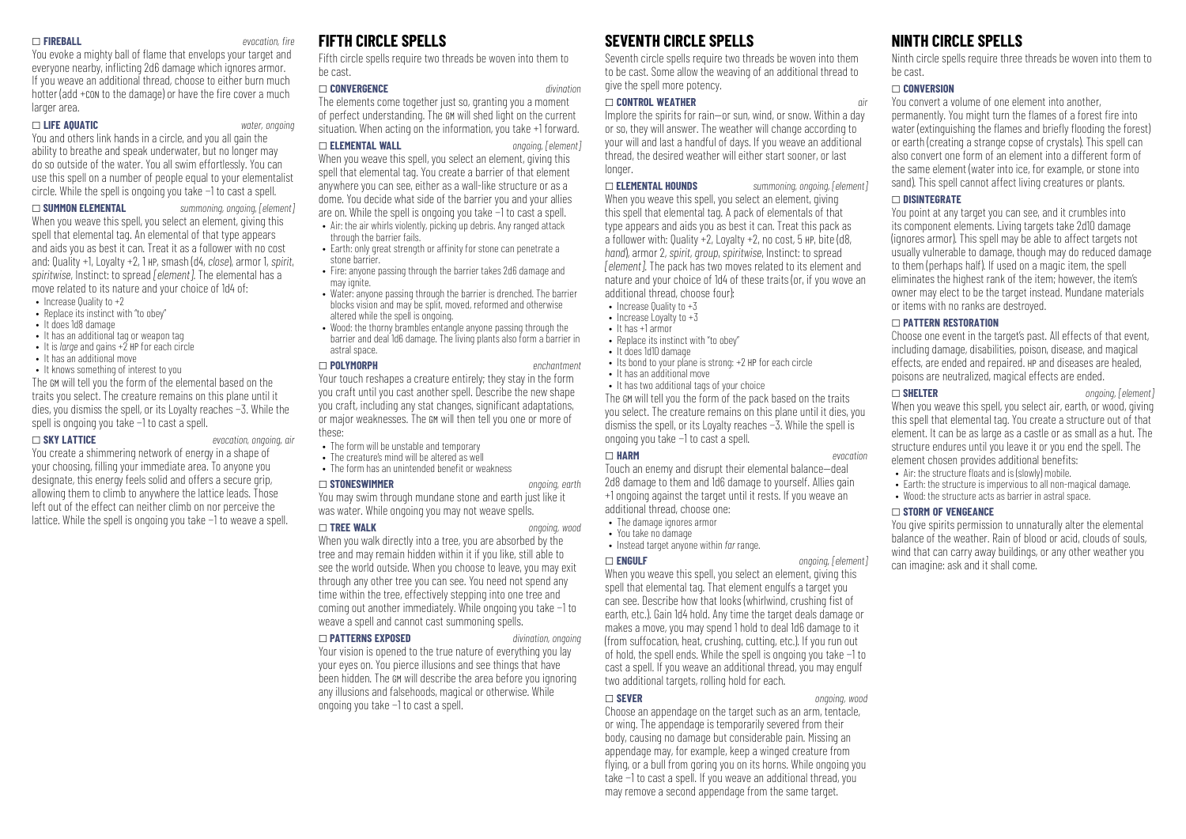#### \_ **FIREBALL** *evocation, re*

You evoke a mighty ball of flame that envelops your target and everyone nearby, inflicting 2d6 damage which ignores armor. If you weave an additional thread, choose to either burn much hotter (add +con to the damage) or have the fire cover a much larger area.

#### \_ **LIFE AQUATIC** *water, ongoing*

You and others link hands in a circle, and you all gain the ability to breathe and speak underwater, but no longer may do so outside of the water. You all swim effortlessly. You can use this spell on a number of people equal to your elementalist circle. While the spell is ongoing you take −1 to cast a spell.

\_ **SUMMON ELEMENTAL** *summoning, ongoing, [element]*

When you weave this spell, you select an element, giving this spell that elemental tag. An elemental of that type appears and aids you as best it can. Treat it as a follower with no cost and: Quality +1, Loyalty +2, 1 HP, smash (d4, *close*), armor 1, *spirit*, *spiritwise*, Instinct: to spread *[element]*. The elemental has a move related to its nature and your choice of 1d4 of:

- Increase Quality to +2
- Replace its instinct with "to obey"
- It does 1d8 damage
- It has an additional tag or weapon tag • It is *large* and gains +2 HP for each circle
- It has an additional move
- 

• It knows something of interest to you The GM will tell you the form of the elemental based on the traits you select. The creature remains on this plane until it dies, you dismiss the spell, or its Loyalty reaches −3. While the spell is ongoing you take −1 to cast a spell.

#### \_ **SKY LATTICE** *evocation, ongoing, air*

You create a shimmering network of energy in a shape of your choosing, filling your immediate area. To anyone you designate, this energy feels solid and offers a secure grip, allowing them to climb to anywhere the lattice leads. Those left out of the effect can neither climb on nor perceive the lattice. While the spell is ongoing you take −1 to weave a spell.

# **FIFTH CIRCLE SPELLS**

Fifth circle spells require two threads be woven into them to be cast.

#### \_ **CONVERGENCE** *divination*

The elements come together just so, granting you a moment of perfect understanding. The GM will shed light on the current situation. When acting on the information, you take +1 forward.

#### \_ **ELEMENTAL WALL** *ongoing, [element]*

When you weave this spell, you select an element, giving this spell that elemental tag. You create a barrier of that element anywhere you can see, either as a wall-like structure or as a dome. You decide what side of the barrier you and your allies are on. While the spell is ongoing you take −1 to cast a spell.

- Air: the air whirls violently, picking up debris. Any ranged attack through the barrier fails.
- Farth: only great strength or affinity for stone can penetrate a stone barrier.
- Fire: anyone passing through the barrier takes 2d6 damage and may ignite.
- Water: anyone passing through the barrier is drenched. The barrier blocks vision and may be split, moved, reformed and otherwise altered while the spell is ongoing.
- Wood: the thorny brambles entangle anyone passing through the barrier and deal 1d6 damage. The living plants also form a barrier in astral space.

\_ **POLYMORPH** *enchantment* Your touch reshapes a creature entirely; they stay in the form you craft until you cast another spell. Describe the new shape you craft, including any stat changes, significant adaptations, or major weaknesses. The GM will then tell you one or more of these:

- The form will be unstable and temporary
- The creature's mind will be altered as well
- The form has an unintended benefit or weakness

#### \_ **STONESWIMMER** *ongoing, earth*

You may swim through mundane stone and earth just like it was water. While ongoing you may not weave spells.

#### \_ **TREE WALK** *ongoing, wood*

When you walk directly into a tree, you are absorbed by the tree and may remain hidden within it if you like, still able to see the world outside. When you choose to leave, you may exit through any other tree you can see. You need not spend any time within the tree, effectively stepping into one tree and coming out another immediately. While ongoing you take −1 to weave a spell and cannot cast summoning spells.

#### \_ **PATTERNS EXPOSED** *divination, ongoing*

Your vision is opened to the true nature of everything you lay your eyes on. You pierce illusions and see things that have been hidden. The GM will describe the area before you ignoring any illusions and falsehoods, magical or otherwise. While ongoing you take −1 to cast a spell.

# **SEVENTH CIRCLE SPELLS**

Seventh circle spells require two threads be woven into them to be cast. Some allow the weaving of an additional thread to give the spell more potency.

#### \_ **CONTROL WEATHER** *air*

Implore the spirits for rain—or sun, wind, or snow. Within a day or so, they will answer. The weather will change according to your will and last a handful of days. If you weave an additional thread, the desired weather will either start sooner, or last longer.

#### \_ **ELEMENTAL HOUNDS** *summoning, ongoing, [element]*

When you weave this spell, you select an element, giving this spell that elemental tag. A pack of elementals of that type appears and aids you as best it can. Treat this pack as a follower with: Quality  $+2$ , Loyalty  $+2$ , no cost, 5 HP, bite (d8, *hand*), armor 2, *spirit*, *group*, *spiritwise*, Instinct: to spread *[element]*. The pack has two moves related to its element and nature and your choice of 1d4 of these traits (or, if you wove an additional thread, choose four):

- $\bullet$  Increase Quality to  $+3$
- Increase Loyalty to +3
- It has +1 armor
- Replace its instinct with "to obey" • It does 1d10 damage
- Its bond to your plane is strong: +2 HP for each circle
- It has an additional move
- It has two additional tags of your choice

The GM will tell you the form of the pack based on the traits you select. The creature remains on this plane until it dies, you dismiss the spell, or its Loyalty reaches −3. While the spell is ongoing you take −1 to cast a spell.

#### \_ **HARM** *evocation*

Touch an enemy and disrupt their elemental balance—deal 2d8 damage to them and 1d6 damage to yourself. Allies gain +1 ongoing against the target until it rests. If you weave an additional thread, choose one:

- The damage ignores armor
- You take no damage
- Instead target anyone within *far* range.

#### \_ **ENGULF** *ongoing, [element]*

When you weave this spell, you select an element, giving this spell that elemental tag. That element engulfs a target you can see. Describe how that looks (whirlwind, crushing fist of earth, etc.). Gain 1d4 hold. Any time the target deals damage or makes a move, you may spend 1 hold to deal 1d6 damage to it (from suffocation, heat, crushing, cutting, etc.). If you run out of hold, the spell ends. While the spell is ongoing you take −1 to cast a spell. If you weave an additional thread, you may engulf two additional targets, rolling hold for each.

#### \_ **SEVER** *ongoing, wood*

Choose an appendage on the target such as an arm, tentacle, or wing. The appendage is temporarily severed from their body, causing no damage but considerable pain. Missing an appendage may, for example, keep a winged creature from flying, or a bull from goring you on its horns. While ongoing you take −1 to cast a spell. If you weave an additional thread, you may remove a second appendage from the same target.

# **NINTH CIRCLE SPELLS**

Ninth circle spells require three threads be woven into them to be cast.

#### \_ **CONVERSION**

You convert a volume of one element into another, permanently. You might turn the flames of a forest fire into  $\frac{1}{2}$  water (extinguishing the flames and briefly flooding the forest) or earth (creating a strange copse of crystals). This spell can also convert one form of an element into a different form of the same element (water into ice, for example, or stone into sand). This spell cannot affect living creatures or plants.

#### \_ **DISINTEGRATE**

You point at any target you can see, and it crumbles into its component elements. Living targets take 2d10 damage (ignores armor). This spell may be able to affect targets not usually vulnerable to damage, though may do reduced damage to them (perhaps half). If used on a magic item, the spell eliminates the highest rank of the item; however, the item's owner may elect to be the target instead. Mundane materials or items with no ranks are destroyed.

#### \_ **PATTERN RESTORATION**

Choose one event in the target's past. All effects of that event, including damage, disabilities, poison, disease, and magical effects, are ended and repaired. HP and diseases are healed, poisons are neutralized, magical effects are ended.

#### \_ **SHELTER** *ongoing, [element]*

When you weave this spell, you select air, earth, or wood, giving this spell that elemental tag. You create a structure out of that element. It can be as large as a castle or as small as a hut. The structure endures until you leave it or you end the spell. The element chosen provides additional benefits:

- $\bullet$  Air: the structure floats and is (slowly) mobile.
- Earth: the structure is impervious to all non-magical damage.
- Wood: the structure acts as barrier in astral space.

#### \_ **STORM OF VENGEANCE**

You give spirits permission to unnaturally alter the elemental balance of the weather. Rain of blood or acid, clouds of souls, wind that can carry away buildings, or any other weather you can imagine: ask and it shall come.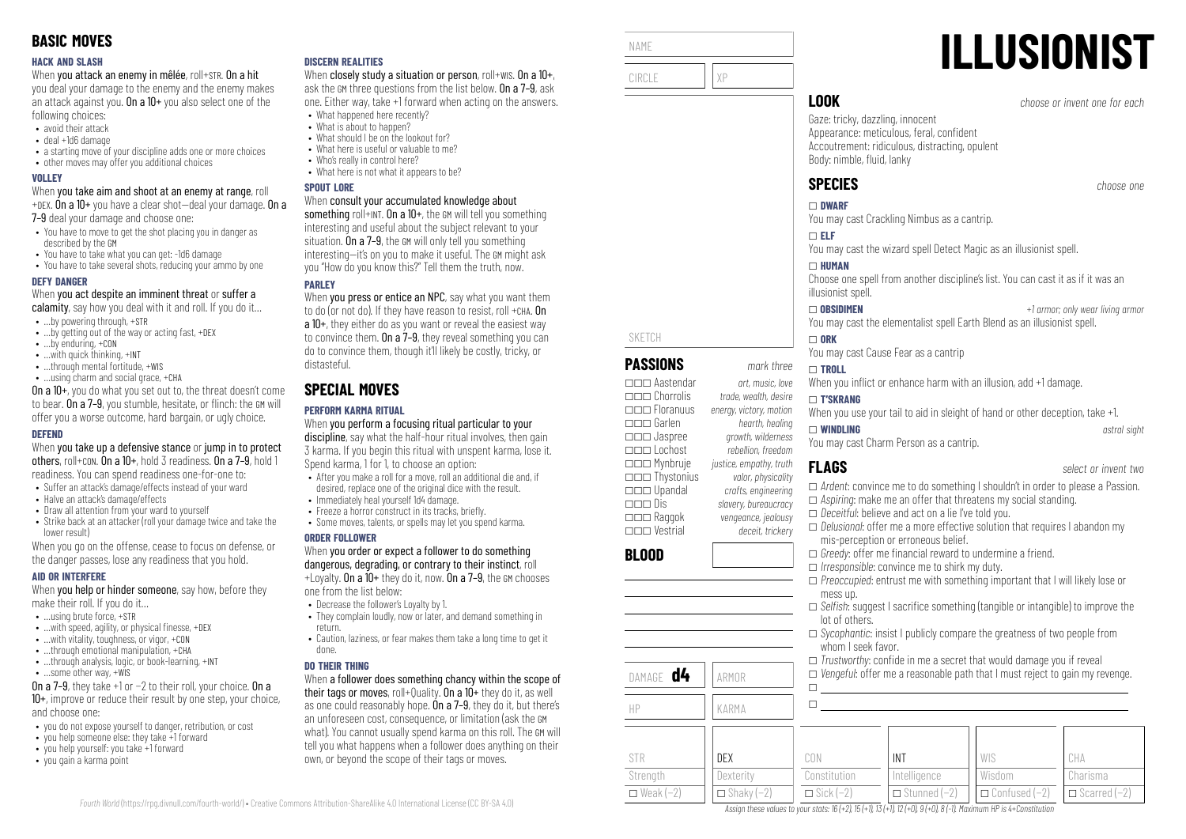#### **HACK AND SLASH**

When you attack an enemy in mêlée, roll+STR. On a hit

you deal your damage to the enemy and the enemy makes an attack against you. On a  $10+$  you also select one of the following choices:

- avoid their attack
- deal +1d6 damage
- a starting move of your discipline adds one or more choices
- other moves may offer you additional choices

#### **VOLLEY**

When you take aim and shoot at an enemy at range, roll +DEX. On a 10+ you have a clear shot—deal your damage. On a

7–9 deal your damage and choose one:

- You have to move to get the shot placing you in danger as described by the GM
- You have to take what you can get: -1d6 damage
- You have to take several shots, reducing your ammo by one

#### **DEFY DANGER**

When you act despite an imminent threat or suffer a

- calamity, say how you deal with it and roll. If you do it...
- …by powering through, +STR
- …by getting out of the way or acting fast, +DEX
- …by enduring, +CON
- …with quick thinking, +INT
- ...through mental fortitude, +WIS • …using charm and social grace, +CHA

On a 10+, you do what you set out to, the threat doesn't come to bear. On a 7–9, you stumble, hesitate, or flinch: the GM will offer you a worse outcome, hard bargain, or ugly choice.

#### **DEFEND**

When you take up a defensive stance or jump in to protect others, roll+CON. On a 10+, hold 3 readiness. On a 7–9, hold 1 readiness. You can spend readiness one-for-one to:

- Suffer an attack's damage/effects instead of your ward
- Halve an attack's damage/effects
- Draw all attention from your ward to yourself
- Strike back at an attacker (roll your damage twice and take the lower result)

When you go on the offense, cease to focus on defense, or the danger passes, lose any readiness that you hold.

#### **AID OR INTERFERE**

When **you help or hinder someone**, say how, before they make their roll. If you do it…

- $\bullet$  **using brute force,**  $\text{+STR}$
- $\bullet$  ... with speed, agility, or physical finesse,  $+$ DEX
- …with vitality, toughness, or vigor, +CON
- $\bullet$  through emotional manipulation,  $+CHA$
- …through analysis, logic, or book-learning, +INT
- …some other way, +WIS

On a 7–9, they take +1 or −2 to their roll, your choice. On a 10+, improve or reduce their result by one step, your choice, and choose one:

- you do not expose yourself to danger, retribution, or cost
- you help someone else: they take +1 forward
- you help yourself: you take +1 forward
- you gain a karma point

#### **DISCERN REALITIES**

When closely study a situation or person, roll+WIS. On a  $10+$ , ask the GM three questions from the list below. On a 7–9, ask one. Either way, take +1 forward when acting on the answers.

- What happened here recently? • What is about to hannen?
- What should I be on the lookout for?
- What here is useful or valuable to me?
- Who's really in control here?
- What here is not what it annears to be?

#### **SPOUT LORE**

#### When consult your accumulated knowledge about

something roll+INT. On a 10+, the GM will tell you something interesting and useful about the subject relevant to your situation. On a 7–9, the GM will only tell you something interesting—it's on you to make it useful. The GM might ask you "How do you know this?" Tell them the truth, now.

## **PARLEY**

When you press or entice an NPC, say what you want them to do (or not do). If they have reason to resist, roll +CHA. On a 10+, they either do as you want or reveal the easiest way to convince them. On a 7–9, they reveal something you can do to convince them, though it'll likely be costly, tricky, or distasteful.

# **SPECIAL MOVES**

## **PERFORM KARMA RITUAL**

When you perform a focusing ritual particular to your discipline, say what the half-hour ritual involves, then gain 3 karma. If you begin this ritual with unspent karma, lose it. Spend karma, 1 for 1, to choose an option:

- After you make a roll for a move, roll an additional die and, if desired, replace one of the original dice with the result.
- Immediately heal yourself 1d4 damage.
- $\bullet$  Freeze a horror construct in its tracks, briefly.
- Some moves, talents, or spells may let you spend karma.

#### **ORDER FOLLOWER**

#### When you order or expect a follower to do something dangerous, degrading, or contrary to their instinct, roll  $+1$  ovalty. On a  $10+$  they do it, now. On a 7-9, the GM chooses

one from the list below:

- Decrease the follower's Loyalty by 1.
- They complain loudly, now or later, and demand something in return.
- Caution, laziness, or fear makes them take a long time to get it done.

## **DO THEIR THING**

When a follower does something chancy within the scope of their tags or moves, roll+Quality. On a 10+ they do it, as well as one could reasonably hope. On a 7–9, they do it, but there's an unforeseen cost, consequence, or limitation (ask the GM what). You cannot usually spend karma on this roll. The GM will tell you what happens when a follower does anything on their own, or beyond the scope of their tags or moves.



 $\Box$ 

\_\_\_ Thystonius *valor, physicality* \_\_\_ Upandal *crafts, engineering*

\_\_\_ Raggok *vengeance, jealousy* \_\_\_ Vestrial *deceit, trickery*

DAMAGE **d4** ARMOR

**BLOOD**

\_\_\_ Dis *slavery, bureaucracy*

- \_ *Ardent*: convince me to do something I shouldn't in order to please a Passion.
- \_ *Aspiring*: make me an offer that threatens my social standing. \_ *Deceitful*: believe and act on a lie I've told you.
- \_ *Delusional*: offer me a more effective solution that requires I abandon my mis-perception or erroneous belief.
- $\Box$  *Greedy:* offer me financial reward to undermine a friend.
- □ *Irresponsible*: convince me to shirk my duty.
- \_ *Preoccupied*: entrust me with something important that I will likely lose or mess up.
- □ *Selfish:* suggest I sacrifice something (tangible or intangible) to improve the lot of others.
- \_ *Sycophantic*: insist I publicly compare the greatness of two people from whom I seek favor.
- $\Box$  *Trustworthy:* confide in me a secret that would damage you if reveal
- \_ *Vengeful*: offer me a reasonable path that I must reject to gain my revenge.  $\Box$

| HP                                  | KARMA                                 |                                         |                                                   |                                                               |                 |
|-------------------------------------|---------------------------------------|-----------------------------------------|---------------------------------------------------|---------------------------------------------------------------|-----------------|
| STR<br>Strength<br>$\Box$ Weak (-2) | DEX<br>Dexterity<br>$\Box$ Shaky (-2) | CON<br>Constitution<br>$\Box$ Sick (-2) | <b>INT</b><br>Intelligence<br>$\Box$ Stunned (-2) | WIS<br>Wisdom<br>$\Box$ Confused $(-2)$ $\Box$ Scarred $(-2)$ | CHA<br>Charisma |

Assign these values to your stats:  $16 (+2)$ ,  $15 (+1)$ ,  $13 (+1)$ ,  $12 (+0)$ ,  $9 (+0)$ ,  $8 (-1)$ . Maximum HP is 4+Constitution

You may cast the wizard spell Detect Magic as an illusionist spell.

Choose one spell from another discipline's list. You can cast it as if it was an

\_ **OBSIDIMEN** *+1 armor; only wear living armor* You may cast the elementalist spell Earth Blend as an illusionist spell.

When you inflict or enhance harm with an illusion, add +1 damage.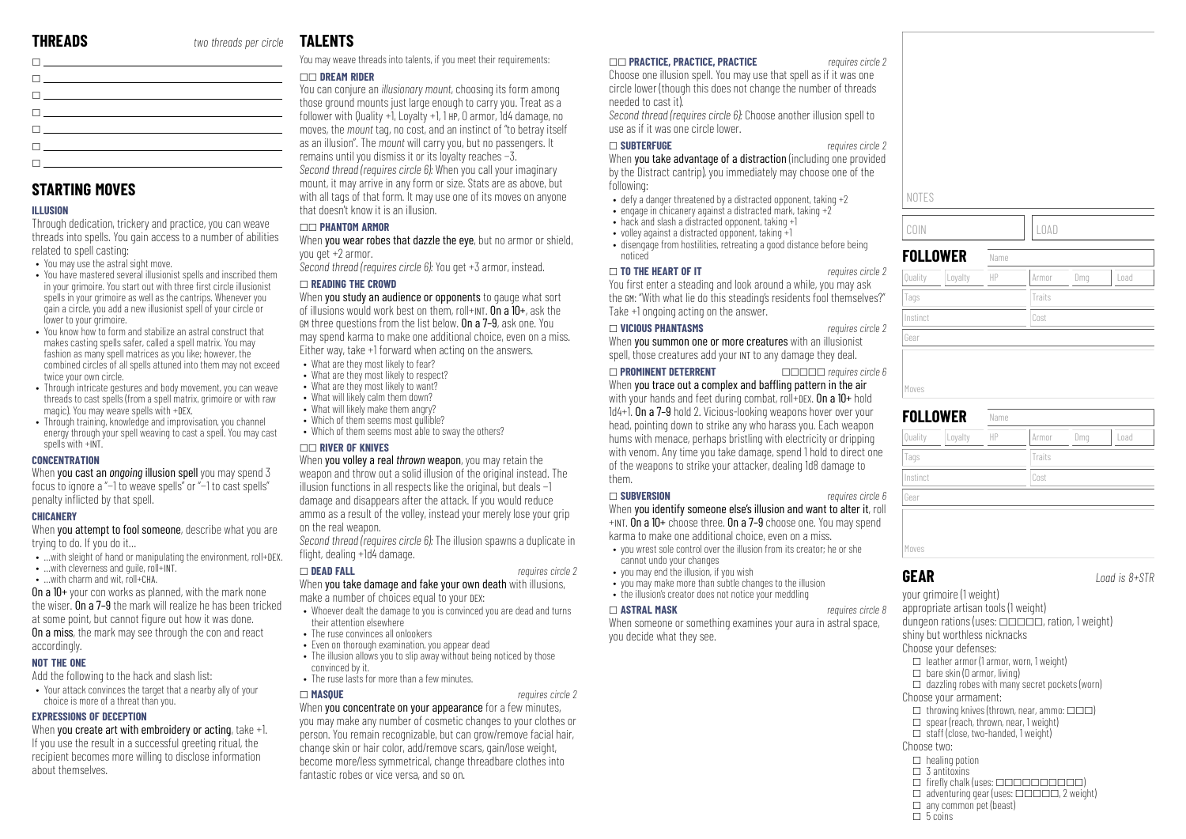# **TAL FNTS**

| <u>  ______________________</u>                                                                                                                                                                                                   |
|-----------------------------------------------------------------------------------------------------------------------------------------------------------------------------------------------------------------------------------|
| $\mathbf{I}$ and $\mathbf{I}$ are all $\mathbf{I}$ and $\mathbf{I}$ are all $\mathbf{I}$ and $\mathbf{I}$ are all $\mathbf{I}$                                                                                                    |
| the contract of the contract of the contract of the                                                                                                                                                                               |
| $\mathbf{I}$ and the set of the set of the set of the set of the set of the set of the set of the set of the set of the set of the set of the set of the set of the set of the set of the set of the set of the set of the set of |
| the contract of the contract of the contract of the contract of the contract of the contract of the contract of                                                                                                                   |
| the contract of the contract of the contract of the contract of the contract of the contract of the contract of                                                                                                                   |
| <u> 1989 - John Harry Harry Harry Harry Harry Harry Harry Harry Harry Harry Harry Harry Harry Harry Harry Harry H</u>                                                                                                             |

# **STARTING MOVES**

#### **ILLUSION**

Through dedication, trickery and practice, you can weave threads into spells. You gain access to a number of abilities related to spell casting:

- You may use the astral sight move.
- You have mastered several illusionist spells and inscribed them in your grimoire. You start out with three first circle illusionist spells in your grimoire as well as the cantrips. Whenever you gain a circle, you add a new illusionist spell of your circle or lower to your grimoire.
- You know how to form and stabilize an astral construct that makes casting spells safer, called a spell matrix. You may fashion as many spell matrices as you like; however, the combined circles of all spells attuned into them may not exceed twice your own circle.
- Through intricate gestures and body movement, you can weave threads to cast spells (from a spell matrix, grimoire or with raw magic). You may weave spells with +DEX.
- Through training, knowledge and improvisation, you channel energy through your spell weaving to cast a spell. You may cast spells with +INT

#### **CONCENTRATION**

When you cast an *ongoing* illusion spell you may spend 3 focus to ignore a "−1 to weave spells" or "−1 to cast spells" penalty inflicted by that spell.

#### **CHICANERY**

When **you attempt to fool someone**, describe what you are trying to do. If you do it…

- …with sleight of hand or manipulating the environment, roll+DEX.
- …with cleverness and quile, roll+INT.
- …with charm and wit, roll+CHA.

On a 10+ your con works as planned, with the mark none the wiser. On a 7–9 the mark will realize he has been tricked at some point, but cannot figure out how it was done. On a miss, the mark may see through the con and react accordingly.

#### **NOT THE ONE**

- Add the following to the hack and slash list:
- Your attack convinces the target that a nearby ally of your choice is more of a threat than you.

#### **EXPRESSIONS OF DECEPTION**

When you create art with embroidery or acting, take +1. If you use the result in a successful greeting ritual, the recipient becomes more willing to disclose information about themselves.

You may weave threads into talents, if you meet their requirements:

#### \_\_ **DREAM RIDER**

You can conjure an *illusionary mount*, choosing its form among those ground mounts just large enough to carry you. Treat as a follower with Quality +1, Loyalty +1, 1 HP, 0 armor, 1d4 damage, no moves, the *mount* tag, no cost, and an instinct of "to betray itself as an illusion". The *mount* will carry you, but no passengers. It remains until you dismiss it or its loyalty reaches −3. *Second thread (requires circle 6):* When you call your imaginary mount, it may arrive in any form or size. Stats are as above, but with all tags of that form. It may use one of its moves on anyone that doesn't know it is an illusion.

#### \_\_ **PHANTOM ARMOR**

When you wear robes that dazzle the eye, but no armor or shield, you get +2 armor.

*Second thread (requires circle 6):* You get +3 armor, instead.

#### \_ **READING THE CROWD**

When you study an audience or opponents to gauge what sort of illusions would work best on them, roll+INT. On a  $10+$ , ask the GM three questions from the list below. On a 7–9, ask one. You may spend karma to make one additional choice, even on a miss. Either way, take +1 forward when acting on the answers.

- What are they most likely to fear?
- What are they most likely to respect?
- What are they most likely to want?
- What will likely calm them down? • What will likely make them angry?
- Which of them seems most quilible?
- Which of them seems most able to sway the others?

#### \_\_ **RIVER OF KNIVES**

When you volley a real *thrown* weapon, you may retain the weapon and throw out a solid illusion of the original instead. The illusion functions in all respects like the original, but deals −1 damage and disappears after the attack. If you would reduce ammo as a result of the volley, instead your merely lose your grip on the real weapon.

*Second thread (requires circle 6):* The illusion spawns a duplicate in flight, dealing +1d4 damage.

#### \_ **DEAD FALL** *requires circle 2*

# When you take damage and fake your own death with illusions.

- make a number of choices equal to your DEX:
- Whoever dealt the damage to you is convinced you are dead and turns their attention elsewhere
- The ruse convinces all onlookers
- Even on thorough examination, you appear dead
- The illusion allows you to slip away without being noticed by those convinced by it.
- The ruse lasts for more than a few minutes

#### \_ **MASQUE** *requires circle 2*

When you concentrate on your appearance for a few minutes, you may make any number of cosmetic changes to your clothes or person. You remain recognizable, but can grow/remove facial hair, change skin or hair color, add/remove scars, gain/lose weight, become more/less symmetrical, change threadbare clothes into fantastic robes or vice versa, and so on.

#### \_\_ **PRACTICE, PRACTICE, PRACTICE** *requires circle 2*

Choose one illusion spell. You may use that spell as if it was one circle lower (though this does not change the number of threads needed to cast it).

*Second thread (requires circle 6):* Choose another illusion spell to use as if it was one circle lower.

#### \_ **SUBTERFUGE** *requires circle 2*

When you take advantage of a distraction (including one provided by the Distract cantrip), you immediately may choose one of the following:

- defy a danger threatened by a distracted opponent, taking  $+2$
- engage in chicanery against a distracted mark, taking  $+2$
- hack and slash a distracted opponent, taking +1
- volley against a distracted opponent, taking  $+1$ • disengage from hostilities, retreating a good distance before being noticed

#### \_ **TO THE HEART OF IT** *requires circle 2*

You first enter a steading and look around a while, you may ask the GM: "With what lie do this steading's residents fool themselves?" Take +1 ongoing acting on the answer.

#### \_ **VICIOUS PHANTASMS** *requires circle 2*

When you summon one or more creatures with an illusionist spell, those creatures add your INT to any damage they deal.

#### \_ **PROMINENT DETERRENT** \_\_\_\_\_ *requires circle 6*

When you trace out a complex and baffling pattern in the air with your hands and feet during combat, roll+DEX. On a 10+ hold 1d4+1. On a 7–9 hold 2. Vicious-looking weapons hover over your head, pointing down to strike any who harass you. Each weapon hums with menace, perhaps bristling with electricity or dripping with venom. Any time you take damage, spend 1 hold to direct one of the weapons to strike your attacker, dealing 1d8 damage to them.

#### \_ **SUBVERSION** *requires circle 6*

When you identify someone else's illusion and want to alter it, roll +INT. On a 10+ choose three. On a 7–9 choose one. You may spend karma to make one additional choice, even on a miss.

- you wrest sole control over the illusion from its creator; he or she cannot undo your changes
- you may end the illusion, if you wish
- you may make more than subtle changes to the illusion hand there went allow the indice your meddling

\_ **ASTRAL MASK** *requires circle 8* xamines your aura in astral space, you decide what they see.

| NOTES    |         |      |        |     |      |  |
|----------|---------|------|--------|-----|------|--|
| COIN     |         |      | LOAD   |     |      |  |
| FOLLOWER |         | Name |        |     |      |  |
| Quality  | Loyalty | HP   | Armor  | Dmg | Load |  |
| Tags     |         |      | Traits |     |      |  |

| Gear               |      |        |     |      |
|--------------------|------|--------|-----|------|
|                    |      |        |     |      |
|                    |      |        |     |      |
| Moves              |      |        |     |      |
| <b>FOLLOWER</b>    | Name |        |     |      |
| Loyalty<br>Quality | HP   | Armor  | Dmg | Load |
| Tags               |      | Traits |     |      |
| Instinct           |      | Cost   |     |      |
| Gear               |      |        |     |      |
|                    |      |        |     |      |
|                    |      |        |     |      |

Moves

COIN LOAD **FOLI** 

Tags

Instinct Cost

**GEAR** *Load is 8+STR*

your grimoire (1 weight) appropriate artisan tools (1 weight) dungeon rations (uses:  $\Box$  $\Box$  $\Box$ , ration, 1 weight) shiny but worthless nicknacks

#### Choose your defenses:

- $\Box$  leather armor (1 armor, worn, 1 weight)
- $\Box$  bare skin (0 armor, living)
- $\Box$  dazzling robes with many secret pockets (worn) Choose your armament:
- $\Box$  throwing knives (thrown, near, ammo:  $\Box \Box \Box$ )
- $\square$  spear (reach, thrown, near, 1 weight)
- $\Box$  staff (close, two-handed, 1 weight)
- Choose two:
- $\Box$  healing potion
- $\Box$  3 antitoxins
- $\Box$  firefly chalk (uses:  $\Box$  $\Box$  $\Box$  $\Box$  $\Box$  $\Box$  $\Box$ )
- $\Box$  adventuring gear (uses:  $\Box \Box \Box \Box \Box$  2 weight)  $\Box$  any common pet (beast)
- $\Box$  5 coins

| <b>THE ASTRAL MASK</b>                                                                                           |
|------------------------------------------------------------------------------------------------------------------|
| When someone or something ex                                                                                     |
| and the state of the state for the state of the state of the state of the state of the state of the state of the |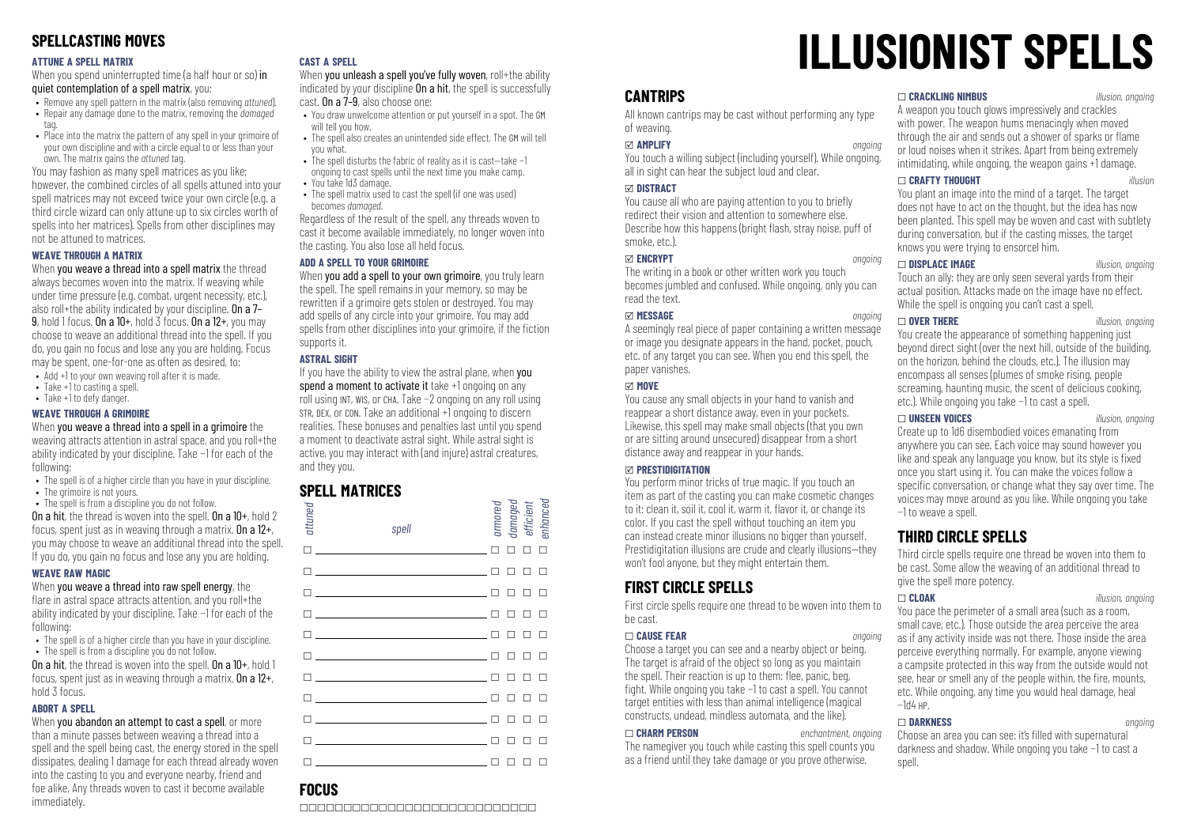# **SPELLCASTING MOVES**

#### **ATTUNE A SPELL MATRIX**

When you spend uninterrupted time (a half hour or so) in quiet contemplation of a spell matrix, you:

- Remove any spell pattern in the matrix (also removing *attuned*).
- Repair any damage done to the matrix, removing the *damaged*
- tag. • Place into the matrix the nattern of any spell in your grimoire of
- your own discipline and with a circle equal to or less than your own. The matrix gains the *attuned* tag.

You may fashion as many spell matrices as you like; however, the combined circles of all spells attuned into your spell matrices may not exceed twice your own circle (e.g. a third circle wizard can only attune up to six circles worth of spells into her matrices). Spells from other disciplines may not be attuned to matrices.

#### **WEAVE THROUGH A MATRIX**

When you weave a thread into a spell matrix the thread always becomes woven into the matrix. If weaving while under time pressure (e.g. combat, urgent necessity, etc.), also roll+the ability indicated by your discipline. On a 7– 9, hold 1 focus. On a  $10+$ , hold  $\overline{3}$  focus. On a  $12+$ , you may choose to weave an additional thread into the spell. If you do, you gain no focus and lose any you are holding. Focus may be spent, one-for-one as often as desired, to:

- Add +1 to your own weaving roll after it is made.
- Take +1 to casting a spell.
- Take +1 to defy danger.

#### **WEAVE THROUGH A GRIMOIRE**

When you weave a thread into a spell in a grimoire the weaving attracts attention in astral space, and you roll+the ability indicated by your discipline. Take −1 for each of the following:

- The spell is of a higher circle than you have in your discipline.
- The grimoire is not yours.
- The spell is from a discipline you do not follow. On a hit, the thread is woven into the spell. On a 10+, hold 2 focus, spent just as in weaving through a matrix. On a  $12+$ , you may choose to weave an additional thread into the spell.

## If you do, you gain no focus and lose any you are holding. **WEAVE RAW MAGIC**

When you weave a thread into raw spell energy, the flare in astral space attracts attention, and you roll+the ability indicated by your discipline. Take −1 for each of the following:

- The spell is of a higher circle than you have in your discipline.
- The spell is from a discipline you do not follow.

On a hit, the thread is woven into the spell. On a 10+, hold 1 focus, spent just as in weaving through a matrix. On a 12+, hold 3 focus.

#### **ABORT A SPELL**

When you abandon an attempt to cast a spell, or more than a minute passes between weaving a thread into a spell and the spell being cast, the energy stored in the spell dissipates, dealing 1 damage for each thread already woven into the casting to you and everyone nearby, friend and foe alike. Any threads woven to cast it become available immediately.

#### **CAST A SPELL**

When you unleash a spell you've fully woven, roll+the ability indicated by your discipline **On a hit**, the spell is successfully cast. On a 7–9, also choose one:

- You draw unwelcome attention or put yourself in a spot. The GM will tell you how.
- The spell also creates an unintended side effect. The GM will tell you what. • The spell disturbs the fabric of reality as it is cast—take −1
- ongoing to cast spells until the next time you make camp.
- You take 1d3 damage.
- The spell matrix used to cast the spell (if one was used) becomes *damaged*.

Regardless of the result of the spell, any threads woven to cast it become available immediately, no longer woven into the casting. You also lose all held focus.

#### **ADD A SPELL TO YOUR GRIMOIRE**

When you add a spell to your own grimoire, you truly learn the spell. The spell remains in your memory, so may be rewritten if a grimoire gets stolen or destroyed. You may add spells of any circle into your grimoire. You may add spells from other disciplines into your grimoire, if the fiction supports it.

#### **ASTRAL SIGHT**

If you have the ability to view the astral plane, when you spend a moment to activate it take +1 ongoing on any roll using INT, WIS, or CHA. Take −2 ongoing on any roll using STR, DEX, or CON. Take an additional +1 ongoing to discern realities. These bonuses and penalties last until you spend a moment to deactivate astral sight. While astral sight is active, you may interact with (and injure) astral creatures, and they you.

# **SPELL MATRICES**

| attuned | spell                                                                                                                                                                                                                                                                          |        | armored<br>damaged<br>efficient |               | enhanced |
|---------|--------------------------------------------------------------------------------------------------------------------------------------------------------------------------------------------------------------------------------------------------------------------------------|--------|---------------------------------|---------------|----------|
|         |                                                                                                                                                                                                                                                                                | $\Box$ | п                               | П             | п        |
|         | <u> Discovering and the second control of the second control of the second control of the second control of the second</u>                                                                                                                                                     | П      | п                               | П             | $\Box$   |
|         | $\Box$ and $\Box$ and $\Box$ and $\Box$ and $\Box$ and $\Box$ and $\Box$ and $\Box$ and $\Box$ and $\Box$ and $\Box$ and $\Box$ and $\Box$ and $\Box$ and $\Box$ and $\Box$ and $\Box$ and $\Box$ and $\Box$ and $\Box$ and $\Box$ and $\Box$ and $\Box$ and $\Box$ and $\Box$ |        | п                               | П.            | $\Box$   |
|         | $\Box$ and $\Box$ and $\Box$ and $\Box$ and $\Box$ and $\Box$ and $\Box$ and $\Box$ and $\Box$ and $\Box$ and $\Box$ and $\Box$ and $\Box$ and $\Box$ and $\Box$ and $\Box$ and $\Box$ and $\Box$ and $\Box$ and $\Box$ and $\Box$ and $\Box$ and $\Box$ and $\Box$ and $\Box$ |        | п                               | $\Box$ $\Box$ |          |
|         | <u>n e gazet e communes de la pa</u>                                                                                                                                                                                                                                           | П      | п                               | П             | $\Box$   |
|         | $\Box$                                                                                                                                                                                                                                                                         |        | п                               | П             | $\Box$   |
|         | n <u>- Alexander Alexander Alexander II</u> n                                                                                                                                                                                                                                  |        | п                               | п             | $\Box$   |
|         |                                                                                                                                                                                                                                                                                |        | п                               | П             | $\Box$   |
|         | <u> Louis Communication and the Communication of</u>                                                                                                                                                                                                                           |        | п                               | п             | П        |
|         | <u>n en som som som som en m</u>                                                                                                                                                                                                                                               |        | п                               | п             | П        |
|         |                                                                                                                                                                                                                                                                                |        | ח ח ח ח                         |               |          |

# **ILLUSIONIST SPELLS**

# **CANTRIPS**

All known cantrips may be cast without performing any type of weaving.

#### x **AMPLIFY** *ongoing*

You touch a willing subject (including yourself). While ongoing, all in sight can hear the subject loud and clear.

#### x **DISTRACT**

You cause all who are paying attention to you to briefly redirect their vision and attention to somewhere else. Describe how this happens (bright flash, stray noise, puff of smoke, etc.)

#### x **ENCRYPT** *ongoing*

The writing in a book or other written work you touch becomes jumbled and confused. While ongoing, only you can read the text.

#### x **MESSAGE** *ongoing*

A seemingly real piece of paper containing a written message or image you designate appears in the hand, pocket, pouch, etc. of any target you can see. When you end this spell, the paper vanishes.

#### x **MOVE**

You cause any small objects in your hand to vanish and reappear a short distance away, even in your pockets. Likewise, this spell may make small objects (that you own or are sitting around unsecured) disappear from a short distance away and reappear in your hands.

#### x **PRESTIDIGITATION**

You perform minor tricks of true magic. If you touch an item as part of the casting you can make cosmetic changes to it: clean it, soil it, cool it, warm it, flavor it, or change its color. If you cast the spell without touching an item you can instead create minor illusions no bigger than yourself. Prestidigitation illusions are crude and clearly illusions—they won't fool anyone, but they might entertain them.

# **FIRST CIRCLE SPELLS**

First circle spells require one thread to be woven into them to be cast.

#### \_ **CAUSE FEAR** *ongoing*

Choose a target you can see and a nearby object or being. The target is afraid of the object so long as you maintain the spell. Their reaction is up to them: flee, panic, beg, ght. While ongoing you take −1 to cast a spell. You cannot target entities with less than animal intelligence (magical constructs, undead, mindless automata, and the like).

#### \_ **CHARM PERSON** *enchantment, ongoing*

The namegiver you touch while casting this spell counts you as a friend until they take damage or you prove otherwise.

#### \_ **CRACKLING NIMBUS** *illusion, ongoing*

A weapon you touch glows impressively and crackles with power. The weapon hums menacingly when moved through the air and sends out a shower of sparks or flame or loud noises when it strikes. Apart from being extremely intimidating, while ongoing, the weapon gains +1 damage.

#### \_ **CRAFTY THOUGHT** *illusion*

You plant an image into the mind of a target. The target does not have to act on the thought, but the idea has now been planted. This spell may be woven and cast with subtlety during conversation, but if the casting misses, the target knows you were trying to ensorcel him.

#### \_ **DISPLACE IMAGE** *illusion, ongoing*

Touch an ally: they are only seen several yards from their actual position. Attacks made on the image have no effect. While the spell is ongoing you can't cast a spell.

#### \_ **OVER THERE** *illusion, ongoing* You create the appearance of something happening just beyond direct sight (over the next hill, outside of the building, on the horizon, behind the clouds, etc.). The illusion may encompass all senses (plumes of smoke rising, people screaming, haunting music, the scent of delicious cooking, etc.). While ongoing you take −1 to cast a spell.

\_ **UNSEEN VOICES** *illusion, ongoing* Create up to 1d6 disembodied voices emanating from anywhere you can see. Each voice may sound however you like and speak any language you know, but its style is fixed once you start using it. You can make the voices follow a specific conversation, or change what they say over time. The voices may move around as you like. While ongoing you take −1 to weave a spell.

# **THIRD CIRCLE SPELLS**

Third circle spells require one thread be woven into them to be cast. Some allow the weaving of an additional thread to give the spell more potency.

\_ **CLOAK** *illusion, ongoing* You pace the perimeter of a small area (such as a room, small cave, etc.). Those outside the area perceive the area as if any activity inside was not there. Those inside the area perceive everything normally. For example, anyone viewing a campsite protected in this way from the outside would not see, hear or smell any of the people within, the fire, mounts, etc. While ongoing, any time you would heal damage, heal −1d4 HP.

#### \_ **DARKNESS** *ongoing*

Choose an area you can see: it's filled with supernatural darkness and shadow. While ongoing you take −1 to cast a snell.

# **FOCUS**

\_\_\_\_\_\_\_\_\_\_\_\_\_\_\_\_\_\_\_\_\_\_\_\_\_\_\_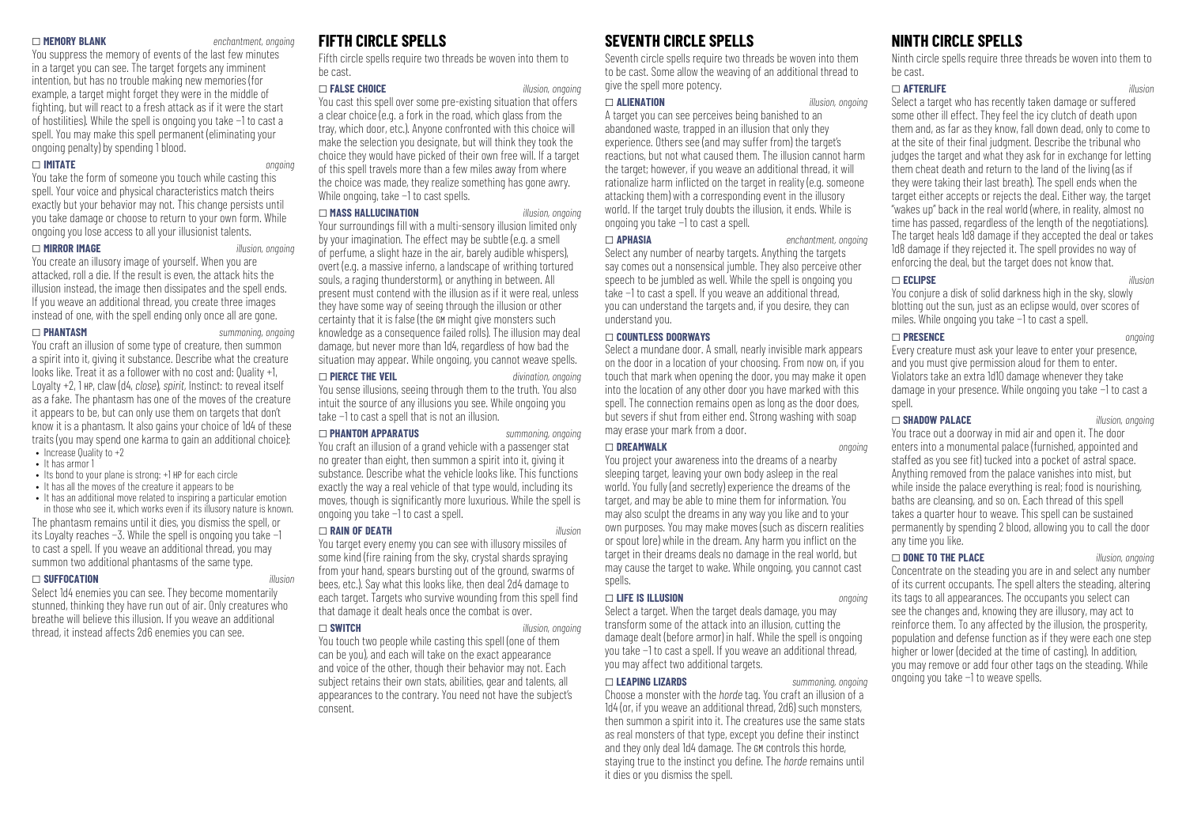#### \_ **MEMORY BLANK** *enchantment, ongoing*

You suppress the memory of events of the last few minutes in a target you can see. The target forgets any imminent intention, but has no trouble making new memories (for example, a target might forget they were in the middle of fighting, but will react to a fresh attack as if it were the start of hostilities). While the spell is ongoing you take −1 to cast a spell. You may make this spell permanent (eliminating your ongoing penalty) by spending 1 blood.

#### \_ **IMITATE** *ongoing*

You take the form of someone you touch while casting this spell. Your voice and physical characteristics match theirs exactly but your behavior may not. This change persists until you take damage or choose to return to your own form. While ongoing you lose access to all your illusionist talents.

\_ **MIRROR IMAGE** *illusion, ongoing*

You create an illusory image of yourself. When you are attacked, roll a die. If the result is even, the attack hits the illusion instead, the image then dissipates and the spell ends. If you weave an additional thread, you create three images instead of one, with the spell ending only once all are gone.

\_ **PHANTASM** *summoning, ongoing* You craft an illusion of some type of creature, then summon

a spirit into it, giving it substance. Describe what the creature looks like. Treat it as a follower with no cost and: Quality +1, Loyalty +2, 1 HP, claw (d4, *close*), *spirit*, Instinct: to reveal itself as a fake. The phantasm has one of the moves of the creature it appears to be, but can only use them on targets that don't know it is a phantasm. It also gains your choice of 1d4 of these traits (you may spend one karma to gain an additional choice): • Increase Quality to  $+2$ 

- It has armor 1
- Its bond to your plane is strong: +1 HP for each circle
- It has all the moves of the creature it annears to be
- It has an additional move related to inspiring a particular emotion

in those who see it, which works even if its illusory nature is known.

The phantasm remains until it dies, you dismiss the spell, or its Loyalty reaches −3. While the spell is ongoing you take −1 to cast a spell. If you weave an additional thread, you may summon two additional phantasms of the same type.

#### \_ **SUFFOCATION** *illusion*

Select 1d4 enemies you can see. They become momentarily stunned, thinking they have run out of air. Only creatures who breathe will believe this illusion. If you weave an additional thread, it instead affects 2d6 enemies you can see.

## **FIFTH CIRCLE SPELLS**

Fifth circle spells require two threads be woven into them to be cast.

#### \_ **FALSE CHOICE** *illusion, ongoing*

You cast this spell over some pre-existing situation that offers a clear choice (e.g. a fork in the road, which glass from the tray, which door, etc.). Anyone confronted with this choice will make the selection you designate, but will think they took the choice they would have picked of their own free will. If a target of this spell travels more than a few miles away from where the choice was made, they realize something has gone awry. While ongoing, take −1 to cast spells.

#### \_ **MASS HALLUCINATION** *illusion, ongoing*

Your surroundings fill with a multi-sensory illusion limited only by your imagination. The effect may be subtle (e.g. a smell of perfume, a slight haze in the air, barely audible whispers), overt (e.g. a massive inferno, a landscape of writhing tortured souls, a raging thunderstorm), or anything in between. All present must contend with the illusion as if it were real, unless they have some way of seeing through the illusion or other certainty that it is false (the GM might give monsters such knowledge as a consequence failed rolls). The illusion may deal damage, but never more than 1d4, regardless of how bad the situation may appear. While ongoing, you cannot weave spells.

#### \_ **PIERCE THE VEIL** *divination, ongoing*

You sense illusions, seeing through them to the truth. You also intuit the source of any illusions you see. While ongoing you take −1 to cast a spell that is not an illusion.

#### \_ **PHANTOM APPARATUS** *summoning, ongoing*

You craft an illusion of a grand vehicle with a passenger stat no greater than eight, then summon a spirit into it, giving it substance. Describe what the vehicle looks like. This functions exactly the way a real vehicle of that type would, including its moves, though is significantly more luxurious. While the spell is ongoing you take −1 to cast a spell.

#### \_ **RAIN OF DEATH** *illusion*

You target every enemy you can see with illusory missiles of some kind (fire raining from the sky, crystal shards spraying from your hand, spears bursting out of the ground, swarms of bees, etc.). Say what this looks like, then deal 2d4 damage to each target. Targets who survive wounding from this spell find that damage it dealt heals once the combat is over.

#### \_ **SWITCH** *illusion, ongoing*

You touch two people while casting this spell (one of them can be you), and each will take on the exact appearance and voice of the other, though their behavior may not. Each subject retains their own stats, abilities, gear and talents, all appearances to the contrary. You need not have the subject's consent.

# **SEVENTH CIRCLE SPELLS**

Seventh circle spells require two threads be woven into them to be cast. Some allow the weaving of an additional thread to give the spell more potency.

#### \_ **ALIENATION** *illusion, ongoing*

A target you can see perceives being banished to an abandoned waste, trapped in an illusion that only they experience. Others see (and may suffer from) the target's reactions, but not what caused them. The illusion cannot harm the target; however, if you weave an additional thread, it will rationalize harm inflicted on the target in reality (e.g. someone attacking them) with a corresponding event in the illusory world. If the target truly doubts the illusion, it ends. While is ongoing you take −1 to cast a spell.

\_ **APHASIA** *enchantment, ongoing* Select any number of nearby targets. Anything the targets say comes out a nonsensical jumble. They also perceive other speech to be jumbled as well. While the spell is ongoing you take −1 to cast a spell. If you weave an additional thread, you can understand the targets and, if you desire, they can understand you.

#### \_ **COUNTLESS DOORWAYS**

Select a mundane door. A small, nearly invisible mark appears on the door in a location of your choosing. From now on, if you touch that mark when opening the door, you may make it open into the location of any other door you have marked with this spell. The connection remains open as long as the door does, but severs if shut from either end. Strong washing with soap may erase your mark from a door.

#### \_ **DREAMWALK** *ongoing*

You project your awareness into the dreams of a nearby sleeping target, leaving your own body asleep in the real world. You fully (and secretly) experience the dreams of the target, and may be able to mine them for information. You may also sculpt the dreams in any way you like and to your own purposes. You may make moves (such as discern realities or spout lore) while in the dream. Any harm you inflict on the target in their dreams deals no damage in the real world, but may cause the target to wake. While ongoing, you cannot cast spells.

#### \_ **LIFE IS ILLUSION** *ongoing*

Select a target. When the target deals damage, you may transform some of the attack into an illusion, cutting the damage dealt (before armor) in half. While the spell is ongoing you take −1 to cast a spell. If you weave an additional thread, you may affect two additional targets.

#### \_ **LEAPING LIZARDS** *summoning, ongoing*

Choose a monster with the *horde* tag. You craft an illusion of a 1d4 (or, if you weave an additional thread, 2d6) such monsters, then summon a spirit into it. The creatures use the same stats as real monsters of that type, except you define their instinct and they only deal 1d4 damage. The GM controls this horde, staying true to the instinct you define. The *horde* remains until it dies or you dismiss the spell.

# **NINTH CIRCLE SPELLS**

Ninth circle spells require three threads be woven into them to be cast.

#### \_ **AFTERLIFE** *illusion*

Select a target who has recently taken damage or suffered some other ill effect. They feel the icy clutch of death upon them and, as far as they know, fall down dead, only to come to at the site of their final judgment. Describe the tribunal who judges the target and what they ask for in exchange for letting them cheat death and return to the land of the living (as if they were taking their last breath). The spell ends when the target either accepts or rejects the deal. Either way, the target "wakes up" back in the real world (where, in reality, almost no time has passed, regardless of the length of the negotiations). The target heals 1d8 damage if they accepted the deal or takes 1d8 damage if they rejected it. The spell provides no way of enforcing the deal, but the target does not know that.

#### \_ **ECLIPSE** *illusion*

You conjure a disk of solid darkness high in the sky, slowly blotting out the sun, just as an eclipse would, over scores of miles. While ongoing you take −1 to cast a spell.

#### \_ **PRESENCE** *ongoing*

Every creature must ask your leave to enter your presence, and you must give permission aloud for them to enter. Violators take an extra 1d10 damage whenever they take damage in your presence. While ongoing you take −1 to cast a spell.

\_ **SHADOW PALACE** *illusion, ongoing* You trace out a doorway in mid air and open it. The door enters into a monumental palace (furnished, appointed and staffed as you see fit) tucked into a pocket of astral space. Anything removed from the palace vanishes into mist, but while inside the palace everything is real; food is nourishing, baths are cleansing, and so on. Each thread of this spell takes a quarter hour to weave. This spell can be sustained permanently by spending 2 blood, allowing you to call the door any time you like.

\_ **DONE TO THE PLACE** *illusion, ongoing*

ongoing you take −1 to weave spells.

Concentrate on the steading you are in and select any number of its current occupants. The spell alters the steading, altering its tags to all appearances. The occupants you select can see the changes and, knowing they are illusory, may act to reinforce them. To any affected by the illusion, the prosperity, population and defense function as if they were each one step higher or lower (decided at the time of casting). In addition, you may remove or add four other tags on the steading. While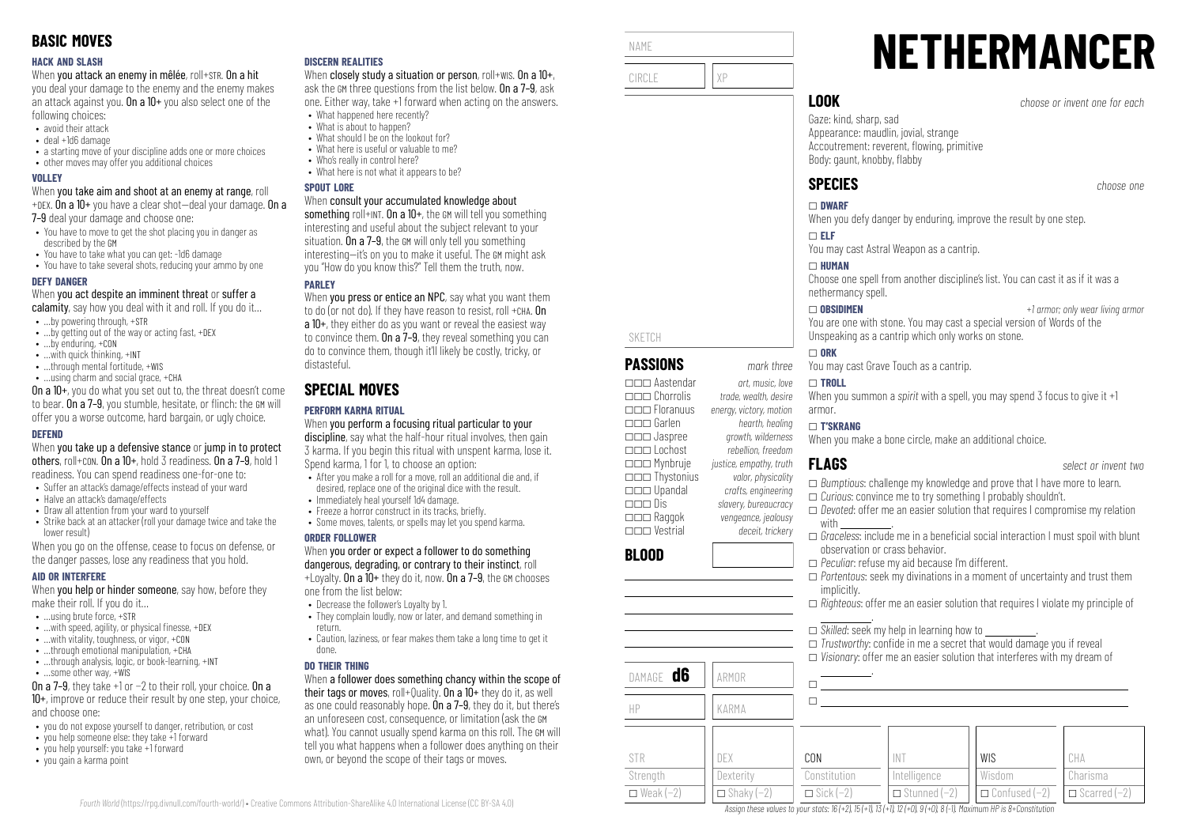#### **HACK AND SLASH**

When you attack an enemy in mêlée, roll+STR. On a hit

you deal your damage to the enemy and the enemy makes an attack against you. On a  $10+$  you also select one of the following choices:

- avoid their attack
- deal +1d6 damage
- a starting move of your discipline adds one or more choices
- other moves may offer you additional choices

#### **VOLLEY**

When you take aim and shoot at an enemy at range, roll +DEX. On a  $10+$  you have a clear shot-deal your damage. On a

7-9 deal your damage and choose one:

- You have to move to get the shot placing you in danger as described by the GM
- You have to take what you can get: -1d6 damage
- You have to take several shots, reducing your ammo by one

#### **DEFY DANGER**

When you act despite an imminent threat or suffer a

- calamity, say how you deal with it and roll. If you do it...
- …by powering through, +STR
- …by getting out of the way or acting fast, +DEX • …by enduring, +CON
- …with quick thinking, +INT
- ...through mental fortitude, +WIS
- …using charm and social grace, +CHA

On a 10+, you do what you set out to, the threat doesn't come to bear. On a 7–9, you stumble, hesitate, or flinch: the GM will offer you a worse outcome, hard bargain, or ugly choice.

#### **DEFEND**

When you take up a defensive stance or jump in to protect others, roll+con. On a  $10+$ , hold 3 readiness, On a  $7-9$ , hold 1 readiness. You can spend readiness one-for-one to:

- Suffer an attack's damage/effects instead of your ward
- Halve an attack's damage/effects
- Draw all attention from your ward to yourself
- Strike back at an attacker (roll your damage twice and take the lower result)

When you go on the offense, cease to focus on defense, or the danger passes, lose any readiness that you hold.

## **AID OR INTERFERE**

When **you help or hinder someone**, say how, before they make their roll. If you do it…

- $\bullet$  **using brute force,**  $\text{+STR}$
- $\bullet$  ...with speed, agility, or physical finesse, +DEX
- …with vitality, toughness, or vigor, +CON
- $\cdot$  through emotional manipulation,  $+CHA$
- ...through analysis, logic, or book-learning, +INT
- …some other way, +WIS

On a 7–9, they take +1 or −2 to their roll, your choice. On a 10+, improve or reduce their result by one step, your choice, and choose one:

- you do not expose yourself to danger, retribution, or cost
- you help someone else: they take +1 forward
- you help yourself: you take +1 forward
- you gain a karma point

### **DISCERN REALITIES**

When closely study a situation or person, roll+wis. On a  $10+$ , ask the GM three questions from the list below. On a 7–9, ask one. Either way, take +1 forward when acting on the answers.

- What happened here recently? • What is about to hannen?
- What should I be on the lookout for?
- What here is useful or valuable to me?
- Who's really in control here?
- What here is not what it annears to be?

#### **SPOUT LORE**

#### When consult your accumulated knowledge about

something roll+INT. On a 10+, the GM will tell you something interesting and useful about the subject relevant to your situation. On a 7–9, the GM will only tell you something interesting—it's on you to make it useful. The GM might ask you "How do you know this?" Tell them the truth, now.

## **PAPLEY**

When you press or entice an NPC, say what you want them to do (or not do). If they have reason to resist, roll +CHA. On a 10+, they either do as you want or reveal the easiest way to convince them. On a  $7-9$ , they reveal something you can do to convince them, though it'll likely be costly, tricky, or distasteful.

# **SPECIAL MOVES**

# **PERFORM KARMA RITUAL**

When you perform a focusing ritual particular to your discipline, say what the half-hour ritual involves, then gain 3 karma. If you begin this ritual with unspent karma, lose it. Spend karma, 1 for 1, to choose an option:

- After you make a roll for a move, roll an additional die and, if desired, replace one of the original dice with the result.
- Immediately heal yourself 1d4 damage.
- Freeze a horror construct in its tracks, briefly.
- Some moves, talents, or spells may let you spend karma.

#### **ORDER FOLLOWER**

#### When you order or expect a follower to do something dangerous, degrading, or contrary to their instinct, roll  $+1$  ovalty. On a  $10+$  they do it, now. On a 7-9, the GM chooses

one from the list below:

- Decrease the follower's Loyalty by 1.
- They complain loudly, now or later, and demand something in return.
- Caution, laziness, or fear makes them take a long time to get it done.

## **DO THEIR THING**

*Fourth World* [\(https://rpg.divnull.com/fourth-world/\)](https://rpg.divnull.com/fourth-world/) • Creative Commons Attribution-ShareAlike 4.0 International License (CC [BY-SA](https://creativecommons.org/licenses/by-sa/4.0/) 4.0)

When a follower does something chancy within the scope of their tags or moves, roll+Quality. On a 10+ they do it, as well as one could reasonably hope. On a 7-9, they do it, but there's an unforeseen cost, consequence, or limitation (ask the GM what). You cannot usually spend karma on this roll. The GM will tell you what happens when a follower does anything on their own, or beyond the scope of their tags or moves.



\_\_\_ Lochost *rebellion, freedom*

\_\_\_ Dis *slavery, bureaucracy*

\_\_\_ Vestrial *deceit, trickery*

# **NETHERMANCER LOOK** *choose or invent one for each*

Gaze: kind, sharp, sad Appearance: maudlin, jovial, strange Accoutrement: reverent, flowing, primitive Body: gaunt, knobby, flabby

When you defy danger by enduring, improve the result by one step.

You may cast Astral Weapon as a cantrip.

Choose one spell from another discipline's list. You can cast it as if it was a nethermancy spell.

\_ **OBSIDIMEN** *+1 armor; only wear living armor* You are one with stone. You may cast a special version of Words of the Unspeaking as a cantrip which only works on stone.

You may cast Grave Touch as a cantrip.

When you summon a *spirit* with a spell, you may spend 3 focus to give it +1

#### \_ **T'SKRANG**

When you make a bone circle, make an additional choice.

- \_ *Bumptious*: challenge my knowledge and prove that I have more to learn.
- \_ *Curious*: convince me to try something I probably shouldn't.
- \_ *Devoted*: offer me an easier solution that requires I compromise my relation with \_\_\_\_\_\_\_\_\_\_\_\_\_.
- □ *Graceless*: include me in a beneficial social interaction I must spoil with blunt observation or crass behavior.
- \_ *Peculiar*: refuse my aid because I'm different.
- \_ *Portentous*: seek my divinations in a moment of uncertainty and trust them implicitly.
- \_ *Righteous*: offer me an easier solution that requires I violate my principle of
- .  $\square$  *Skilled*: seek my help in learning how to  $\square$

INT Intelligence \_ Stunned (−2)

Assign these values to your stats:  $16 (+2)$ ,  $15 (+1)$ ,  $13 (+1)$ ,  $12 (+0)$ ,  $9 (+0)$ ,  $8 (-1)$ . Maximum HP is 8+Constitution

- $\Box$  *Trustworthy:* confide in me a secret that would damage you if reveal
- \_ *Visionary*: offer me an easier solution that interferes with my dream of .

WIS Wisdom \_ Confused (−2)

|                  |                   | $\Box$ visioniai |
|------------------|-------------------|------------------|
| DAMAGE <b>d6</b> | ARMOR             |                  |
| HP               | KARMA             |                  |
|                  |                   |                  |
| <b>STR</b>       | DEX               | CON              |
| Strength         | Dexterity         | Constitution     |
| $\Box$ Weak (-2) | $\Box$ Shaky (-2) | $\Box$ Sick (-2) |

\_\_\_ Jaspree *growth, wilderness*

\_\_\_ Mynbruje *justice, empathy, truth* \_\_\_ Thystonius *valor, physicality* \_\_\_ Upandal *crafts, engineering*

\_\_\_ Raggok *vengeance, jealousy*

**BLOOD**

**FLAGS** *select or invent two*

CHA Charisma  $\Box$  Scarred (−2)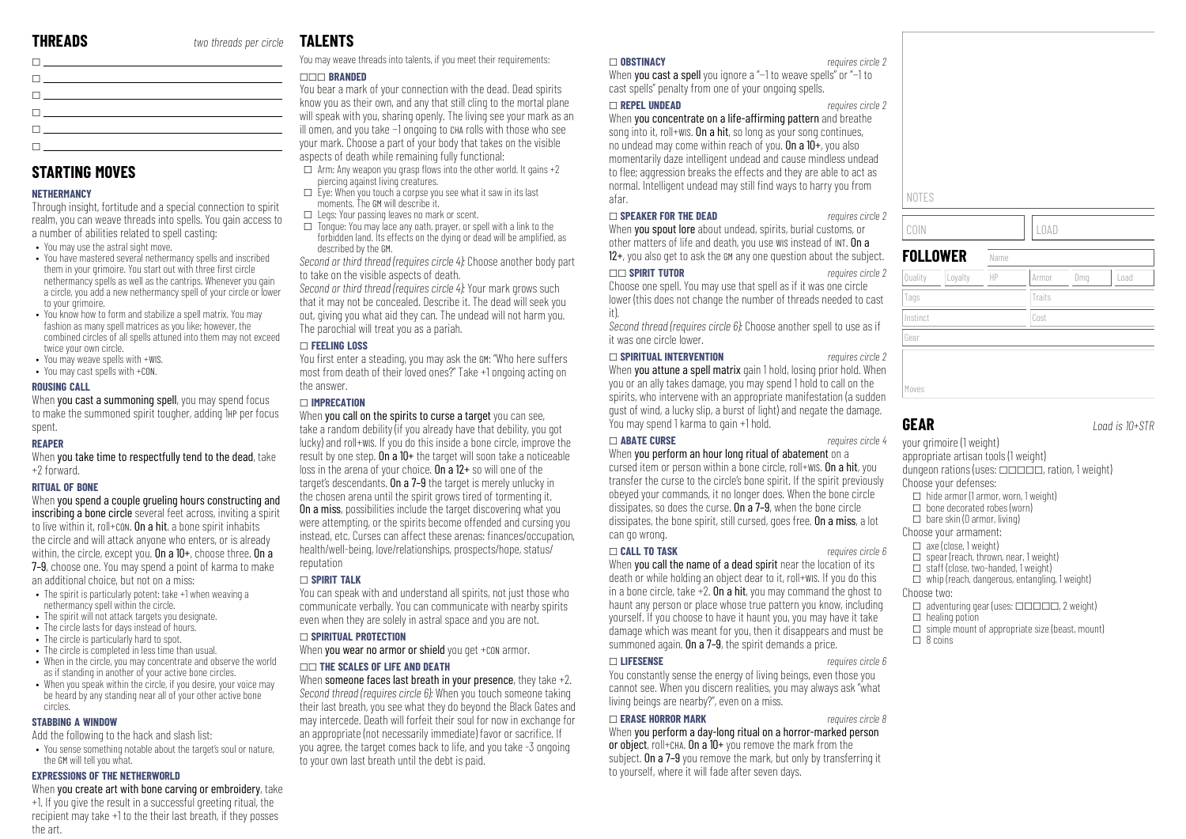**STARTING MOVES**

**NETHERMANCY**

to your grimoire.

twice your own circle. • You may weave spells with +WIS. • You may cast spells with +CON.

**ROUSING CALL**

spent. **REAPER**

+2 forward. **RITUAL OF BONE**

circles. **STABBING A WINDOW**

the art.

\_ \_  $\Box$ \_ \_  $\Box$ 

Through insight, fortitude and a special connection to spirit realm, you can weave threads into spells. You gain access to

• You have mastered several nethermancy spells and inscribed them in your grimoire. You start out with three first circle nethermancy spells as well as the cantrips. Whenever you gain a circle, you add a new nethermancy spell of your circle or lower

• You know how to form and stabilize a spell matrix. You may fashion as many spell matrices as you like; however, the combined circles of all spells attuned into them may not exceed

When you cast a summoning spell, you may spend focus to make the summoned spirit tougher, adding 1HP per focus

When you take time to respectfully tend to the dead, take

When you spend a couple grueling hours constructing and inscribing a bone circle several feet across, inviting a spirit to live within it, roll+CON. On a hit, a bone spirit inhabits the circle and will attack anyone who enters, or is already within, the circle, except you. On a 10+, choose three. On a 7–9, choose one. You may spend a point of karma to make

an additional choice, but not on a miss:

Add the following to the hack and slash list:

the GM will tell you what. **EXPRESSIONS OF THE NETHERWORLD**

nethermancy spell within the circle. • The spirit will not attack targets you designate. • The circle lasts for days instead of hours. • The circle is particularly hard to spot. • The circle is completed in less time than usual.

• The spirit is particularly potent: take +1 when weaving a

• When in the circle, you may concentrate and observe the world as if standing in another of your active bone circles. • When you speak within the circle, if you desire, your voice may be heard by any standing near all of your other active bone

• You sense something notable about the target's soul or nature,

When you create art with bone carving or embroidery, take +1. If you give the result in a successful greeting ritual, the recipient may take +1 to the their last breath, if they posses

a number of abilities related to spell casting: • You may use the astral sight move.

# **TALENTS**

You may weave threads into talents, if you meet their requirements:

#### \_\_\_ **BRANDED**

You bear a mark of your connection with the dead. Dead spirits know you as their own, and any that still cling to the mortal plane will speak with you, sharing openly. The living see your mark as an ill omen, and you take −1 ongoing to CHA rolls with those who see your mark. Choose a part of your body that takes on the visible aspects of death while remaining fully functional:

- $\Box$  Arm: Any weapon you grasp flows into the other world. It gains +2 piercing against living creatures.
- $\Box$  Fye: When you touch a corpse you see what it saw in its last moments. The GM will describe it.
- $\Box$  Legs: Your passing leaves no mark or scent.
- $\Box$  Tongue: You may lace any oath, prayer, or spell with a link to the forbidden land. Its effects on the dying or dead will be amplified, as described by the GM.

*Second or third thread (requires circle 4):* Choose another body part to take on the visible aspects of death.

*Second or third thread (requires circle 4):* Your mark grows such that it may not be concealed. Describe it. The dead will seek you out, giving you what aid they can. The undead will not harm you. The parochial will treat you as a pariah.

#### \_ **FEELING LOSS**

You first enter a steading, you may ask the GM: "Who here suffers most from death of their loved ones?" Take +1 ongoing acting on the answer.

#### \_ **IMPRECATION**

When you call on the spirits to curse a target you can see. take a random debility (if you already have that debility, you got lucky) and roll+WIS. If you do this inside a bone circle, improve the result by one step. On a  $10+$  the target will soon take a noticeable loss in the arena of your choice. On a 12+ so will one of the target's descendants. On a 7–9 the target is merely unlucky in the chosen arena until the spirit grows tired of tormenting it. On a miss, possibilities include the target discovering what you were attempting, or the spirits become offended and cursing you instead, etc. Curses can affect these arenas: finances/occupation, health/well-being, love/relationships, prospects/hope, status/ reputation

#### \_ **SPIRIT TALK**

You can speak with and understand all spirits, not just those who communicate verbally. You can communicate with nearby spirits even when they are solely in astral space and you are not.

#### \_ **SPIRITUAL PROTECTION**

When you wear no armor or shield you get +con armor.

#### \_\_ **THE SCALES OF LIFE AND DEATH**

When someone faces last breath in your presence, they take +2. *Second thread (requires circle 6):* When you touch someone taking their last breath, you see what they do beyond the Black Gates and may intercede. Death will forfeit their soul for now in exchange for an appropriate (not necessarily immediate) favor or sacrifice. If you agree, the target comes back to life, and you take -3 ongoing to your own last breath until the debt is paid.

#### \_ **OBSTINACY** *requires circle 2*

When you cast a spell you ignore a "-1 to weave spells" or "-1 to cast spells" penalty from one of your ongoing spells.

#### \_ **REPEL UNDEAD** *requires circle 2*

When you concentrate on a life-affirming pattern and breathe song into it, roll+wis. On a hit, so long as your song continues, no undead may come within reach of you. On a  $10+$ , you also momentarily daze intelligent undead and cause mindless undead to flee; aggression breaks the effects and they are able to act as normal. Intelligent undead may still find ways to harry you from afar.

#### \_ **SPEAKER FOR THE DEAD** *requires circle 2*

When **you spout lore** about undead, spirits, burial customs, or other matters of life and death, you use WIS instead of INT. On a 12+, you also get to ask the GM any one question about the subject.

#### \_\_ **SPIRIT TUTOR** *requires circle 2*

Choose one spell. You may use that spell as if it was one circle lower (this does not change the number of threads needed to cast it).

*Second thread (requires circle 6):* Choose another spell to use as if it was one circle lower.

#### \_ **SPIRITUAL INTERVENTION** *requires circle 2*

When **you attune a spell matrix** gain 1 hold, losing prior hold. When you or an ally takes damage, you may spend 1 hold to call on the spirits, who intervene with an appropriate manifestation (a sudden gust of wind, a lucky slip, a burst of light) and negate the damage. You may spend 1 karma to gain +1 hold.

#### \_ **ABATE CURSE** *requires circle 4*

When you perform an hour long ritual of abatement on a cursed item or person within a bone circle, roll+WIS. On a hit, you transfer the curse to the circle's bone spirit. If the spirit previously obeyed your commands, it no longer does. When the bone circle dissipates, so does the curse. On a 7–9, when the bone circle dissipates, the bone spirit, still cursed, goes free. On a miss, a lot can go wrong.

#### \_ **CALL TO TASK** *requires circle 6*

When you call the name of a dead spirit near the location of its death or while holding an object dear to it, roll+WIS. If you do this in a bone circle, take  $+2$ . On a hit, you may command the ghost to haunt any person or place whose true pattern you know, including yourself. If you choose to have it haunt you, you may have it take damage which was meant for you, then it disappears and must be summoned again. On a  $7-9$ , the spirit demands a price.

#### \_ **LIFESENSE** *requires circle 6*

You constantly sense the energy of living beings, even those you cannot see. When you discern realities, you may always ask "what living beings are nearby?", even on a miss.

#### \_ **ERASE HORROR MARK** *requires circle 8*

When you perform a day-long ritual on a horr or object, roll+cha. On a  $10+$  you remove the m subject. On a 7–9 you remove the mark, but only by transferring it to yourself, where it will fade after seven days.

| NOTES    |                 |      |             |     |      |
|----------|-----------------|------|-------------|-----|------|
| COIN     |                 |      | <b>LOAD</b> |     |      |
|          | <b>FOLLOWER</b> | Name |             |     |      |
| Quality  | Loyalty         | HP   | Armor       | Dmg | Load |
| Tags     |                 |      | Traits      |     |      |
| Instinct |                 |      | Cost        |     |      |
|          |                 |      |             |     |      |

Moves

**GEAR** *Load is 10+STR*

your grimoire (1 weight) appropriate artisan tools (1 weight) dungeon rations (uses:  $\Box \Box \Box \Box \Box$ , ration, 1 weight) Choose your defenses:  $\Box$  hide armor (1 armor, worn, 1 weight)  $\Box$  bone decorated robes (worn)  $\Box$  bare skin (0 armor, living) Choose your armament:  $\Box$  axe (close, 1 weight)  $\Box$  spear (reach, thrown, near, 1 weight)

- 
- $\Box$  staff (close, two-handed, 1 weight)  $\Box$  whip (reach, dangerous, entangling, 1 weight)
- Choose two:
- $\Box$  adventuring gear (uses:  $\Box$  $\Box$  $\Box$  $\Box$ , 2 weight)
- $\Box$  healing potion
- $\square$  simple mount of appropriate size (beast, mount)
- $\square$  8 coins

| requires circle 8 |  |
|-------------------|--|
| ror-marked person |  |
| nark from the     |  |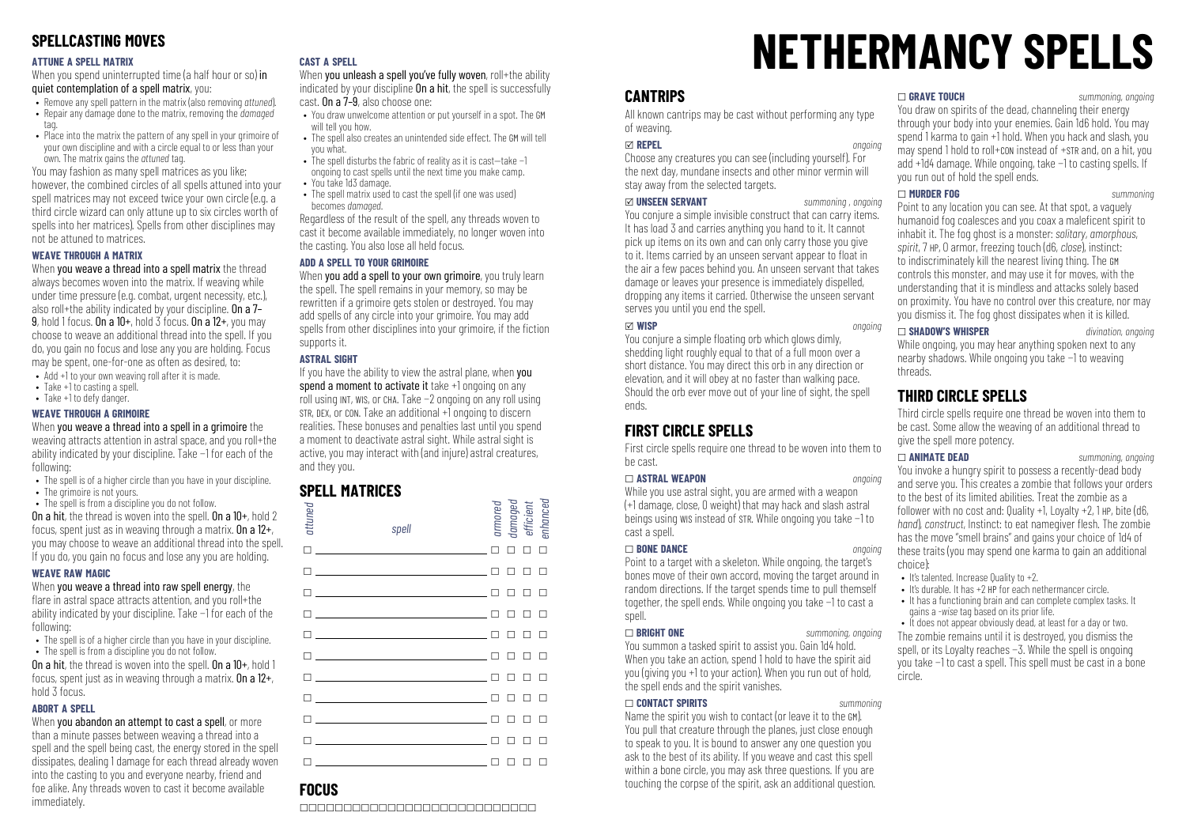# **SPELLCASTING MOVES**

#### **ATTUNE A SPELL MATRIX**

When you spend uninterrupted time (a half hour or so) in quiet contemplation of a spell matrix, you:

- Remove any spell pattern in the matrix (also removing *attuned*).
- Repair any damage done to the matrix, removing the *damaged*
- tag. • Place into the matrix the nattern of any spell in your grimoire of
- your own discipline and with a circle equal to or less than your own. The matrix gains the *attuned* tag.

You may fashion as many spell matrices as you like; however, the combined circles of all spells attuned into your spell matrices may not exceed twice your own circle (e.g. a third circle wizard can only attune up to six circles worth of spells into her matrices). Spells from other disciplines may not be attuned to matrices.

#### **WEAVE THROUGH A MATRIX**

When you weave a thread into a spell matrix the thread always becomes woven into the matrix. If weaving while under time pressure (e.g. combat, urgent necessity, etc.), also roll+the ability indicated by your discipline. On a 7– 9, hold 1 focus. On a  $10+$ , hold  $\overline{3}$  focus. On a  $12+$ , you may choose to weave an additional thread into the spell. If you do, you gain no focus and lose any you are holding. Focus may be spent, one-for-one as often as desired, to:

- Add +1 to your own weaving roll after it is made.
- Take +1 to casting a spell.
- Take +1 to defy danger.

#### **WEAVE THROUGH A GRIMOIRE**

When you weave a thread into a spell in a grimoire the weaving attracts attention in astral space, and you roll+the ability indicated by your discipline. Take −1 for each of the following:

- The spell is of a higher circle than you have in your discipline.
- The grimoire is not yours.
- The spell is from a discipline you do not follow. On a hit, the thread is woven into the spell. On a 10+, hold 2 focus, spent just as in weaving through a matrix. On a  $12+$ , you may choose to weave an additional thread into the spell. If you do, you gain no focus and lose any you are holding.

#### **WEAVE RAW MAGIC**

When you weave a thread into raw spell energy, the flare in astral space attracts attention, and you roll+the ability indicated by your discipline. Take −1 for each of the following:

- The spell is of a higher circle than you have in your discipline.
- The spell is from a discipline you do not follow.

On a hit, the thread is woven into the spell. On a 10+, hold 1 focus, spent just as in weaving through a matrix. On a 12+, hold 3 focus.

#### **ABORT A SPELL**

When you abandon an attempt to cast a spell, or more than a minute passes between weaving a thread into a spell and the spell being cast, the energy stored in the spell dissipates, dealing 1 damage for each thread already woven into the casting to you and everyone nearby, friend and foe alike. Any threads woven to cast it become available immediately.

#### **CAST A SPELL**

When you unleash a spell you've fully woven, roll+the ability indicated by your discipline **On a hit**, the spell is successfully cast. On a 7–9, also choose one:

- You draw unwelcome attention or put yourself in a spot. The GM will tell you how.
- The spell also creates an unintended side effect. The GM will tell you what.
- The spell disturbs the fabric of reality as it is cast—take −1 ongoing to cast spells until the next time you make camp.
- You take 1d3 damage.
- The spell matrix used to cast the spell (if one was used) becomes *damaged*.

Regardless of the result of the spell, any threads woven to cast it become available immediately, no longer woven into the casting. You also lose all held focus.

#### **ADD A SPELL TO YOUR GRIMOIRE**

When you add a spell to your own grimoire, you truly learn the spell. The spell remains in your memory, so may be rewritten if a grimoire gets stolen or destroyed. You may add spells of any circle into your grimoire. You may add spells from other disciplines into your grimoire, if the fiction supports it.

#### **ASTRAL SIGHT**

If you have the ability to view the astral plane, when you spend a moment to activate it take +1 ongoing on any roll using INT, WIS, or CHA. Take −2 ongoing on any roll using STR, DEX, or CON. Take an additional +1 ongoing to discern realities. These bonuses and penalties last until you spend a moment to deactivate astral sight. While astral sight is active, you may interact with (and injure) astral creatures, and they you.

## **SPELL MATRICES**

| attuned | spell                                                                                                                                                                                                                                                                          |   |               | armored<br>damaged<br>efficient<br>enhanced |        |  |
|---------|--------------------------------------------------------------------------------------------------------------------------------------------------------------------------------------------------------------------------------------------------------------------------------|---|---------------|---------------------------------------------|--------|--|
|         |                                                                                                                                                                                                                                                                                | П | п             | П                                           | П      |  |
|         | $\Box$ and $\Box$ and $\Box$ and $\Box$ and $\Box$ and $\Box$ and $\Box$ and $\Box$ and $\Box$ and $\Box$                                                                                                                                                                      | П | п             | $\Box$                                      | п      |  |
|         | $\Box$ and $\Box$ and $\Box$ and $\Box$ and $\Box$ and $\Box$ and $\Box$ and $\Box$ and $\Box$ and $\Box$ and $\Box$ and $\Box$ and $\Box$ and $\Box$ and $\Box$ and $\Box$ and $\Box$ and $\Box$ and $\Box$ and $\Box$ and $\Box$ and $\Box$ and $\Box$ and $\Box$ and $\Box$ |   | $\Box$ $\Box$ |                                             | $\Box$ |  |
|         | $\Box$ and $\Box$ and $\Box$ and $\Box$ and $\Box$ and $\Box$ and $\Box$ and $\Box$ and $\Box$ and $\Box$ and $\Box$ and $\Box$ and $\Box$ and $\Box$ and $\Box$ and $\Box$ and $\Box$ and $\Box$ and $\Box$ and $\Box$ and $\Box$ and $\Box$ and $\Box$ and $\Box$ and $\Box$ |   | п п           |                                             | $\Box$ |  |
|         | $\Box$                                                                                                                                                                                                                                                                         |   | п             | п                                           | $\Box$ |  |
|         | $\Box$                                                                                                                                                                                                                                                                         |   | п             | п                                           | $\Box$ |  |
|         | $\Box$                                                                                                                                                                                                                                                                         |   | п             | П                                           | $\Box$ |  |
|         | $\blacksquare$                                                                                                                                                                                                                                                                 |   | п             | П                                           | $\Box$ |  |
|         | <u>in the company of the company of the company of the company of the company of the company of the company of the company of the company of the company of the company of the company of the company of the company of the comp</u>                                           |   | п             | П                                           | П      |  |
|         | <u>n en som som som som en m</u>                                                                                                                                                                                                                                               |   |               | ┑                                           | П      |  |
| ٦       |                                                                                                                                                                                                                                                                                |   |               | ח ח ח ח                                     |        |  |

# **NETHERMANCY SPELLS**

# **CANTRIPS**

All known cantrips may be cast without performing any type of weaving.

#### x **REPEL** *ongoing*

Choose any creatures you can see (including yourself). For the next day, mundane insects and other minor vermin will stay away from the selected targets.

#### x **UNSEEN SERVANT** *summoning , ongoing*

You conjure a simple invisible construct that can carry items. It has load 3 and carries anything you hand to it. It cannot pick up items on its own and can only carry those you give to it. Items carried by an unseen servant appear to float in the air a few paces behind you. An unseen servant that takes damage or leaves your presence is immediately dispelled, dropping any items it carried. Otherwise the unseen servant serves you until you end the snell.

x **WISP** *ongoing* You conjure a simple floating orb which glows dimly, shedding light roughly equal to that of a full moon over a short distance. You may direct this orb in any direction or elevation, and it will obey at no faster than walking pace. Should the orb ever move out of your line of sight, the spell ends.

# **FIRST CIRCLE SPELLS**

First circle spells require one thread to be woven into them to be cast.

#### \_ **ASTRAL WEAPON** *ongoing*

While you use astral sight, you are armed with a weapon (+1 damage, close, 0 weight) that may hack and slash astral beings using WIS instead of STR. While ongoing you take −1 to cast a spell.

#### \_ **BONE DANCE** *ongoing*

Point to a target with a skeleton. While ongoing, the target's bones move of their own accord, moving the target around in random directions. If the target spends time to pull themself together, the spell ends. While ongoing you take −1 to cast a snell.

#### \_ **BRIGHT ONE** *summoning, ongoing*

You summon a tasked spirit to assist you. Gain 1d4 hold. When you take an action, spend 1 hold to have the spirit aid you (giving you +1 to your action). When you run out of hold, the spell ends and the spirit vanishes.

#### \_ **CONTACT SPIRITS** *summoning*

Name the spirit you wish to contact (or leave it to the GM). You pull that creature through the planes, just close enough to speak to you. It is bound to answer any one question you ask to the best of its ability. If you weave and cast this spell within a bone circle, you may ask three questions. If you are touching the corpse of the spirit, ask an additional question.

#### \_ **GRAVE TOUCH** *summoning, ongoing*

You draw on spirits of the dead, channeling their energy through your body into your enemies. Gain 1d6 hold. You may spend 1 karma to gain  $+1$  hold. When you hack and slash, you may spend 1 hold to roll+CON instead of +STR and, on a hit, you add +1d4 damage. While ongoing, take −1 to casting spells. If you run out of hold the spell ends.

#### \_ **MURDER FOG** *summoning*

Point to any location you can see. At that spot, a vaguely humanoid fog coalesces and you coax a maleficent spirit to inhabit it. The fog ghost is a monster: *solitary*, *amorphous*, *spirit*, 7 HP, 0 armor, freezing touch (d6, *close*), instinct: to indiscriminately kill the nearest living thing. The GM controls this monster, and may use it for moves, with the understanding that it is mindless and attacks solely based on proximity. You have no control over this creature, nor may you dismiss it. The fog ghost dissipates when it is killed.

\_ **SHADOW'S WHISPER** *divination, ongoing* While ongoing, you may hear anything spoken next to any nearby shadows. While ongoing you take −1 to weaving threads.

# **THIRD CIRCLE SPELLS**

Third circle spells require one thread be woven into them to be cast. Some allow the weaving of an additional thread to give the spell more potency.

\_ **ANIMATE DEAD** *summoning, ongoing* You invoke a hungry spirit to possess a recently-dead body and serve you. This creates a zombie that follows your orders to the best of its limited abilities. Treat the zombie as a follower with no cost and: Quality  $+1$ , Loyalty  $+2$ , 1 HP, bite (d6, *hand*), *construct*, *Instinct*: to eat namegiver flesh. The zombie has the move "smell brains" and gains your choice of 1d4 of these traits (you may spend one karma to gain an additional choice):

- It's talented. Increase Quality to +2.
- It's durable. It has +2 HP for each nethermancer circle.
- It has a functioning brain and can complete complex tasks. It gains a *-wise* tag based on its prior life.

• It does not appear obviously dead, at least for a day or two. The zombie remains until it is destroyed, you dismiss the spell, or its Loyalty reaches −3. While the spell is ongoing you take −1 to cast a spell. This spell must be cast in a bone circle.

# **FOCUS**

\_\_\_\_\_\_\_\_\_\_\_\_\_\_\_\_\_\_\_\_\_\_\_\_\_\_\_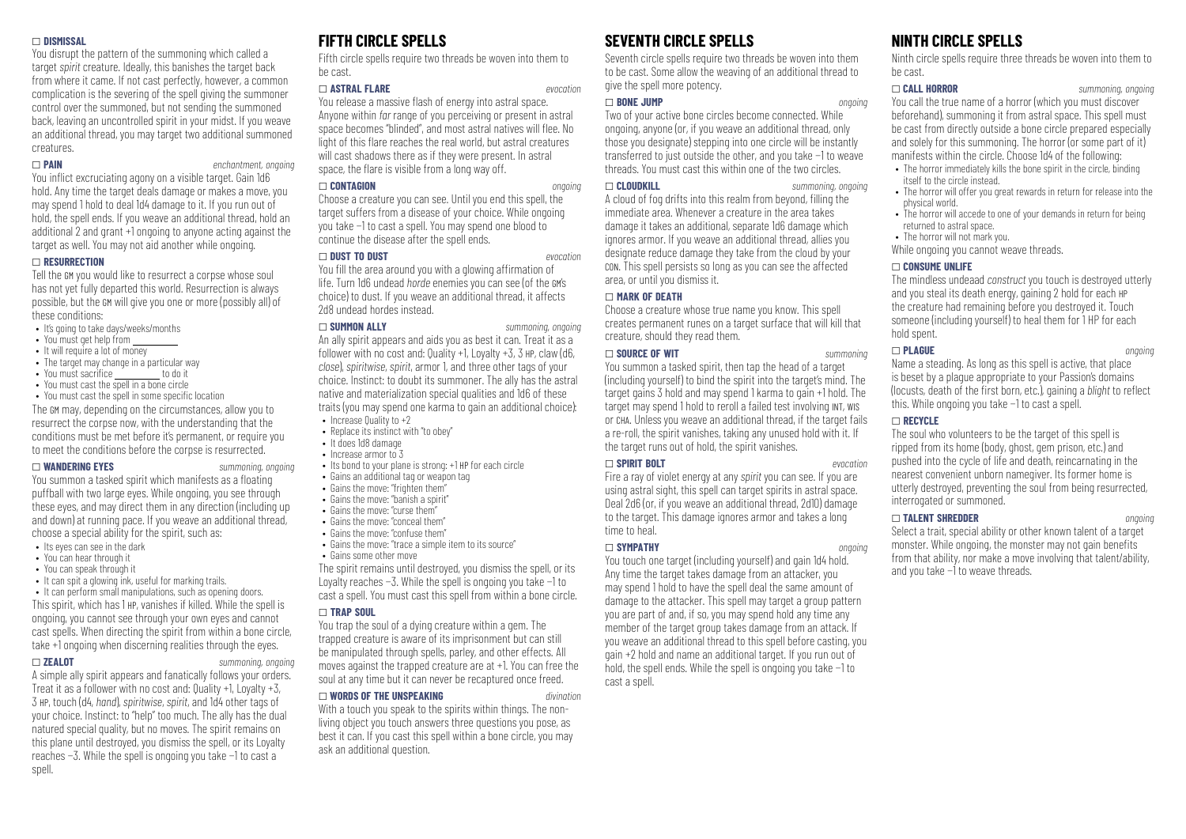#### \_ **DISMISSAL**

You disrupt the pattern of the summoning which called a target *spirit* creature. Ideally, this banishes the target back from where it came. If not cast perfectly, however, a common complication is the severing of the spell giving the summoner control over the summoned, but not sending the summoned back, leaving an uncontrolled spirit in your midst. If you weave an additional thread, you may target two additional summoned creatures.

#### \_ **PAIN** *enchantment, ongoing*

You inflict excruciating agony on a visible target. Gain 1d6 hold. Any time the target deals damage or makes a move, you may spend 1 hold to deal 1d4 damage to it. If you run out of hold, the spell ends. If you weave an additional thread, hold an additional 2 and grant  $+1$  ongoing to anyone acting against the target as well. You may not aid another while ongoing.

#### \_ **RESURRECTION**

Tell the GM you would like to resurrect a corpse whose soul has not yet fully departed this world. Resurrection is always possible, but the GM will give you one or more (possibly all) of these conditions:

- It's going to take days/weeks/months
- You must get help from
- It will require a lot of money
- The target may change in a particular way
- $\bullet$  You must sacrifice  $\rule{1em}{0.15mm}$  to do it
- You must cast the spell in a bone circle • You must cast the spell in some specific location

The GM may, depending on the circumstances, allow you to resurrect the corpse now, with the understanding that the conditions must be met before it's permanent, or require you to meet the conditions before the corpse is resurrected.

#### \_ **WANDERING EYES** *summoning, ongoing*

You summon a tasked spirit which manifests as a floating puffball with two large eyes. While ongoing, you see through these eyes, and may direct them in any direction (including up and down) at running pace. If you weave an additional thread, choose a special ability for the spirit, such as:

- Its eyes can see in the dark
- You can hear through it
- You can speak through it
- It can spit a glowing ink, useful for marking trails.

• It can perform small manipulations, such as opening doors. This spirit, which has 1 HP, vanishes if killed. While the spell is ongoing, you cannot see through your own eyes and cannot cast spells. When directing the spirit from within a bone circle, take +1 ongoing when discerning realities through the eyes.

#### \_ **ZEALOT** *summoning, ongoing*

A simple ally spirit appears and fanatically follows your orders. Treat it as a follower with no cost and: Quality +1, Loyalty +3, 3 HP, touch (d4, *hand*), *spiritwise*, *spirit*, and 1d4 other tags of your choice. Instinct: to "help" too much. The ally has the dual natured special quality, but no moves. The spirit remains on this plane until destroyed, you dismiss the spell, or its Loyalty reaches −3. While the spell is ongoing you take −1 to cast a spell.

# **FIFTH CIRCLE SPELLS**

Fifth circle spells require two threads be woven into them to be cast.

#### \_ **ASTRAL FLARE** *evocation*

You release a massive flash of energy into astral space. Anyone within *far* range of you perceiving or present in astral space becomes "blinded", and most astral natives will flee. No light of this flare reaches the real world, but astral creatures will cast shadows there as if they were present. In astral space, the flare is visible from a long way off.

#### \_ **CONTAGION** *ongoing*

Choose a creature you can see. Until you end this spell, the target suffers from a disease of your choice. While ongoing you take −1 to cast a spell. You may spend one blood to continue the disease after the spell ends.

#### \_ **DUST TO DUST** *evocation*

You fill the area around you with a glowing affirmation of life. Turn 1d6 undead *horde* enemies you can see (of the GM's choice) to dust. If you weave an additional thread, it affects 2d8 undead hordes instead.

#### \_ **SUMMON ALLY** *summoning, ongoing*

An ally spirit appears and aids you as best it can. Treat it as a follower with no cost and: Quality +1, Loyalty +3, 3 HP, claw (d6, *close*), *spiritwise*, *spirit*, armor 1, and three other tags of your choice. Instinct: to doubt its summoner. The ally has the astral native and materialization special qualities and 1d6 of these traits (you may spend one karma to gain an additional choice):

• Increase Quality to +2

- Replace its instinct with "to obey"
- It does 1d8 damage
- Increase armor to 3
- Its bond to your plane is strong: +1 HP for each circle
- Gains an additional tag or weapon tag
- Gains the move: "frighten them"
- Gains the move: "banish a spirit"
- Gains the move: "curse them"
- Gains the move: "conceal them"
- Gains the move: "confuse them"
- Gains the move: "trace a simple item to its source"
- Gains some other move

The spirit remains until destroyed, you dismiss the spell, or its Loyalty reaches −3. While the spell is ongoing you take −1 to cast a spell. You must cast this spell from within a bone circle.

#### \_ **TRAP SOUL**

You trap the soul of a dying creature within a gem. The trapped creature is aware of its imprisonment but can still be manipulated through spells, parley, and other effects. All moves against the trapped creature are at +1. You can free the soul at any time but it can never be recaptured once freed.

## \_ **WORDS OF THE UNSPEAKING** *divination*

With a touch you speak to the spirits within things. The nonliving object you touch answers three questions you pose, as best it can. If you cast this spell within a bone circle, you may ask an additional question.

# **SEVENTH CIRCLE SPELLS**

Seventh circle spells require two threads be woven into them to be cast. Some allow the weaving of an additional thread to give the spell more potency.

#### \_ **BONE JUMP** *ongoing*

Two of your active bone circles become connected. While ongoing, anyone (or, if you weave an additional thread, only those you designate) stepping into one circle will be instantly transferred to just outside the other, and you take −1 to weave threads. You must cast this within one of the two circles.

\_ **CLOUDKILL** *summoning, ongoing*

A cloud of fog drifts into this realm from beyond, filling the immediate area. Whenever a creature in the area takes damage it takes an additional, separate 1d6 damage which ignores armor. If you weave an additional thread, allies you designate reduce damage they take from the cloud by your CON. This spell persists so long as you can see the affected area, or until you dismiss it.

#### \_ **MARK OF DEATH**

Choose a creature whose true name you know. This spell creates permanent runes on a target surface that will kill that creature, should they read them.

#### \_ **SOURCE OF WIT** *summoning*

You summon a tasked spirit, then tap the head of a target (including yourself) to bind the spirit into the target's mind. The target gains 3 hold and may spend 1 karma to gain +1 hold. The target may spend 1 hold to reroll a failed test involving INT, WIS or CHA. Unless you weave an additional thread, if the target fails a re-roll, the spirit vanishes, taking any unused hold with it. If the target runs out of hold, the spirit vanishes.

#### \_ **SPIRIT BOLT** *evocation*

Fire a ray of violet energy at any *spirit* you can see. If you are using astral sight, this spell can target spirits in astral space. Deal 2d6 (or, if you weave an additional thread, 2d10) damage to the target. This damage ignores armor and takes a long time to heal.

#### \_ **SYMPATHY** *ongoing*

You touch one target (including yourself) and gain 1d4 hold. Any time the target takes damage from an attacker, you may spend 1 hold to have the spell deal the same amount of damage to the attacker. This spell may target a group pattern you are part of and, if so, you may spend hold any time any member of the target group takes damage from an attack. If you weave an additional thread to this spell before casting, you gain +2 hold and name an additional target. If you run out of hold, the spell ends. While the spell is ongoing you take −1 to cast a spell.

# **NINTH CIRCLE SPELLS**

Ninth circle spells require three threads be woven into them to be cast.

#### \_ **CALL HORROR** *summoning, ongoing*

You call the true name of a horror (which you must discover beforehand), summoning it from astral space. This spell must be cast from directly outside a bone circle prepared especially and solely for this summoning. The horror (or some part of it) manifests within the circle. Choose 1d4 of the following:

- The horror immediately kills the bone spirit in the circle, binding itself to the circle instead.
- The horror will offer you great rewards in return for release into the physical world.
- The horror will accede to one of your demands in return for being returned to astral space.
- The horror will not mark you.

While ongoing you cannot weave threads.

#### \_ **CONSUME UNLIFE**

The mindless undeaad *construct* you touch is destroyed utterly and you steal its death energy, gaining 2 hold for each HP the creature had remaining before you destroyed it. Touch someone (including yourself) to heal them for 1 HP for each hold spent.

#### \_ **PLAGUE** *ongoing*

Name a steading. As long as this spell is active, that place is beset by a plague appropriate to your Passion's domains (locusts, death of the first born, etc.), gaining a *blight* to reflect this. While ongoing you take −1 to cast a spell.

#### \_ **RECYCLE**

The soul who volunteers to be the target of this spell is ripped from its home (body, ghost, gem prison, etc.) and pushed into the cycle of life and death, reincarnating in the nearest convenient unborn namegiver. Its former home is utterly destroyed, preventing the soul from being resurrected, interrogated or summoned.

#### \_ **TALENT SHREDDER** *ongoing*

Select a trait, special ability or other known talent of a target monster. While ongoing, the monster may not gain benefits from that ability, nor make a move involving that talent/ability, and you take −1 to weave threads.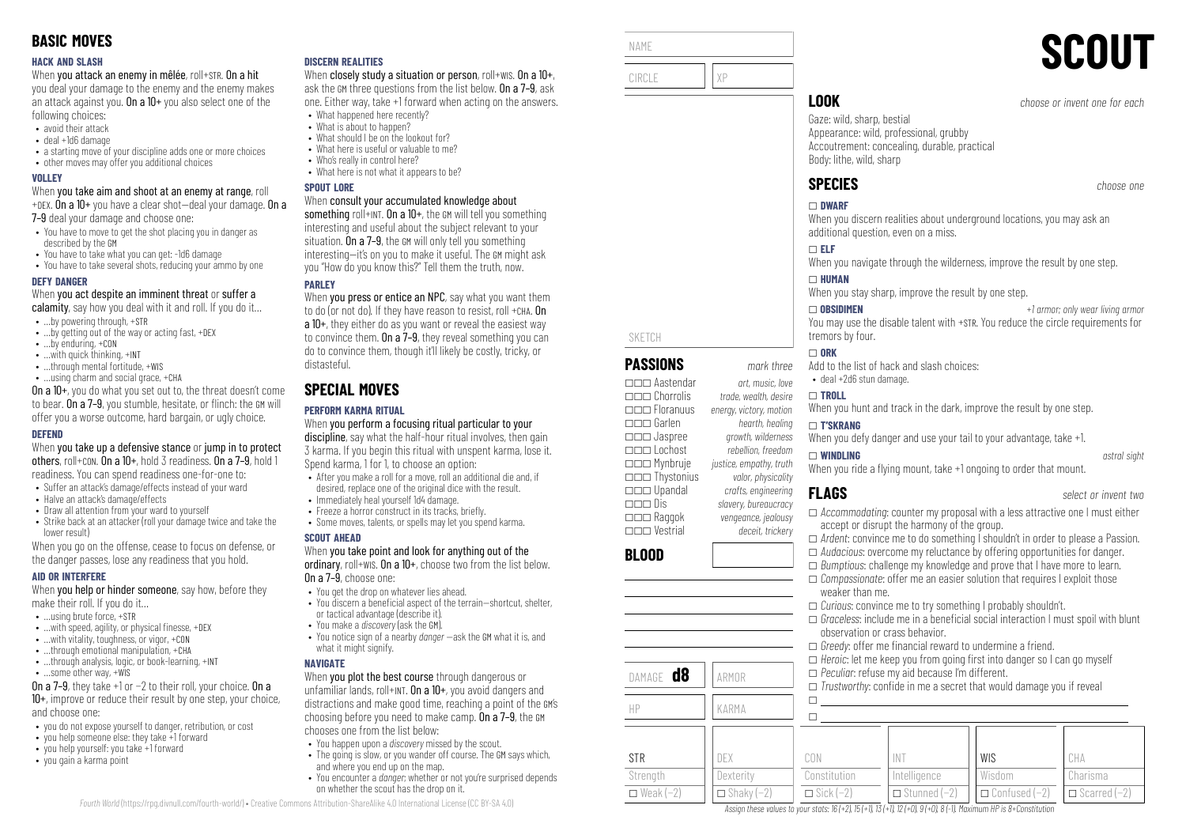#### **HACK AND SLASH**

When you attack an enemy in mêlée, roll+STR. On a hit

you deal your damage to the enemy and the enemy makes an attack against you. On a  $10+$  you also select one of the following choices:

- avoid their attack
- deal +1d6 damage
- a starting move of your discipline adds one or more choices
- other moves may offer you additional choices

#### **VOLLEY**

When you take aim and shoot at an enemy at range, roll +DEX. On a  $10+$  you have a clear shot-deal your damage. On a

7–9 deal your damage and choose one:

- You have to move to get the shot placing you in danger as described by the GM
- You have to take what you can get: -1d6 damage
- You have to take several shots, reducing your ammo by one

#### **DEFY DANGER**

When you act despite an imminent threat or suffer a

- calamity, say how you deal with it and roll. If you do it...
- …by powering through, +STR
- …by getting out of the way or acting fast, +DEX
- …by enduring, +CON
- …with quick thinking, +INT
- ...through mental fortitude, +WIS • …using charm and social grace, +CHA

On a 10+, you do what you set out to, the threat doesn't come to bear. On a 7–9, you stumble, hesitate, or flinch: the GM will offer you a worse outcome, hard bargain, or ugly choice.

#### **DEFEND**

When you take up a defensive stance or jump in to protect others, roll+CON. On a 10+, hold 3 readiness. On a 7–9, hold 1 readiness. You can spend readiness one-for-one to:

- Suffer an attack's damage/effects instead of your ward
- Halve an attack's damage/effects
- Draw all attention from your ward to yourself
- Strike back at an attacker (roll your damage twice and take the lower result)

When you go on the offense, cease to focus on defense, or the danger passes, lose any readiness that you hold.

#### **AID OR INTERFERE**

When **you help or hinder someone**, say how, before they make their roll. If you do it…

- $\bullet$  **using brute force,**  $\text{+STR}$
- $\bullet$  ... with speed, agility, or physical finesse,  $+$ DEX
- …with vitality, toughness, or vigor, +CON
- $\bullet$  through emotional manipulation,  $+CHA$
- …through analysis, logic, or book-learning, +INT
- …some other way, +WIS

On a 7–9, they take +1 or −2 to their roll, your choice. On a 10+, improve or reduce their result by one step, your choice, and choose one:

- you do not expose yourself to danger, retribution, or cost
- you help someone else: they take +1 forward
- you help yourself: you take +1 forward
- you gain a karma point

#### **DISCERN REALITIES**

When closely study a situation or person, roll+wis. On a 10+, ask the GM three questions from the list below. On a 7–9, ask one. Either way, take +1 forward when acting on the answers.

- What happened here recently? • What is about to hannen?
- What should I be on the lookout for?
- What here is useful or valuable to me?
- Who's really in control here?
- What here is not what it annears to be?

#### **SPOUT LORE**

#### When consult your accumulated knowledge about

something roll+INT. On a  $10+$ , the GM will tell you something interesting and useful about the subject relevant to your situation. On a 7–9, the GM will only tell you something interesting—it's on you to make it useful. The GM might ask you "How do you know this?" Tell them the truth, now.

## **PARLEY**

When you press or entice an NPC, say what you want them to do (or not do). If they have reason to resist, roll +CHA. On a 10+, they either do as you want or reveal the easiest way to convince them. On a 7–9, they reveal something you can do to convince them, though it'll likely be costly, tricky, or distasteful.

# **SPECIAL MOVES**

## **PERFORM KARMA RITUAL**

When you perform a focusing ritual particular to your discipline, say what the half-hour ritual involves, then gain 3 karma. If you begin this ritual with unspent karma, lose it. Spend karma, 1 for 1, to choose an option:

- After you make a roll for a move, roll an additional die and, if desired, replace one of the original dice with the result.
- Immediately heal yourself 1d4 damage.
- Freeze a horror construct in its tracks, briefly.
- Some moves, talents, or spells may let you spend karma.

#### **SCOUT AHEAD**

#### When you take point and look for anything out of the

ordinary, roll+wis. On a 10+, choose two from the list below. On a 7–9, choose one:

- You get the drop on whatever lies ahead.
- You discern a beneficial aspect of the terrain-shortcut, shelter, or tactical advantage (describe it).
- You make a *discovery* (ask the GM).
- You notice sign of a nearby *danger* —ask the GM what it is, and what it might signify.

#### **NAVIGATE**

When you plot the best course through dangerous or unfamiliar lands, roll+INT. On a 10+, you avoid dangers and distractions and make good time, reaching a point of the GM's choosing before you need to make camp. On a 7–9, the GM chooses one from the list below:

- You happen upon a *discovery* missed by the scout.
- The going is slow, or you wander off course. The GM says which, and where you end up on the map.
- You encounter a *danger*; whether or not you're surprised depends on whether the scout has the drop on it.

| NAME |      | <b>SCOUT</b>                  |
|------|------|-------------------------------|
|      |      |                               |
|      | .00K | choose or invent one for each |

SKETCH

**BLOOD**

STR Strenath  $\Box$  Weak (−2)

**PASSIONS** *mark three* \_\_\_ Aastendar *art, music, love* \_\_\_ Chorrolis *trade, wealth, desire*

\_\_\_ Garlen *hearth, healing* \_\_\_ Jaspree *growth, wilderness*

\_\_\_ Mynbruje *justice, empathy, truth* \_\_\_ Thystonius *valor, physicality* \_\_\_ Upandal *crafts, engineering*

\_\_\_ Raggok *vengeance, jealousy* \_\_\_ Vestrial *deceit, trickery*

DAMAGE **d8** ARMOR

HP KARMA

DEX **Dexterity**  $\Box$  Shaky (-2)

\_\_\_ Floranuus *energy, victory, motion*

\_\_\_ Lochost *rebellion, freedom*

\_\_\_ Dis *slavery, bureaucracy*

Gaze: wild, sharp, bestial Appearance: wild, professional, grubby Accoutrement: concealing, durable, practical Body: lithe, wild, sharp

# **SPECIES** *choose one*

#### \_ **DWARF**

When you discern realities about underground locations, you may ask an additional question, even on a miss.

#### \_ **ELF**

When you navigate through the wilderness, improve the result by one step.

#### \_ **HUMAN**

When you stay sharp, improve the result by one step.

\_ **OBSIDIMEN** *+1 armor; only wear living armor* You may use the disable talent with +STR. You reduce the circle requirements for tremors by four.

#### $\Box$  ORK

- Add to the list of hack and slash choices:
- deal +2d6 stun damage.

#### \_ **TROLL**

weaker than me.

observation or crass behavior.

When you hunt and track in the dark, improve the result by one step.

#### \_ **T'SKRANG**

When you defy danger and use your tail to your advantage, take +1.

#### \_ **WINDLING** *astral sight*

#### When you ride a flying mount, take +1 ongoing to order that mount.

\_ *Curious*: convince me to try something I probably shouldn't.

 $\Box$  *Greedy*: offer me financial reward to undermine a friend.

\_ *Peculiar*: refuse my aid because I'm different.

INT Intelligence \_ Stunned (−2)

Assign these values to your stats:  $16 (+2)$ ,  $15 (+1)$ ,  $13 (+1)$ ,  $12 (+0)$ ,  $9 (+0)$ ,  $8 (-1)$ . Maximum HP is 8+Constitution

 $\Box$  $\Box$ 

CON Constitution  $\Box$  Sick (−2)

**FLAGS** *select or invent two*

CHA Charisma \_ Scarred (−2)

- □ *Accommodating*: counter my proposal with a less attractive one I must either accept or disrupt the harmony of the group.
- \_ *Ardent*: convince me to do something I shouldn't in order to please a Passion.

 $\Box$  *Graceless*: include me in a beneficial social interaction I must spoil with blunt

WIS Wisdom \_ Confused (−2)

 $\Box$  *Heroic*: let me keep you from going first into danger so I can go myself

 $\Box$  *Trustworthy:* confide in me a secret that would damage you if reveal

\_ *Audacious*: overcome my reluctance by offering opportunities for danger. □ *Bumptious*: challenge my knowledge and prove that I have more to learn. \_ *Compassionate*: offer me an easier solution that requires I exploit those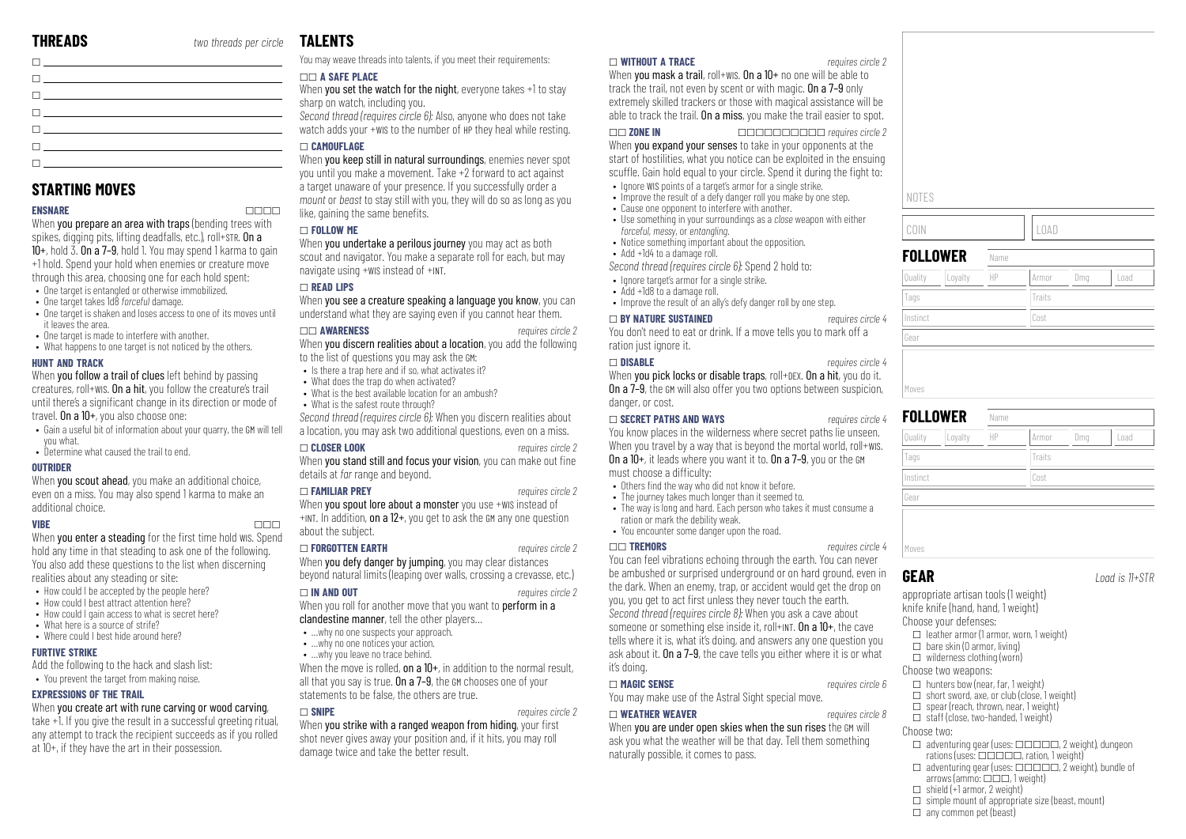**STARTING MOVES**

it leaves the area.

**HUNT AND TRACK**

you what.

additional choice.

**FURTIVE STRIKE**

**OUTRIDER**

 $\Box$ 

 $\Box$ 

 $\Box$ \_ \_  $\Box$ 

**ENSNARE** \_\_\_\_ When you prepare an area with traps (bending trees with spikes, digging pits, lifting deadfalls, etc.), roll+STR. On a  $10+$ , hold  $\overline{3}$ .  $\overline{0}$  a  $\overline{7}$ -9, hold 1. You may spend 1 karma to gain +1 hold. Spend your hold when enemies or creature move through this area, choosing one for each hold spent: • One target is entangled or otherwise immobilized. • One target takes 1d8 *forceful* damage.

• One target is shaken and loses access to one of its moves until

When you follow a trail of clues left behind by passing creatures, roll+WIS. On a hit, you follow the creature's trail until there's a significant change in its direction or mode of

When **you scout ahead**, you make an additional choice, even on a miss. You may also spend 1 karma to make an

hold any time in that steading to ask one of the following. You also add these questions to the list when discerning

When you create art with rune carving or wood carving, take +1. If you give the result in a successful greeting ritual, any attempt to track the recipient succeeds as if you rolled

• Gain a useful bit of information about your quarry, the GM will tell

• One target is made to interfere with another. • What happens to one target is not noticed by the others.

travel. On a 10+, you also choose one:

• Determine what caused the trail to end.

realities about any steading or site: • How could I be accepted by the people here? • How could I best attract attention here? • How could I gain access to what is secret here?

• What here is a source of strife? • Where could I best hide around here?

**EXPRESSIONS OF THE TRAIL**

Add the following to the hack and slash list: • You prevent the target from making noise.

at 10+, if they have the art in their possession.

# **TALENTS**

\_ You may weave threads into talents, if you meet their requirements:

## \_\_ **A SAFE PLACE**

When you set the watch for the night, everyone takes +1 to stay sharp on watch, including you.

*Second thread (requires circle 6):* Also, anyone who does not take watch adds your +WIS to the number of HP they heal while resting.

#### \_ **CAMOUFLAGE**

When you keep still in natural surroundings, enemies never spot you until you make a movement. Take +2 forward to act against a target unaware of your presence. If you successfully order a *mount* or *beast* to stay still with you, they will do so as long as you like, gaining the same benefits.

#### \_ **FOLLOW ME**

When you undertake a perilous journey you may act as both scout and navigator. You make a separate roll for each, but may navigate using +WIS instead of +INT.

#### \_ **READ LIPS**

When you see a creature speaking a language you know, you can understand what they are saying even if you cannot hear them.

#### \_\_ **AWARENESS** *requires circle 2*

When you discern realities about a location, you add the following to the list of questions you may ask the GM:

- Is there a trap here and if so, what activates it?
- What does the trap do when activated? • What is the best available location for an ambush?
- What is the safest route through?
- 

*Second thread (requires circle 6):* When you discern realities about a location, you may ask two additional questions, even on a miss.

### \_ **CLOSER LOOK** *requires circle 2*

When you stand still and focus your vision, you can make out fine details at *far* range and beyond.

#### \_ **FAMILIAR PREY** *requires circle 2*

When you spout lore about a monster you use +WIS instead of +INT. In addition, on a 12+, you get to ask the GM any one question about the subject.

#### \_ **FORGOTTEN EARTH** *requires circle 2*

When you defy danger by jumping, you may clear distances beyond natural limits (leaping over walls, crossing a crevasse, etc.)

#### \_ **IN AND OUT** *requires circle 2*

- When you roll for another move that you want to **perform in a**
- clandestine manner, tell the other players...
- ... why no one suspects your approach.
- ... why no one notices your action.
- ...why you leave no trace behind.

When the move is rolled, on a  $10+$ , in addition to the normal result, all that you say is true. On a 7-9, the GM chooses one of your statements to be false, the others are true.

#### \_ **SNIPE** *requires circle 2*

When you strike with a ranged weapon from hiding, your first shot never gives away your position and, if it hits, you may roll damage twice and take the better result.

#### \_ **WITHOUT A TRACE** *requires circle 2*

When you mask a trail, roll+wis. On a 10+ no one will be able to track the trail, not even by scent or with magic. On a 7–9 only extremely skilled trackers or those with magical assistance will be able to track the trail. On a miss, you make the trail easier to spot.

\_\_ **ZONE IN** \_\_\_\_\_\_\_\_\_\_ *requires circle 2* When **you expand your senses** to take in your opponents at the start of hostilities, what you notice can be exploited in the ensuing scuffle. Gain hold equal to your circle. Spend it during the fight to:

- Ignore WIS points of a target's armor for a single strike.
- Improve the result of a defy danger roll you make by one step. • Cause one opponent to interfere with another.
- 
- Use something in your surroundings as a *close* weapon with either *forceful*, *messy*, or *entangling*. • Notice something important about the opposition.
- Add +1d4 to a damage roll.

*Second thread (requires circle 6):* Spend 2 hold to:

- Ignore target's armor for a single strike.
- Add +1d8 to a damage roll.
- Improve the result of an ally's defy danger roll by one step.

#### \_ **BY NATURE SUSTAINED** *requires circle 4*

You don't need to eat or drink. If a move tells you to mark off a ration just ignore it.

#### \_ **DISABLE** *requires circle 4*

When you pick locks or disable traps, roll+DEX. On a hit, you do it. On a 7–9, the GM will also offer you two options between suspicion, danger, or cost.

#### \_ **SECRET PATHS AND WAYS** *requires circle 4*

You know places in the wilderness where secret paths lie unseen. When you travel by a way that is beyond the mortal world, roll+wis. On a 10+, it leads where you want it to. On a 7–9, you or the GM must choose a difficulty:

- Others find the way who did not know it before.
- The journey takes much longer than it seemed to.
- The way is long and hard. Each person who takes it must consume a ration or mark the debility weak.
- You encounter some danger upon the road.

#### \_\_ **TREMORS** *requires circle 4*

You can feel vibrations echoing through the earth. You can never be ambushed or surprised underground or on hard ground, even in the dark. When an enemy, trap, or accident would get the drop on you, you get to act first unless they never touch the earth. *Second thread (requires circle 8):* When you ask a cave about someone or something else inside it, roll+INT. On a 10+, the cave tells where it is, what it's doing, and answers any one question you ask about it. On a 7–9, the cave tells you either where it is or what it's doing.

#### \_ **MAGIC SENSE** *requires circle 6*

You may make use of the Astral Sight special move.

#### \_ **WEATHER WEAVER** *requires circle 8*

When you are under open skies when the sun rises the GM will ask you what the weather will be that day. Tell them something naturally possible, it comes to pass.

| NOTES              |      |        |     |      |
|--------------------|------|--------|-----|------|
| COIN               |      | LOAD   |     |      |
| <b>FOLLOWER</b>    | Name |        |     |      |
| Loyalty<br>Quality | HP   | Armor  | Dmg | Load |
| Tags               |      | Traits |     |      |
| Instinct           |      | Cost   |     |      |
| Gear               |      |        |     |      |
|                    |      |        |     |      |

| Quality<br>Loyalty | HP | Dmg<br>Load<br>Armor |
|--------------------|----|----------------------|
| Tags               |    | Traits               |
| Instinct           |    | Cost                 |
| Gear               |    |                      |

## **GEAR** *Load is 11+STR*

appropriate artisan tools (1 weight)

knife knife (hand, hand, 1 weight)

- Choose your defenses:
	- $\Box$  leather armor (1 armor, worn, 1 weight)
	- $\Box$  bare skin (0 armor, living)
	- $\Box$  wilderness clothing (worn)

## Choose two weapons:

- $\Box$  hunters how (near, far, 1 weight)
- $\Box$  short sword, axe, or club (close, 1 weight)  $\Box$  spear (reach, thrown, near, 1 weight)
- $\Box$  staff (close, two-handed, 1 weight)

#### Choose two:

- $\Box$  adventuring gear (uses:  $\Box$  $\Box$  $\Box$  $\Box$  $\Box$ , 2 weight), dungeon rations (uses:  $\Box \Box \Box \Box$ , ration, 1 weight)
- $\Box$  adventuring gear (uses:  $\Box$  $\Box$  $\Box$  $\Box$  $\Box$ , 2 weight), bundle of arrows (ammo:  $\square\square\square$ , 1 weight)
- $\Box$  shield (+1 armor, 2 weight)
- $\square$  simple mount of appropriate size (beast, mount)
- $\Box$  any common pet (beast)

**VIBE** \_\_\_ When you enter a steading for the first time hold wis. Spend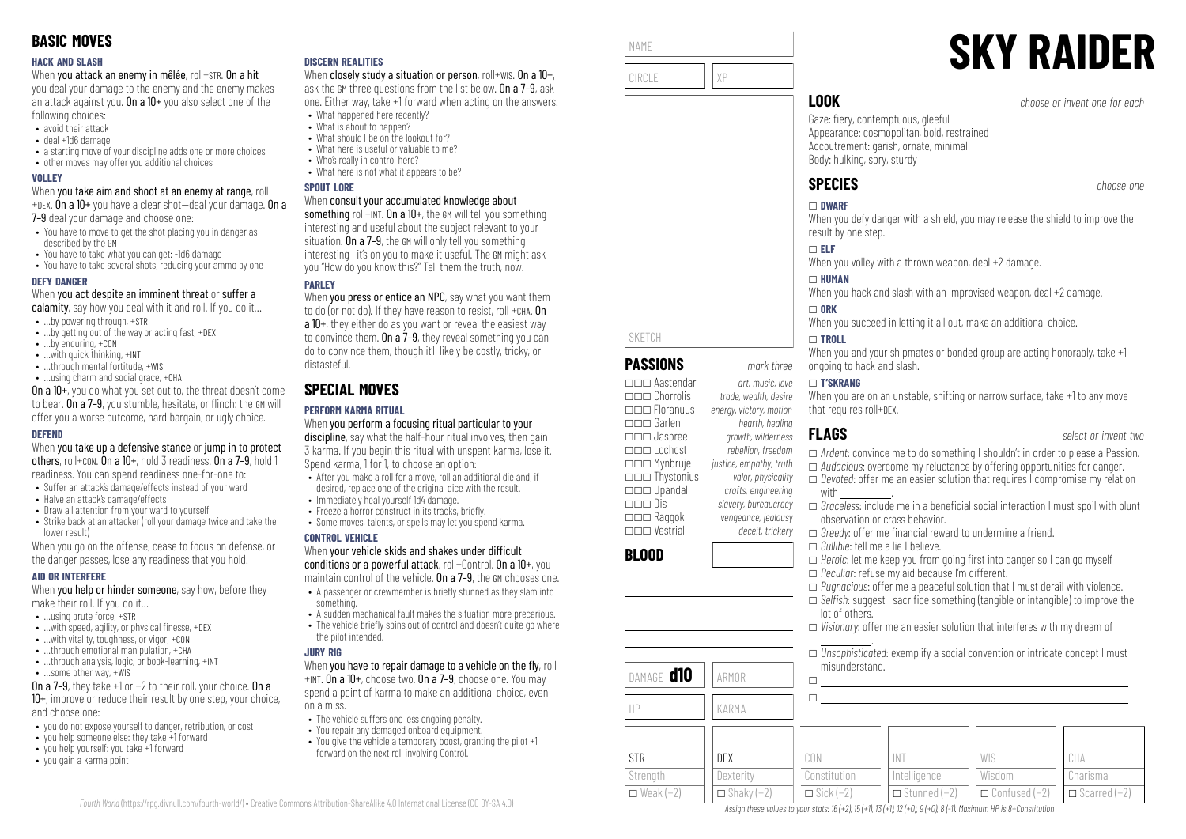#### **HACK AND SLASH**

When you attack an enemy in mêlée, roll+STR. On a hit

you deal your damage to the enemy and the enemy makes an attack against you. On a  $10+$  you also select one of the following choices:

- avoid their attack
- deal +1d6 damage
- a starting move of your discipline adds one or more choices
- other moves may offer you additional choices

#### **VOLLEY**

When you take aim and shoot at an enemy at range, roll +DEX. On a  $10+$  you have a clear shot-deal your damage. On a

7–9 deal your damage and choose one:

- You have to move to get the shot placing you in danger as described by the GM
- You have to take what you can get: -1d6 damage
- You have to take several shots, reducing your ammo by one

#### **DEFY DANGER**

When you act despite an imminent threat or suffer a

- calamity, say how you deal with it and roll. If you do it...
- …by powering through, +STR
- …by getting out of the way or acting fast, +DEX
- …by enduring, +CON
- …with quick thinking, +INT
- ...through mental fortitude, +WIS • …using charm and social grace, +CHA

On a 10+, you do what you set out to, the threat doesn't come to bear. On a 7–9, you stumble, hesitate, or flinch: the GM will offer you a worse outcome, hard bargain, or ugly choice.

#### **DEFEND**

When you take up a defensive stance or jump in to protect others, roll+CON. On a 10+, hold 3 readiness. On a 7–9, hold 1 readiness. You can spend readiness one-for-one to:

- Suffer an attack's damage/effects instead of your ward
- Halve an attack's damage/effects
- Draw all attention from your ward to yourself
- Strike back at an attacker (roll your damage twice and take the lower result)

When you go on the offense, cease to focus on defense, or the danger passes, lose any readiness that you hold.

#### **AID OR INTERFERE**

When **you help or hinder someone**, say how, before they make their roll. If you do it…

- $\bullet$  **using brute force,**  $\text{+STR}$
- $\bullet$  ... with speed, agility, or physical finesse,  $+$ DEX
- …with vitality, toughness, or vigor, +CON
- $\bullet$  through emotional manipulation,  $+CH\Delta$
- …through analysis, logic, or book-learning, +INT
- …some other way, +WIS

On a 7–9, they take +1 or −2 to their roll, your choice. On a 10+, improve or reduce their result by one step, your choice, and choose one:

- you do not expose yourself to danger, retribution, or cost
- you help someone else: they take +1 forward
- you help yourself: you take +1 forward
- you gain a karma point

#### **DISCERN REALITIES**

When closely study a situation or person, roll+wis. On a 10+, ask the GM three questions from the list below. On a 7–9, ask one. Either way, take +1 forward when acting on the answers.

- What happened here recently? • What is about to happen?
- What should I be on the lookout for?
- What here is useful or valuable to me?
- Who's really in control here?
- What here is not what it annears to be?

#### **SPOUT LORE**

#### When consult your accumulated knowledge about

something roll+INT. On a  $10+$ , the GM will tell you something interesting and useful about the subject relevant to your situation. On a 7–9, the GM will only tell you something interesting—it's on you to make it useful. The GM might ask you "How do you know this?" Tell them the truth, now.

### **PARLEY**

When you press or entice an NPC, say what you want them to do (or not do). If they have reason to resist, roll +CHA. On a 10+, they either do as you want or reveal the easiest way to convince them. On a 7–9, they reveal something you can do to convince them, though it'll likely be costly, tricky, or distasteful.

# **SPECIAL MOVES**

## **PERFORM KARMA RITUAL**

When you perform a focusing ritual particular to your discipline, say what the half-hour ritual involves, then gain 3 karma. If you begin this ritual with unspent karma, lose it. Spend karma, 1 for 1, to choose an option:

- After you make a roll for a move, roll an additional die and, if desired, replace one of the original dice with the result.
- Immediately heal yourself 1d4 damage.
- Freeze a horror construct in its tracks, briefly.
- Some moves, talents, or spells may let you spend karma.

#### **CONTROL VEHICLE**

When your vehicle skids and shakes under difficult conditions or a powerful attack, roll+Control. On a 10+, you

- maintain control of the vehicle. On a 7–9, the GM chooses one. • A passenger or crewmember is briefly stunned as they slam into
- something. • A sudden mechanical fault makes the situation more precarious.
- $\bullet$  The vehicle briefly spins out of control and doesn't quite go where
- the pilot intended.

#### **JURY RIG**

#### When you have to repair damage to a vehicle on the fly, roll +INT. On a 10+, choose two. On a 7–9, choose one. You may

spend a point of karma to make an additional choice, even on a miss.

- The vehicle suffers one less ongoing penalty. • You repair any damaged onboard equipment.
- You give the vehicle a temporary boost, granting the pilot +1 forward on the next roll involving Control.



#### \_ **T'SKRANG**

When you are on an unstable, shifting or narrow surface, take +1 to any move that requires roll+DEX.

 $\Box$ 

- \_ *Ardent*: convince me to do something I shouldn't in order to please a Passion.
- 
- with
- $\Box$  *Graceless*: include me in a beneficial social interaction I must spoil with blunt observation or crass behavior.
- $\Box$  *Greedy*: offer me financial reward to undermine a friend.
- \_ *Gullible*: tell me a lie I believe.
- $\Box$  *Heroic*: let me keep you from going first into danger so I can go myself
- \_ *Peculiar*: refuse my aid because I'm different.
- \_ *Pugnacious*: offer me a peaceful solution that I must derail with violence. □ *Selfish:* suggest I sacrifice something (tangible or intangible) to improve the
- lot of others.
- \_ *Visionary*: offer me an easier solution that interferes with my dream of .

|   | $\Box$ Unsophisticated: exemplify a social convention or intricate concept I must |  |  |
|---|-----------------------------------------------------------------------------------|--|--|
|   | misunderstand.                                                                    |  |  |
| □ |                                                                                   |  |  |

| KARMA               |                  |                     |                        |                     |
|---------------------|------------------|---------------------|------------------------|---------------------|
|                     |                  |                     |                        |                     |
| DEX                 | CON              |                     | WIS                    | CHA                 |
| Dexterity           | Constitution     | Intelligence        | Wisdom                 | Charisma            |
| $\Box$ Shaky $(-2)$ | $\Box$ Sick (-2) | $\Box$ Stunned (-2) | $\Box$ Confused $(-2)$ | $\Box$ Scarred (-2) |
|                     |                  |                     |                        |                     |

Assign these values to your stats: 16 (+2), 15 (+1), 13 (+1), 12 (+0), 9 (+0), 8 (-1). Maximum HP is 8+Constitution

- 
- **FLAGS** *select or invent two*
- 

# \_ *Audacious*: overcome my reluctance by offering opportunities for danger.





\_\_\_ Raggok *vengeance, jealousy* \_\_\_ Vestrial *deceit, trickery*

\_\_\_ Dis *slavery, bureaucracy*

\_\_\_ Jaspree *growth, wilderness* \_\_\_ Lochost *rebellion, freedom* \_\_\_ Mynbruje *justice, empathy, truth* \_\_\_ Thystonius *valor, physicality* \_\_\_ Upandal *crafts, engineering*

DAMAGE **d10** ARMOR

**BLOOD**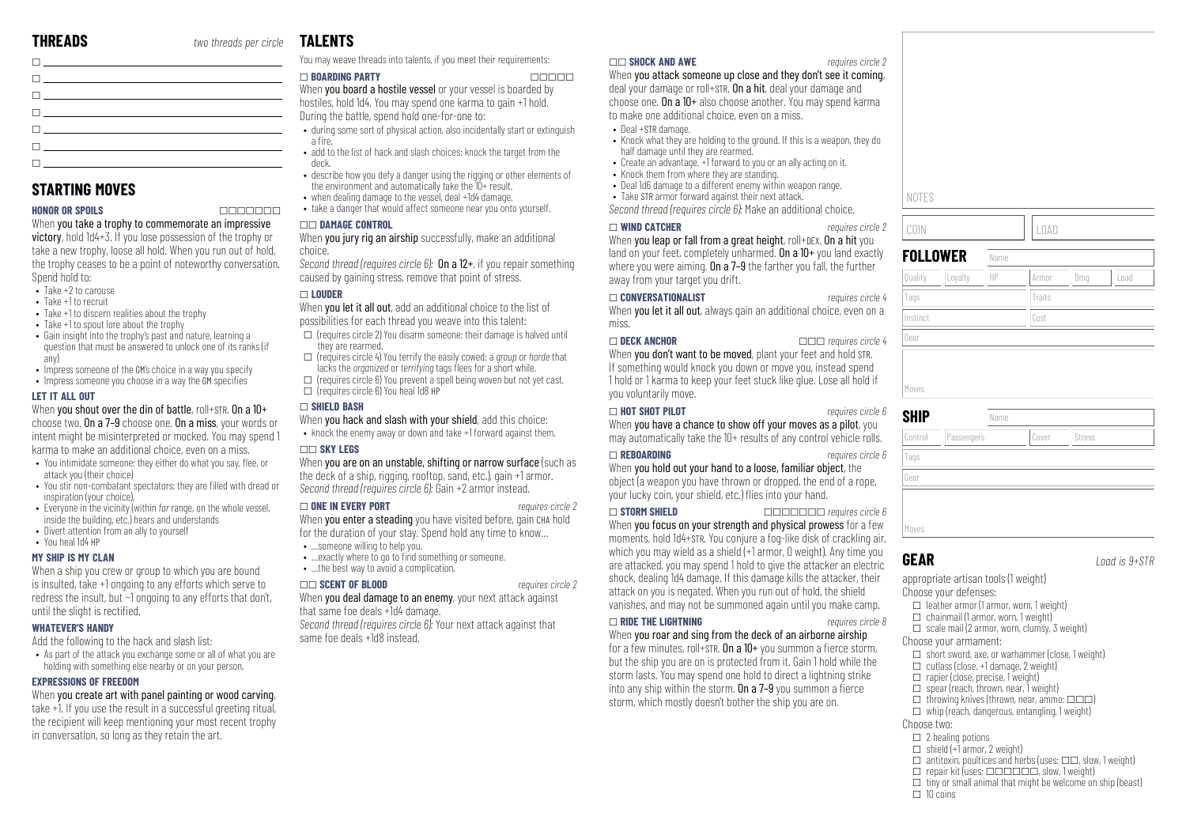| the contract of the contract of the contract of                                                        |  |
|--------------------------------------------------------------------------------------------------------|--|
| The contract of the contract of the contract of the                                                    |  |
|                                                                                                        |  |
| the contract of the contract of the contract of the                                                    |  |
| $\mathbf{I}$ and $\mathbf{I}$ are the set of $\mathbf{I}$ and $\mathbf{I}$ are the set of $\mathbf{I}$ |  |
|                                                                                                        |  |

# **STARTING MOVES**

#### **HONOR OR SPOILS** \_\_\_\_\_\_\_

When you take a trophy to commemorate an impressive victory, hold 1d4+3. If you lose possession of the trophy or take a new trophy, loose all hold. When you run out of hold, the trophy ceases to be a point of noteworthy conversation. Spend hold to:

- Take +2 to carouse
- Take +1 to recruit
- Take +1 to discern realities about the trophy
- Take +1 to spout lore about the trophy
- Gain insight into the trophy's past and nature, learning a question that must be answered to unlock one of its ranks (if any)
- Impress someone of the GM's choice in a way you specify
- Impress someone you choose in a way the GM specifies

#### **LET IT ALL OUT**

When you shout over the din of battle, roll+STR. On a 10+ choose two. On a 7–9 choose one. On a miss, your words or intent might be misinterpreted or mocked. You may spend 1 karma to make an additional choice, even on a miss.

- You intimidate someone: they either do what you say, flee, or attack you (their choice)
- You stir non-combatant spectators: they are filled with dread or inspiration (your choice).
- Everyone in the vicinity (within *far* range, on the whole vessel, inside the building, etc.) hears and understands
- Divert attention from an ally to yourself

## • You heal 1d4 HP

#### **MY SHIP IS MY CLAN**

When a ship you crew or group to which you are bound is insulted, take +1 ongoing to any efforts which serve to redress the insult, but −1 ongoing to any efforts that don't, until the slight is rectified.

#### **WHATEVER'S HANDY**

- Add the following to the hack and slash list: • As part of the attack you exchange some or all of what you are holding with something else nearby or on your person.
- **EXPRESSIONS OF FREEDOM**

#### When you create art with panel painting or wood carving.

take +1. If you use the result in a successful greeting ritual, the recipient will keep mentioning your most recent trophy in conversation, so long as they retain the art.

# **TAL FNTS**

You may weave threads into talents, if you meet their requirements:

#### \_ **BOARDING PARTY** \_\_\_\_\_

When **you board a hostile vessel** or your vessel is boarded by hostiles, hold 1d4. You may spend one karma to gain +1 hold. During the battle, spend hold one-for-one to:

- during some sort of physical action, also incidentally start or extinguish اً a fire
- add to the list of hack and slash choices: knock the target from the deck.
- describe how you defy a danger using the rigging or other elements of the environment and automatically take the 10+ result.
- when dealing damage to the vessel, deal +1d4 damage. • take a danger that would affect someone near you onto yourself.
	-

#### \_\_ **DAMAGE CONTROL**

When **you jury rig an airship** successfully, make an additional choice.

*Second thread (requires circle 6):* On a 12+, if you repair something caused by gaining stress, remove that point of stress.

#### $\Box$  **LOUDER**

When you let it all out, add an additional choice to the list of possibilities for each thread you weave into this talent:

- $\square$  (requires circle 2) You disarm someone: their damage is halved until they are rearmed.
- \_ (requires circle 4) You terrify the easily cowed: a *group* or *horde* that lacks the *organized* or *terrifying* tags flees for a short while.

 $\Box$  (requires circle 6) You prevent a spell being woven but not yet cast.  $\Box$  (requires circle 6) You heal 1d8 HP

## \_ **SHIELD BASH**

When you hack and slash with your shield, add this choice:

• knock the enemy away or down and take +1 forward against them. \_\_ **SKY LEGS**

When you are on an unstable, shifting or narrow surface (such as the deck of a ship, rigging, rooftop, sand, etc.), gain +1 armor. *Second thread (requires circle 6):* Gain +2 armor instead.

#### \_ **ONE IN EVERY PORT** *requires circle 2*

When you enter a steading you have visited before, gain CHA hold for the duration of your stay. Spend hold any time to know...

- …someone willing to help you. • exactly where to go to find something or someone.
- ... the best way to avoid a complication.

#### \_\_ **SCENT OF BLOOD** *requires circle 2*

When you deal damage to an enemy, your next attack against that same foe deals +1d4 damage. *Second thread (requires circle 6):* Your next attack against that



#### \_\_ **SHOCK AND AWE** *requires circle 2*

When you attack someone up close and they don't see it coming. deal your damage or roll+STR. On a hit, deal your damage and choose one. On a 10+ also choose another. You may spend karma to make one additional choice, even on a miss.

- Deal +STR damage.
- Knock what they are holding to the ground. If this is a weapon, they do half damage until they are rearmed.
- Create an advantage, +1 forward to you or an ally acting on it.
- Knock them from where they are standing.
- Deal 1d6 damage to a different enemy within weapon range.
- Take STR armor forward against their next attack. *Second thread (requires circle 6):* Make an additional choice.

\_ **WIND CATCHER** *requires circle 2* When you leap or fall from a great height, roll+DEX. On a hit you land on your feet, completely unharmed. On a 10+ you land exactly where you were aiming. On a 7-9 the farther you fall, the further away from your target you drift.

#### \_ **CONVERSATIONALIST** *requires circle 4*

When you let it all out, always gain an additional choice, even on a miss.

\_ **DECK ANCHOR** \_\_\_ *requires circle 4* When you don't want to be moved, plant your feet and hold STR. If something would knock you down or move you, instead spend 1 hold or 1 karma to keep your feet stuck like glue. Lose all hold if you voluntarily move.

#### \_ **HOT SHOT PILOT** *requires circle 6*

When you have a chance to show off your moves as a pilot, you may automatically take the 10+ results of any control vehicle rolls.

#### \_ **REBOARDING** *requires circle 6*

When you hold out your hand to a loose, familiar object, the object (a weapon you have thrown or dropped, the end of a rope, your lucky coin, your shield, etc.) flies into your hand.

\_ **STORM SHIELD** \_\_\_\_\_\_\_ *requires circle 6* When you focus on your strength and physical prowess for a few moments, hold 1d4+STR. You conjure a fog-like disk of crackling air, which you may wield as a shield (+1 armor, 0 weight). Any time you are attacked, you may spend 1 hold to give the attacker an electric shock, dealing 1d4 damage. If this damage kills the attacker, their attack on you is negated. When you run out of hold, the shield vanishes, and may not be summoned again until you make camp.

#### \_ **RIDE THE LIGHTNING** *requires circle 8*

When you roar and sing from the deck of an airborne airship for a few minutes, roll+STR. On a  $10+$  you summon a fierce storm, but the ship you are on is protected from it. Gain 1 hold while the storm lasts. You may spend one hold to direct a lightning strike into any ship within the storm. On  $a$  7–9 you summon a fierce storm, which mostly doesn't bother the ship you are on.

| NOTES               |                 |      |             |        |      |
|---------------------|-----------------|------|-------------|--------|------|
| COIN                |                 |      | <b>LOAD</b> |        |      |
|                     | <b>FOLLOWER</b> | Name |             |        |      |
| Quality             | Loyalty         | HP   | Armor       | Dmg    | Load |
| Tags                |                 |      | Traits      |        |      |
| Instinct            |                 |      | Cost        |        |      |
|                     |                 |      |             |        |      |
|                     |                 |      |             |        |      |
|                     |                 |      |             |        |      |
|                     |                 |      |             |        |      |
| Gear<br>Moves       |                 | Name |             |        |      |
| Control             | Passengers      |      | Cover       | Stress |      |
| <b>SHIP</b><br>Tags |                 |      |             |        |      |

Moves

**GEAR** *Load is 9+STR*

appropriate artisan tools (1 weight) Choose your defenses:

- $\Box$  leather armor (1 armor, worn, 1 weight)
- $\Box$  chainmail (1 armor, worn, 1 weight)  $\Box$  scale mail (2 armor, worn, clumsy, 3 weight)

Choose your armament:

- 
- $\Box$  short sword, axe, or warhammer (close, 1 weight)  $\Box$  cutlass (close, +1 damage, 2 weight)
- $\Box$  rapier (close, precise, 1 weight)
- $\Box$  spear (reach, thrown, near, 1 weight)
- $\Box$  throwing knives (thrown, near, ammo:  $\Box \Box \Box$ )
- $\Box$  whip (reach, dangerous, entangling, 1 weight)
- Choose two:
	- $\Box$  2 healing potions
	- $\Box$  shield  $(+1)$  armor, 2 weight)
	- $\Box$  antitoxin, poultices and herbs (uses:  $\Box \Box$ , slow, 1 weight)
	- $\Box$  repair kit (uses:  $\Box$  $\Box$  $\Box$  $\Box$  $\Box$ , slow, 1 weight)
- $\Box$  tiny or small animal that might be welcome on ship (beast)
- $\Box$  10 coins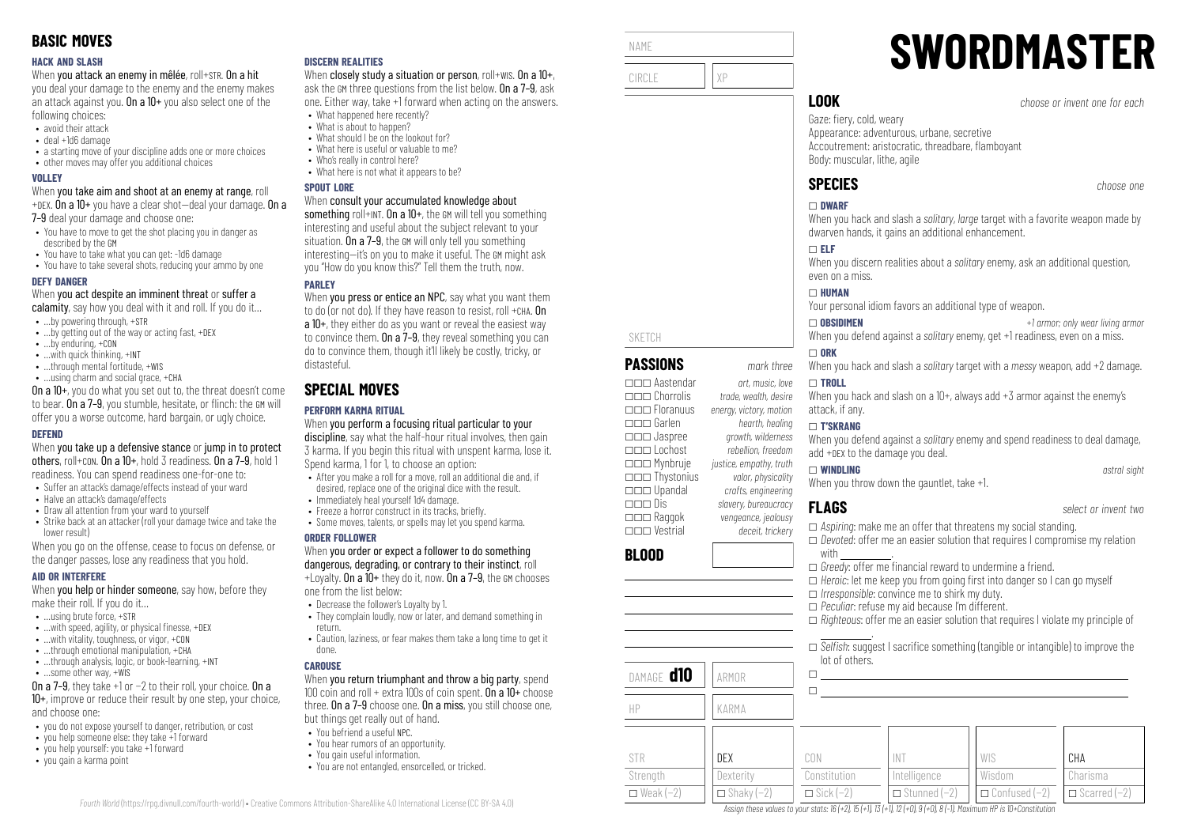#### **HACK AND SLASH**

When you attack an enemy in mêlée, roll+STR. On a hit

you deal your damage to the enemy and the enemy makes an attack against you. On a  $10+$  you also select one of the following choices:

- avoid their attack
- deal +1d6 damage
- a starting move of your discipline adds one or more choices
- other moves may offer you additional choices

#### **VOLLEY**

When you take aim and shoot at an enemy at range, roll +DEX. On a  $10+$  you have a clear shot-deal your damage. On a

7–9 deal your damage and choose one:

- You have to move to get the shot placing you in danger as described by the GM
- You have to take what you can get: -1d6 damage
- You have to take several shots, reducing your ammo by one

#### **DEFY DANGER**

When you act despite an imminent threat or suffer a

- calamity, say how you deal with it and roll. If you do it...
- …by powering through, +STR
- …by getting out of the way or acting fast, +DEX
- …by enduring, +CON • …with quick thinking, +INT
- $\bullet$  through mental fortitude,  $+WIS$
- …using charm and social grace, +CHA

On a 10+, you do what you set out to, the threat doesn't come to bear. On a 7–9, you stumble, hesitate, or flinch: the GM will offer you a worse outcome, hard bargain, or ugly choice.

#### **DEFEND**

When you take up a defensive stance or jump in to protect others, roll+CON. On a 10+, hold 3 readiness. On a 7–9, hold 1 readiness. You can spend readiness one-for-one to:

- Suffer an attack's damage/effects instead of your ward
- Halve an attack's damage/effects
- Draw all attention from your ward to yourself
- Strike back at an attacker (roll your damage twice and take the lower result)

When you go on the offense, cease to focus on defense, or the danger passes, lose any readiness that you hold.

#### **AID OR INTERFERE**

When **you help or hinder someone**, say how, before they make their roll. If you do it…

- $\bullet$  **using brute force,**  $\text{+STR}$
- $\bullet$  ...with speed, agility, or physical finesse,  $+$ DEX
- …with vitality, toughness, or vigor, +CON
- $\bullet$  through emotional manipulation,  $+CHA$
- ...through analysis, logic, or book-learning, +INT
- …some other way, +WIS

On a 7–9, they take +1 or −2 to their roll, your choice. On a 10+, improve or reduce their result by one step, your choice, and choose one:

- you do not expose yourself to danger, retribution, or cost
- you help someone else: they take +1 forward
- you help yourself: you take +1 forward
- you gain a karma point

#### **DISCERN REALITIES**

When closely study a situation or person, roll+wis. On a 10+, ask the GM three questions from the list below. On a 7–9, ask one. Either way, take +1 forward when acting on the answers.

- What happened here recently? • What is about to hannen?
- What should I be on the lookout for?
- What here is useful or valuable to me?
- Who's really in control here?
- What here is not what it annears to be?

#### **SPOUT LORE**

#### When consult your accumulated knowledge about

something roll+INT. On a 10+, the GM will tell you something interesting and useful about the subject relevant to your situation. On a 7–9, the GM will only tell you something interesting—it's on you to make it useful. The GM might ask you "How do you know this?" Tell them the truth, now.

## **PAPLEY**

When you press or entice an NPC, say what you want them to do (or not do). If they have reason to resist, roll +CHA. On a 10+, they either do as you want or reveal the easiest way to convince them. On a 7–9, they reveal something you can do to convince them, though it'll likely be costly, tricky, or distasteful.

# **SPECIAL MOVES**

## **PERFORM KARMA RITUAL**

When you perform a focusing ritual particular to your discipline, say what the half-hour ritual involves, then gain 3 karma. If you begin this ritual with unspent karma, lose it. Spend karma, 1 for 1, to choose an option:

- After you make a roll for a move, roll an additional die and, if desired, replace one of the original dice with the result.
- Immediately heal yourself 1d4 damage.
- $\bullet$  Freeze a horror construct in its tracks, briefly.
- Some moves, talents, or spells may let you spend karma.

#### **ORDER FOLLOWER**

#### When you order or expect a follower to do something dangerous, degrading, or contrary to their instinct, roll  $+1$  ovalty. On a  $10+$  they do it, now. On a 7-9, the GM chooses

one from the list below:

- Decrease the follower's Loyalty by 1.
- They complain loudly, now or later, and demand something in return.
- Caution, laziness, or fear makes them take a long time to get it done.

#### **CAROUSE**

*Fourth World* [\(https://rpg.divnull.com/fourth-world/\)](https://rpg.divnull.com/fourth-world/) • Creative Commons Attribution-ShareAlike 4.0 International License (CC [BY-SA](https://creativecommons.org/licenses/by-sa/4.0/) 4.0)

When you return triumphant and throw a big party, spend 100 coin and roll  $+$  extra 100s of coin spent. On a 10 $+$  choose three. On a 7–9 choose one. On a miss, you still choose one, but things get really out of hand.

- You befriend a useful NPC.
- You hear rumors of an opportunity.
- You gain useful information.
- You are not entangled, ensorcelled, or tricked.



\_\_\_ Upandal *crafts, engineering*

\_\_\_ Raggok *vengeance, jealousy* \_\_\_ Vestrial *deceit, trickery*

DAMAGE **d10** ARMOR

HP KARMA

DEX **Dexterity**  $\Box$  Shaky (−2)

**BLOOD**

STR Strenath  $\Box$  Weak (−2) \_\_\_ Dis *slavery, bureaucracy*

NAME

# **SWORDMASTER**

**LOOK** *choose or invent one for each*

Gaze: fiery, cold, weary Appearance: adventurous, urbane, secretive Accoutrement: aristocratic, threadbare, flamboyant Body: muscular, lithe, agile

# **SPECIES** *choose one*

#### \_ **DWARF**

When you hack and slash a *solitary, large* target with a favorite weapon made by dwarven hands, it gains an additional enhancement.

### \_ **ELF**

When you discern realities about a *solitary* enemy, ask an additional question, even on a miss.

#### \_ **HUMAN**

Your personal idiom favors an additional type of weapon.

\_ **OBSIDIMEN** *+1 armor; only wear living armor* When you defend against a *solitary* enemy, get +1 readiness, even on a miss.

#### $\Box$  ORK

When you hack and slash a *solitary* target with a *messy* weapon, add +2 damage.

#### \_ **TROLL**

When you hack and slash on a  $10+$ , always add  $+3$  armor against the enemy's attack, if any.

#### \_ **T'SKRANG**

When you defend against a *solitary* enemy and spend readiness to deal damage, add +DEX to the damage you deal.

#### \_ **WINDLING** *astral sight*

.

lot of others.

 $\Box$  $\Box$ 

CON Constitution  $\Box$  Sick (−2)

When you throw down the gauntlet, take +1.

\_ *Irresponsible*: convince me to shirk my duty. □ *Peculiar*: refuse my aid because I'm different.

> INT Intelligence \_ Stunned (−2)

Assign these values to your stats:  $16 (+2)$ ,  $15 (+1)$ ,  $13 (+1)$ ,  $12 (+0)$ ,  $9 (+0)$ ,  $8 (-1)$ . Maximum HP is 10+Constitution

**FLAGS** *select or invent two*

**CHA** Charisma  $\Box$  Scarred (−2)

□ *Aspiring*: make me an offer that threatens my social standing.

 $\Box$  *Heroic*: let me keep you from going first into danger so I can go myself

\_ *Devoted*: offer me an easier solution that requires I compromise my relation with \_\_\_\_\_\_\_\_\_\_\_\_\_.

\_ *Righteous*: offer me an easier solution that requires I violate my principle of

□ *Selfish:* suggest I sacrifice something (tangible or intangible) to improve the

WIS Wisdom \_ Confused (−2)

□ *Greedy*: offer me financial reward to undermine a friend.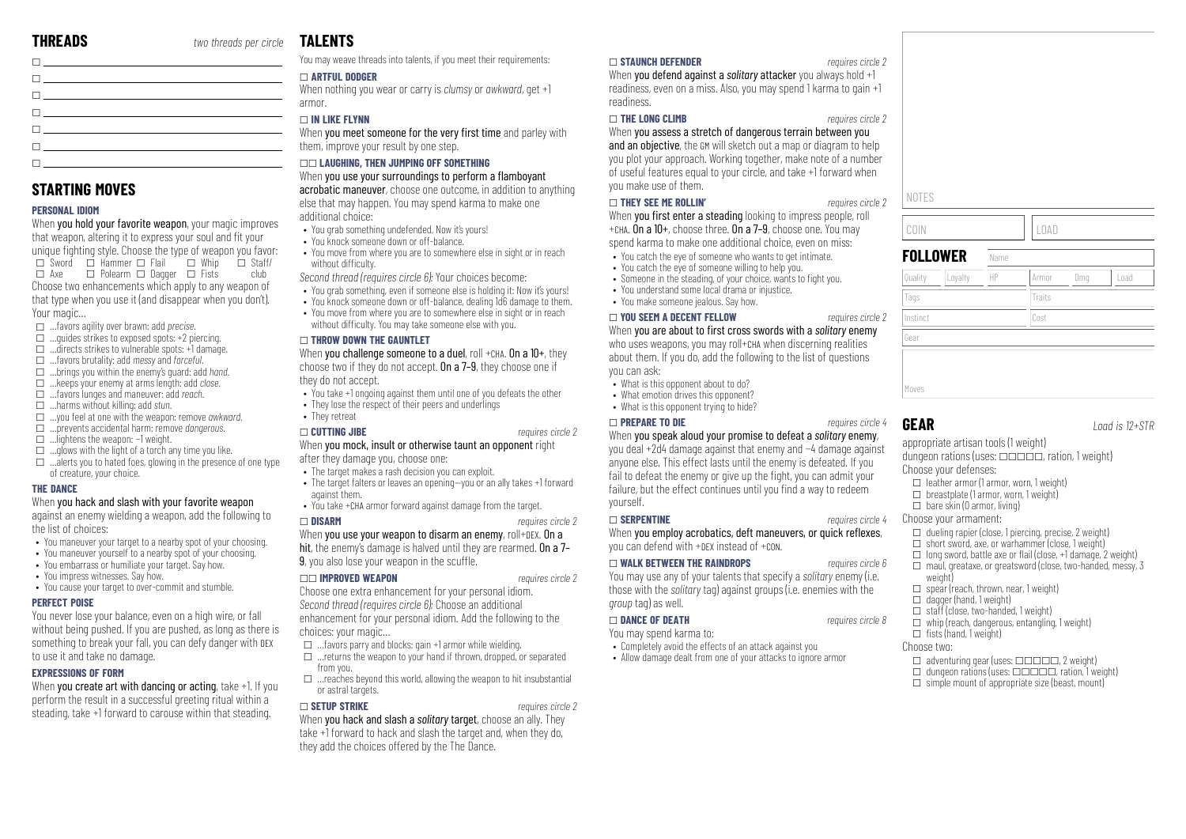| The contract of the contract of the                                                                                                                                                                                             |  |
|---------------------------------------------------------------------------------------------------------------------------------------------------------------------------------------------------------------------------------|--|
| <b>Charles and Community</b> and Community                                                                                                                                                                                      |  |
| $\Box$ and the set of the set of the set of the set of the set of the set of the set of the set of the set of the set of the set of the set of the set of the set of the set of the set of the set of the set of the set of the |  |
| the contract of the contract of the contract of the contract of the contract of the contract of the contract of                                                                                                                 |  |
| The contract of the contract of the contract of the contract of the contract of the contract of the contract of                                                                                                                 |  |
| $\mathbf{L}$ , and the contract of $\mathbf{L}$                                                                                                                                                                                 |  |
| <u> Filman e controla de la controla de la controla de la controla de la controla de la controla de la controla d</u>                                                                                                           |  |

# **STARTING MOVES**

#### **PERSONAL IDIOM**

When you hold your favorite weapon, your magic improves that weapon, altering it to express your soul and fit your unique fighting style. Choose the type of weapon you favor:  $\Box$  Sword  $\Box$  Hammer  $\Box$  Flail  $\Box$  Whip  $\square$  Axe  $\square$  Polearm  $\square$  Dagger  $\square$  Fists  $\overline{\Pi}$  Staff/ club Choose two enhancements which apply to any weapon of that type when you use it (and disappear when you don't). Your magic…

- \_ …favors agility over brawn: add *precise*.
- $\Box$  ... quides strikes to exposed spots: +2 piercing.
- $\Box$  directs strikes to vulnerable spots: +1 damage.
- \_ …favors brutality: add *messy* and *forceful*.
- $\Box$  hrings you within the enemy's quard: add *hand*.
- \_ …keeps your enemy at arms length: add *close*.
- \_ …favors lunges and maneuver: add *reach*. \_ …harms without killing: add *stun*.
- \_ …you feel at one with the weapon: remove *awkward*.
- \_ …prevents accidental harm: remove *dangerous*.
- \_ …lightens the weapon: −1 weight.
- $\Box$  olows with the light of a torch any time you like.
- $\square$  …alerts you to hated foes, glowing in the presence of one type of creature, your choice.

#### **THE DANCE**

When you hack and slash with your favorite weapon against an enemy wielding a weapon, add the following to the list of choices:

- You maneuver your target to a nearby spot of your choosing.
- You maneuver yourself to a nearby spot of your choosing.
- You embarrass or humiliate your target. Say how.
- You impress witnesses. Say how.
- You cause your target to over-commit and stumble.

#### **PERFECT POISE**

You never lose your balance, even on a high wire, or fall without being pushed. If you are pushed, as long as there is something to break your fall, you can defy danger with DEX to use it and take no damage.

#### **EXPRESSIONS OF FORM**

When you create art with dancing or acting, take +1. If you perform the result in a successful greeting ritual within a steading, take +1 forward to carouse within that steading.

# **TAL FNTS**

You may weave threads into talents, if you meet their requirements:

#### \_ **ARTFUL DODGER**

When nothing you wear or carry is *clumsy* or *awkward*, get +1 armor.

### \_ **IN LIKE FLYNN**

When you meet someone for the very first time and parley with them, improve your result by one step.

### \_\_ **LAUGHING, THEN JUMPING OFF SOMETHING** When you use your surroundings to perform a flamboyant

acrobatic maneuver, choose one outcome, in addition to anything else that may happen. You may spend karma to make one additional choice:

- You grab something undefended. Now it's yours!
- You knock someone down or off-balance.
- You move from where you are to somewhere else in sight or in reach without difficulty.

*Second thread (requires circle 6):* Your choices become:

- You grab something, even if someone else is holding it: Now it's yours!
- You knock someone down or off-balance, dealing 1d6 damage to them.
- You move from where you are to somewhere else in sight or in reach without difficulty. You may take someone else with you.

#### \_ **THROW DOWN THE GAUNTLET**

When you challenge someone to a duel, roll +CHA. On a 10+, they choose two if they do not accept. On a 7–9, they choose one if they do not accept.

- You take +1 ongoing against them until one of you defeats the other
- They lose the respect of their peers and underlings
- They retreat

## \_ **CUTTING JIBE** *requires circle 2*

#### When you mock, insult or otherwise taunt an opponent right after they damage you, choose one:

• The target makes a rash decision you can exploit.

- The target falters or leaves an opening—you or an ally takes +1 forward against them.
- You take +CHA armor forward against damage from the target.

#### \_ **DISARM** *requires circle 2*

When you use your weapon to disarm an enemy, roll+DEX. On a hit, the enemy's damage is halved until they are rearmed. On a 7-**9**, you also lose your weapon in the scuffle.

#### \_\_ **IMPROVED WEAPON** *requires circle 2*

Choose one extra enhancement for your personal idiom. *Second thread (requires circle 6):* Choose an additional enhancement for your personal idiom. Add the following to the

choices: your magic…  $\Box$  ... favors parry and blocks: gain +1 armor while wielding.

- $\square$  …returns the weapon to your hand if thrown, dropped, or separated from you.
- $\Box$  …reaches beyond this world, allowing the weapon to hit insubstantial or astral tamets

#### \_ **SETUP STRIKE** *requires circle 2*

When you hack and slash a *solitary* target, choose an ally. They take +1 forward to hack and slash the target and, when they do, they add the choices offered by the The Dance.

#### \_ **STAUNCH DEFENDER** *requires circle 2*

When you defend against a *solitary* attacker you always hold +1 readiness.

When you assess a stretch of dangerous terrain between you and an objective, the GM will sketch out a map or diagram to help you plot your approach. Working together, make note of a number of useful features equal to your circle, and take +1 forward when you make use of them.

#### \_ **THEY SEE ME ROLLIN'** *requires circle 2*

When you first enter a steading looking to impress people, roll +CHA. On a 10+, choose three. On a 7–9, choose one. You may spend karma to make one additional choice, even on miss:

- You catch the eye of someone who wants to get intimate.
- You catch the eye of someone willing to help you. • Someone in the steading, of your choice, wants to fight you.
- You understand some local drama or injustice.
- You make someone jealous. Say how.

#### \_ **YOU SEEM A DECENT FELLOW** *requires circle 2*

#### When you are about to first cross swords with a *solitary* enemy

who uses weapons, you may roll+CHA when discerning realities about them. If you do, add the following to the list of questions you can ask:

- What is this opponent about to do?
- What emotion drives this opponent?
- What is this opponent trying to hide?

#### \_ **PREPARE TO DIE** *requires circle 4*

When you speak aloud your promise to defeat a *solitary* enemy,

you deal +2d4 damage against that enemy and −4 damage against anyone else. This effect lasts until the enemy is defeated. If you fail to defeat the enemy or give up the fight, you can admit your failure, but the effect continues until you find a way to redeem yourself.

#### \_ **SERPENTINE** *requires circle 4*

When you employ acrobatics, deft maneuvers, or quick reflexes, you can defend with +DEX instead of +CON.

#### \_ **WALK BETWEEN THE RAINDROPS** *requires circle 6*

You may use any of your talents that specify a *solitary* enemy (i.e. those with the *solitary* tag) against groups (i.e. enemies with the *group* tag) as well.

#### \_ **DANCE OF DEATH** *requires circle 8*

You may spend karma to:

• Completely avoid the effects of an attack against you • Allow damage dealt from one of your attacks to ignore armor

NOTES

readiness, even on a miss. Also, you may spend 1 karma to gain +1

#### \_ **THE LONG CLIMB** *requires circle 2*

COIN LOAD **FOLLOWER** Name Quality ||Loyalty ||HP ||Armor ||Dmg ||Load Tags Tags Traits Traits Instinct Cost Gear

#### **GEAR** *Load is 12+STR*

Moves

appropriate artisan tools (1 weight) dungeon rations (uses:  $\Box \Box \Box \Box$ , ration, 1 weight) Choose your defenses:

 $\Box$  dueling rapier (close, 1 piercing, precise, 2 weight)  $\Box$  short sword, axe, or warhammer (close, 1 weight)  $\Box$  long sword, battle axe or flail (close, +1 damage, 2 weight)  $\Box$  maul, greataxe, or greatsword (close, two-handed, messy, 3

 $\Box$  adventuring gear (uses:  $\Box$  $\Box$  $\Box$  $\Box$ , 2 weight)  $\Box$  dungeon rations (uses:  $\Box$  $\Box$  $\Box$  $\Box$ , ration, 1 weight)  $\square$  simple mount of appropriate size (beast, mount)

- $\Box$  leather armor (1 armor, worn, 1 weight)
- $\Box$  breastplate (1 armor, worn, 1 weight)

 $\Box$  spear (reach, thrown, near, 1 weight)  $\Box$  dagger (hand, 1 weight)  $\Box$  staff (close, two-handed, 1 weight)  $\Box$  whip (reach, dangerous, entangling, 1 weight)

- $\Box$  bare skin (0 armor, living)
- Choose your armament:

weight)

Choose two:

 $\Box$  fists (hand, 1 weight)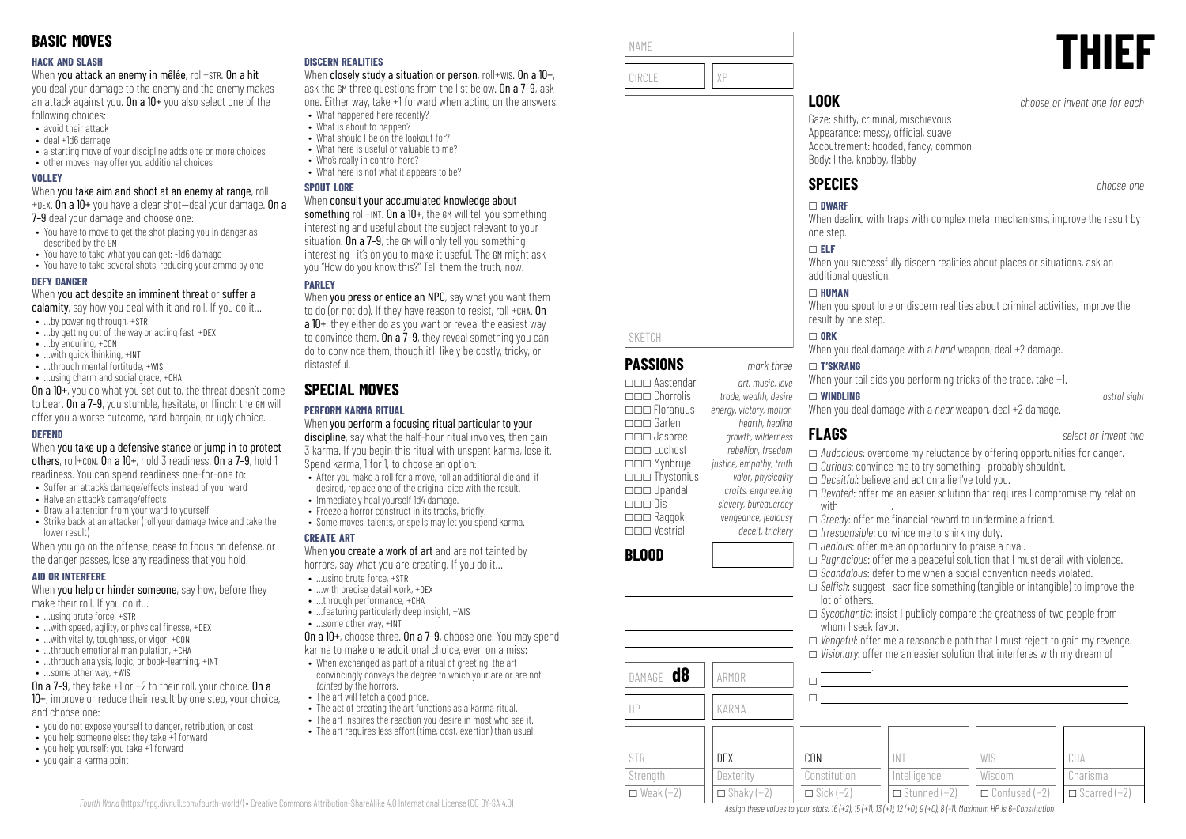#### **HACK AND SLASH**

When you attack an enemy in mêlée, roll+STR. On a hit

you deal your damage to the enemy and the enemy makes an attack against you. On a  $10+$  you also select one of the following choices:

- avoid their attack
- deal +1d6 damage
- a starting move of your discipline adds one or more choices
- other moves may offer you additional choices

#### **VOLLEY**

When you take aim and shoot at an enemy at range, roll +DEX. On a  $10+$  you have a clear shot-deal your damage. On a

7–9 deal your damage and choose one:

- You have to move to get the shot placing you in danger as described by the GM
- You have to take what you can get: -1d6 damage
- You have to take several shots, reducing your ammo by one

#### **DEFY DANGER**

When you act despite an imminent threat or suffer a

- calamity, say how you deal with it and roll. If you do it...
- …by powering through, +STR
- …by getting out of the way or acting fast, +DEX
- …by enduring, +CON • …with quick thinking, +INT
- ...through mental fortitude, +WIS
- …using charm and social grace, +CHA
- On a 10+, you do what you set out to, the threat doesn't come to bear. On a 7–9, you stumble, hesitate, or flinch: the GM will offer you a worse outcome, hard bargain, or ugly choice.

#### **DEFEND**

When you take up a defensive stance or jump in to protect others, roll+CON. On a 10+, hold 3 readiness. On a 7–9, hold 1 readiness. You can spend readiness one-for-one to:

- Suffer an attack's damage/effects instead of your ward
- Halve an attack's damage/effects
- Draw all attention from your ward to yourself
- Strike back at an attacker (roll your damage twice and take the lower result)

When you go on the offense, cease to focus on defense, or the danger passes, lose any readiness that you hold.

#### **AID OR INTERFERE**

When **you help or hinder someone**, say how, before they make their roll. If you do it…

- $\bullet$  **using brute force,**  $\text{+STR}$
- $\bullet$  ... with speed, agility, or physical finesse,  $+$ DEX
- …with vitality, toughness, or vigor, +CON
- $\bullet$  through emotional manipulation,  $+CH\Delta$
- …through analysis, logic, or book-learning, +INT
- …some other way, +WIS

On a 7–9, they take +1 or −2 to their roll, your choice. On a 10+, improve or reduce their result by one step, your choice, and choose one:

- you do not expose yourself to danger, retribution, or cost
- you help someone else: they take +1 forward
- you help yourself: you take +1 forward
- you gain a karma point

#### **DISCERN REALITIES**

When closely study a situation or person, roll+wis. On a 10+, ask the GM three questions from the list below. On a 7–9, ask one. Either way, take +1 forward when acting on the answers.

- What happened here recently? • What is about to hannen?
- What should I be on the lookout for?
- What here is useful or valuable to me?
- Who's really in control here?
- What here is not what it annears to be?

#### **SPOUT LORE**

#### When consult your accumulated knowledge about

something roll+INT. On a  $10+$ , the GM will tell you something interesting and useful about the subject relevant to your situation. On a 7–9, the GM will only tell you something interesting—it's on you to make it useful. The GM might ask you "How do you know this?" Tell them the truth, now.

## **PARLEY**

When you press or entice an NPC, say what you want them to do (or not do). If they have reason to resist, roll +CHA. On a 10+, they either do as you want or reveal the easiest way to convince them. On a 7–9, they reveal something you can do to convince them, though it'll likely be costly, tricky, or distasteful.

# **SPECIAL MOVES**

## **PERFORM KARMA RITUAL**

When you perform a focusing ritual particular to your discipline, say what the half-hour ritual involves, then gain 3 karma. If you begin this ritual with unspent karma, lose it. Spend karma, 1 for 1, to choose an option:

- After you make a roll for a move, roll an additional die and, if desired, replace one of the original dice with the result.
- Immediately heal yourself 1d4 damage.
- Freeze a horror construct in its tracks, briefly.
- Some moves, talents, or spells may let you spend karma.

#### **CREATE ART**

When you create a work of art and are not tainted by horrors, say what you are creating. If you do it…

- …using brute force, +STR
- …with precise detail work, +DEX • …through performance, +CHA
- …featuring particularly deep insight, +WIS
- …some other way, +INT

On a 10+, choose three. On a 7–9, choose one. You may spend karma to make one additional choice, even on a miss:

- When exchanged as part of a ritual of greeting, the art convincingly conveys the degree to which your are or are not tainted by the horrors.
- The art will fetch a good price.

*Fourth World* [\(https://rpg.divnull.com/fourth-world/\)](https://rpg.divnull.com/fourth-world/) • Creative Commons Attribution-ShareAlike 4.0 International License (CC [BY-SA](https://creativecommons.org/licenses/by-sa/4.0/) 4.0)

- The act of creating the art functions as a karma ritual.
- The art inspires the reaction you desire in most who see it.
- The art requires less effort (time, cost, exertion) than usual.

| NAME   |                                                                                                                                                 | THIEF                         |
|--------|-------------------------------------------------------------------------------------------------------------------------------------------------|-------------------------------|
| CIRCLE |                                                                                                                                                 |                               |
|        | <b>LOOK</b>                                                                                                                                     | choose or invent one for each |
|        | Gaze: shifty, criminal, mischievous<br>Appearance: messy, official, suave<br>Accoutrement: hooded, fancy, common<br>Body: lithe, knobby, flabby |                               |

SKETCH

**BLOOD**

STR Strength  $\Box$  Weak (−2)

\_\_\_ Aastendar *art, music, love* \_\_\_ Chorrolis *trade, wealth, desire*

\_\_\_ Garlen *hearth, healing* \_\_\_ Jaspree *growth, wilderness*

\_\_\_ Mynbruje *justice, empathy, truth* \_\_\_ Thystonius *valor, physicality* \_\_\_ Upandal *crafts, engineering*

\_\_\_ Raggok *vengeance, jealousy*

DAMAGE **d8** ARMOR

HP KARMA

DEX **Dexterity**  $\Box$  Shaky (-2)

\_\_\_ Floranuus *energy, victory, motion*

\_\_\_ Lochost *rebellion, freedom*

\_\_\_ Dis *slavery, bureaucracy*

\_\_\_ Vestrial *deceit, trickery*

# **SPECIES** *choose one*

# \_ **DWARF**

When dealing with traps with complex metal mechanisms, improve the result by one step.

### \_ **ELF**

When you successfully discern realities about places or situations, ask an additional question.

#### \_ **HUMAN**

When you spout lore or discern realities about criminal activities, improve the result by one step.

#### $\Box$  ORK

When you deal damage with a *hand* weapon, deal +2 damage.

#### **PASSIONS** *mark three* \_ **T'SKRANG**

When your tail aids you performing tricks of the trade, take +1.

#### \_ **WINDLING** *astral sight*

whom I seek favor.

.

 $\Box$  $\Box$ 

CON Constitution  $\Box$  Sick (−2)

When you deal damage with a *near* weapon, deal +2 damage.

# **FLAGS** *select or invent two*

- \_ *Audacious*: overcome my reluctance by offering opportunities for danger.
- \_ *Curious*: convince me to try something I probably shouldn't.
- \_ *Deceitful*: believe and act on a lie I've told you.
- \_ *Devoted*: offer me an easier solution that requires I compromise my relation with
- $\Box$  *Greedy:* offer me financial reward to undermine a friend.
- \_ *Irresponsible*: convince me to shirk my duty.

INT Intelligence \_ Stunned (−2)

Assign these values to your stats:  $16 (+2)$ ,  $15 (+1)$ ,  $13 (+1)$ ,  $12 (+0)$ ,  $9 (+0)$ ,  $8 (-1)$ . Maximum HP is 6+Constitution

- \_ *Jealous*: offer me an opportunity to praise a rival.
- \_ *Pugnacious*: offer me a peaceful solution that I must derail with violence.

\_ *Sycophantic*: insist I publicly compare the greatness of two people from

- \_ *Scandalous*: defer to me when a social convention needs violated.
- □ *Selfish*: suggest I sacrifice something (tangible or intangible) to improve the lot of others.

□ *Vengeful:* offer me a reasonable path that I must reject to gain my revenge.  $\Box$  *Visionary:* offer me an easier solution that interferes with my dream of

> WIS Wisdom \_ Confused (−2)

CHA Charisma \_ Scarred (−2)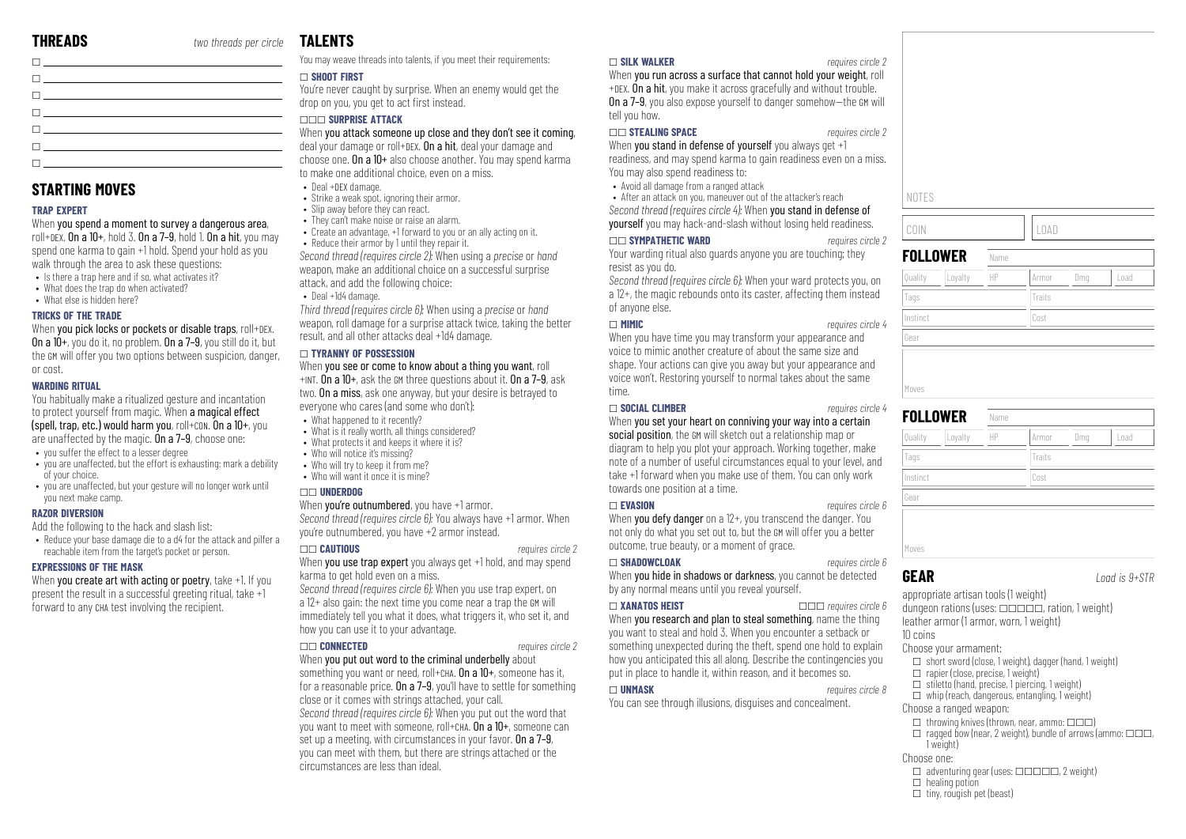| <u> 1989 - Johann Stein, fransk politiker (</u>                                                                       |  |
|-----------------------------------------------------------------------------------------------------------------------|--|
| the contract of the contract of the contract of the contract of the contract of the contract of the contract of       |  |
| <u> 1999 - Jan Alexandro III, prima prima prima prima prima prima prima prima prima prima prima prima prima prim</u>  |  |
| $\mathbf{I}$ , and the contract of the contract of $\mathbf{I}$                                                       |  |
| $\mathbf{L}$ and $\mathbf{L}$ are the set of $\mathbf{L}$ and $\mathbf{L}$ are the set of $\mathbf{L}$                |  |
| the contract of the contract of the contract of the                                                                   |  |
| <u> El proposito de la contrada de la contrada de la contrada de la contrada de la contrada de la contrada de la </u> |  |

# **STARTING MOVES**

## **TRAP EXPERT**

When you spend a moment to survey a dangerous area, roll+DEX. On a  $10+$ , hold 3. On a  $7-9$ , hold 1. On a hit, you may spend one karma to gain +1 hold. Spend your hold as you walk through the area to ask these questions:

- Is there a tran here and if so, what activates it?
- What does the trap do when activated?
- What else is hidden here?

#### **TRICKS OF THE TRADE**

When you pick locks or pockets or disable traps, roll+DEX. On a 10+, you do it, no problem. On a 7–9, you still do it, but the GM will offer you two options between suspicion, danger, or cost.

#### **WARDING RITUAL**

You habitually make a ritualized gesture and incantation to protect yourself from magic. When a magical effect (spell, trap, etc.) would harm you, roll+CON. On a 10+, you are unaffected by the magic. On a 7–9, choose one:

- you suffer the effect to a lesser degree
- you are unaffected, but the effort is exhausting: mark a debility of your choice.
- you are unaffected, but your gesture will no longer work until you next make camp.

#### **RAZOR DIVERSION**

Add the following to the hack and slash list:

• Reduce your base damage die to a d4 for the attack and pilfer a reachable item from the target's pocket or person.

#### **EXPRESSIONS OF THE MASK**

When you create art with acting or poetry, take +1. If you present the result in a successful greeting ritual, take +1 forward to any CHA test involving the recipient.

# **TAL FNTS**

You may weave threads into talents, if you meet their requirements:

#### \_ **SHOOT FIRST**

You're never caught by surprise. When an enemy would get the drop on you, you get to act first instead.

#### \_\_\_ **SURPRISE ATTACK**

When you attack someone up close and they don't see it coming, deal your damage or roll+DEX. On a hit, deal your damage and choose one. On a 10+ also choose another. You may spend karma

- to make one additional choice, even on a miss.
- Deal +DEX damage.
- Strike a weak spot, ignoring their armor. • Slip away before they can react.
- They can't make noise or raise an alarm.
- Create an advantage, +1 forward to you or an ally acting on it.
- Reduce their armor by 1 until they repair it.

*Second thread (requires circle 2):* When using a *precise* or *hand* weapon, make an additional choice on a successful surprise attack, and add the following choice:

• Deal +1d4 damage.

*Third thread (requires circle 6):* When using a *precise* or *hand* weapon, roll damage for a surprise attack twice, taking the better result, and all other attacks deal +1d4 damage.

#### \_ **TYRANNY OF POSSESSION**

When you see or come to know about a thing you want, roll +INT. On a 10+, ask the GM three questions about it. On a 7–9, ask two. On a miss, ask one anyway, but your desire is betrayed to everyone who cares (and some who don't):

- What hannened to it recently?
- What is it really worth, all things considered?
- What protects it and keeps it where it is? • Who will notice it's missing?
- Who will try to keep it from me?
- Who will want it once it is mine?

#### \_\_ **UNDERDOG**

#### When **vou're outnumbered**, you have +1 armor.

*Second thread (requires circle 6):* You always have +1 armor. When you're outnumbered, you have +2 armor instead.

\_\_ **CAUTIOUS** *requires circle 2* When you use trap expert you always get +1 hold, and may spend karma to get hold even on a miss.

*Second thread (requires circle 6):* When you use trap expert, on a 12+ also gain: the next time you come near a trap the GM will immediately tell you what it does, what triggers it, who set it, and how you can use it to your advantage.

#### \_\_ **CONNECTED** *requires circle 2*

When you put out word to the criminal underbelly about something you want or need, roll+CHA. On a 10+, someone has it, for a reasonable price. On a 7-9, you'll have to settle for something close or it comes with strings attached, your call. *Second thread (requires circle 6):* When you put out the word that you want to meet with someone, roll+CHA. On a 10+, someone can set up a meeting, with circumstances in your favor. On a  $7-9$ , you can meet with them, but there are strings attached or the circumstances are less than ideal.

#### \_ **SILK WALKER** *requires circle 2*

When you run across a surface that cannot hold your weight, roll +DEX. On a hit, you make it across gracefully and without trouble. On a 7–9, you also expose yourself to danger somehow—the GM will tell you how.

#### \_\_ **STEALING SPACE** *requires circle 2*

When you stand in defense of yourself you always get +1 readiness, and may spend karma to gain readiness even on a miss. You may also spend readiness to:

- Avoid all damage from a ranged attack
- After an attack on you, maneuver out of the attacker's reach

*Second thread (requires circle 4):* When you stand in defense of yourself you may hack-and-slash without losing held readiness.

#### \_\_ **SYMPATHETIC WARD** *requires circle 2*

Your warding ritual also guards anyone you are touching; they resist as you do.

*Second thread (requires circle 6):* When your ward protects you, on a 12+, the magic rebounds onto its caster, affecting them instead of anyone else.

#### \_ **MIMIC** *requires circle 4*

When you have time you may transform your appearance and voice to mimic another creature of about the same size and shape. Your actions can give you away but your appearance and voice won't. Restoring yourself to normal takes about the same time.

#### \_ **SOCIAL CLIMBER** *requires circle 4*

When you set your heart on conniving your way into a certain social position, the GM will sketch out a relationship map or diagram to help you plot your approach. Working together, make note of a number of useful circumstances equal to your level, and

take +1 forward when you make use of them. You can only work towards one position at a time. \_ **EVASION** *requires circle 6*

When you defy danger on a 12+, you transcend the danger. You not only do what you set out to, but the GM will offer you a better outcome, true beauty, or a moment of grace.

#### \_ **SHADOWCLOAK** *requires circle 6*

When you hide in shadows or darkness, you cannot be detected by any normal means until you reveal yourself.

#### $\Box$  **XANATOS HEIST**  $\Box$  *ZANATOS HEIST*

When you research and plan to steal something, name the thing you want to steal and hold 3. When you encounter a setback or something unexpected during the theft, spend one hold to explain how you anticipated this all along. Describe the contingencies you put in place to handle it, within reason, and it becomes so.

#### \_ **UNMASK** *requires circle 8*

You can see through illusions, disguises and concealment.

| NOTES                   |    |             |     |      |
|-------------------------|----|-------------|-----|------|
| COIN                    |    | <b>LOAD</b> |     |      |
| <b>FOLLOWER</b><br>Name |    |             |     |      |
|                         |    |             |     |      |
| Loyalty<br>Quality      | HP | Armor       | Dmg | Load |
| Tags                    |    | Traits      |     |      |
| Instinct                |    | Cost        |     |      |
| Gear                    |    |             |     |      |
|                         |    |             |     |      |

| Loyalty<br>Quality | HP | Load<br>Dmg<br>Armor |
|--------------------|----|----------------------|
| Tags               |    | Traits               |
| Instinct           |    | Cost                 |
| Gear               |    |                      |
|                    |    |                      |
|                    |    |                      |

appropriate artisan tools (1 weight) dungeon rations (uses:  $\Box \Box \Box \Box \Box$ , ration, 1 weight) leather armor (1 armor, worn, 1 weight) 10 coins

#### Choose your armament:

- $\Box$  short sword (close, 1 weight), dagger (hand, 1 weight)
- $\Box$  rapier (close, precise, 1 weight)
- $\Box$  stiletto (hand, precise, 1 piercing, 1 weight)  $\Box$  whip (reach, dangerous, entangling, 1 weight)
- Choose a ranged weapon:
- 
- $\Box$  throwing knives (thrown, near, ammo:  $\Box \Box \Box$ )
- $\Box$  ragged bow (near, 2 weight), bundle of arrows (ammo:  $\Box \Box \Box$ 1 weight)
- Choose one:
- $\Box$  adventuring gear (uses:  $\Box \Box \Box \Box \Box$ ) weight)
- $\Box$  healing potion  $\Box$  tiny, rougish pet (beast)
- 
- - **GEAR** *Load is 9+STR*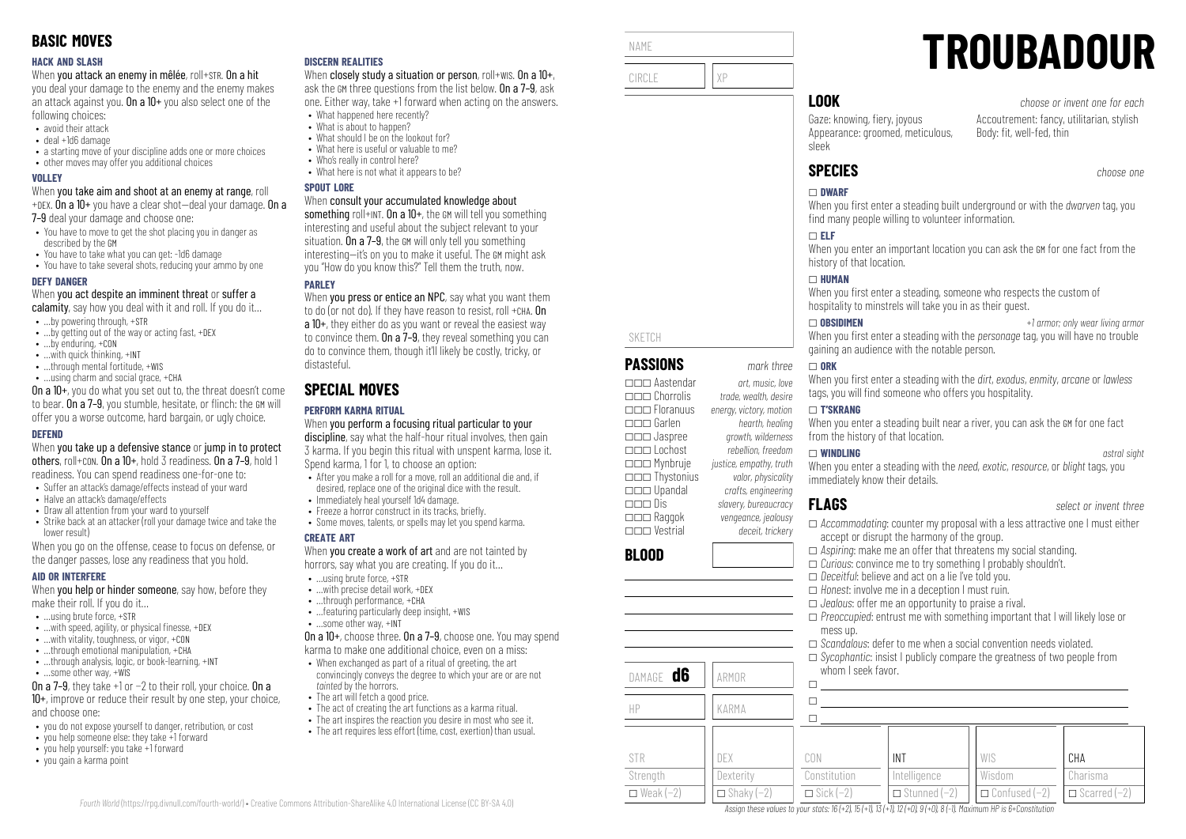#### **HACK AND SLASH**

When you attack an enemy in mêlée, roll+STR. On a hit

you deal your damage to the enemy and the enemy makes an attack against you. On a  $10+$  you also select one of the following choices:

- avoid their attack
- deal +1d6 damage
- a starting move of your discipline adds one or more choices
- other moves may offer you additional choices

#### **VOLLEY**

When you take aim and shoot at an enemy at range, roll +DEX. On a 10+ you have a clear shot—deal your damage. On a

7–9 deal your damage and choose one:

- You have to move to get the shot placing you in danger as described by the GM
- You have to take what you can get: -1d6 damage
- You have to take several shots, reducing your ammo by one

#### **DEFY DANGER**

When you act despite an imminent threat or suffer a

- calamity, say how you deal with it and roll. If you do it...
- …by powering through, +STR
- …by getting out of the way or acting fast, +DEX
- …by enduring, +CON
- …with quick thinking, +INT
- …through mental fortitude, +WIS • …using charm and social grace, +CHA

On a 10+, you do what you set out to, the threat doesn't come to bear. On a 7-9, you stumble, hesitate, or flinch: the GM will offer you a worse outcome, hard bargain, or ugly choice.

#### **DEFEND**

When you take up a defensive stance or jump in to protect others, roll+CON. On a 10+, hold 3 readiness. On a 7–9, hold 1 readiness. You can spend readiness one-for-one to:

- Suffer an attack's damage/effects instead of your ward
- Halve an attack's damage/effects
- Draw all attention from your ward to yourself • Strike back at an attacker (roll your damage twice and take the

lower result) When you go on the offense, cease to focus on defense, or the danger passes, lose any readiness that you hold.

#### **AID OR INTERFERE**

When **you help or hinder someone**, say how, before they make their roll. If you do it…

- $\bullet$  **using brute force,**  $\text{+STR}$
- $\bullet$  ... with speed, agility, or physical finesse,  $+$ DEX
- …with vitality, toughness, or vigor, +CON
- $\cdot$  through emotional manipulation,  $+CHA$
- ...through analysis, logic, or book-learning, +INT
- …some other way, +WIS

On a 7–9, they take +1 or −2 to their roll, your choice. On a 10+, improve or reduce their result by one step, your choice, and choose one:

- you do not expose yourself to danger, retribution, or cost
- you help someone else: they take +1 forward
- you help yourself: you take +1 forward
- you gain a karma point

#### **DISCERN REALITIES**

When closely study a situation or person, roll+wis. On a 10+, ask the GM three questions from the list below. On a 7–9, ask one. Either way, take +1 forward when acting on the answers.

- What happened here recently? • What is about to hannen?
- What should I be on the lookout for?
- What here is useful or valuable to me?
- Who's really in control here?
- What here is not what it annears to be?

#### **SPOUT LORE**

#### When consult your accumulated knowledge about

something roll+INT. On a  $10+$ , the GM will tell you something interesting and useful about the subject relevant to your situation. On a 7–9, the GM will only tell you something interesting—it's on you to make it useful. The GM might ask you "How do you know this?" Tell them the truth, now.

## **PARLEY**

When you press or entice an NPC, say what you want them to do (or not do). If they have reason to resist, roll +CHA. On a 10+, they either do as you want or reveal the easiest way to convince them. On a  $7-9$ , they reveal something you can do to convince them, though it'll likely be costly, tricky, or distasteful.

# **SPECIAL MOVES**

## **PERFORM KARMA RITUAL**

When you perform a focusing ritual particular to your discipline, say what the half-hour ritual involves, then gain 3 karma. If you begin this ritual with unspent karma, lose it. Spend karma, 1 for 1, to choose an option:

- After you make a roll for a move, roll an additional die and, if desired, replace one of the original dice with the result.
- Immediately heal yourself 1d4 damage.
- $\bullet$  Freeze a horror construct in its tracks, briefly.
- Some moves, talents, or spells may let you spend karma.

#### **CREATE ART**

When you create a work of art and are not tainted by horrors, say what you are creating. If you do it…

- …using brute force, +STR
- …with precise detail work, +DEX • ...through performance, +CHA
- …featuring particularly deep insight, +WIS
- …some other way, +INT

On a 10+, choose three. On a 7–9, choose one. You may spend karma to make one additional choice, even on a miss:

- When exchanged as part of a ritual of greeting, the art convincingly conveys the degree to which your are or are not tainted by the horrors.
- The art will fetch a good price.

*Fourth World* [\(https://rpg.divnull.com/fourth-world/\)](https://rpg.divnull.com/fourth-world/) • Creative Commons Attribution-ShareAlike 4.0 International License (CC [BY-SA](https://creativecommons.org/licenses/by-sa/4.0/) 4.0)

- The act of creating the art functions as a karma ritual.
- The art inspires the reaction you desire in most who see it.
- The art requires less effort (time, cost, exertion) than usual.



SKETCH

**BLOOD**

STR Strength  $\Box$  Weak (−2)

**PASSIONS** *mark three* \_\_\_ Aastendar *art, music, love* \_\_\_ Chorrolis *trade, wealth, desire*

\_\_\_ Garlen *hearth, healing* \_\_\_ Jaspree *growth, wilderness*

\_\_\_ Mynbruje *justice, empathy, truth* \_\_\_ Thystonius *valor, physicality* \_\_\_ Upandal *crafts, engineering*

\_\_\_ Raggok *vengeance, jealousy* \_\_\_ Vestrial *deceit, trickery*

DAMAGE **d6** ARMOR

HP KARMA

DEX **Dexterity**  $\Box$  Shaky (−2)

\_\_\_ Floranuus *energy, victory, motion*

\_\_\_ Lochost *rebellion, freedom*

\_\_\_ Dis *slavery, bureaucracy*

# **LOOK** *choose or invent one for each*

Gaze: knowing, fiery, joyous Appearance: groomed, meticulous, sleek

# **SPECIES** *choose one*

### \_ **DWARF**

When you first enter a steading built underground or with the *dwarven* tag, you find many people willing to volunteer information.

**TROUBADOUR**

Body: fit, well-fed, thin

Accoutrement: fancy, utilitarian, stylish

#### \_ **ELF**

When you enter an important location you can ask the GM for one fact from the history of that location.

#### $\Box$  **HUMAN**

When you first enter a steading, someone who respects the custom of hospitality to minstrels will take you in as their guest.

#### \_ **OBSIDIMEN** *+1 armor; only wear living armor* When you first enter a steading with the *personage* tag, you will have no trouble gaining an audience with the notable person.

#### \_ **ORK**

When you first enter a steading with the *dirt, exodus, enmity, gregne* or *lawless* tags, you will find someone who offers you hospitality.

#### \_ **T'SKRANG**

When you enter a steading built near a river, you can ask the GM for one fact from the history of that location.

#### \_ **WINDLING** *astral sight*

When you enter a steading with the *need*, *exotic*, *resource*, or *blight* tags, you immediately know their details.

**FLAGS** *select or invent three*

**CHA** Charisma  $\Box$  Scarred (−2)

- □ *Accommodating:* counter my proposal with a less attractive one I must either accept or disrupt the harmony of the group.
- \_ *Aspiring*: make me an offer that threatens my social standing.
- \_ *Curious*: convince me to try something I probably shouldn't.
- \_ *Deceitful*: believe and act on a lie I've told you.
- \_ *Honest*: involve me in a deception I must ruin.

INT Intelligence \_ Stunned (−2)

Assign these values to your stats:  $16 (+2)$ ,  $15 (+1)$ ,  $13 (+1)$ ,  $12 (+0)$ ,  $9 (+0)$ ,  $8 (-1)$ . Maximum HP is 6+Constitution

whom I seek favor.

 $\Box$  $\Box$  $\Box$ 

CON Constitution  $\Box$  Sick (−2)

- \_ *Jealous*: offer me an opportunity to praise a rival.
- \_ *Preoccupied*: entrust me with something important that I will likely lose or mess up.

WIS Wisdom \_ Confused (−2)

□ *Scandalous*: defer to me when a social convention needs violated. □ *Sycophantic*: insist I publicly compare the greatness of two people from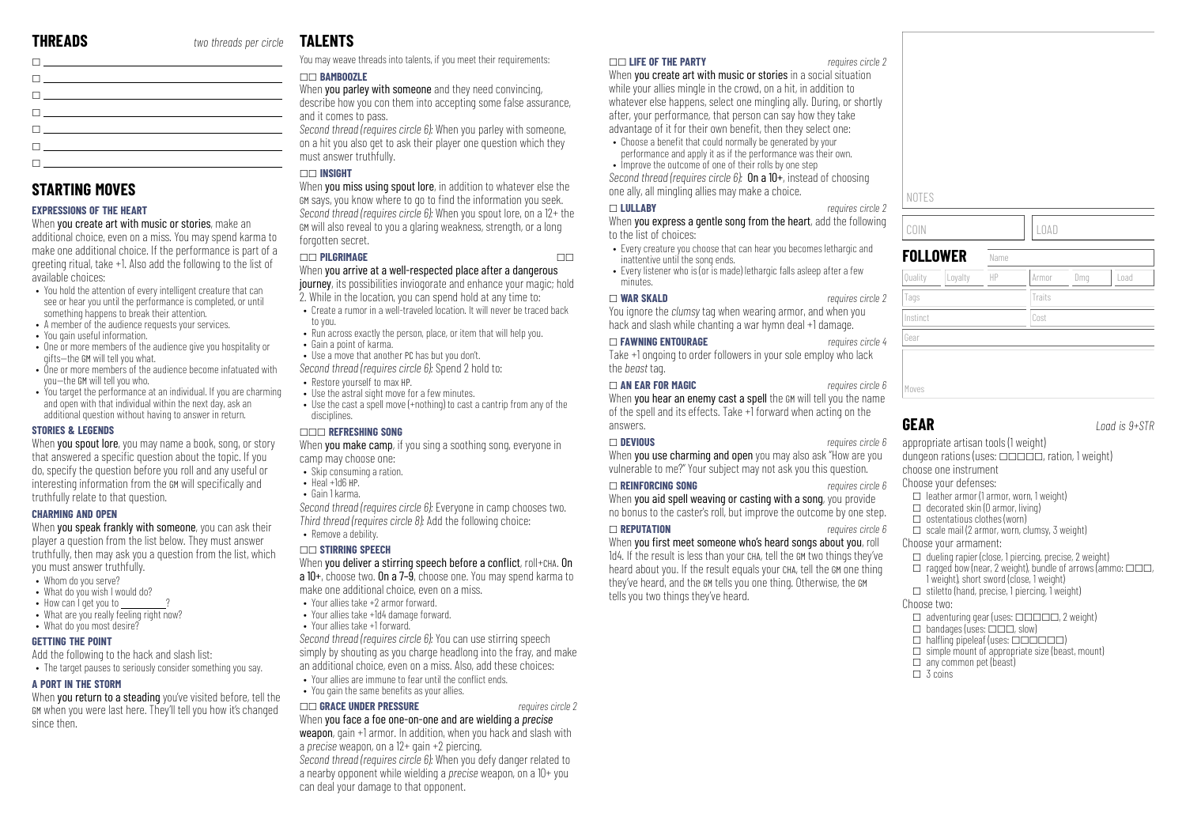| <u> Francisco – Antonio Antonio (m. 1888)</u> |  |
|-----------------------------------------------|--|
| <b>Communication</b>                          |  |
|                                               |  |
| $\Box$                                        |  |
| $\Box$                                        |  |
| $\Box$                                        |  |
|                                               |  |
|                                               |  |

# **STARTING MOVES**

### **EXPRESSIONS OF THE HEART**

When you create art with music or stories, make an additional choice, even on a miss. You may spend karma to make one additional choice. If the performance is part of a greeting ritual, take +1. Also add the following to the list of available choices:

- You hold the attention of every intelligent creature that can see or hear you until the performance is completed, or until something happens to break their attention.
- A member of the audience requests your services.
- You gain useful information.
- One or more members of the audience give you hospitality or gifts—the GM will tell you what.
- One or more members of the audience become infatuated with you—the GM will tell you who.
- You target the performance at an individual. If you are charming and open with that individual within the next day, ask an additional question without having to answer in return.

#### **STORIES & LEGENDS**

When **you spout lore**, you may name a book, song, or story that answered a specific question about the topic. If you do, specify the question before you roll and any useful or interesting information from the GM will specifically and truthfully relate to that question.

#### **CHARMING AND OPEN**

When you speak frankly with someone, you can ask their player a question from the list below. They must answer truthfully, then may ask you a question from the list, which you must answer truthfully.

- Whom do you serve?
- What do you wish I would do?
- $\bullet\,$  How can I get you to
- What are you really feeling right now?
- What do you most desire?

#### **GETTING THE POINT**

Add the following to the hack and slash list: • The target pauses to seriously consider something you say.

#### **A PORT IN THE STORM**

When **you return to a steading** you've visited before, tell the GM when you were last here. They'll tell you how it's changed since then.

# **TALENTS**

You may weave threads into talents, if you meet their requirements:

# $\Box$  **BAMBOOZLE**

When you parley with someone and they need convincing. describe how you con them into accepting some false assurance, and it comes to pass.

*Second thread (requires circle 6):* When you parley with someone, on a hit you also get to ask their player one question which they must answer truthfully.

## \_\_ **INSIGHT**

When **you miss using spout lore**, in addition to whatever else the GM says, you know where to go to find the information you seek. *Second thread (requires circle 6):* When you spout lore, on a 12+ the GM will also reveal to you a glaring weakness, strength, or a long forgotten secret.

#### \_\_ **PILGRIMAGE** \_\_

When you arrive at a well-respected place after a dangerous journey, its possibilities inviogorate and enhance your magic; hold

2. While in the location, you can spend hold at any time to:

- Create a rumor in a well-traveled location. It will never be traced back to you. • Run across exactly the person, place, or item that will help you.
- Gain a point of karma.
- Use a move that another PC has but you don't.

*Second thread (requires circle 6):* Spend 2 hold to:

- Restore yourself to max HP.
- Use the astral sight move for a few minutes.
- Use the cast a spell move (+nothing) to cast a cantrip from any of the disciplines.

#### \_\_\_ **REFRESHING SONG**

When you make camp, if you sing a soothing song, everyone in camp may choose one:

- Skip consuming a ration.
- $\bullet$  Heal  $+1$ d6 HP
- Gain 1 karma.

*Second thread (requires circle 6):* Everyone in camp chooses two. *Third thread (requires circle 8):* Add the following choice: • Remove a debility

#### \_\_ **STIRRING SPEECH**

#### When you deliver a stirring speech before a conflict, roll+CHA, On

a 10+, choose two. On a 7–9, choose one. You may spend karma to make one additional choice, even on a miss.

- Your allies take +2 armor forward.
- Your allies take +1d4 damage forward.
- Your allies take +1 forward

*Second thread (requires circle 6):* You can use stirring speech simply by shouting as you charge headlong into the fray, and make an additional choice, even on a miss. Also, add these choices:

- Your allies are immune to fear until the conflict ends.
- You gain the same benefits as your allies.

#### \_\_ **GRACE UNDER PRESSURE** *requires circle 2* When you face a foe one-on-one and are wielding a *precise* weapon, gain +1 armor. In addition, when you hack and slash with a *precise* weapon, on a 12+ gain +2 piercing.

*Second thread (requires circle 6):* When you defy danger related to a nearby opponent while wielding a *precise* weapon, on a 10+ you can deal your damage to that opponent.

#### \_\_ **LIFE OF THE PARTY** *requires circle 2*

When you create art with music or stories in a social situation while your allies mingle in the crowd, on a hit, in addition to whatever else happens, select one mingling ally. During, or shortly after, your performance, that person can say how they take advantage of it for their own benefit, then they select one:

- $\bullet$  Choose a benefit that could normally be generated by your performance and apply it as if the performance was their own.
- Improve the outcome of one of their rolls by one step

*Second thread (requires circle 6):* On a 10+, instead of choosing one ally, all mingling allies may make a choice.

#### \_ **LULLABY** *requires circle 2*

When you express a gentle song from the heart, add the following to the list of choices:

- Every creature you choose that can hear you becomes lethargic and inattentive until the song ends.
- $\bullet$  Fyery listener who is (or is made) letharnic falls asleep after a few minutes.

#### \_ **WAR SKALD** *requires circle 2*

You ignore the *clumsy* tag when wearing armor, and when you hack and slash while chanting a war hymn deal +1 damage.

#### \_ **FAWNING ENTOURAGE** *requires circle 4*

Take +1 ongoing to order followers in your sole employ who lack the *beast* tag.

#### \_ **AN EAR FOR MAGIC** *requires circle 6*

When you hear an enemy cast a spell the GM will tell you the name of the spell and its effects. Take +1 forward when acting on the answers.

## \_ **DEVIOUS** *requires circle 6*

When **you use charming and open** you may also ask "How are you vulnerable to me?" Your subject may not ask you this question.

#### \_ **REINFORCING SONG** *requires circle 6*

When you aid spell weaving or casting with a song, you provide no bonus to the caster's roll, but improve the outcome by one step.

#### \_ **REPUTATION** *requires circle 6*

When you first meet someone who's heard songs about you, roll 1d4. If the result is less than your CHA, tell the GM two things they've heard about you. If the result equals your CHA, tell the GM one thing they've heard, and the GM tells you one thing. Otherwise, the GM tells you two things they've heard.

Moves

**GEAR** *Load is 9+STR*

appropriate artisan tools (1 weight) dungeon rations (uses:  $\Box \Box \Box \Box \Box$  ration, 1 weight) choose one instrument

- Choose your defenses:
- $\Box$  leather armor (1 armor, worn, 1 weight)
- $\Box$  decorated skin (0 armor, living)
- $\Box$  ostentatious clothes (worn)
- $\Box$  scale mail (2 armor, worn, clumsy, 3 weight)
- Choose your armament:
- $\Box$  dueling rapier (close, 1 piercing, precise, 2 weight)
- $\Box$  ragged bow (near, 2 weight), bundle of arrows (ammo:  $\Box$  $\Box$  $\Box$ 1 weight), short sword (close, 1 weight)
- $\Box$  stiletto (hand, precise, 1 piercing, 1 weight)

Choose two:

- $\Box$  adventuring gear (uses:  $\Box \Box \Box \Box \Box$ ) weight)
- $\Box$  bandages (uses:  $\Box \Box \Box$  slow)
- $\Box$  halfling pipeleaf (uses:  $\Box$  $\Box$  $\Box$  $\Box$ )
- $\square$  simple mount of appropriate size (beast, mount)
- $\Box$  any common pet (beast)
- $\Box$  3 coins

NOTES COIN LOAD **FOLLOWER** Name Quality ||Loyalty ||HP ||Armor ||Dmg ||Load Tags Tags Traits Traits Instinct Cost Gear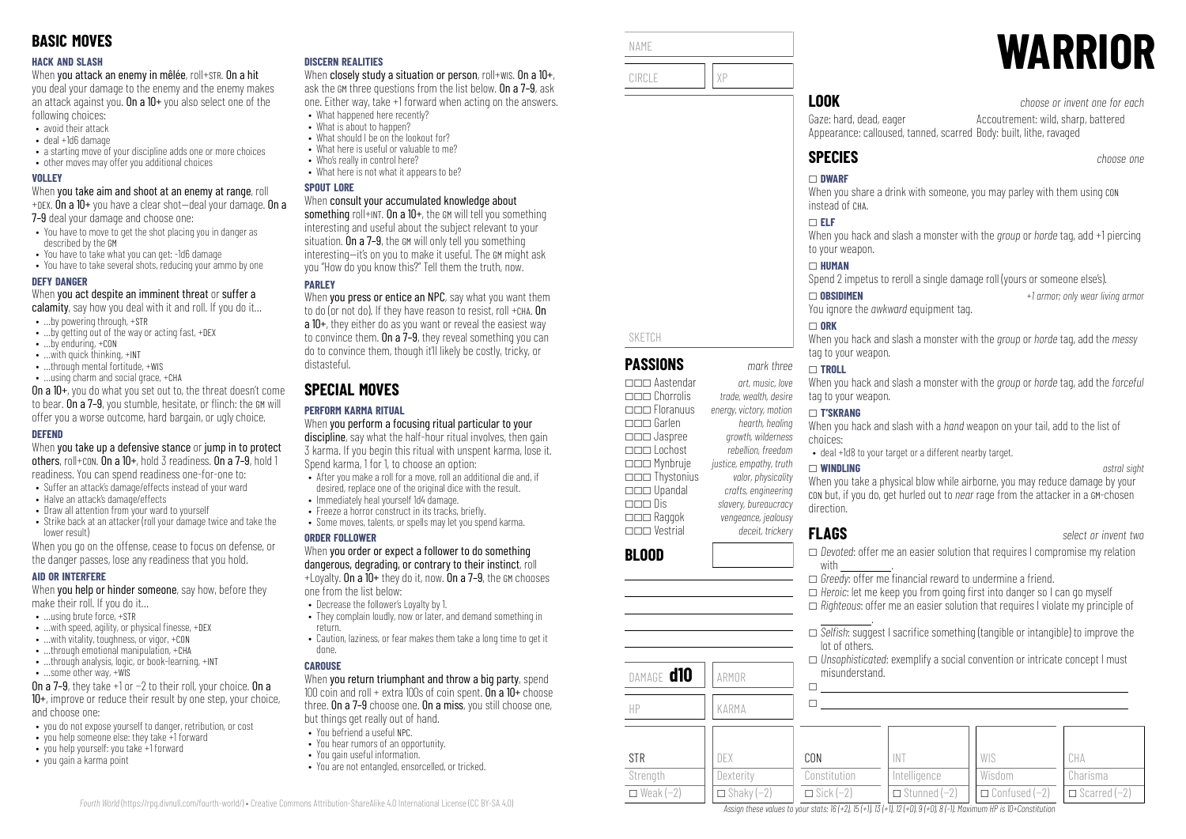#### **HACK AND SLASH**

When you attack an enemy in mêlée, roll+STR. On a hit

you deal your damage to the enemy and the enemy makes an attack against you. On a  $10+$  you also select one of the following choices:

- avoid their attack
- deal +1d6 damage
- a starting move of your discipline adds one or more choices
- other moves may offer you additional choices

#### **VOLLEY**

When you take aim and shoot at an enemy at range, roll +DEX. On a 10+ you have a clear shot—deal your damage. On a

7–9 deal your damage and choose one:

- You have to move to get the shot placing you in danger as described by the GM
- You have to take what you can get: -1d6 damage
- You have to take several shots, reducing your ammo by one

#### **DEFY DANGER**

When you act despite an imminent threat or suffer a

- calamity, say how you deal with it and roll. If you do it...
- …by powering through, +STR
- …by getting out of the way or acting fast, +DEX
- …by enduring, +CON
- …with quick thinking, +INT
- ...through mental fortitude, +WIS • …using charm and social grace, +CHA
- On a 10+, you do what you set out to, the threat doesn't come to bear. On a 7-9, you stumble, hesitate, or flinch: the GM will

# offer you a worse outcome, hard bargain, or ugly choice.

#### **DEFEND**

When you take up a defensive stance or jump in to protect others, roll+CON. On a 10+, hold 3 readiness. On a 7–9, hold 1 readiness. You can spend readiness one-for-one to:

- Suffer an attack's damage/effects instead of your ward
- Halve an attack's damage/effects
- Draw all attention from your ward to yourself
- Strike back at an attacker (roll your damage twice and take the lower result)

When you go on the offense, cease to focus on defense, or the danger passes, lose any readiness that you hold.

#### **AID OR INTERFERE**

When **you help or hinder someone**, say how, before they make their roll. If you do it…

- $\bullet$  **using brute force,**  $\text{+STR}$
- $\bullet$  ... with speed, agility, or physical finesse,  $+$ DEX
- …with vitality, toughness, or vigor, +CON
- $\bullet$  through emotional manipulation,  $+CHA$
- ...through analysis, logic, or book-learning, +INT
- …some other way, +WIS

On a 7–9, they take +1 or −2 to their roll, your choice. On a 10+, improve or reduce their result by one step, your choice, and choose one:

- you do not expose yourself to danger, retribution, or cost
- you help someone else: they take +1 forward
- you help yourself: you take +1 forward
- you gain a karma point

#### **DISCERN REALITIES**

When closely study a situation or person, roll+wis. On a 10+, ask the GM three questions from the list below. On a 7–9, ask one. Either way, take +1 forward when acting on the answers.

- What happened here recently? • What is about to hannen?
- What should I be on the lookout for?
- What here is useful or valuable to me?
- Who's really in control here?
- What here is not what it annears to be?

#### **SPOUT LORE**

#### When consult your accumulated knowledge about

something roll+INT. On a  $10+$ , the GM will tell you something interesting and useful about the subject relevant to your situation. On a 7–9, the GM will only tell you something interesting—it's on you to make it useful. The GM might ask you "How do you know this?" Tell them the truth, now.

## **PAPLEY**

When you press or entice an NPC, say what you want them to do (or not do). If they have reason to resist, roll +CHA. On a 10+, they either do as you want or reveal the easiest way to convince them. On a 7–9, they reveal something you can do to convince them, though it'll likely be costly, tricky, or distasteful.

# **SPECIAL MOVES**

## **PERFORM KARMA RITUAL**

When you perform a focusing ritual particular to your discipline, say what the half-hour ritual involves, then gain 3 karma. If you begin this ritual with unspent karma, lose it. Spend karma, 1 for 1, to choose an option:

- After you make a roll for a move, roll an additional die and, if desired, replace one of the original dice with the result.
- Immediately heal yourself 1d4 damage.
- $\bullet$  Freeze a horror construct in its tracks, briefly.
- Some moves, talents, or spells may let you spend karma.

#### **ORDER FOLLOWER**

#### When you order or expect a follower to do something dangerous, degrading, or contrary to their instinct, roll  $+1$  ovalty. On a  $10+$  they do it, now. On a 7-9, the GM chooses

one from the list below:

- Decrease the follower's Loyalty by 1.
- They complain loudly, now or later, and demand something in return.
- Caution, laziness, or fear makes them take a long time to get it done.

#### **CAROUSE**

*Fourth World* [\(https://rpg.divnull.com/fourth-world/\)](https://rpg.divnull.com/fourth-world/) • Creative Commons Attribution-ShareAlike 4.0 International License (CC [BY-SA](https://creativecommons.org/licenses/by-sa/4.0/) 4.0)

When you return triumphant and throw a big party, spend 100 coin and roll  $+$  extra 100s of coin spent. On a 10 $+$  choose three. On a 7–9 choose one. On a miss, you still choose one, but things get really out of hand.

- You befriend a useful NPC.
- You hear rumors of an opportunity.
- You gain useful information.
- You are not entangled, ensorcelled, or tricked.



SKETCH

**BLOOD**

**STR** Strenath  $\Box$  Weak (−2)

**PASSIONS** *mark three* \_\_\_ Aastendar *art, music, love* \_\_\_ Chorrolis *trade, wealth, desire*

\_\_\_ Garlen *hearth, healing* \_\_\_ Jaspree *growth, wilderness*

\_\_\_ Mynbruje *justice, empathy, truth* \_\_\_ Thystonius *valor, physicality* \_\_\_ Upandal *crafts, engineering*

\_\_\_ Raggok *vengeance, jealousy* \_\_\_ Vestrial *deceit, trickery*

DAMAGE **d10** ARMOR

HP KARMA

DEX **Dexterity**  $\Box$  Shaky (-2)

\_\_\_ Floranuus *energy, victory, motion*

\_\_\_ Lochost *rebellion, freedom*

\_\_\_ Dis *slavery, bureaucracy*

# **WARRIOR**

**LOOK** *choose or invent one for each*

Gaze: hard, dead, eager Appearance: calloused, tanned, scarred Body: built, lithe, ravaged Accoutrement: wild, sharp, battered

When you share a drink with someone, you may parley with them using CON instead of CHA.

#### \_ **ELF**

When you hack and slash a monster with the *group* or *horde* tag, add +1 piercing to your weapon.

#### \_ **HUMAN**

Spend 2 impetus to reroll a single damage roll (yours or someone else's).

\_ **OBSIDIMEN** *+1 armor; only wear living armor* You ignore the *awkward* equipment tag.

## $\Box$  ORK

When you hack and slash a monster with the *group* or *horde* tag, add the *messy* tag to your weapon.

#### \_ **TROLL**

When you hack and slash a monster with the *group* or *horde* tag, add the *forceful* tag to your weapon.

#### \_ **T'SKRANG**

When you hack and slash with a *hand* weapon on your tail, add to the list of choices:

• deal +1d8 to your target or a different nearby target.

#### \_ **WINDLING** *astral sight*

When you take a physical blow while airborne, you may reduce damage by your CON but, if you do, get hurled out to *near* rage from the attacker in a GM-chosen direction.

\_ *Devoted*: offer me an easier solution that requires I compromise my relation

□ *Selfish:* suggest I sacrifice something (tangible or intangible) to improve the

\_ *Unsophisticated*: exemplify a social convention or intricate concept I must

WIS Wisdom \_ Confused (−2)

 $\Box$  *Heroic*: let me keep you from going first into danger so I can go myself \_ *Righteous*: offer me an easier solution that requires I violate my principle of

 $\Box$  *Greedy*: offer me financial reward to undermine a friend.

 $\Box$  $\Box$ 

CON Constitution  $\Box$  Sick (−2)

with

.

lot of others.

misunderstand.

INT Intelligence \_ Stunned (−2)

Assign these values to your stats:  $16 (+2)$ ,  $15 (+1)$ ,  $13 (+1)$ ,  $12 (+0)$ ,  $9 (+0)$ ,  $8 (-1)$ . Maximum HP is 10+Constitution

**FLAGS** *select or invent two*

CHA Charisma  $\Box$  Scarred (−2)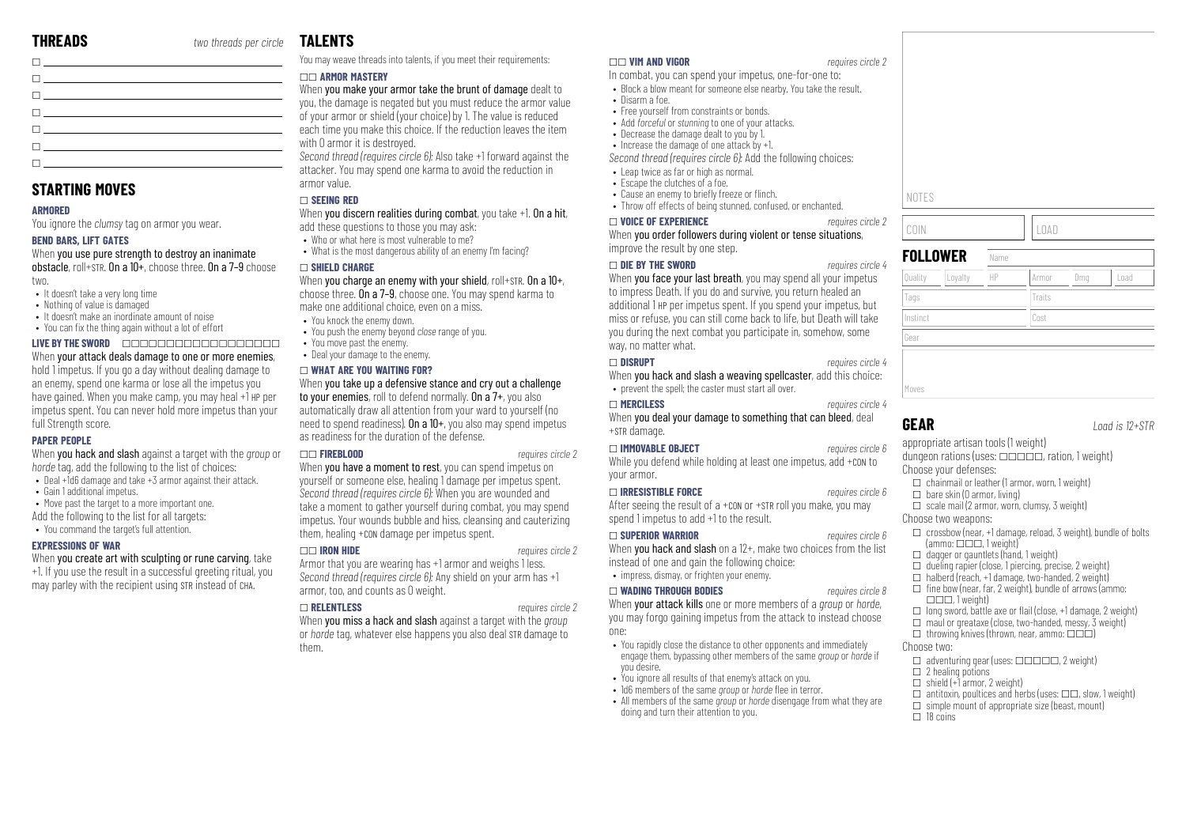**STARTING MOVES**

**BEND BARS, LIFT GATES**

full Strength score. **PAPER PEOPLE**

• Gain 1 additional impetus.

**EXPRESSIONS OF WAR**

• It doesn't take a very long time • Nothing of value is damaged

**ARMORED**

two.

 $\Box$ 

You ignore the *clumsy* tag on armor you wear.

• It doesn't make an inordinate amount of noise • You can fix the thing again without a lot of effort

*horde* tag, add the following to the list of choices: • Deal +1d6 damage and take +3 armor against their attack.

When you create art with sculpting or rune carving, take +1. If you use the result in a successful greeting ritual, you may parley with the recipient using STR instead of CHA.

• Move past the target to a more important one. Add the following to the list for all targets: • You command the target's full attention.

When you use pure strength to destroy an inanimate obstacle, roll+STR. On a 10+, choose three. On a 7–9 choose

**LIVE BY THE SWORD** \_\_\_\_\_\_\_\_\_\_\_\_\_\_\_\_\_\_ When your attack deals damage to one or more enemies. hold 1 impetus. If you go a day without dealing damage to an enemy, spend one karma or lose all the impetus you have gained. When you make camp, you may heal +1 HP per impetus spent. You can never hold more impetus than your

 $\Box$ \_ \_ \_  $\Box$  $\Box$ 

| r circle: | <b>TALENTS</b> |
|-----------|----------------|
|           |                |

| You may weave threads into talents, if you meet their requirements: |  |  |  |
|---------------------------------------------------------------------|--|--|--|
|---------------------------------------------------------------------|--|--|--|

## \_\_ **ARMOR MASTERY**

When you make your armor take the brunt of damage dealt to you, the damage is negated but you must reduce the armor value  $\sim$  of your armor or shield (your choice) by 1. The value is reduced each time you make this choice. If the reduction leaves the item with 0 armor it is destroyed.

*Second thread (requires circle 6):* Also take +1 forward against the attacker. You may spend one karma to avoid the reduction in armor value.

#### \_ **SEEING RED**

## When you discern realities during combat, you take +1. On a hit,

- add these questions to those you may ask:
- Who or what here is most vulnerable to me?
- What is the most dangerous ability of an enemy I'm facing?

#### \_ **SHIELD CHARGE**

## When you charge an enemy with your shield, roll+STR. On a 10+,

choose three. On a 7–9, choose one. You may spend karma to make one additional choice, even on a miss.

- You knock the enemy down.
- You push the enemy beyond *close* range of you.
- You move past the enemy.
- Deal your damage to the enemy.

#### \_ **WHAT ARE YOU WAITING FOR?**

### When you take up a defensive stance and cry out a challenge

to your enemies, roll to defend normally. On a 7+, you also automatically draw all attention from your ward to yourself (no need to spend readiness). On a  $10+$ , you also may spend impetus as readiness for the duration of the defense.

#### When you hack and slash against a target with the *group* or \_\_ **FIREBLOOD** *requires circle 2*

When **you have a moment to rest**, you can spend impetus on yourself or someone else, healing 1 damage per impetus spent. *Second thread (requires circle 6):* When you are wounded and take a moment to gather yourself during combat, you may spend impetus. Your wounds bubble and hiss, cleansing and cauterizing them, healing +CON damage per impetus spent.

#### \_\_ **IRON HIDE** *requires circle 2*

#### Armor that you are wearing has +1 armor and weighs 1 less. *Second thread (requires circle 6):* Any shield on your arm has +1 armor, too, and counts as 0 weight.

#### \_ **RELENTLESS** *requires circle 2*

When you miss a hack and slash against a target with the *group* or *horde* tag, whatever else happens you also deal STR damage to them.

#### \_\_ **VIM AND VIGOR** *requires circle 2*

In combat, you can spend your impetus, one-for-one to:

- Block a blow meant for someone else nearby. You take the result. • Disarm a foe.
- Free yourself from constraints or bonds.
- Add *forceful* or *stunning* to one of your attacks.
- Decrease the damage dealt to you by 1.
- Increase the damage of one attack by +1.

*Second thread (requires circle 6):* Add the following choices:

- Leap twice as far or high as normal.
- Escape the clutches of a foe.
- Cause an enemy to briefly freeze or flinch.
- Throw off effects of being stunned, confused, or enchanted.

#### \_ **VOICE OF EXPERIENCE** *requires circle 2*

When you order followers during violent or tense situations. improve the result by one step.

#### \_ **DIE BY THE SWORD** *requires circle 4*

When **you face your last breath**, you may spend all your impetus to impress Death. If you do and survive, you return healed an additional 1 HP per impetus spent. If you spend your impetus, but miss or refuse, you can still come back to life, but Death will take you during the next combat you participate in, somehow, some way, no matter what.

When you hack and slash a weaving spellcaster, add this choice:

When you deal your damage to something that can bleed, deal +STR damage.

While you defend while holding at least one impetus, add +con to your armor.

After seeing the result of a +CON or +STR roll you make, you may

When **you hack and slash** on a 12+, make two choices from the list instead of one and gain the following choice: • impress, dismay, or frighten your enemy.

# \_ **WADING THROUGH BODIES** *requires circle 8*

When your attack kills one or more members of a *group* or *horde*, you may forgo gaining impetus from the attack to instead choose one:

- You rapidly close the distance to other opponents and immediately engage them, bypassing other members of the same *group* or *horde* if you desire.
- You ignore all results of that enemy's attack on you.
- 1d6 members of the same *group* or *horde* flee in terror.
- All members of the same *group* or *horde* disengage from what they are doing and turn their attention to you.

| NOTES              |      |        |     |      |
|--------------------|------|--------|-----|------|
| COIN               |      | LOAD   |     |      |
| <b>FOLLOWER</b>    | Name |        |     |      |
| Loyalty<br>Quality | HP   | Armor  | Dmg | Load |
| Tags               |      | Traits |     |      |
| Instinct           |      | Cost   |     |      |
| Gear               |      |        |     |      |
|                    |      |        |     |      |

Moves

**GEAR** *Load is 12+STR*

appropriate artisan tools (1 weight) dungeon rations (uses:  $\Box \Box \Box \Box \Box$ , ration, 1 weight) Choose your defenses:

- $\Box$  chainmail or leather (1 armor, worn, 1 weight)  $\Box$  bare skin (0 armor, living)
- $\Box$  scale mail (2 armor, worn, clumsy, 3 weight)
- Choose two weapons:
- $\Box$  crossbow (near, +1 damage, reload, 3 weight), bundle of bolts  $\left(\text{ammo:}\ \Box\ \Box\ \Box\ \mathsf{I}$  weight)
- $\Box$  dagger or gauntlets (hand, 1 weight)
- $\Box$  dueling rapier (close, 1 piercing, precise, 2 weight)
- $\Box$  halberd (reach, +1 damage, two-handed, 2 weight)
- $\Box$  fine bow (near, far, 2 weight), bundle of arrows (ammo:  $\Box$  $\Box$ , 1 weight)
- $\Box$  long sword, battle axe or flail (close, +1 damage, 2 weight)
- $\Box$  maul or greataxe (close, two-handed, messy,  $\overline{3}$  weight)
- $\Box$  throwing knives (thrown, near, ammo:  $\Box \Box \Box$ )

#### Choose two:

- $\Box$  adventuring gear (uses:  $\Box$  $\Box$  $\Box$  $\Box$ , 2 weight)
- $\square$  2 healing potions  $\Box$  shield (+1 armor, 2 weight)
- $\Box$  antitoxin, poultices and herbs (uses:  $\Box \Box$ , slow, 1 weight)
- $\Box$  simple mount of appropriate size (beast, mount)
- $\Box$  18 coins

\_ **SUPERIOR WARRIOR** *requires circle 6*

# spend 1 impetus to add +1 to the result.

\_ **IRRESISTIBLE FORCE** *requires circle 6*

# \_ **IMMOVABLE OBJECT** *requires circle 6*

\_ **MERCILESS** *requires circle 4*

\_ **DISRUPT** *requires circle 4* • prevent the spell; the caster must start all over.

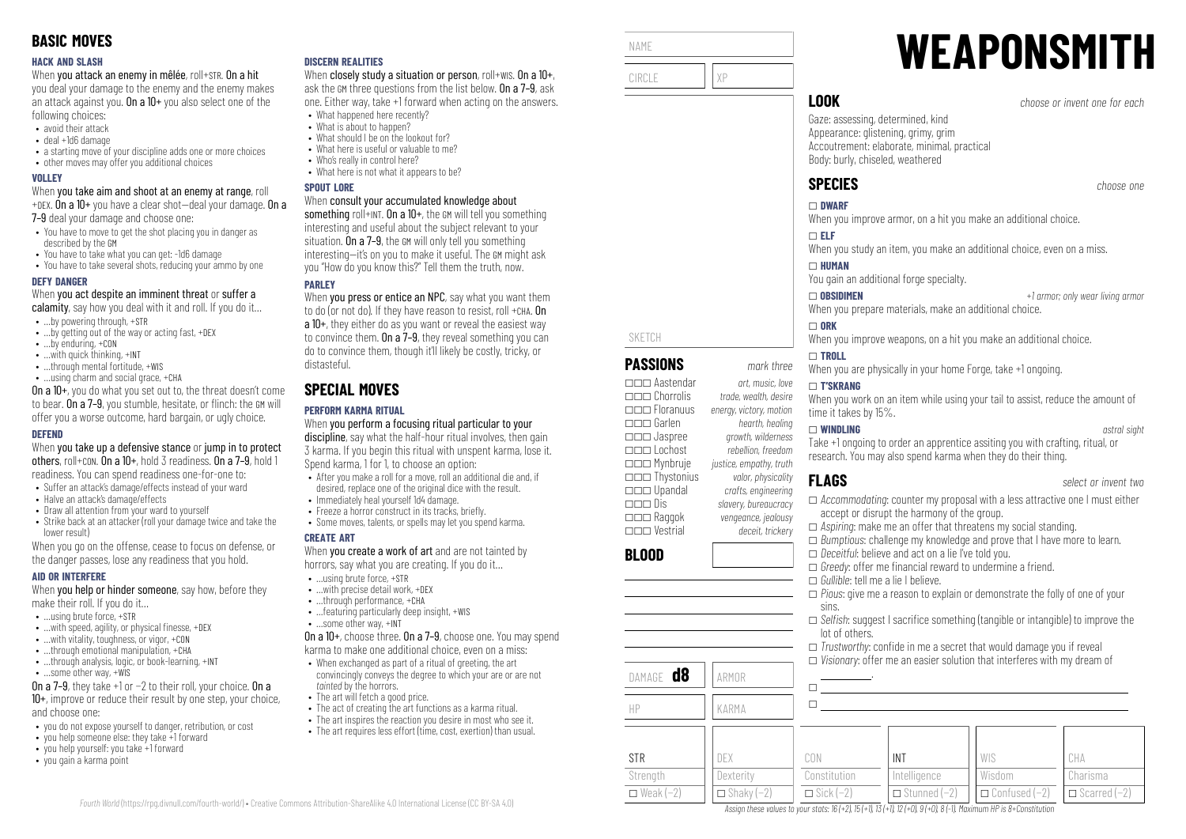#### **HACK AND SLASH**

When you attack an enemy in mêlée, roll+STR. On a hit

you deal your damage to the enemy and the enemy makes an attack against you. On a  $10+$  you also select one of the following choices:

- avoid their attack
- deal +1d6 damage
- a starting move of your discipline adds one or more choices
- other moves may offer you additional choices

#### **VOLLEY**

When you take aim and shoot at an enemy at range, roll +DEX. On a 10+ you have a clear shot—deal your damage. On a

7–9 deal your damage and choose one:

- You have to move to get the shot placing you in danger as described by the GM
- You have to take what you can get: -1d6 damage
- You have to take several shots, reducing your ammo by one

#### **DEFY DANGER**

When you act despite an imminent threat or suffer a

- calamity, say how you deal with it and roll. If you do it...
- …by powering through, +STR
- …by getting out of the way or acting fast, +DEX
- …by enduring, +CON
- …with quick thinking, +INT
- …through mental fortitude, +WIS • …using charm and social grace, +CHA

On a 10+, you do what you set out to, the threat doesn't come to bear. On a 7–9, you stumble, hesitate, or flinch: the GM will offer you a worse outcome, hard bargain, or ugly choice.

#### **DEFEND**

When you take up a defensive stance or jump in to protect others, roll+CON. On a 10+, hold 3 readiness. On a 7–9, hold 1 readiness. You can spend readiness one-for-one to:

- Suffer an attack's damage/effects instead of your ward
- Halve an attack's damage/effects
- Draw all attention from your ward to yourself • Strike back at an attacker (roll your damage twice and take the
- lower result)

When you go on the offense, cease to focus on defense, or the danger passes, lose any readiness that you hold.

#### **AID OR INTERFERE**

When **you help or hinder someone**, say how, before they make their roll. If you do it…

- $\bullet$  **using brute force,**  $\text{+STR}$
- $\bullet$  ...with speed, agility, or physical finesse, +DEX
- …with vitality, toughness, or vigor, +CON
- $\cdot$  through emotional manipulation,  $+CHA$
- ...through analysis, logic, or book-learning, +INT
- …some other way, +WIS

On a 7–9, they take +1 or −2 to their roll, your choice. On a 10+, improve or reduce their result by one step, your choice, and choose one:

- you do not expose yourself to danger, retribution, or cost
- you help someone else: they take +1 forward
- you help yourself: you take +1 forward
- you gain a karma point

#### **DISCERN REALITIES**

When closely study a situation or person, roll+wis. On a 10+, ask the GM three questions from the list below. On a 7–9, ask one. Either way, take +1 forward when acting on the answers.

- What happened here recently? • What is about to hannen?
- What should I be on the lookout for?
- What here is useful or valuable to me?
- Who's really in control here?
- What here is not what it annears to be?

#### **SPOUT LORE**

#### When consult your accumulated knowledge about

something roll+INT. On a 10+, the GM will tell you something interesting and useful about the subject relevant to your situation. On a 7–9, the GM will only tell you something interesting—it's on you to make it useful. The GM might ask you "How do you know this?" Tell them the truth, now.

## **PARLEY**

When you press or entice an NPC, say what you want them to do (or not do). If they have reason to resist, roll +CHA. On a 10+, they either do as you want or reveal the easiest way to convince them. On a 7–9, they reveal something you can do to convince them, though it'll likely be costly, tricky, or distasteful.

# **SPECIAL MOVES**

## **PERFORM KARMA RITUAL**

When you perform a focusing ritual particular to your discipline, say what the half-hour ritual involves, then gain 3 karma. If you begin this ritual with unspent karma, lose it. Spend karma, 1 for 1, to choose an option:

- After you make a roll for a move, roll an additional die and, if desired, replace one of the original dice with the result.
- Immediately heal yourself 1d4 damage.
- $\bullet$  Freeze a horror construct in its tracks, briefly.
- Some moves, talents, or spells may let you spend karma.

#### **CREATE ART**

When you create a work of art and are not tainted by horrors, say what you are creating. If you do it…

- …using brute force, +STR
- …with precise detail work, +DEX
- …through performance, +CHA • …featuring particularly deep insight, +WIS
- …some other way, +INT

On a 10+, choose three. On a 7–9, choose one. You may spend karma to make one additional choice, even on a miss:

- When exchanged as part of a ritual of greeting, the art convincingly conveys the degree to which your are or are not tainted by the horrors.
- The art will fetch a good price.

*Fourth World* [\(https://rpg.divnull.com/fourth-world/\)](https://rpg.divnull.com/fourth-world/) • Creative Commons Attribution-ShareAlike 4.0 International License (CC [BY-SA](https://creativecommons.org/licenses/by-sa/4.0/) 4.0)

- The act of creating the art functions as a karma ritual.
- The art inspires the reaction you desire in most who see it.
- The art requires less effort (time, cost, exertion) than usual.



\_\_\_ Aastendar *art, music, love* \_\_\_ Chorrolis *trade, wealth, desire*

\_\_\_ Garlen *hearth, healing* \_\_\_ Jaspree *growth, wilderness*

\_\_\_ Mynbruje *justice, empathy, truth* \_\_\_ Thystonius *valor, physicality* \_\_\_ Upandal *crafts, engineering*

\_\_\_ Raggok *vengeance, jealousy* \_\_\_ Vestrial *deceit, trickery*

DAMAGE **d8** ARMOR

HP KARMA

DEX **Dexterity**  $\Box$  Shaky (−2)

**BLOOD**

**STR** Strenath  $\Box$  Weak (−2) \_\_\_ Floranuus *energy, victory, motion*

\_\_\_ Lochost *rebellion, freedom*

\_\_\_ Dis *slavery, bureaucracy*

# **WEAPONSMITH**

**LOOK** *choose or invent one for each*

Gaze: assessing, determined, kind Appearance: glistening, grimy, grim Accoutrement: elaborate, minimal, practical Body: burly, chiseled, weathered

When you improve armor, on a hit you make an additional choice.

When you study an item, you make an additional choice, even on a miss.

When you prepare materials, make an additional choice.

When you improve weapons, on a hit you make an additional choice.

When you are physically in your home Forge, take +1 ongoing.

#### \_ **T'SKRANG**

When you work on an item while using your tail to assist, reduce the amount of time it takes by 15%.

#### \_ **WINDLING** *astral sight*

Take +1 ongoing to order an apprentice assiting you with crafting, ritual, or research. You may also spend karma when they do their thing.

# **FLAGS** *select or invent two*

sins.

 $\Box$  $\Box$ 

CON Constitution  $\Box$  Sick (−2)

lot of others.

.

- \_ *Accommodating*: counter my proposal with a less attractive one I must either accept or disrupt the harmony of the group.
- □ *Aspiring*: make me an offer that threatens my social standing.

 $\Box$  *Greedy*: offer me financial reward to undermine a friend.

\_ *Gullible*: tell me a lie I believe.

INT Intelligence \_ Stunned (−2)

Assign these values to your stats:  $16 (+2)$ ,  $15 (+1)$ ,  $13 (+1)$ ,  $12 (+0)$ ,  $9 (+0)$ ,  $8 (-1)$ . Maximum HP is 8+Constitution

\_ *Bumptious*: challenge my knowledge and prove that I have more to learn. \_ *Deceitful*: believe and act on a lie I've told you.

\_ *Pious*: give me a reason to explain or demonstrate the folly of one of your

 $\Box$  *Trustworthy:* confide in me a secret that would damage you if reveal  $\Box$  *Visionary:* offer me an easier solution that interferes with my dream of

□ *Selfish:* suggest I sacrifice something (tangible or intangible) to improve the

WIS Wisdom \_ Confused (−2)

CHA Charisma  $\Box$  Scarred (−2)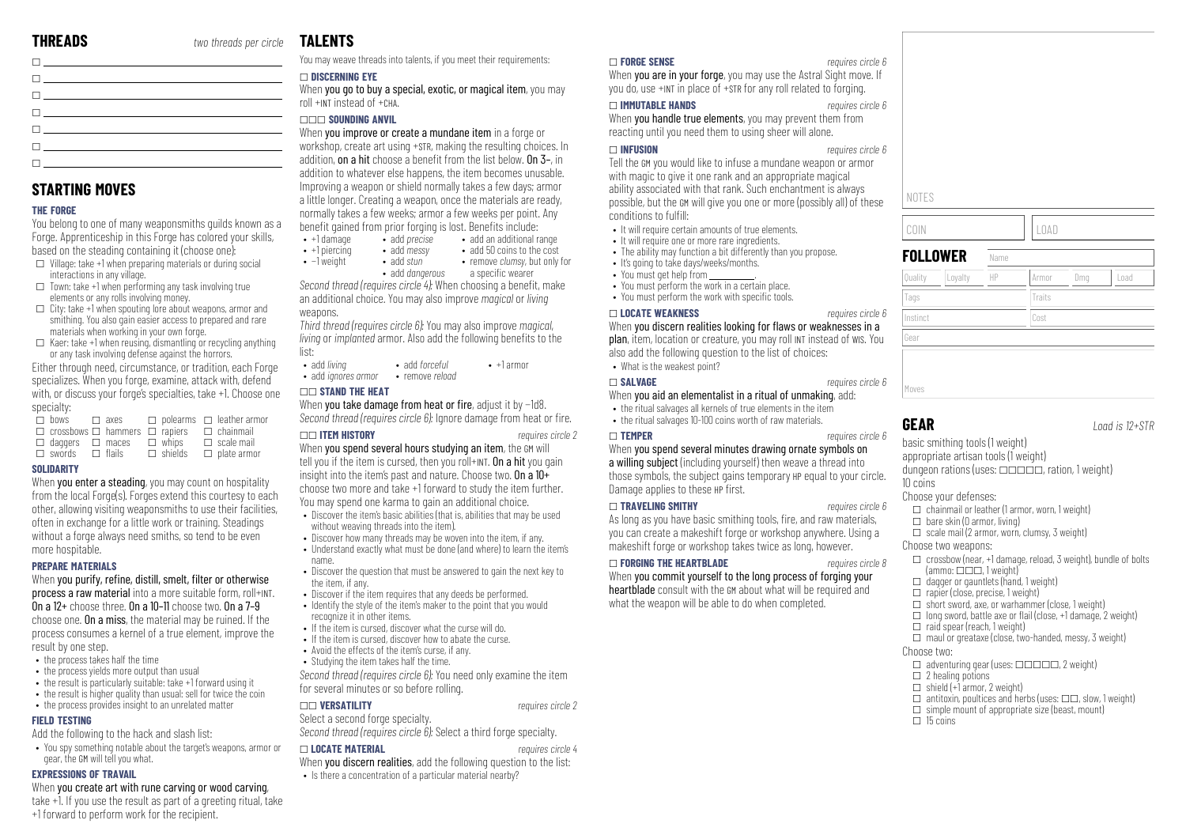**STARTING MOVES**

interactions in any village.

**THE FORGE**

specialty:  $\overline{\Box}$  hows

**SOLIDARITY**

more hospitable. **PREPARE MATERIALS**

result by one step.

**FIELD TESTING**

• the process takes half the time • the process vields more output than usual

gear, the GM will tell you what. **EXPRESSIONS OF TRAVAIL**

 $\Box$ \_  $\Box$ \_

\_ \_  $\Box$ 

You belong to one of many weaponsmiths guilds known as a Forge. Apprenticeship in this Forge has colored your skills, based on the steading containing it (choose one):  $\Box$  Village: take +1 when preparing materials or during social

 $\Box$  Town: take +1 when performing any task involving true elements or any rolls involving money.

materials when working in your own forge.

 $\Box$  City: take +1 when spouting lore about weapons, armor and smithing. You also gain easier access to prepared and rare

 $\square$  Kaer: take +1 when reusing, dismantling or recycling anything or any task involving defense against the horrors. Either through need, circumstance, or tradition, each Forge specializes. When you forge, examine, attack with, defend with, or discuss your forge's specialties, take +1. Choose one

 $\square$  crossbows  $\square$  hammers  $\square$  rapiers  $\square$  chainmail

 $\Box$  axes  $\Box$  polearms  $\Box$  leather armor

 $\Box$  scale mail

 $\Box$  swords  $\Box$  flails  $\Box$  shields  $\Box$  plate armor

When you enter a steading, you may count on hospitality from the local Forge(s). Forges extend this courtesy to each other, allowing visiting weaponsmiths to use their facilities, often in exchange for a little work or training. Steadings without a forge always need smiths, so tend to be even

When you purify, refine, distill, smelt, filter or otherwise process a raw material into a more suitable form, roll+INT. On a 12+ choose three. On a 10–11 choose two. On a 7–9 choose one. On a miss, the material may be ruined. If the process consumes a kernel of a true element, improve the

• the result is particularly suitable: take +1 forward using it • the result is higher quality than usual: sell for twice the coin • the process provides insight to an unrelated matter

• You spy something notable about the target's weapons, armor or

When you create art with rune carving or wood carving. take +1. If you use the result as part of a greeting ritual, take

Add the following to the hack and slash list:

+1 forward to perform work for the recipient.

 $\square$  daggers  $\square$  maces  $\square$  whips

# **TALENTS**

You may weave threads into talents, if you meet their requirements:

## \_ **DISCERNING EYE**

When you go to buy a special, exotic, or magical item, you may roll +INT instead of +CHA.

#### \_\_\_ **SOUNDING ANVIL**

When you improve or create a mundane item in a forge or workshop, create art using +STR, making the resulting choices. In addition, on a hit choose a benefit from the list below. On  $3-$  in addition to whatever else happens, the item becomes unusable. Improving a weapon or shield normally takes a few days; armor a little longer. Creating a weapon, once the materials are ready, normally takes a few weeks; armor a few weeks per point. Any benefit gained from prior forging is lost. Benefits include:

• add *precise* • add an additional range • add 50 coins to the cost

• remove *clumsy*, but only for

- add *messy* • add *stun*
- - add *dangerous* a specific wearer

*Second thread (requires circle 4):* When choosing a benefit, make an additional choice. You may also improve *magical* or *living*

*Third thread (requires circle 6):* You may also improve *magical*, *living* or *implanted* armor. Also add the following benefits to the

- add *forceful*  $\bullet$  +1 armor
- 

#### \_\_ **STAND THE HEAT**

When you take damage from heat or fire, adjust it by −1d8. *Second thread (requires circle 6):* Ignore damage from heat or fire.

#### \_\_ **ITEM HISTORY** *requires circle 2*

- Discover the item's basic abilities (that is, abilities that may be used without weaving threads into the item).
- Discover how many threads may be woven into the item, if any.
- Understand exactly what must be done (and where) to learn the item's name. • Discover the question that must be answered to gain the next key to
- the item, if any. • Discover if the item requires that any deeds be performed.
- Identify the style of the item's maker to the point that you would recognize it in other items.
- If the item is cursed, discover what the curse will do. • If the item is cursed, discover how to abate the curse.
- Avoid the effects of the item's curse, if any.
- Studying the item takes half the time.
- *Second thread (requires circle 6):* You need only examine the item for several minutes or so before rolling.
- \_\_ **VERSATILITY** *requires circle 2*

#### Select a second forge specialty.

*Second thread (requires circle 6):* Select a third forge specialty.

When **vou discern realities**, add the following question to the list: • Is there a concentration of a particular material nearby?

#### \_ **FORGE SENSE** *requires circle 6*

When you are in your forge, you may use the Astral Sight move. If you do, use +INT in place of +STR for any roll related to forging.

## \_ **IMMUTABLE HANDS** *requires circle 6*

When **you handle true elements**, you may prevent them from reacting until you need them to using sheer will alone.

\_ **INFUSION** *requires circle 6*

Tell the GM you would like to infuse a mundane weapon or armor with magic to give it one rank and an appropriate magical ability associated with that rank. Such enchantment is always possible, but the GM will give you one or more (possibly all) of these conditions to fulfill:

- It will require certain amounts of true elements.
- It will require one or more rare ingredients
- The ability may function a bit differently than you propose. • It's going to take days/weeks/months.
- $\bullet\,$  You must get help from \_\_\_\_\_\_\_\_\_\_\_.
- You must perform the work in a certain place.
- You must perform the work with specific tools.

#### \_ **LOCATE WEAKNESS** *requires circle 6*

When you discern realities looking for flaws or weaknesses in a plan, item, location or creature, you may roll INT instead of WIS. You also add the following question to the list of choices: • What is the weakest point?

- \_ **SALVAGE** *requires circle 6* When you aid an elementalist in a ritual of unmaking, add:
- the ritual salvages all kernels of true elements in the item
- the ritual salvages 10-100 coins worth of raw materials. \_ **TEMPER** *requires circle 6*

When you spend several minutes drawing ornate symbols on a willing subject (including yourself) then weave a thread into those symbols, the subject gains temporary HP equal to your circle. Damage applies to these HP first.

#### \_ **TRAVELING SMITHY** *requires circle 6*

As long as you have basic smithing tools, fire, and raw materials, you can create a makeshift forge or workshop anywhere. Using a makeshift forge or workshop takes twice as long, however.

#### \_ **FORGING THE HEARTBLADE** *requires circle 8*

When you commit yourself to the long process of forging your heartblade consult with the GM about what will be required and

what the weapon will be able to do when completed.



NOTES

**GEAR** *Load is 12+STR*

basic smithing tools (1 weight) appropriate artisan tools (1 weight)

 $d$ ungeon rations (uses:  $\Box \Box \Box \Box$  ration, 1 weight)

10 coins

Choose your defenses:

- $\Box$  chainmail or leather (1 armor, worn, 1 weight)
- $\Box$  bare skin (0 armor, living)
- $\Box$  scale mail (2 armor, worn, clumsy, 3 weight)
- Choose two weapons:
- $\Box$  crossbow (near, +1 damage, reload, 3 weight), bundle of bolts  $\lceil \mathsf{ammo: \sqcap \sqcap \sqcap} \rceil$  weight)
- $\Box$  dagger or gauntlets (hand, 1 weight)
- $\Box$  rapier (close, precise, 1 weight)
- $\Box$  short sword, axe, or warhammer (close, 1 weight)  $\Box$  long sword, battle axe or flail (close, +1 damage, 2 weight)
- $\Box$  raid spear (reach, 1 weight)
- $\Box$  maul or greataxe (close, two-handed, messy, 3 weight)
- Choose two:
- 
- $\Box$  adventuring gear (uses:  $\Box$  $\Box$  $\Box$  $\Box$ , 2 weight)  $\square$  2 healing potions
- $\Box$  shield (+1 armor, 2 weight)
- $\Box$  antitoxin, poultices and herbs (uses:  $\Box \Box$ , slow, 1 weight)
- $\square$  simple mount of appropriate size (beast, mount)
- $\Box$  15 coins

\_ **LOCATE MATERIAL** *requires circle 4*



- −1 weight
- 

weapons.

list:

- add *living*
- add *ignores armor* remove *reload*
- 

When you spend several hours studying an item, the GM will tell you if the item is cursed, then you roll+INT. On a hit you gain insight into the item's past and nature. Choose two, **On a 10+** choose two more and take +1 forward to study the item further. You may spend one karma to gain an additional choice.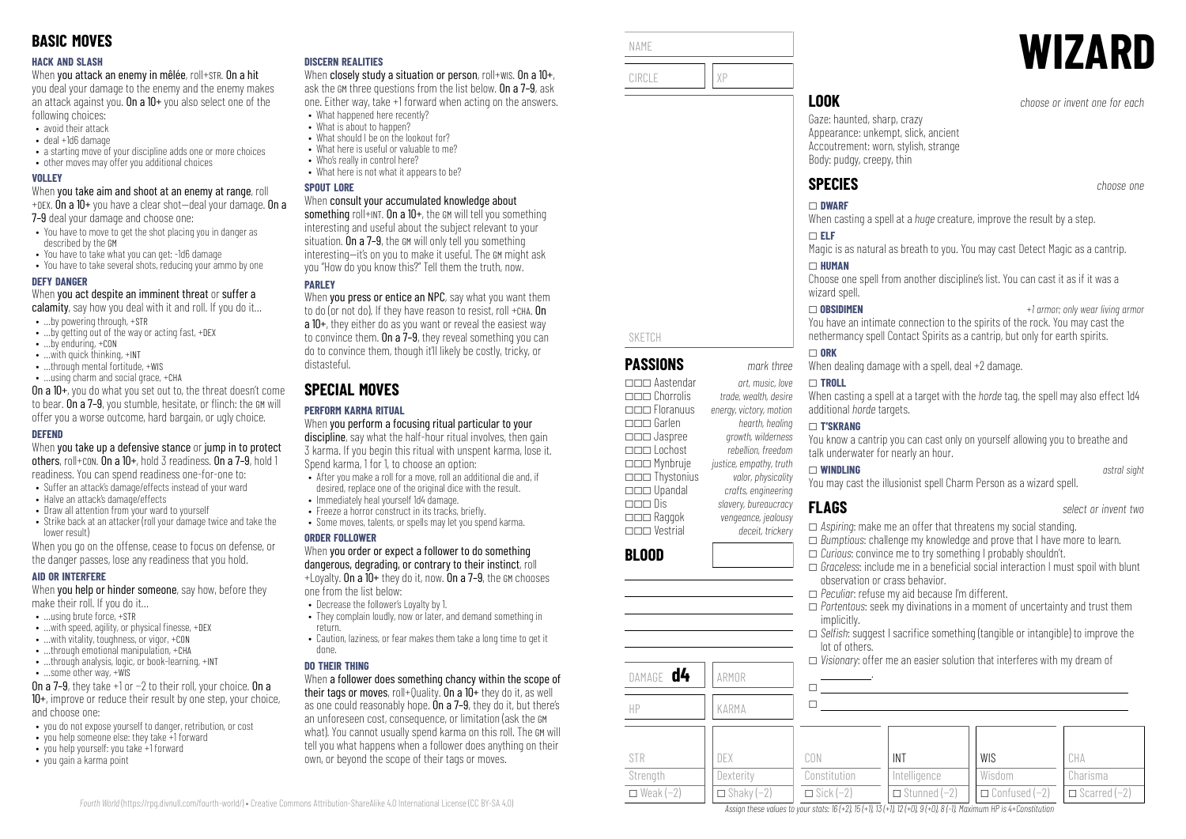#### **HACK AND SLASH**

When you attack an enemy in mêlée, roll+STR. On a hit

you deal your damage to the enemy and the enemy makes an attack against you. On a  $10+$  you also select one of the following choices:

- avoid their attack
- deal +1d6 damage
- a starting move of your discipline adds one or more choices
- other moves may offer you additional choices

#### **VOLLEY**

When you take aim and shoot at an enemy at range, roll +DEX. On a 10+ you have a clear shot—deal your damage. On a

7–9 deal your damage and choose one:

- You have to move to get the shot placing you in danger as described by the GM
- You have to take what you can get: -1d6 damage
- You have to take several shots, reducing your ammo by one

#### **DEFY DANGER**

When you act despite an imminent threat or suffer a

- calamity, say how you deal with it and roll. If you do it...
- …by powering through, +STR
- …by getting out of the way or acting fast, +DEX
- …by enduring, +CON
- …with quick thinking, +INT
- ...through mental fortitude, +WIS • …using charm and social grace, +CHA

On a 10+, you do what you set out to, the threat doesn't come to bear. On a 7–9, you stumble, hesitate, or flinch: the GM will offer you a worse outcome, hard bargain, or ugly choice.

#### **DEFEND**

When you take up a defensive stance or jump in to protect others, roll+CON. On a 10+, hold 3 readiness. On a 7–9, hold 1 readiness. You can spend readiness one-for-one to:

- Suffer an attack's damage/effects instead of your ward
- Halve an attack's damage/effects
- Draw all attention from your ward to yourself
- Strike back at an attacker (roll your damage twice and take the lower result)

When you go on the offense, cease to focus on defense, or the danger passes, lose any readiness that you hold.

#### **AID OR INTERFERE**

When **you help or hinder someone**, say how, before they make their roll. If you do it…

- $\bullet$  **using brute force,**  $\text{+STR}$
- $\bullet$  ... with speed, agility, or physical finesse,  $+$ DEX
- …with vitality, toughness, or vigor, +CON
- $\bullet$  through emotional manipulation,  $+CH\Delta$
- …through analysis, logic, or book-learning, +INT
- …some other way, +WIS

On a 7–9, they take +1 or −2 to their roll, your choice. On a 10+, improve or reduce their result by one step, your choice, and choose one:

- you do not expose yourself to danger, retribution, or cost
- you help someone else: they take +1 forward
- you help yourself: you take +1 forward
- you gain a karma point

#### **DISCERN REALITIES**

When closely study a situation or person, roll+wis. On a 10+, ask the GM three questions from the list below. On a 7–9, ask one. Either way, take +1 forward when acting on the answers.

- What happened here recently? • What is about to happen?
- What should I be on the lookout for?
- What here is useful or valuable to me?
- Who's really in control here?
- What here is not what it annears to be?

#### **SPOUT LORE**

#### When consult your accumulated knowledge about

something roll+INT. On a  $10+$ , the GM will tell you something interesting and useful about the subject relevant to your situation. On a 7–9, the GM will only tell you something interesting—it's on you to make it useful. The GM might ask you "How do you know this?" Tell them the truth, now.

## **PARLEY**

When you press or entice an NPC, say what you want them to do (or not do). If they have reason to resist, roll +CHA. On a 10+, they either do as you want or reveal the easiest way to convince them. On a 7–9, they reveal something you can do to convince them, though it'll likely be costly, tricky, or distasteful.

# **SPECIAL MOVES**

## **PERFORM KARMA RITUAL**

When you perform a focusing ritual particular to your discipline, say what the half-hour ritual involves, then gain 3 karma. If you begin this ritual with unspent karma, lose it. Spend karma, 1 for 1, to choose an option:

- After you make a roll for a move, roll an additional die and, if desired, replace one of the original dice with the result.
- Immediately heal yourself 1d4 damage.
- Freeze a horror construct in its tracks, briefly.
- Some moves, talents, or spells may let you spend karma.

#### **ORDER FOLLOWER**

#### When you order or expect a follower to do something dangerous, degrading, or contrary to their instinct, roll  $+$ l ovalty. On a  $10+$  they do it, now. On a 7-9, the GM chooses

one from the list below:

- Decrease the follower's Loyalty by 1.
- They complain loudly, now or later, and demand something in return.
- Caution, laziness, or fear makes them take a long time to get it done.

#### **DO THEIR THING**

*Fourth World* [\(https://rpg.divnull.com/fourth-world/\)](https://rpg.divnull.com/fourth-world/) • Creative Commons Attribution-ShareAlike 4.0 International License (CC [BY-SA](https://creativecommons.org/licenses/by-sa/4.0/) 4.0)

When a follower does something chancy within the scope of their tags or moves, roll+Quality. On a 10+ they do it, as well as one could reasonably hope. On a 7–9, they do it, but there's an unforeseen cost, consequence, or limitation (ask the GM what). You cannot usually spend karma on this roll. The GM will tell you what happens when a follower does anything on their own, or beyond the scope of their tags or moves.

| NAME                                                                             |                                                                      |                                                                                                                                                                                 | <b>WIZARI</b>                    |
|----------------------------------------------------------------------------------|----------------------------------------------------------------------|---------------------------------------------------------------------------------------------------------------------------------------------------------------------------------|----------------------------------|
| CIRCLE                                                                           | χp                                                                   |                                                                                                                                                                                 |                                  |
|                                                                                  |                                                                      | <b>LOOK</b>                                                                                                                                                                     | choose or invent one for each    |
|                                                                                  |                                                                      | Gaze: haunted, sharp, crazy<br>Appearance: unkempt, slick, ancient<br>Accoutrement: worn, stylish, strange<br>Body: pudgy, creepy, thin                                         |                                  |
|                                                                                  |                                                                      | <b>SPECIES</b>                                                                                                                                                                  | choose one                       |
|                                                                                  |                                                                      | $\Box$ DWARF<br>When casting a spell at a <i>huge</i> creature, improve the result by a step.                                                                                   |                                  |
|                                                                                  |                                                                      | $\Box$ ELF<br>Magic is as natural as breath to you. You may cast Detect Magic as a cantrip.                                                                                     |                                  |
|                                                                                  |                                                                      | $\Box$ HUMAN<br>Choose one spell from another discipline's list. You can cast it as if it was a<br>wizard spell.                                                                |                                  |
| <b>SKETCH</b>                                                                    |                                                                      | $\Box$ Obsidimen<br>You have an intimate connection to the spirits of the rock. You may cast the<br>nethermancy spell Contact Spirits as a cantrip, but only for earth spirits. | +1 armor; only wear living armor |
| <b>PASSIONS</b>                                                                  | mark three                                                           | $\Box$ ORK<br>When dealing damage with a spell, deal +2 damage.                                                                                                                 |                                  |
| $\Box \Box \Box$ Aastendar<br>$\Box$ $\Box$ Chorrolis<br>$\Box$ $\Box$ Floranuus | art, music, love<br>trade, wealth, desire<br>energy, victory, motion | $\Box$ TROLL<br>When casting a spell at a target with the horde tag, the spell may also effect 1d4<br>additional horde targets.                                                 |                                  |

**BLOOD**

You know a cantrip you can cast only on yourself allowing you to breathe and talk underwater for nearly an hour.

#### \_ **WINDLING** *astral sight*

You may cast the illusionist spell Charm Person as a wizard spell.

## **FLAGS** *select or invent two*

- □ *Aspiring*: make me an offer that threatens my social standing.
- □ *Bumptious*: challenge my knowledge and prove that I have more to learn.
- \_ *Curious*: convince me to try something I probably shouldn't.
- $\square$  *Graceless*: include me in a beneficial social interaction I must spoil with blunt observation or crass behavior.
- \_ *Peculiar*: refuse my aid because I'm different.

INT Intelligence \_ Stunned (−2)

Assign these values to your stats:  $16 (+2)$ ,  $15 (+1)$ ,  $13 (+1)$ ,  $12 (+0)$ ,  $9 (+0)$ ,  $8 (-1)$ . Maximum HP is 4+Constitution

- \_ *Portentous*: seek my divinations in a moment of uncertainty and trust them implicitly.
- □ *Selfish*: suggest I sacrifice something (tangible or intangible) to improve the lot of others.

WIS Wisdom \_ Confused (−2)

CHA Charisma \_ Scarred (−2)

 $\Box$  *Visionary*: offer me an easier solution that interferes with my dream of .

|                  |                   | $\Box$ Visionary |
|------------------|-------------------|------------------|
| DAMAGE <b>d4</b> | ARMOR             |                  |
| HP               | KARMA             |                  |
|                  |                   |                  |
| <b>STR</b>       | DEX               | CON              |
| Strength         | Dexterity         | Constitution     |
| $\Box$ Weak (-2) | $\Box$ Shaky (-2) | $\Box$ Sick (-2) |

\_\_\_ Garlen *hearth, healing* \_\_\_ Jaspree *growth, wilderness*

\_\_\_ Mynbruje *justice, empathy, truth* \_\_\_ Thystonius *valor, physicality* \_\_\_ Upandal *crafts, engineering*

\_\_\_ Raggok *vengeance, jealousy* \_\_\_ Vestrial *deceit, trickery*

\_\_\_ Lochost *rebellion, freedom*

\_\_\_ Dis *slavery, bureaucracy*

\_ **T'SKRANG**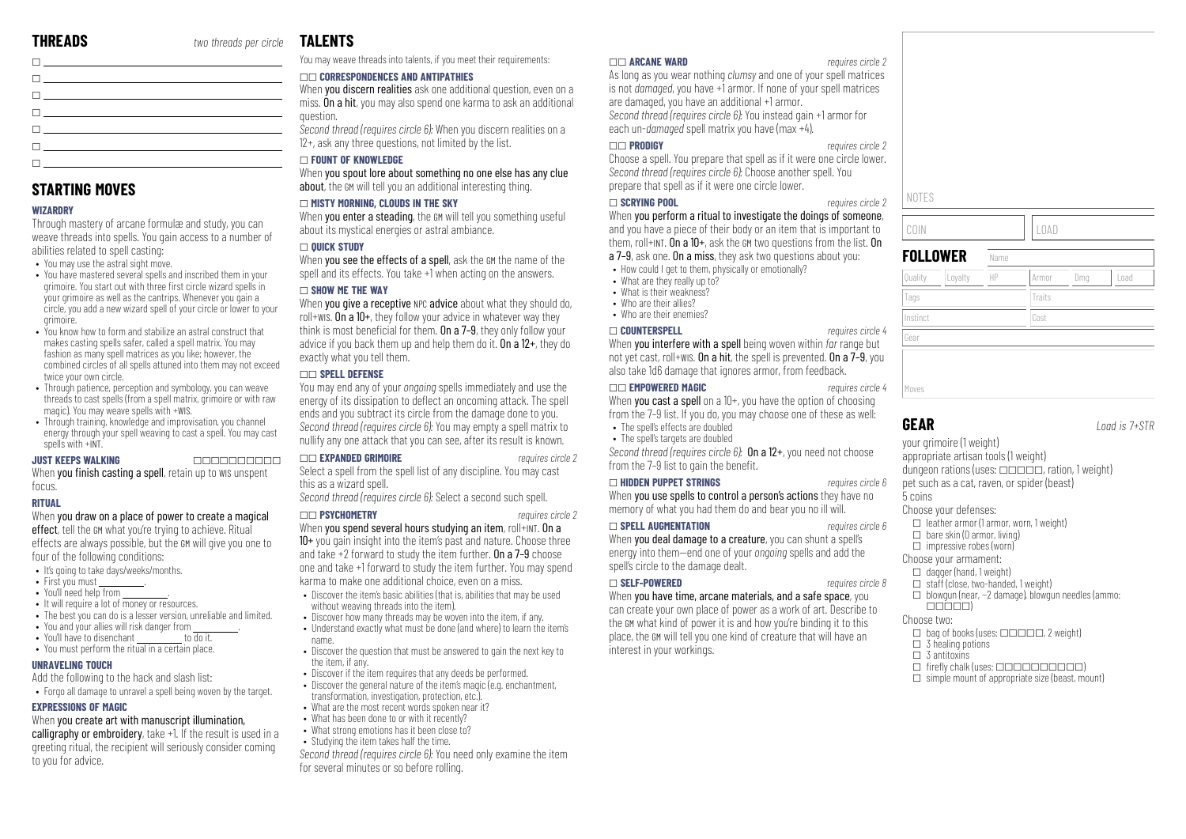|                                                                                                                 | . |
|-----------------------------------------------------------------------------------------------------------------|---|
| The contract of the contract of the contract of the contract of the contract of the contract of the contract of |   |
| The contract of the contract of the contract of the contract of the contract of the contract of the contract of |   |
|                                                                                                                 |   |
| The contract of the contract of the contract of the                                                             |   |
| The contract of the contract of the contract of                                                                 |   |
|                                                                                                                 |   |
|                                                                                                                 |   |
|                                                                                                                 |   |

# **STARTING MOVES**

#### **WIZARDRY**

 $\Box$ 

Through mastery of arcane formulæ and study, you can weave threads into spells. You gain access to a number of abilities related to spell casting:

- You may use the astral sight move.
- You have mastered several spells and inscribed them in your orimoire. You start out with three first circle wizard spells in your grimoire as well as the cantrips. Whenever you gain a circle, you add a new wizard spell of your circle or lower to your grimoire.
- You know how to form and stabilize an astral construct that makes casting spells safer, called a spell matrix. You may fashion as many spell matrices as you like; however, the combined circles of all spells attuned into them may not exceed twice your own circle.
- Through patience, perception and symbology, you can weave threads to cast spells (from a spell matrix, grimoire or with raw magic). You may weave spells with +WIS.
- Through training, knowledge and improvisation, you channel energy through your spell weaving to cast a spell. You may cast spells with +INT

#### **JUST KEEPS WALKING** \_\_\_\_\_\_\_\_\_\_

When you finish casting a spell, retain up to WIS unspent focus.

#### **RITUAL**

#### When you draw on a place of power to create a magical

effect, tell the GM what you're trying to achieve. Ritual effects are always possible, but the GM will give you one to four of the following conditions:

- It's going to take days/weeks/months.
- First you must
- $\bullet$  You'll need help from
- It will require a lot of money or resources.
- The best you can do is a lesser version, unreliable and limited.
- You and your allies will risk danger from
- You'll have to disenchant to do it. • You must perform the ritual in a certain place.

## **UNRAVELING TOUCH**

Add the following to the hack and slash list: • Forgo all damage to unravel a spell being woven by the target.

#### **EXPRESSIONS OF MAGIC**

#### When you create art with manuscript illumination.

calligraphy or embroidery, take +1. If the result is used in a greeting ritual, the recipient will seriously consider coming to you for advice.

# **TALENTS**

You may weave threads into talents, if you meet their requirements:

#### \_\_ **CORRESPONDENCES AND ANTIPATHIES**

When **you discern realities** ask one additional question, even on a miss. On a hit, you may also spend one karma to ask an additional question.

*Second thread (requires circle 6):* When you discern realities on a 12+, ask any three questions, not limited by the list.

#### \_ **FOUNT OF KNOWLEDGE**

When you spout lore about something no one else has any clue about, the GM will tell you an additional interesting thing.

#### \_ **MISTY MORNING, CLOUDS IN THE SKY**

When **you enter a steading**, the GM will tell you something useful about its mystical energies or astral ambiance.

#### \_ **QUICK STUDY**

When you see the effects of a spell, ask the GM the name of the spell and its effects. You take +1 when acting on the answers.

#### \_ **SHOW ME THE WAY**

When you give a receptive NPC advice about what they should do, roll+WIS. On a 10+, they follow your advice in whatever way they think is most beneficial for them. On a  $7-9$ , they only follow your advice if you back them up and help them do it. On a 12+, they do exactly what you tell them.

#### \_\_ **SPELL DEFENSE**

You may end any of your *ongoing* spells immediately and use the energy of its dissipation to deflect an oncoming attack. The spell ends and you subtract its circle from the damage done to you. *Second thread (requires circle 6):* You may empty a spell matrix to nullify any one attack that you can see, after its result is known.

#### \_\_ **EXPANDED GRIMOIRE** *requires circle 2*

Select a spell from the spell list of any discipline. You may cast this as a wizard spell.

*Second thread (requires circle 6):* Select a second such spell.

#### \_\_ **PSYCHOMETRY** *requires circle 2*

When you spend several hours studying an item, roll+INT. On a 10+ you gain insight into the item's past and nature. Choose three and take +2 forward to study the item further. On a 7–9 choose one and take +1 forward to study the item further. You may spend karma to make one additional choice, even on a miss.

- Discover the item's basic abilities (that is, abilities that may be used without weaving threads into the item).
- Discover how many threads may be woven into the item, if any.
- Understand exactly what must be done (and where) to learn the item's name.
- Discover the question that must be answered to gain the next key to the item, if any.
- Discover if the item requires that any deeds be performed.
- Discover the general nature of the item's magic (e.g. enchantment, transformation, investigation, protection, etc.).
- What are the most recent words spoken near it?
- What has been done to or with it recently?
- What strong emotions has it been close to?
- Studying the item takes half the time.

*Second thread (requires circle 6):* You need only examine the item for several minutes or so before rolling.

#### \_\_ **ARCANE WARD** *requires circle 2*

As long as you wear nothing *clumsy* and one of your spell matrices is not *damaged*, you have +1 armor. If none of your spell matrices are damaged, you have an additional +1 armor. *Second thread (requires circle 6):* You instead gain +1 armor for each un-*damaged* spell matrix you have (max +4).

#### \_\_ **PRODIGY** *requires circle 2*

Choose a spell. You prepare that spell as if it were one circle lower. *Second thread (requires circle 6):* Choose another spell. You prepare that spell as if it were one circle lower.

#### \_ **SCRYING POOL** *requires circle 2*

When you perform a ritual to investigate the doings of someone, and you have a piece of their body or an item that is important to them, roll+INT. On a  $10+$ , ask the GM two questions from the list. On a 7–9, ask one. On a miss, they ask two questions about you:

- How could I get to them, physically or emotionally?
- What are they really up to?
- What is their weakness?
- Who are their allies?
- Who are their enemies?

#### \_ **COUNTERSPELL** *requires circle 4*

When you interfere with a spell being woven within *far* range but not yet cast, roll+WIS. On a hit, the spell is prevented. On a 7–9, you also take 1d6 damage that ignores armor, from feedback.

#### \_\_ **EMPOWERED MAGIC** *requires circle 4*

When you cast a spell on a 10+, you have the option of choosing from the 7–9 list. If you do, you may choose one of these as well:

- The snell's effects are doubled • The spell's targets are doubled
- 

*Second thread (requires circle 6):* On a 12+, you need not choose from the 7-9 list to gain the benefit.

#### \_ **HIDDEN PUPPET STRINGS** *requires circle 6*

When you use spells to control a person's actions they have no memory of what you had them do and bear you no ill will.

#### \_ **SPELL AUGMENTATION** *requires circle 6*

When you deal damage to a creature, you can shunt a spell's energy into them—end one of your *ongoing* spells and add the spell's circle to the damage dealt.

#### \_ **SELF-POWERED** *requires circle 8*

When you have time, arcane materials, and a safe space, you can create your own place of power as a work of art. Describe to the GM what kind of power it is and how you're binding it to this place, the GM will tell you one kind of creature that will have an interest in your workings.

# Moves

Gear

NOTES

**GEAR** *Load is 7+STR*

your grimoire (1 weight) appropriate artisan tools (1 weight) dungeon rations (uses:  $\Box \Box \Box \Box \Box$ , ration, 1 weight) pet such as a cat, raven, or spider (beast)

5 coins Choose your defenses:

 $\Box$  leather armor (1 armor, worn, 1 weight)

COIN LOAD

Tags Tags Traits Traits Instinct Cost

Quality ||Loyalty ||HP ||Armor ||Dmg ||Load

**FOLLOWER** Name

- $\Box$  bare skin (0 armor, living)
- $\Box$  impressive robes (worn)
- Choose your armament:
- $\Box$  dagger (hand, 1 weight)
- $\Box$  staff (close, two-handed, 1 weight)
- \_ blowgun (near, −2 damage), blowgun needles (ammo:  $\Box \Box \Box \Box \Box$

#### Choose two:

- $\Box$  bag of books (uses:  $\Box$  $\Box$  $\Box$  $\Box$  $\Box$ , 2 weight)
- $\Box$  3 healing potions
- $\Box$  3 antitoxing
- $\Box$  firefly chalk (uses:  $\Box$  $\Box$  $\Box$  $\Box$  $\Box$  $\Box$  $\Box$ )  $\Box$  simple mount of appropriate size (beast, mount)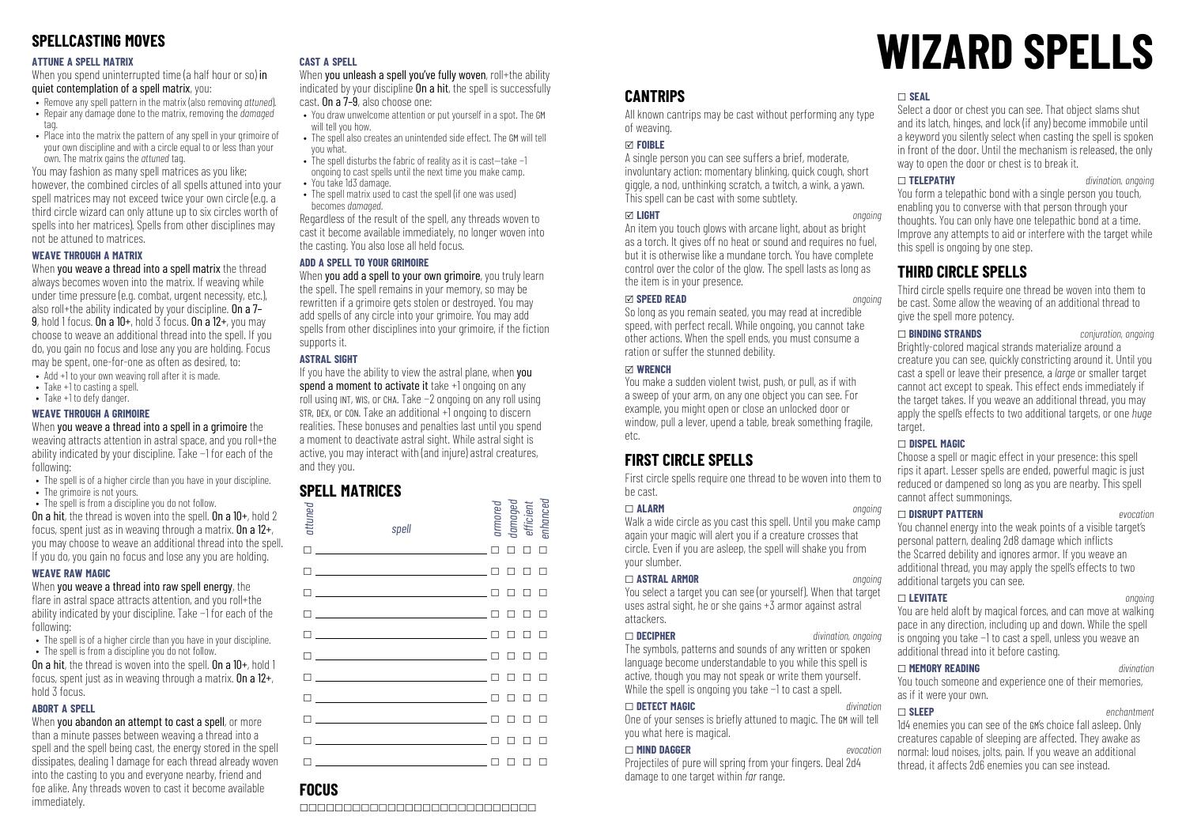# **SPELLCASTING MOVES**

#### **ATTUNE A SPELL MATRIX**

When you spend uninterrupted time (a half hour or so) in quiet contemplation of a spell matrix, you:

- Remove any spell pattern in the matrix (also removing *attuned*).
- Repair any damage done to the matrix, removing the *damaged*
- tag. • Place into the matrix the nattern of any spell in your grimoire of
- your own discipline and with a circle equal to or less than your own. The matrix gains the *attuned* tag.

You may fashion as many spell matrices as you like; however, the combined circles of all spells attuned into your spell matrices may not exceed twice your own circle (e.g. a third circle wizard can only attune up to six circles worth of spells into her matrices). Spells from other disciplines may not be attuned to matrices.

#### **WEAVE THROUGH A MATRIX**

When you weave a thread into a spell matrix the thread always becomes woven into the matrix. If weaving while under time pressure (e.g. combat, urgent necessity, etc.), also roll+the ability indicated by your discipline. On a 7– 9, hold 1 focus. On a  $10+$ , hold  $3$  focus. On a  $12+$ , you may choose to weave an additional thread into the spell. If you do, you gain no focus and lose any you are holding. Focus may be spent, one-for-one as often as desired, to:

- Add +1 to your own weaving roll after it is made.
- Take +1 to casting a spell.
- Take +1 to defy danger.

#### **WEAVE THROUGH A GRIMOIRE**

When you weave a thread into a spell in a grimoire the weaving attracts attention in astral space, and you roll+the ability indicated by your discipline. Take −1 for each of the following:

- The spell is of a higher circle than you have in your discipline.
- The grimoire is not yours.
- The spell is from a discipline you do not follow. On a hit, the thread is woven into the spell. On a 10+, hold 2 focus, spent just as in weaving through a matrix. On a  $12+$ , you may choose to weave an additional thread into the spell. If you do, you gain no focus and lose any you are holding.

#### **WEAVE RAW MAGIC**

When you weave a thread into raw spell energy, the flare in astral space attracts attention, and you roll+the ability indicated by your discipline. Take −1 for each of the following:

- The spell is of a higher circle than you have in your discipline.
- The spell is from a discipline you do not follow.

On a hit, the thread is woven into the spell. On a 10+, hold 1 focus, spent just as in weaving through a matrix. On a 12+, hold 3 focus.

#### **ABORT A SPELL**

When you abandon an attempt to cast a spell, or more than a minute passes between weaving a thread into a spell and the spell being cast, the energy stored in the spell dissipates, dealing 1 damage for each thread already woven into the casting to you and everyone nearby, friend and foe alike. Any threads woven to cast it become available immediately.

#### **CAST A SPELL**

When you unleash a spell you've fully woven, roll+the ability indicated by your discipline **On a hit**, the spell is successfully cast. On a 7–9, also choose one:

- You draw unwelcome attention or put yourself in a spot. The GM will tell you how.
- The spell also creates an unintended side effect. The GM will tell you what. • The spell disturbs the fabric of reality as it is cast—take −1
	- ongoing to cast spells until the next time you make camp.
- You take 1d3 damage.
- The spell matrix used to cast the spell (if one was used) becomes *damaged*.

Regardless of the result of the spell, any threads woven to cast it become available immediately, no longer woven into the casting. You also lose all held focus.

#### **ADD A SPELL TO YOUR GRIMOIRE**

When you add a spell to your own grimoire, you truly learn the spell. The spell remains in your memory, so may be rewritten if a grimoire gets stolen or destroyed. You may add spells of any circle into your grimoire. You may add spells from other disciplines into your grimoire, if the fiction supports it.

#### **ASTRAL SIGHT**

If you have the ability to view the astral plane, when you spend a moment to activate it take +1 ongoing on any roll using INT, WIS, or CHA. Take −2 ongoing on any roll using STR, DEX, or CON. Take an additional +1 ongoing to discern realities. These bonuses and penalties last until you spend a moment to deactivate astral sight. While astral sight is active, you may interact with (and injure) astral creatures, and they you.

# **SPELL MATRICES**

| attuned | spell                                                                                                                                                                                                                                                                          | armored<br>damaged<br>efficient<br>enhanced |               |        |
|---------|--------------------------------------------------------------------------------------------------------------------------------------------------------------------------------------------------------------------------------------------------------------------------------|---------------------------------------------|---------------|--------|
|         |                                                                                                                                                                                                                                                                                | п                                           | П             | $\Box$ |
|         | $\Box$                                                                                                                                                                                                                                                                         | п                                           | $\Box$        | $\Box$ |
|         | $\Box$ and $\Box$ and $\Box$ and $\Box$ and $\Box$ and $\Box$ and $\Box$ and $\Box$ and $\Box$ and $\Box$ and $\Box$ and $\Box$ and $\Box$ and $\Box$ and $\Box$ and $\Box$ and $\Box$ and $\Box$ and $\Box$ and $\Box$ and $\Box$ and $\Box$ and $\Box$ and $\Box$ and $\Box$ | п                                           | $\Box$ $\Box$ |        |
|         | $\Box$                                                                                                                                                                                                                                                                         | п                                           | $\Box$ $\Box$ |        |
|         | $\Box$                                                                                                                                                                                                                                                                         | п                                           | п п           |        |
|         | $\Box$                                                                                                                                                                                                                                                                         | п                                           | $\Box$ $\Box$ |        |
|         | $\mathsf{\Pi}$ , and the contract of the contract of $\mathsf{\Pi}$                                                                                                                                                                                                            | п                                           | П.            | $\Box$ |
|         | The contract of the contract of the contract of the contract of the contract of the contract of the contract o                                                                                                                                                                 | п                                           | п п           |        |
|         | $\blacksquare$ . The contract of the contract of $\blacksquare$                                                                                                                                                                                                                | п                                           | п             | П      |
|         | $\blacksquare$ . The contract of the contract of $\blacksquare$                                                                                                                                                                                                                | ┐                                           | п             | П      |
| ٦       |                                                                                                                                                                                                                                                                                | ח ח ח ח                                     |               |        |

# **FOCUS**

\_\_\_\_\_\_\_\_\_\_\_\_\_\_\_\_\_\_\_\_\_\_\_\_\_\_\_

# **WIZARD SPELLS**

# **CANTRIPS**

All known cantrips may be cast without performing any type of weaving.

#### x **FOIBLE**

A single person you can see suffers a brief, moderate, involuntary action: momentary blinking, quick cough, short giggle, a nod, unthinking scratch, a twitch, a wink, a yawn. This spell can be cast with some subtlety.

#### x **LIGHT** *ongoing*

An item you touch glows with arcane light, about as bright as a torch. It gives off no heat or sound and requires no fuel, but it is otherwise like a mundane torch. You have complete control over the color of the glow. The spell lasts as long as the item is in your presence.

#### x **SPEED READ** *ongoing*

So long as you remain seated, you may read at incredible speed, with perfect recall. While ongoing, you cannot take other actions. When the spell ends, you must consume a ration or suffer the stunned debility.

#### x **WRENCH**

You make a sudden violent twist, push, or pull, as if with a sweep of your arm, on any one object you can see. For example, you might open or close an unlocked door or window, pull a lever, upend a table, break something fragile, etc.

# **FIRST CIRCLE SPELLS**

First circle spells require one thread to be woven into them to be cast.

#### \_ **ALARM** *ongoing*

Walk a wide circle as you cast this spell. Until you make camp again your magic will alert you if a creature crosses that circle. Even if you are asleep, the spell will shake you from your slumber.

#### \_ **ASTRAL ARMOR** *ongoing*

You select a target you can see (or yourself). When that target uses astral sight, he or she gains  $+\tilde{3}$  armor against astral attackers.

#### \_ **DECIPHER** *divination, ongoing*

The symbols, patterns and sounds of any written or spoken language become understandable to you while this spell is active, though you may not speak or write them yourself. While the spell is ongoing you take −1 to cast a spell.

#### \_ **DETECT MAGIC** *divination*

One of your senses is briefly attuned to magic. The GM will tell you what here is magical.

#### \_ **MIND DAGGER** *evocation*

Projectiles of pure will spring from your fingers. Deal 2d4 damage to one target within *far* range.

#### \_ **SEAL**

Select a door or chest you can see. That object slams shut and its latch, hinges, and lock (if any) become immobile until a keyword you silently select when casting the spell is spoken in front of the door. Until the mechanism is released, the only way to open the door or chest is to break it.

#### \_ **TELEPATHY** *divination, ongoing*

You form a telepathic bond with a single person you touch, enabling you to converse with that person through your thoughts. You can only have one telepathic bond at a time. Improve any attempts to aid or interfere with the target while this snell is ongoing by one step.

# **THIRD CIRCLE SPELLS**

Third circle spells require one thread be woven into them to be cast. Some allow the weaving of an additional thread to give the spell more potency.

\_ **BINDING STRANDS** *conjuration, ongoing* Brightly-colored magical strands materialize around a creature you can see, quickly constricting around it. Until you cast a spell or leave their presence, a *large* or smaller target cannot act except to speak. This effect ends immediately if the target takes. If you weave an additional thread, you may apply the spell's effects to two additional targets, or one *huge* target.

#### \_ **DISPEL MAGIC**

Choose a spell or magic effect in your presence: this spell rips it apart. Lesser spells are ended, powerful magic is just reduced or dampened so long as you are nearby. This spell cannot affect summonings.

## \_ **DISRUPT PATTERN** *evocation*

You channel energy into the weak points of a visible target's personal pattern, dealing 2d8 damage which inflicts the Scarred debility and ignores armor. If you weave an additional thread, you may apply the spell's effects to two additional targets you can see.

#### \_ **LEVITATE** *ongoing*

You are held aloft by magical forces, and can move at walking pace in any direction, including up and down. While the spell is ongoing you take −1 to cast a spell, unless you weave an additional thread into it before casting.

\_ **MEMORY READING** *divination* You touch someone and experience one of their memories, as if it were your own.

# \_ **SLEEP** *enchantment*

1d4 enemies you can see of the GM's choice fall asleep. Only creatures capable of sleeping are affected. They awake as normal: loud noises, jolts, pain. If you weave an additional thread, it affects 2d6 enemies you can see instead.